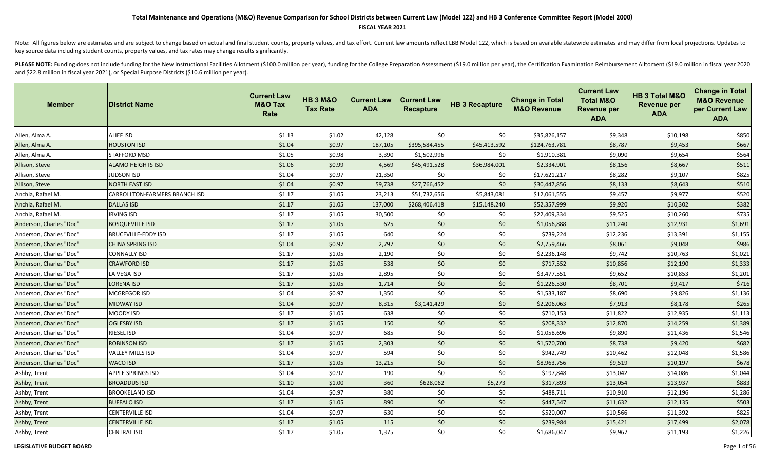### **FISCAL YEAR 2021**

Note: All figures below are estimates and are subject to change based on actual and final student counts, property values, and tax effort. Current law amounts reflect LBB Model 122, which is based on available statewide es key source data including student counts, property values, and tax rates may change results significantly.

| <b>Member</b>           | <b>District Name</b>                 | <b>Current Law</b><br><b>M&amp;O Tax</b><br>Rate | <b>HB 3 M&amp;O</b><br><b>Tax Rate</b> | <b>Current Law</b><br><b>ADA</b> | <b>Current Law</b><br><b>Recapture</b> | <b>HB 3 Recapture</b> | <b>Change in Total</b><br><b>M&amp;O Revenue</b> | <b>Current Law</b><br><b>Total M&amp;O</b><br><b>Revenue per</b><br><b>ADA</b> | HB 3 Total M&O<br><b>Revenue per</b><br><b>ADA</b> | <b>Change in Total</b><br><b>M&amp;O Revenue</b><br>per Current Law<br><b>ADA</b> |
|-------------------------|--------------------------------------|--------------------------------------------------|----------------------------------------|----------------------------------|----------------------------------------|-----------------------|--------------------------------------------------|--------------------------------------------------------------------------------|----------------------------------------------------|-----------------------------------------------------------------------------------|
| Allen, Alma A.          | <b>ALIEF ISD</b>                     | \$1.13                                           | \$1.02                                 | 42,128                           | \$0                                    | \$0                   | \$35,826,157                                     | \$9,348                                                                        | \$10,198                                           | \$850                                                                             |
| Allen, Alma A.          | <b>HOUSTON ISD</b>                   | \$1.04                                           | \$0.97                                 | 187,105                          | \$395,584,455                          | \$45,413,592          | \$124,763,781                                    | \$8,787                                                                        | \$9,453                                            | \$667                                                                             |
| Allen, Alma A.          | STAFFORD MSD                         | \$1.05                                           | \$0.98                                 | 3,390                            | \$1,502,996                            | \$0                   | \$1,910,381                                      | \$9,090                                                                        | \$9,654                                            | \$564                                                                             |
| Allison, Steve          | ALAMO HEIGHTS ISD                    | \$1.06                                           | \$0.99                                 | 4,569                            | \$45,491,528                           | \$36,984,001          | \$2,334,901                                      | \$8,156                                                                        | \$8,667                                            | \$511                                                                             |
| Allison, Steve          | JUDSON ISD                           | \$1.04                                           | \$0.97                                 | 21,350                           | \$0                                    | \$0                   | \$17,621,217                                     | \$8,282                                                                        | \$9,107                                            | \$825                                                                             |
| Allison, Steve          | <b>NORTH EAST ISD</b>                | \$1.04                                           | \$0.97                                 | 59,738                           | \$27,766,452                           | \$0                   | \$30,447,856                                     | \$8,133                                                                        | \$8,643                                            | \$510                                                                             |
| Anchia, Rafael M.       | <b>CARROLLTON-FARMERS BRANCH ISD</b> | \$1.17                                           | \$1.05                                 | 23,213                           | \$51,732,656                           | \$5,843,081           | \$12,061,555                                     | \$9,457                                                                        | \$9,977                                            | \$520                                                                             |
| Anchia, Rafael M.       | <b>DALLAS ISD</b>                    | \$1.17                                           | \$1.05                                 | 137,000                          | \$268,406,418                          | \$15,148,240          | \$52,357,999                                     | \$9,920                                                                        | \$10,302                                           | \$382                                                                             |
| Anchia, Rafael M.       | <b>IRVING ISD</b>                    | \$1.17                                           | \$1.05                                 | 30,500                           | \$0                                    | \$0                   | \$22,409,334                                     | \$9,525                                                                        | \$10,260                                           | \$735                                                                             |
| Anderson, Charles "Doc" | <b>BOSQUEVILLE ISD</b>               | \$1.17                                           | \$1.05                                 | 625                              | \$0                                    | \$0                   | \$1,056,888                                      | \$11,240                                                                       | \$12,931                                           | \$1,691                                                                           |
| Anderson, Charles "Doc" | <b>BRUCEVILLE-EDDY ISD</b>           | \$1.17                                           | \$1.05                                 | 640                              | \$0                                    | \$0                   | \$739,224                                        | \$12,236                                                                       | \$13,391                                           | \$1,155                                                                           |
| Anderson, Charles "Doc" | <b>CHINA SPRING ISD</b>              | \$1.04                                           | \$0.97                                 | 2,797                            | $$0$                                   | \$0                   | \$2,759,466                                      | \$8,061                                                                        | \$9,048                                            | \$986                                                                             |
| Anderson, Charles "Doc" | <b>CONNALLY ISD</b>                  | \$1.17                                           | \$1.05                                 | 2,190                            | \$0                                    | \$0                   | \$2,236,148                                      | \$9,742                                                                        | \$10,763                                           | \$1,021                                                                           |
| Anderson, Charles "Doc" | <b>CRAWFORD ISD</b>                  | \$1.17                                           | \$1.05                                 | 538                              | \$0                                    | \$0                   | \$717,552                                        | \$10,856                                                                       | \$12,190                                           | \$1,333                                                                           |
| Anderson, Charles "Doc" | LA VEGA ISD                          | \$1.17                                           | \$1.05                                 | 2,895                            | \$0                                    | \$0                   | \$3,477,551                                      | \$9,652                                                                        | \$10,853                                           | \$1,201                                                                           |
| Anderson, Charles "Doc" | <b>LORENA ISD</b>                    | \$1.17                                           | \$1.05                                 | 1,714                            | \$0                                    | \$0                   | \$1,226,530                                      | \$8,701                                                                        | \$9,417                                            | \$716                                                                             |
| Anderson, Charles "Doc" | MCGREGOR ISD                         | \$1.04                                           | \$0.97                                 | 1,350                            | \$0                                    | \$0                   | \$1,533,187                                      | \$8,690                                                                        | \$9,826                                            | \$1,136                                                                           |
| Anderson, Charles "Doc" | <b>MIDWAY ISD</b>                    | \$1.04                                           | \$0.97                                 | 8,315                            | \$3,141,429                            | \$0                   | \$2,206,063                                      | \$7,913                                                                        | \$8,178                                            | \$265                                                                             |
| Anderson, Charles "Doc" | MOODY ISD                            | \$1.17                                           | \$1.05                                 | 638                              | \$0                                    | \$0                   | \$710,153                                        | \$11,822                                                                       | \$12,935                                           | \$1,113                                                                           |
| Anderson, Charles "Doc" | <b>OGLESBY ISD</b>                   | \$1.17                                           | \$1.05                                 | 150                              | \$0                                    | \$0                   | \$208,332                                        | \$12,870                                                                       | \$14,259                                           | \$1,389                                                                           |
| Anderson, Charles "Doc" | <b>RIESEL ISD</b>                    | \$1.04                                           | \$0.97                                 | 685                              | \$0                                    | \$0                   | \$1,058,696                                      | \$9,890                                                                        | \$11,436                                           | \$1,546                                                                           |
| Anderson, Charles "Doc" | <b>ROBINSON ISD</b>                  | \$1.17                                           | \$1.05                                 | 2,303                            | \$0                                    | \$0                   | \$1,570,700                                      | \$8,738                                                                        | \$9,420                                            | \$682                                                                             |
| Anderson, Charles "Doc" | <b>VALLEY MILLS ISD</b>              | \$1.04                                           | \$0.97                                 | 594                              | \$0                                    | \$0                   | \$942,749                                        | \$10,462                                                                       | \$12,048                                           | \$1,586                                                                           |
| Anderson, Charles "Doc" | <b>WACO ISD</b>                      | \$1.17                                           | \$1.05                                 | 13,215                           | \$0                                    | \$0                   | \$8,963,756                                      | \$9,519                                                                        | \$10,197                                           | \$678                                                                             |
| Ashby, Trent            | <b>APPLE SPRINGS ISD</b>             | \$1.04                                           | \$0.97                                 | 190                              | \$0                                    | \$0                   | \$197,848                                        | \$13,042                                                                       | \$14,086                                           | \$1,044                                                                           |
| Ashby, Trent            | <b>BROADDUS ISD</b>                  | \$1.10                                           | \$1.00                                 | 360                              | \$628,062                              | \$5,273               | \$317,893                                        | \$13,054                                                                       | \$13,937                                           | \$883                                                                             |
| Ashby, Trent            | <b>BROOKELAND ISD</b>                | \$1.04                                           | \$0.97                                 | 380                              | \$0                                    | \$0                   | \$488,711                                        | \$10,910                                                                       | \$12,196                                           | \$1,286                                                                           |
| Ashby, Trent            | <b>BUFFALO ISD</b>                   | \$1.17                                           | \$1.05                                 | 890                              | $$0$                                   | \$0                   | \$447,547                                        | \$11,632                                                                       | \$12,135                                           | \$503                                                                             |
| Ashby, Trent            | <b>CENTERVILLE ISD</b>               | \$1.04                                           | \$0.97                                 | 630                              | \$0                                    | \$0                   | \$520,007                                        | \$10,566                                                                       | \$11,392                                           | \$825                                                                             |
| Ashby, Trent            | <b>CENTERVILLE ISD</b>               | \$1.17                                           | \$1.05                                 | 115                              | $$0$                                   | \$0                   | \$239,984                                        | \$15,421                                                                       | \$17,499                                           | \$2,078                                                                           |
| Ashby, Trent            | <b>CENTRAL ISD</b>                   | \$1.17                                           | \$1.05                                 | 1,375                            | \$0                                    | \$0                   | \$1,686,047                                      | \$9,967                                                                        | \$11,193                                           | \$1,226                                                                           |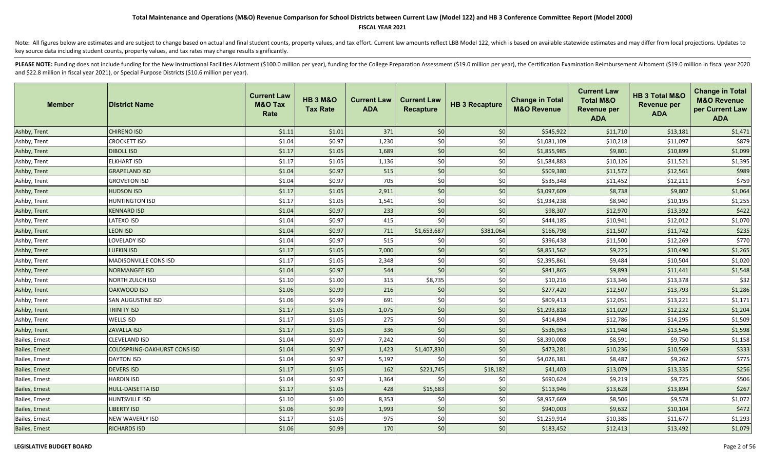### **FISCAL YEAR 2021**

Note: All figures below are estimates and are subject to change based on actual and final student counts, property values, and tax effort. Current law amounts reflect LBB Model 122, which is based on available statewide es key source data including student counts, property values, and tax rates may change results significantly.

| <b>Member</b>         | <b>District Name</b>         | <b>Current Law</b><br><b>M&amp;O Tax</b><br>Rate | <b>HB 3 M&amp;O</b><br><b>Tax Rate</b> | <b>Current Law</b><br><b>ADA</b> | <b>Current Law</b><br><b>Recapture</b> | <b>HB 3 Recapture</b> | <b>Change in Total</b><br><b>M&amp;O Revenue</b> | <b>Current Law</b><br><b>Total M&amp;O</b><br><b>Revenue per</b><br><b>ADA</b> | HB 3 Total M&O<br><b>Revenue per</b><br><b>ADA</b> | <b>Change in Total</b><br><b>M&amp;O Revenue</b><br>per Current Law<br><b>ADA</b> |
|-----------------------|------------------------------|--------------------------------------------------|----------------------------------------|----------------------------------|----------------------------------------|-----------------------|--------------------------------------------------|--------------------------------------------------------------------------------|----------------------------------------------------|-----------------------------------------------------------------------------------|
| Ashby, Trent          | <b>CHIRENO ISD</b>           | \$1.11                                           | \$1.01                                 | 371                              | \$0                                    | \$0                   | \$545,922                                        | \$11,710                                                                       | \$13,181                                           | \$1,471                                                                           |
| Ashby, Trent          | <b>CROCKETT ISD</b>          | \$1.04                                           | \$0.97                                 | 1,230                            | \$0                                    | \$0                   | \$1,081,109                                      | \$10,218                                                                       | \$11,097                                           | \$879                                                                             |
| Ashby, Trent          | <b>DIBOLL ISD</b>            | \$1.17                                           | \$1.05                                 | 1,689                            | $$0$$                                  | \$0                   | \$1,855,985                                      | \$9,801                                                                        | \$10,899                                           | \$1,099                                                                           |
| Ashby, Trent          | <b>ELKHART ISD</b>           | \$1.17                                           | \$1.05                                 | 1,136                            | $$0$$                                  | \$0                   | \$1,584,883                                      | \$10,126                                                                       | \$11,521                                           | \$1,395                                                                           |
| Ashby, Trent          | <b>GRAPELAND ISD</b>         | \$1.04                                           | \$0.97                                 | 515                              | \$0                                    | \$0                   | \$509,380                                        | \$11,572                                                                       | \$12,561                                           | \$989                                                                             |
| Ashby, Trent          | <b>GROVETON ISD</b>          | \$1.04                                           | \$0.97                                 | 705                              | \$0                                    | \$0                   | \$535,348                                        | \$11,452                                                                       | \$12,211                                           | \$759                                                                             |
| Ashby, Trent          | <b>HUDSON ISD</b>            | \$1.17                                           | \$1.05                                 | 2,911                            | \$0                                    | \$0                   | \$3,097,609                                      | \$8,738                                                                        | \$9,802                                            | \$1,064                                                                           |
| Ashby, Trent          | <b>HUNTINGTON ISD</b>        | \$1.17                                           | \$1.05                                 | 1,541                            | \$0                                    | \$0                   | \$1,934,238                                      | \$8,940                                                                        | \$10,195                                           | \$1,255                                                                           |
| Ashby, Trent          | <b>KENNARD ISD</b>           | \$1.04                                           | \$0.97                                 | 233                              | \$0                                    | \$0                   | \$98,307                                         | \$12,970                                                                       | \$13,392                                           | \$422                                                                             |
| Ashby, Trent          | LATEXO ISD                   | \$1.04                                           | \$0.97                                 | 415                              | \$0                                    | \$0                   | \$444,185                                        | \$10,941                                                                       | \$12,012                                           | \$1,070                                                                           |
| Ashby, Trent          | <b>LEON ISD</b>              | \$1.04                                           | \$0.97                                 | 711                              | \$1,653,687                            | \$381,064             | \$166,798                                        | \$11,507                                                                       | \$11,742                                           | \$235                                                                             |
| Ashby, Trent          | LOVELADY ISD                 | \$1.04                                           | \$0.97                                 | 515                              | \$0                                    | \$0                   | \$396,438                                        | \$11,500                                                                       | \$12,269                                           | \$770                                                                             |
| Ashby, Trent          | LUFKIN ISD                   | \$1.17                                           | \$1.05                                 | 7,000                            | \$0                                    | \$0                   | \$8,851,562                                      | \$9,225                                                                        | \$10,490                                           | \$1,265                                                                           |
| Ashby, Trent          | MADISONVILLE CONS ISD        | \$1.17                                           | \$1.05                                 | 2,348                            | \$0                                    | \$0                   | \$2,395,861                                      | \$9,484                                                                        | \$10,504                                           | \$1,020                                                                           |
| Ashby, Trent          | NORMANGEE ISD                | \$1.04                                           | \$0.97                                 | 544                              | \$0                                    | \$0                   | \$841,865                                        | \$9,893                                                                        | \$11,441                                           | \$1,548                                                                           |
| Ashby, Trent          | NORTH ZULCH ISD              | \$1.10                                           | \$1.00                                 | 315                              | \$8,735                                | \$0                   | \$10,216                                         | \$13,346                                                                       | \$13,378                                           | \$32                                                                              |
| Ashby, Trent          | OAKWOOD ISD                  | \$1.06                                           | \$0.99                                 | 216                              | \$0                                    | \$0                   | \$277,420                                        | \$12,507                                                                       | \$13,793                                           | \$1,286                                                                           |
| Ashby, Trent          | SAN AUGUSTINE ISD            | \$1.06                                           | \$0.99                                 | 691                              | \$0                                    | \$0                   | \$809,413                                        | \$12,051                                                                       | \$13,221                                           | \$1,171                                                                           |
| Ashby, Trent          | <b>TRINITY ISD</b>           | \$1.17                                           | \$1.05                                 | 1,075                            | $$0$$                                  | \$0                   | \$1,293,818                                      | \$11,029                                                                       | \$12,232                                           | \$1,204                                                                           |
| Ashby, Trent          | WELLS ISD                    | \$1.17                                           | \$1.05                                 | 275                              | \$0                                    | \$0                   | \$414,894                                        | \$12,786                                                                       | \$14,295                                           | \$1,509                                                                           |
| Ashby, Trent          | ZAVALLA ISD                  | \$1.17                                           | \$1.05                                 | 336                              | \$0                                    | \$0                   | \$536,963                                        | \$11,948                                                                       | \$13,546                                           | \$1,598                                                                           |
| Bailes, Ernest        | CLEVELAND ISD                | \$1.04                                           | \$0.97                                 | 7,242                            | \$0                                    | \$0                   | \$8,390,008                                      | \$8,591                                                                        | \$9,750                                            | \$1,158                                                                           |
| <b>Bailes, Ernest</b> | COLDSPRING-OAKHURST CONS ISD | \$1.04                                           | \$0.97                                 | 1,423                            | \$1,407,830                            | \$0                   | \$473,281                                        | \$10,236                                                                       | \$10,569                                           | \$333                                                                             |
| Bailes, Ernest        | DAYTON ISD                   | \$1.04                                           | \$0.97                                 | 5,197                            | \$0                                    | \$0                   | \$4,026,381                                      | \$8,487                                                                        | \$9,262                                            | \$775                                                                             |
| <b>Bailes, Ernest</b> | <b>DEVERS ISD</b>            | \$1.17                                           | \$1.05                                 | 162                              | \$221,745                              | \$18,182              | \$41,403                                         | \$13,079                                                                       | \$13,335                                           | \$256                                                                             |
| Bailes, Ernest        | HARDIN ISD                   | \$1.04                                           | \$0.97                                 | 1,364                            | \$0                                    | \$0                   | \$690,624                                        | \$9,219                                                                        | \$9,725                                            | \$506                                                                             |
| Bailes, Ernest        | <b>HULL-DAISETTA ISD</b>     | \$1.17                                           | \$1.05                                 | 428                              | \$15,683                               | \$0                   | \$113,946                                        | \$13,628                                                                       | \$13,894                                           | \$267                                                                             |
| Bailes, Ernest        | <b>HUNTSVILLE ISD</b>        | \$1.10                                           | \$1.00                                 | 8,353                            | \$0                                    | \$0                   | \$8,957,669                                      | \$8,506                                                                        | \$9,578                                            | \$1,072                                                                           |
| Bailes, Ernest        | <b>LIBERTY ISD</b>           | \$1.06                                           | \$0.99                                 | 1,993                            | \$0                                    | \$0                   | \$940,003                                        | \$9,632                                                                        | \$10,104                                           | \$472                                                                             |
| Bailes, Ernest        | NEW WAVERLY ISD              | \$1.17                                           | \$1.05                                 | 975                              | \$0                                    | \$0                   | \$1,259,914                                      | \$10,385                                                                       | \$11,677                                           | \$1,293                                                                           |
| Bailes, Ernest        | <b>RICHARDS ISD</b>          | \$1.06                                           | \$0.99                                 | 170                              | \$0                                    | \$0                   | \$183,452                                        | \$12,413                                                                       | \$13,492                                           | \$1,079                                                                           |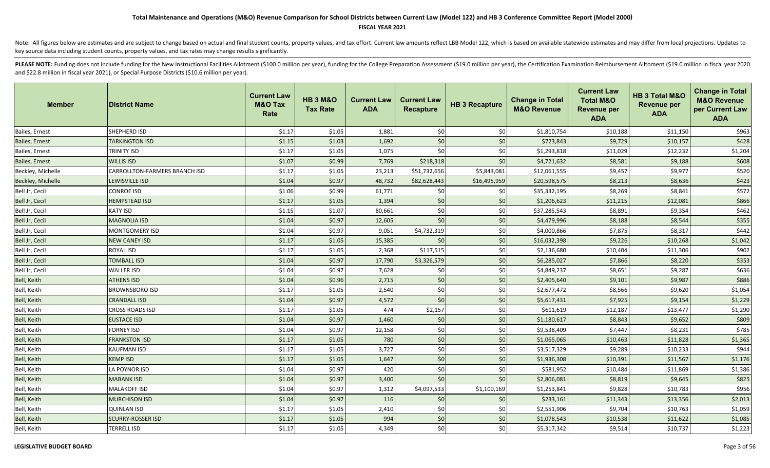### **FISCAL YEAR 2021**

Note: All figures below are estimates and are subject to change based on actual and final student counts, property values, and tax effort. Current law amounts reflect LBB Model 122, which is based on available statewide es key source data including student counts, property values, and tax rates may change results significantly.

| <b>Member</b>     | <b>IDistrict Name</b>                | <b>Current Law</b><br><b>M&amp;O Tax</b><br>Rate | <b>HB 3 M&amp;O</b><br><b>Tax Rate</b> | <b>Current Law</b><br><b>ADA</b> | <b>Current Law</b><br><b>Recapture</b> | <b>HB 3 Recapture</b> | <b>Change in Total</b><br><b>M&amp;O Revenue</b> | <b>Current Law</b><br><b>Total M&amp;O</b><br><b>Revenue per</b><br><b>ADA</b> | HB 3 Total M&O<br><b>Revenue per</b><br><b>ADA</b> | <b>Change in Total</b><br><b>M&amp;O Revenue</b><br>per Current Law<br><b>ADA</b> |
|-------------------|--------------------------------------|--------------------------------------------------|----------------------------------------|----------------------------------|----------------------------------------|-----------------------|--------------------------------------------------|--------------------------------------------------------------------------------|----------------------------------------------------|-----------------------------------------------------------------------------------|
| Bailes, Ernest    | SHEPHERD ISD                         | \$1.17                                           | \$1.05                                 | 1,881                            | \$0                                    | \$0                   | \$1,810,754                                      | \$10,188                                                                       | \$11,150                                           | \$963                                                                             |
| Bailes, Ernest    | <b>TARKINGTON ISD</b>                | \$1.15                                           | \$1.03                                 | 1,692                            | \$0                                    | \$0                   | \$723,843                                        | \$9,729                                                                        | \$10,157                                           | \$428                                                                             |
| Bailes, Ernest    | <b>TRINITY ISD</b>                   | \$1.17                                           | \$1.05                                 | 1,075                            | \$0                                    | \$0                   | \$1,293,818                                      | \$11,029                                                                       | \$12,232                                           | \$1,204                                                                           |
| Bailes, Ernest    | <b>WILLIS ISD</b>                    | \$1.07                                           | \$0.99                                 | 7,769                            | \$218,318                              | \$0                   | \$4,721,632                                      | \$8,581                                                                        | \$9,188                                            | \$608                                                                             |
| Beckley, Michelle | <b>CARROLLTON-FARMERS BRANCH ISD</b> | \$1.17                                           | \$1.05                                 | 23,213                           | \$51,732,656                           | \$5,843,081           | \$12,061,555                                     | \$9,457                                                                        | \$9,977                                            | \$520                                                                             |
| Beckley, Michelle | LEWISVILLE ISD                       | \$1.04                                           | \$0.97                                 | 48,732                           | \$82,628,443                           | \$16,495,959          | \$20,598,575                                     | \$8,213                                                                        | \$8,636                                            | \$423                                                                             |
| Bell Jr, Cecil    | CONROE ISD                           | \$1.06                                           | \$0.99                                 | 61,771                           | \$0                                    | \$0                   | \$35,332,195                                     | \$8,269                                                                        | \$8,841                                            | \$572                                                                             |
| Bell Jr, Cecil    | <b>HEMPSTEAD ISD</b>                 | \$1.17                                           | \$1.05                                 | 1,394                            | \$0                                    | \$0                   | \$1,206,623                                      | \$11,215                                                                       | \$12,081                                           | \$866                                                                             |
| Bell Jr, Cecil    | KATY ISD                             | \$1.15                                           | \$1.07                                 | 80,661                           | \$0                                    | \$0                   | \$37,285,543                                     | \$8,891                                                                        | \$9,354                                            | \$462                                                                             |
| Bell Jr, Cecil    | <b>MAGNOLIA ISD</b>                  | \$1.04                                           | \$0.97                                 | 12,605                           | \$0                                    | \$0                   | \$4,479,996                                      | \$8,188                                                                        | \$8,544                                            | \$355                                                                             |
| Bell Jr, Cecil    | MONTGOMERY ISD                       | \$1.04                                           | \$0.97                                 | 9,051                            | \$4,732,319                            | \$0                   | \$4,000,866                                      | \$7,875                                                                        | \$8,317                                            | \$442                                                                             |
| Bell Jr, Cecil    | <b>NEW CANEY ISD</b>                 | \$1.17                                           | \$1.05                                 | 15,385                           | \$0                                    | \$0                   | \$16,032,398                                     | \$9,226                                                                        | \$10,268                                           | \$1,042                                                                           |
| Bell Jr, Cecil    | ROYAL ISD                            | \$1.17                                           | \$1.05                                 | 2,368                            | \$117,515                              | \$0                   | \$2,136,680                                      | \$10,404                                                                       | \$11,306                                           | \$902                                                                             |
| Bell Jr, Cecil    | <b>TOMBALL ISD</b>                   | \$1.04                                           | \$0.97                                 | 17,790                           | \$3,326,579                            | \$0                   | \$6,285,027                                      | \$7,866                                                                        | \$8,220                                            | \$353                                                                             |
| Bell Jr, Cecil    | WALLER ISD                           | \$1.04                                           | \$0.97                                 | 7,628                            | \$0                                    | \$0                   | \$4,849,237                                      | \$8,651                                                                        | \$9,287                                            | \$636                                                                             |
| Bell, Keith       | <b>ATHENS ISD</b>                    | \$1.04                                           | \$0.96                                 | 2,715                            | \$0                                    | \$0                   | \$2,405,640                                      | \$9,101                                                                        | \$9,987                                            | \$886                                                                             |
| Bell, Keith       | BROWNSBORO ISD                       | \$1.17                                           | \$1.05                                 | 2,540                            | \$0                                    | \$0                   | \$2,677,472                                      | \$8,566                                                                        | \$9,620                                            | \$1,054                                                                           |
| Bell, Keith       | <b>CRANDALL ISD</b>                  | \$1.04                                           | \$0.97                                 | 4,572                            | \$0                                    | \$0                   | \$5,617,431                                      | \$7,925                                                                        | \$9,154                                            | \$1,229                                                                           |
| Bell, Keith       | <b>CROSS ROADS ISD</b>               | \$1.17                                           | \$1.05                                 | 474                              | \$2,157                                | \$0                   | \$611,619                                        | \$12,187                                                                       | \$13,477                                           | \$1,290                                                                           |
| Bell, Keith       | <b>EUSTACE ISD</b>                   | \$1.04                                           | \$0.97                                 | 1,460                            | \$0                                    | \$0                   | \$1,180,617                                      | \$8,843                                                                        | \$9,652                                            | \$809                                                                             |
| Bell, Keith       | <b>FORNEY ISD</b>                    | \$1.04                                           | \$0.97                                 | 12,158                           | \$0                                    | \$0                   | \$9,538,409                                      | \$7,447                                                                        | \$8,231                                            | \$785                                                                             |
| Bell, Keith       | <b>FRANKSTON ISD</b>                 | \$1.17                                           | \$1.05                                 | 780                              | \$0                                    | \$0                   | \$1,065,065                                      | \$10,463                                                                       | \$11,828                                           | \$1,365                                                                           |
| Bell, Keith       | KAUFMAN ISD                          | \$1.17                                           | \$1.05                                 | 3,727                            | \$0                                    | \$0                   | \$3,517,329                                      | \$9,289                                                                        | \$10,233                                           | \$944                                                                             |
| Bell, Keith       | <b>KEMP ISD</b>                      | \$1.17                                           | \$1.05                                 | 1,647                            | \$0                                    | \$0                   | \$1,936,308                                      | \$10,391                                                                       | \$11,567                                           | \$1,176                                                                           |
| Bell, Keith       | LA POYNOR ISD                        | \$1.04                                           | \$0.97                                 | 420                              | \$0                                    | \$0                   | \$581,952                                        | \$10,484                                                                       | \$11,869                                           | \$1,386                                                                           |
| Bell, Keith       | <b>MABANK ISD</b>                    | \$1.04                                           | \$0.97                                 | 3,400                            | \$0                                    | \$0                   | \$2,806,081                                      | \$8,819                                                                        | \$9,645                                            | \$825                                                                             |
| Bell, Keith       | <b>MALAKOFF ISD</b>                  | \$1.04                                           | \$0.97                                 | 1,312                            | \$4,097,533                            | \$1,100,169           | \$1,253,841                                      | \$9,828                                                                        | \$10,783                                           | \$956                                                                             |
| Bell, Keith       | <b>MURCHISON ISD</b>                 | \$1.04                                           | \$0.97                                 | 116                              | \$0                                    | \$0                   | \$233,161                                        | \$11,343                                                                       | \$13,356                                           | \$2,013                                                                           |
| Bell, Keith       | <b>QUINLAN ISD</b>                   | \$1.17                                           | \$1.05                                 | 2,410                            | \$0                                    | \$0                   | \$2,551,906                                      | \$9,704                                                                        | \$10,763                                           | \$1,059                                                                           |
| Bell, Keith       | <b>SCURRY-ROSSER ISD</b>             | \$1.17                                           | \$1.05                                 | 994                              | \$0                                    | \$0                   | \$1,078,543                                      | \$10,538                                                                       | \$11,622                                           | \$1,085                                                                           |
| Bell, Keith       | <b>TERRELL ISD</b>                   | \$1.17                                           | \$1.05                                 | 4,349                            | \$0                                    | \$0                   | \$5,317,342                                      | \$9,514                                                                        | \$10,737                                           | \$1,223                                                                           |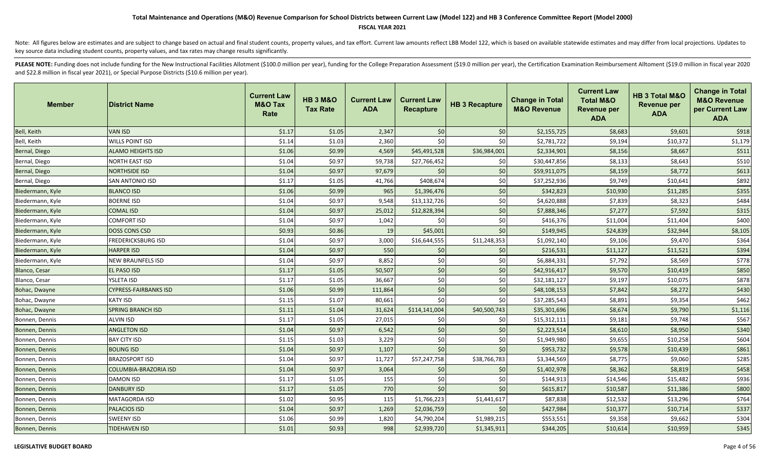### **FISCAL YEAR 2021**

Note: All figures below are estimates and are subject to change based on actual and final student counts, property values, and tax effort. Current law amounts reflect LBB Model 122, which is based on available statewide es key source data including student counts, property values, and tax rates may change results significantly.

| <b>Member</b>        | <b>District Name</b>     | <b>Current Law</b><br><b>M&amp;O Tax</b><br>Rate | <b>HB 3 M&amp;O</b><br><b>Tax Rate</b> | <b>Current Law</b><br><b>ADA</b> | <b>Current Law</b><br><b>Recapture</b> | <b>HB 3 Recapture</b> | <b>Change in Total</b><br><b>M&amp;O Revenue</b> | <b>Current Law</b><br><b>Total M&amp;O</b><br><b>Revenue per</b><br><b>ADA</b> | HB 3 Total M&O<br><b>Revenue per</b><br><b>ADA</b> | <b>Change in Total</b><br><b>M&amp;O Revenue</b><br>per Current Law<br><b>ADA</b> |
|----------------------|--------------------------|--------------------------------------------------|----------------------------------------|----------------------------------|----------------------------------------|-----------------------|--------------------------------------------------|--------------------------------------------------------------------------------|----------------------------------------------------|-----------------------------------------------------------------------------------|
| Bell, Keith          | <b>VAN ISD</b>           | \$1.17                                           | \$1.05                                 | 2,347                            | \$0                                    | \$0                   | \$2,155,725                                      | \$8,683                                                                        | \$9,601                                            | \$918                                                                             |
| Bell, Keith          | WILLS POINT ISD          | \$1.14                                           | \$1.03                                 | 2,360                            | \$0                                    | \$0                   | \$2,781,722                                      | \$9,194                                                                        | \$10,372                                           | \$1,179                                                                           |
| Bernal, Diego        | <b>ALAMO HEIGHTS ISD</b> | \$1.06                                           | \$0.99                                 | 4,569                            | \$45,491,528                           | \$36,984,001          | \$2,334,901                                      | \$8,156                                                                        | \$8,667                                            | \$511                                                                             |
| Bernal, Diego        | NORTH EAST ISD           | \$1.04                                           | \$0.97                                 | 59,738                           | \$27,766,452                           | \$0                   | \$30,447,856                                     | \$8,133                                                                        | \$8,643                                            | \$510                                                                             |
| Bernal, Diego        | <b>NORTHSIDE ISD</b>     | \$1.04                                           | \$0.97                                 | 97,679                           | \$0                                    | \$0                   | \$59,911,075                                     | \$8,159                                                                        | \$8,772                                            | \$613                                                                             |
| Bernal, Diego        | SAN ANTONIO ISD          | \$1.17                                           | \$1.05                                 | 41,766                           | \$408,674                              | \$0                   | \$37,252,936                                     | \$9,749                                                                        | \$10,641                                           | \$892                                                                             |
| Biedermann, Kyle     | <b>BLANCO ISD</b>        | \$1.06                                           | \$0.99                                 | 965                              | \$1,396,476                            | \$0                   | \$342,823                                        | \$10,930                                                                       | \$11,285                                           | \$355                                                                             |
| Biedermann, Kyle     | <b>BOERNE ISD</b>        | \$1.04                                           | \$0.97                                 | 9,548                            | \$13,132,726                           | \$0                   | \$4,620,888                                      | \$7,839                                                                        | \$8,323                                            | \$484                                                                             |
| Biedermann, Kyle     | <b>COMAL ISD</b>         | \$1.04                                           | \$0.97                                 | 25,012                           | \$12,828,394                           | \$0                   | \$7,888,346                                      | \$7,277                                                                        | \$7,592                                            | \$315                                                                             |
| Biedermann, Kyle     | <b>COMFORT ISD</b>       | \$1.04                                           | \$0.97                                 | 1,042                            | \$0                                    | \$0                   | \$416,376                                        | \$11,004                                                                       | \$11,404                                           | \$400                                                                             |
| Biedermann, Kyle     | <b>DOSS CONS CSD</b>     | \$0.93                                           | \$0.86                                 | 19                               | \$45,001                               | \$0                   | \$149,945                                        | \$24,839                                                                       | \$32,944                                           | \$8,105                                                                           |
| Biedermann, Kyle     | FREDERICKSBURG ISD       | \$1.04                                           | \$0.97                                 | 3,000                            | \$16,644,555                           | \$11,248,353          | \$1,092,140                                      | \$9,106                                                                        | \$9,470                                            | \$364                                                                             |
| Biedermann, Kyle     | <b>HARPER ISD</b>        | \$1.04                                           | \$0.97                                 | 550                              | \$0                                    | \$0                   | \$216,531                                        | \$11,127                                                                       | \$11,521                                           | \$394                                                                             |
| Biedermann, Kyle     | <b>NEW BRAUNFELS ISD</b> | \$1.04                                           | \$0.97                                 | 8,852                            | \$0                                    | \$0                   | \$6,884,331                                      | \$7,792                                                                        | \$8,569                                            | \$778                                                                             |
| <b>Blanco, Cesar</b> | EL PASO ISD              | \$1.17                                           | \$1.05                                 | 50,507                           | $$0$$                                  | \$0                   | \$42,916,417                                     | \$9,570                                                                        | \$10,419                                           | \$850                                                                             |
| Blanco, Cesar        | YSLETA ISD               | \$1.17                                           | \$1.05                                 | 36,667                           | \$0                                    | \$0                   | \$32,181,127                                     | \$9,197                                                                        | \$10,075                                           | \$878                                                                             |
| Bohac, Dwayne        | CYPRESS-FAIRBANKS ISD    | \$1.06                                           | \$0.99                                 | 111,864                          | \$0                                    | \$0                   | \$48,108,153                                     | \$7,842                                                                        | \$8,272                                            | \$430                                                                             |
| Bohac, Dwayne        | <b>KATY ISD</b>          | \$1.15                                           | \$1.07                                 | 80,661                           | \$0                                    | \$0                   | \$37,285,543                                     | \$8,891                                                                        | \$9,354                                            | \$462                                                                             |
| Bohac, Dwayne        | <b>SPRING BRANCH ISD</b> | \$1.11                                           | \$1.04                                 | 31,624                           | \$114,141,004                          | \$40,500,743          | \$35,301,696                                     | \$8,674                                                                        | \$9,790                                            | \$1,116                                                                           |
| Bonnen, Dennis       | <b>ALVIN ISD</b>         | \$1.17                                           | \$1.05                                 | 27,015                           | \$0                                    | \$0                   | \$15,312,111                                     | \$9,181                                                                        | \$9,748                                            | \$567                                                                             |
| Bonnen, Dennis       | <b>ANGLETON ISD</b>      | \$1.04                                           | \$0.97                                 | 6,542                            | \$0                                    | \$0                   | \$2,223,514                                      | \$8,610                                                                        | \$8,950                                            | \$340                                                                             |
| Bonnen, Dennis       | <b>BAY CITY ISD</b>      | \$1.15                                           | \$1.03                                 | 3,229                            | \$0                                    | \$0                   | \$1,949,980                                      | \$9,655                                                                        | \$10,258                                           | \$604                                                                             |
| Bonnen, Dennis       | <b>BOLING ISD</b>        | \$1.04                                           | \$0.97                                 | 1,107                            | \$0                                    | \$0                   | \$953,732                                        | \$9,578                                                                        | \$10,439                                           | \$861                                                                             |
| Bonnen, Dennis       | <b>BRAZOSPORT ISD</b>    | \$1.04                                           | \$0.97                                 | 11,727                           | \$57,247,758                           | \$38,766,783          | \$3,344,569                                      | \$8,775                                                                        | \$9,060                                            | \$285                                                                             |
| Bonnen, Dennis       | COLUMBIA-BRAZORIA ISD    | \$1.04                                           | \$0.97                                 | 3,064                            | \$0                                    | \$0                   | \$1,402,978                                      | \$8,362                                                                        | \$8,819                                            | \$458                                                                             |
| Bonnen, Dennis       | DAMON ISD                | \$1.17                                           | \$1.05                                 | 155                              | \$0                                    | \$0                   | \$144,913                                        | \$14,546                                                                       | \$15,482                                           | \$936                                                                             |
| Bonnen, Dennis       | <b>DANBURY ISD</b>       | \$1.17                                           | \$1.05                                 | 770                              | \$0                                    | \$0                   | \$615,817                                        | \$10,587                                                                       | \$11,386                                           | \$800                                                                             |
| Bonnen, Dennis       | MATAGORDA ISD            | \$1.02                                           | \$0.95                                 | 115                              | \$1,766,223                            | \$1,441,617           | \$87,838                                         | \$12,532                                                                       | \$13,296                                           | \$764                                                                             |
| Bonnen, Dennis       | <b>PALACIOS ISD</b>      | \$1.04                                           | \$0.97                                 | 1,269                            | \$2,036,759                            | \$0                   | \$427,984                                        | \$10,377                                                                       | \$10,714                                           | \$337                                                                             |
| Bonnen, Dennis       | SWEENY ISD               | \$1.06                                           | \$0.99                                 | 1,820                            | \$4,790,204                            | \$1,989,215           | \$553,551                                        | \$9,358                                                                        | \$9,662                                            | \$304                                                                             |
| Bonnen, Dennis       | <b>TIDEHAVEN ISD</b>     | \$1.01                                           | \$0.93                                 | 998                              | \$2,939,720                            | \$1,345,911           | \$344,205                                        | \$10,614                                                                       | \$10,959                                           | \$345                                                                             |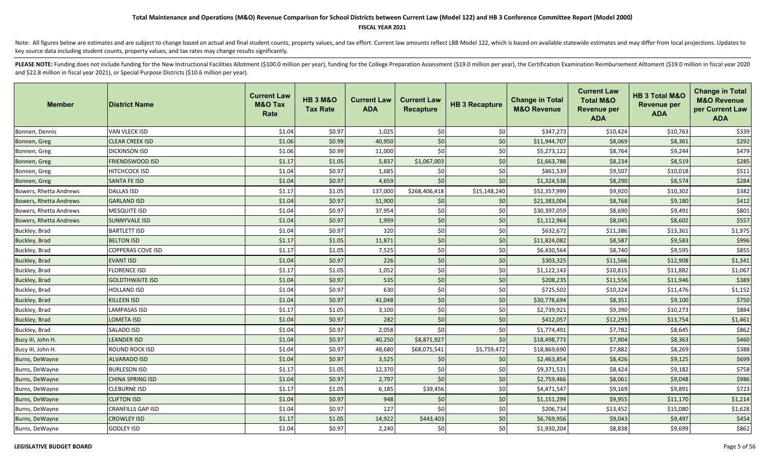### **FISCAL YEAR 2021**

Note: All figures below are estimates and are subject to change based on actual and final student counts, property values, and tax effort. Current law amounts reflect LBB Model 122, which is based on available statewide es key source data including student counts, property values, and tax rates may change results significantly.

| <b>Member</b>          | <b>District Name</b>     | <b>Current Law</b><br><b>M&amp;O Tax</b><br>Rate | <b>HB 3 M&amp;O</b><br><b>Tax Rate</b> | <b>Current Law</b><br><b>ADA</b> | <b>Current Law</b><br><b>Recapture</b> | <b>HB 3 Recapture</b> | <b>Change in Total</b><br><b>M&amp;O Revenue</b> | <b>Current Law</b><br><b>Total M&amp;O</b><br><b>Revenue per</b><br><b>ADA</b> | HB 3 Total M&O<br><b>Revenue per</b><br><b>ADA</b> | <b>Change in Total</b><br><b>M&amp;O Revenue</b><br>per Current Law<br><b>ADA</b> |
|------------------------|--------------------------|--------------------------------------------------|----------------------------------------|----------------------------------|----------------------------------------|-----------------------|--------------------------------------------------|--------------------------------------------------------------------------------|----------------------------------------------------|-----------------------------------------------------------------------------------|
| Bonnen, Dennis         | <b>VAN VLECK ISD</b>     | \$1.04                                           | \$0.97                                 | 1,025                            | \$0                                    | \$0                   | \$347,273                                        | \$10,424                                                                       | \$10,763                                           | \$339                                                                             |
| Bonnen, Greg           | <b>CLEAR CREEK ISD</b>   | \$1.06                                           | \$0.99                                 | 40,950                           | \$0                                    | \$0                   | \$11,944,707                                     | \$8,069                                                                        | \$8,361                                            | \$292                                                                             |
| Bonnen, Greg           | <b>DICKINSON ISD</b>     | \$1.06                                           | \$0.99                                 | 11,000                           | \$0                                    | \$0                   | \$5,273,122                                      | \$8,764                                                                        | \$9,244                                            | \$479                                                                             |
| Bonnen, Greg           | <b>FRIENDSWOOD ISD</b>   | \$1.17                                           | \$1.05                                 | 5,837                            | \$1,067,003                            | \$0                   | \$1,663,788                                      | \$8,234                                                                        | \$8,519                                            | \$285                                                                             |
| Bonnen, Greg           | HITCHCOCK ISD            | \$1.04                                           | \$0.97                                 | 1,685                            | \$0                                    | \$0                   | \$861,539                                        | \$9,507                                                                        | \$10,018                                           | \$511                                                                             |
| Bonnen, Greg           | <b>SANTA FE ISD</b>      | \$1.04                                           | \$0.97                                 | 4,659                            | \$0                                    | \$0                   | \$1,324,538                                      | \$8,290                                                                        | \$8,574                                            | \$284                                                                             |
| Bowers, Rhetta Andrews | <b>DALLAS ISD</b>        | \$1.17                                           | \$1.05                                 | 137,000                          | \$268,406,418                          | \$15,148,240          | \$52,357,999                                     | \$9,920                                                                        | \$10,302                                           | \$382                                                                             |
| Bowers, Rhetta Andrews | <b>GARLAND ISD</b>       | \$1.04                                           | \$0.97                                 | 51,900                           | \$0                                    | \$0                   | \$21,383,004                                     | \$8,768                                                                        | \$9,180                                            | \$412                                                                             |
| Bowers, Rhetta Andrews | MESQUITE ISD             | \$1.04                                           | \$0.97                                 | 37,954                           | \$0                                    | \$0                   | \$30,397,059                                     | \$8,690                                                                        | \$9,491                                            | \$801                                                                             |
| Bowers, Rhetta Andrews | <b>SUNNYVALE ISD</b>     | \$1.04                                           | \$0.97                                 | 1,999                            | $$0$$                                  | \$0                   | \$1,112,964                                      | \$8,045                                                                        | \$8,602                                            | \$557                                                                             |
| Buckley, Brad          | <b>BARTLETT ISD</b>      | \$1.04                                           | \$0.97                                 | 320                              | \$0                                    | \$0                   | \$632,672                                        | \$11,386                                                                       | \$13,361                                           | \$1,975                                                                           |
| Buckley, Brad          | <b>BELTON ISD</b>        | \$1.17                                           | \$1.05                                 | 11,871                           | \$0                                    | \$0                   | \$11,824,082                                     | \$8,587                                                                        | \$9,583                                            | \$996                                                                             |
| Buckley, Brad          | COPPERAS COVE ISD        | \$1.17                                           | \$1.05                                 | 7,525                            | \$0                                    | \$0                   | \$6,430,564                                      | \$8,740                                                                        | \$9,595                                            | \$855                                                                             |
| Buckley, Brad          | <b>EVANT ISD</b>         | \$1.04                                           | \$0.97                                 | 226                              | \$0                                    | \$0                   | \$303,325                                        | \$11,566                                                                       | \$12,908                                           | \$1,341                                                                           |
| Buckley, Brad          | <b>FLORENCE ISD</b>      | \$1.17                                           | \$1.05                                 | 1,052                            | \$0                                    | \$0                   | \$1,122,143                                      | \$10,815                                                                       | \$11,882                                           | \$1,067                                                                           |
| Buckley, Brad          | <b>GOLDTHWAITE ISD</b>   | \$1.04                                           | \$0.97                                 | 535                              | \$0                                    | \$0                   | \$208,235                                        | \$11,556                                                                       | \$11,946                                           | \$389                                                                             |
| Buckley, Brad          | HOLLAND ISD              | \$1.04                                           | \$0.97                                 | 630                              | \$0                                    | \$0                   | \$725,502                                        | \$10,324                                                                       | \$11,476                                           | \$1,152                                                                           |
| Buckley, Brad          | KILLEEN ISD              | \$1.04                                           | \$0.97                                 | 41,048                           | \$0                                    | \$0                   | \$30,778,694                                     | \$8,351                                                                        | \$9,100                                            | \$750                                                                             |
| Buckley, Brad          | LAMPASAS ISD             | \$1.17                                           | \$1.05                                 | 3,100                            | \$0                                    | \$0                   | \$2,739,921                                      | \$9,390                                                                        | \$10,273                                           | \$884                                                                             |
| Buckley, Brad          | LOMETA ISD               | \$1.04                                           | \$0.97                                 | 282                              | $$0$$                                  | $$0$$                 | \$412,057                                        | \$12,293                                                                       | \$13,754                                           | \$1,461                                                                           |
| Buckley, Brad          | <b>SALADO ISD</b>        | \$1.04                                           | \$0.97                                 | 2,058                            | \$0                                    | \$0                   | \$1,774,491                                      | \$7,782                                                                        | \$8,645                                            | \$862                                                                             |
| Bucy III, John H.      | <b>LEANDER ISD</b>       | \$1.04                                           | \$0.97                                 | 40,250                           | \$8,871,927                            | \$0                   | \$18,498,773                                     | \$7,904                                                                        | \$8,363                                            | \$460                                                                             |
| Bucy III, John H.      | ROUND ROCK ISD           | \$1.04                                           | \$0.97                                 | 48,680                           | \$68,075,541                           | \$5,759,472           | \$18,869,690                                     | \$7,882                                                                        | \$8,269                                            | \$388                                                                             |
| Burns, DeWayne         | <b>ALVARADO ISD</b>      | \$1.04                                           | \$0.97                                 | 3,525                            | \$0                                    | \$0                   | \$2,463,854                                      | \$8,426                                                                        | \$9,125                                            | \$699                                                                             |
| Burns, DeWayne         | <b>BURLESON ISD</b>      | \$1.17                                           | \$1.05                                 | 12,370                           | \$0                                    | \$0                   | \$9,371,531                                      | \$8,424                                                                        | \$9,182                                            | \$758                                                                             |
| Burns, DeWayne         | <b>CHINA SPRING ISD</b>  | \$1.04                                           | \$0.97                                 | 2,797                            | \$0                                    | \$0                   | \$2,759,466                                      | \$8,061                                                                        | \$9,048                                            | \$986                                                                             |
| Burns, DeWayne         | CLEBURNE ISD             | \$1.17                                           | \$1.05                                 | 6,185                            | \$39,456                               | \$0                   | \$4,471,547                                      | \$9,169                                                                        | \$9,891                                            | \$723                                                                             |
| Burns, DeWayne         | <b>CLIFTON ISD</b>       | \$1.04                                           | \$0.97                                 | 948                              | \$0                                    | \$0                   | \$1,151,299                                      | \$9,955                                                                        | \$11,170                                           | \$1,214                                                                           |
| Burns, DeWayne         | <b>CRANFILLS GAP ISD</b> | \$1.04                                           | \$0.97                                 | 127                              | \$0                                    | \$0                   | \$206,734                                        | \$13,452                                                                       | \$15,080                                           | \$1,628                                                                           |
| Burns, DeWayne         | <b>CROWLEY ISD</b>       | \$1.17                                           | \$1.05                                 | 14,922                           | \$443,403                              | \$0                   | \$6,769,956                                      | \$9,043                                                                        | \$9,497                                            | \$454                                                                             |
| Burns, DeWayne         | GODLEY ISD               | \$1.04                                           | \$0.97                                 | 2,240                            | \$0                                    | \$0                   | \$1,930,204                                      | \$8,838                                                                        | \$9,699                                            | \$862                                                                             |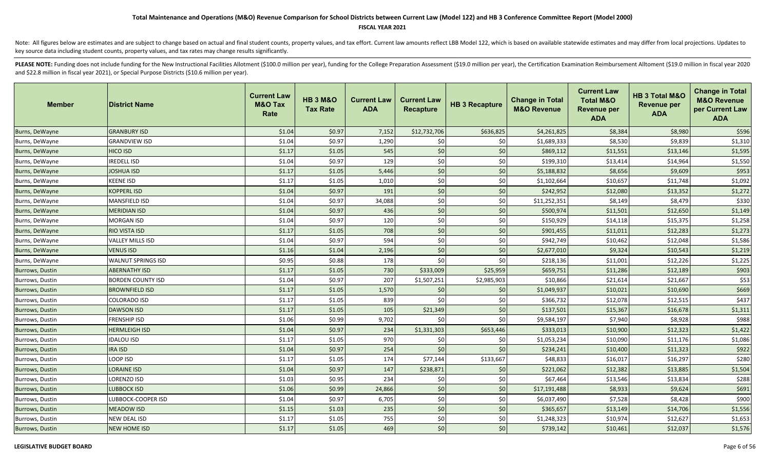### **FISCAL YEAR 2021**

Note: All figures below are estimates and are subject to change based on actual and final student counts, property values, and tax effort. Current law amounts reflect LBB Model 122, which is based on available statewide es key source data including student counts, property values, and tax rates may change results significantly.

| <b>Member</b>   | <b>District Name</b>      | <b>Current Law</b><br><b>M&amp;O Tax</b><br>Rate | <b>HB 3 M&amp;O</b><br><b>Tax Rate</b> | <b>Current Law</b><br><b>ADA</b> | <b>Current Law</b><br><b>Recapture</b> | <b>HB 3 Recapture</b> | <b>Change in Total</b><br><b>M&amp;O Revenue</b> | <b>Current Law</b><br><b>Total M&amp;O</b><br><b>Revenue per</b><br><b>ADA</b> | HB 3 Total M&O<br><b>Revenue per</b><br><b>ADA</b> | <b>Change in Total</b><br><b>M&amp;O Revenue</b><br>per Current Law<br><b>ADA</b> |
|-----------------|---------------------------|--------------------------------------------------|----------------------------------------|----------------------------------|----------------------------------------|-----------------------|--------------------------------------------------|--------------------------------------------------------------------------------|----------------------------------------------------|-----------------------------------------------------------------------------------|
| Burns, DeWayne  | <b>GRANBURY ISD</b>       | \$1.04                                           | \$0.97                                 | 7,152                            | \$12,732,706                           | \$636,825             | \$4,261,825                                      | \$8,384                                                                        | \$8,980                                            | \$596                                                                             |
| Burns, DeWayne  | <b>GRANDVIEW ISD</b>      | \$1.04                                           | \$0.97                                 | 1,290                            | \$0                                    | \$0                   | \$1,689,333                                      | \$8,530                                                                        | \$9,839                                            | \$1,310                                                                           |
| Burns, DeWayne  | <b>HICO ISD</b>           | \$1.17                                           | \$1.05                                 | 545                              | $$0$$                                  | \$0                   | \$869,112                                        | \$11,551                                                                       | \$13,146                                           | \$1,595                                                                           |
| Burns, DeWayne  | <b>IREDELL ISD</b>        | \$1.04                                           | \$0.97                                 | 129                              | \$0                                    | \$0                   | \$199,310                                        | \$13,414                                                                       | \$14,964                                           | \$1,550                                                                           |
| Burns, DeWayne  | <b>JOSHUA ISD</b>         | \$1.17                                           | \$1.05                                 | 5,446                            | \$0                                    | \$0                   | \$5,188,832                                      | \$8,656                                                                        | \$9,609                                            | \$953                                                                             |
| Burns, DeWayne  | <b>KEENE ISD</b>          | \$1.17                                           | \$1.05                                 | 1,010                            | $$0$$                                  | \$0                   | \$1,102,664                                      | \$10,657                                                                       | \$11,748                                           | \$1,092                                                                           |
| Burns, DeWayne  | <b>KOPPERL ISD</b>        | \$1.04                                           | \$0.97                                 | 191                              | $$0$$                                  | \$0                   | \$242,952                                        | \$12,080                                                                       | \$13,352                                           | \$1,272                                                                           |
| Burns, DeWayne  | MANSFIELD ISD             | \$1.04                                           | \$0.97                                 | 34,088                           | \$0                                    | \$0                   | \$11,252,351                                     | \$8,149                                                                        | \$8,479                                            | \$330                                                                             |
| Burns, DeWayne  | <b>MERIDIAN ISD</b>       | \$1.04                                           | \$0.97                                 | 436                              | \$0                                    | \$0                   | \$500,974                                        | \$11,501                                                                       | \$12,650                                           | \$1,149                                                                           |
| Burns, DeWayne  | <b>MORGAN ISD</b>         | \$1.04                                           | \$0.97                                 | 120                              | \$0                                    | \$0                   | \$150,929                                        | \$14,118                                                                       | \$15,375                                           | \$1,258                                                                           |
| Burns, DeWayne  | <b>RIO VISTA ISD</b>      | \$1.17                                           | \$1.05                                 | 708                              | \$0                                    | \$0                   | \$901,455                                        | \$11,011                                                                       | \$12,283                                           | \$1,273                                                                           |
| Burns, DeWayne  | <b>VALLEY MILLS ISD</b>   | \$1.04                                           | \$0.97                                 | 594                              | \$0                                    | \$0                   | \$942,749                                        | \$10,462                                                                       | \$12,048                                           | \$1,586                                                                           |
| Burns, DeWayne  | <b>VENUS ISD</b>          | \$1.16                                           | \$1.04                                 | 2,196                            | \$0                                    | \$0                   | \$2,677,010                                      | \$9,324                                                                        | \$10,543                                           | \$1,219                                                                           |
| Burns, DeWayne  | <b>WALNUT SPRINGS ISD</b> | \$0.95                                           | \$0.88                                 | 178                              | \$0                                    | \$0                   | \$218,136                                        | \$11,001                                                                       | \$12,226                                           | \$1,225                                                                           |
| Burrows, Dustin | <b>ABERNATHY ISD</b>      | \$1.17                                           | \$1.05                                 | 730                              | \$333,009                              | \$25,959              | \$659,751                                        | \$11,286                                                                       | \$12,189                                           | \$903                                                                             |
| Burrows, Dustin | <b>BORDEN COUNTY ISD</b>  | \$1.04                                           | \$0.97                                 | 207                              | \$1,507,251                            | \$2,985,903           | \$10,866                                         | \$21,614                                                                       | \$21,667                                           | \$53                                                                              |
| Burrows, Dustin | <b>BROWNFIELD ISD</b>     | \$1.17                                           | \$1.05                                 | 1,570                            | \$0                                    | \$0                   | \$1,049,937                                      | \$10,021                                                                       | \$10,690                                           | \$669                                                                             |
| Burrows, Dustin | COLORADO ISD              | \$1.17                                           | \$1.05                                 | 839                              | \$0                                    | \$0                   | \$366,732                                        | \$12,078                                                                       | \$12,515                                           | \$437                                                                             |
| Burrows, Dustin | <b>DAWSON ISD</b>         | \$1.17                                           | \$1.05                                 | 105                              | \$21,349                               | \$0                   | \$137,501                                        | \$15,367                                                                       | \$16,678                                           | \$1,311                                                                           |
| Burrows, Dustin | <b>FRENSHIP ISD</b>       | \$1.06                                           | \$0.99                                 | 9,702                            | \$0                                    | \$0                   | \$9,584,197                                      | \$7,940                                                                        | \$8,928                                            | \$988                                                                             |
| Burrows, Dustin | <b>HERMLEIGH ISD</b>      | \$1.04                                           | \$0.97                                 | 234                              | \$1,331,303                            | \$653,446             | \$333,013                                        | \$10,900                                                                       | \$12,323                                           | \$1,422                                                                           |
| Burrows, Dustin | <b>IDALOU ISD</b>         | \$1.17                                           | \$1.05                                 | 970                              | \$0                                    | \$0                   | \$1,053,234                                      | \$10,090                                                                       | \$11,176                                           | \$1,086                                                                           |
| Burrows, Dustin | <b>IRA ISD</b>            | \$1.04                                           | \$0.97                                 | 254                              | \$0                                    | \$0                   | \$234,241                                        | \$10,400                                                                       | \$11,323                                           | \$922                                                                             |
| Burrows, Dustin | LOOP ISD                  | \$1.17                                           | \$1.05                                 | 174                              | \$77,144                               | \$133,667             | \$48,833                                         | \$16,017                                                                       | \$16,297                                           | \$280                                                                             |
| Burrows, Dustin | <b>LORAINE ISD</b>        | \$1.04                                           | \$0.97                                 | 147                              | \$238,871                              | \$0                   | \$221,062                                        | \$12,382                                                                       | \$13,885                                           | \$1,504                                                                           |
| Burrows, Dustin | LORENZO ISD               | \$1.03                                           | \$0.95                                 | 234                              | \$0                                    | \$0                   | \$67,464                                         | \$13,546                                                                       | \$13,834                                           | \$288                                                                             |
| Burrows, Dustin | <b>LUBBOCK ISD</b>        | \$1.06                                           | \$0.99                                 | 24,866                           | \$0                                    | \$0                   | \$17,191,488                                     | \$8,933                                                                        | \$9,624                                            | \$691                                                                             |
| Burrows, Dustin | LUBBOCK-COOPER ISD        | \$1.04                                           | \$0.97                                 | 6,705                            | \$0                                    | \$0                   | \$6,037,490                                      | \$7,528                                                                        | \$8,428                                            | \$900                                                                             |
| Burrows, Dustin | <b>MEADOW ISD</b>         | \$1.15                                           | \$1.03                                 | 235                              | $$0$$                                  | \$0                   | \$365,657                                        | \$13,149                                                                       | \$14,706                                           | \$1,556                                                                           |
| Burrows, Dustin | <b>NEW DEAL ISD</b>       | \$1.17                                           | \$1.05                                 | 755                              | \$0                                    | \$0                   | \$1,248,323                                      | \$10,974                                                                       | \$12,627                                           | \$1,653                                                                           |
| Burrows, Dustin | <b>NEW HOME ISD</b>       | \$1.17                                           | \$1.05                                 | 469                              | \$0                                    | \$0                   | \$739,142                                        | \$10,461                                                                       | \$12,037                                           | \$1,576                                                                           |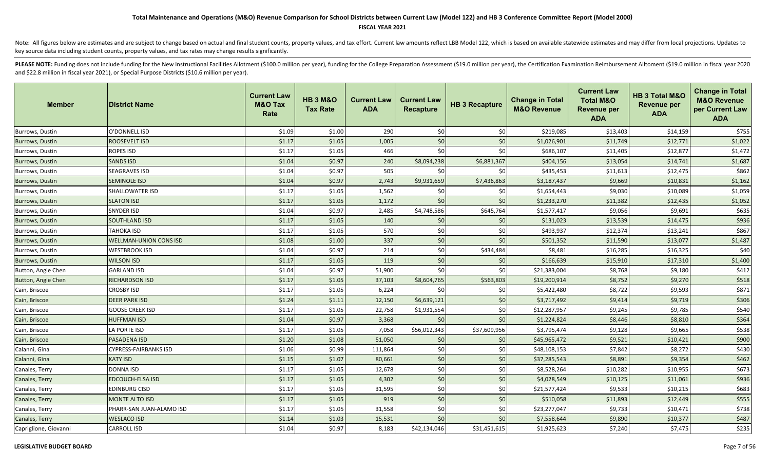### **FISCAL YEAR 2021**

Note: All figures below are estimates and are subject to change based on actual and final student counts, property values, and tax effort. Current law amounts reflect LBB Model 122, which is based on available statewide es key source data including student counts, property values, and tax rates may change results significantly.

| <b>Member</b>          | <b>District Name</b>          | <b>Current Law</b><br><b>M&amp;O Tax</b><br>Rate | <b>HB 3 M&amp;O</b><br><b>Tax Rate</b> | <b>Current Law</b><br><b>ADA</b> | <b>Current Law</b><br><b>Recapture</b> | <b>HB 3 Recapture</b> | <b>Change in Total</b><br><b>M&amp;O Revenue</b> | <b>Current Law</b><br><b>Total M&amp;O</b><br><b>Revenue per</b><br><b>ADA</b> | HB 3 Total M&O<br><b>Revenue per</b><br><b>ADA</b> | <b>Change in Total</b><br><b>M&amp;O Revenue</b><br>per Current Law<br><b>ADA</b> |
|------------------------|-------------------------------|--------------------------------------------------|----------------------------------------|----------------------------------|----------------------------------------|-----------------------|--------------------------------------------------|--------------------------------------------------------------------------------|----------------------------------------------------|-----------------------------------------------------------------------------------|
| Burrows, Dustin        | O'DONNELL ISD                 | \$1.09                                           | \$1.00                                 | 290                              | \$0                                    | \$0                   | \$219,085                                        | \$13,403                                                                       | \$14,159                                           | \$755                                                                             |
| Burrows, Dustin        | ROOSEVELT ISD                 | \$1.17                                           | \$1.05                                 | 1,005                            | \$0                                    | \$0                   | \$1,026,901                                      | \$11,749                                                                       | \$12,771                                           | \$1,022                                                                           |
| Burrows, Dustin        | <b>ROPES ISD</b>              | \$1.17                                           | \$1.05                                 | 466                              | \$0                                    | \$0                   | \$686,107                                        | \$11,405                                                                       | \$12,877                                           | \$1,472                                                                           |
| Burrows, Dustin        | <b>SANDS ISD</b>              | \$1.04                                           | \$0.97                                 | 240                              | \$8,094,238                            | \$6,881,367           | \$404,156                                        | \$13,054                                                                       | \$14,741                                           | \$1,687                                                                           |
| Burrows, Dustin        | <b>SEAGRAVES ISD</b>          | \$1.04                                           | \$0.97                                 | 505                              | \$0                                    | \$0                   | \$435,453                                        | \$11,613                                                                       | \$12,475                                           | \$862                                                                             |
| <b>Burrows, Dustin</b> | <b>SEMINOLE ISD</b>           | \$1.04                                           | \$0.97                                 | 2,743                            | \$9,931,659                            | \$7,436,863           | \$3,187,437                                      | \$9,669                                                                        | \$10,831                                           | \$1,162                                                                           |
| Burrows, Dustin        | SHALLOWATER ISD               | \$1.17                                           | \$1.05                                 | 1,562                            | \$0                                    | \$0                   | \$1,654,443                                      | \$9,030                                                                        | \$10,089                                           | \$1,059                                                                           |
| Burrows, Dustin        | <b>SLATON ISD</b>             | \$1.17                                           | \$1.05                                 | 1,172                            | \$0                                    | \$0                   | \$1,233,270                                      | \$11,382                                                                       | \$12,435                                           | \$1,052                                                                           |
| Burrows, Dustin        | SNYDER ISD                    | \$1.04                                           | \$0.97                                 | 2,485                            | \$4,748,586                            | \$645,764             | \$1,577,417                                      | \$9,056                                                                        | \$9,691                                            | \$635                                                                             |
| Burrows, Dustin        | <b>SOUTHLAND ISD</b>          | \$1.17                                           | \$1.05                                 | 140                              | \$0                                    | \$0                   | \$131,023                                        | \$13,539                                                                       | \$14,475                                           | \$936                                                                             |
| Burrows, Dustin        | TAHOKA ISD                    | \$1.17                                           | \$1.05                                 | 570                              | \$0                                    | \$0                   | \$493,937                                        | \$12,374                                                                       | \$13,241                                           | \$867                                                                             |
| Burrows, Dustin        | <b>WELLMAN-UNION CONS ISD</b> | \$1.08                                           | \$1.00                                 | 337                              | \$0                                    | \$0                   | \$501,352                                        | \$11,590                                                                       | \$13,077                                           | \$1,487                                                                           |
| Burrows, Dustin        | <b>WESTBROOK ISD</b>          | \$1.04                                           | \$0.97                                 | 214                              | \$0                                    | \$434,484             | \$8,481                                          | \$16,285                                                                       | \$16,325                                           | \$40                                                                              |
| Burrows, Dustin        | <b>WILSON ISD</b>             | \$1.17                                           | \$1.05                                 | 119                              | \$0                                    | \$0                   | \$166,639                                        | \$15,910                                                                       | \$17,310                                           | \$1,400                                                                           |
| Button, Angie Chen     | <b>GARLAND ISD</b>            | \$1.04                                           | \$0.97                                 | 51,900                           | \$0                                    | \$0                   | \$21,383,004                                     | \$8,768                                                                        | \$9,180                                            | \$412                                                                             |
| Button, Angie Chen     | <b>RICHARDSON ISD</b>         | \$1.17                                           | \$1.05                                 | 37,103                           | \$8,604,765                            | \$563,803             | \$19,200,914                                     | \$8,752                                                                        | \$9,270                                            | \$518                                                                             |
| Cain, Briscoe          | CROSBY ISD                    | \$1.17                                           | \$1.05                                 | 6,224                            | \$0                                    | \$0                   | \$5,422,480                                      | \$8,722                                                                        | \$9,593                                            | \$871                                                                             |
| Cain, Briscoe          | <b>DEER PARK ISD</b>          | \$1.24                                           | \$1.11                                 | 12,150                           | \$6,639,121                            | \$0                   | \$3,717,492                                      | \$9,414                                                                        | \$9,719                                            | \$306                                                                             |
| Cain, Briscoe          | <b>GOOSE CREEK ISD</b>        | \$1.17                                           | \$1.05                                 | 22,758                           | \$1,931,554                            | \$0                   | \$12,287,957                                     | \$9,245                                                                        | \$9,785                                            | \$540                                                                             |
| Cain, Briscoe          | <b>HUFFMAN ISD</b>            | \$1.04                                           | \$0.97                                 | 3,368                            | \$0                                    | \$0                   | \$1,224,824                                      | \$8,446                                                                        | \$8,810                                            | \$364                                                                             |
| Cain, Briscoe          | LA PORTE ISD                  | \$1.17                                           | \$1.05                                 | 7,058                            | \$56,012,343                           | \$37,609,956          | \$3,795,474                                      | \$9,128                                                                        | \$9,665                                            | \$538                                                                             |
| Cain, Briscoe          | PASADENA ISD                  | \$1.20                                           | \$1.08                                 | 51,050                           | \$0                                    | \$0                   | \$45,965,472                                     | \$9,521                                                                        | \$10,421                                           | \$900                                                                             |
| Calanni, Gina          | <b>CYPRESS-FAIRBANKS ISD</b>  | \$1.06                                           | \$0.99                                 | 111,864                          | \$0                                    | \$0                   | \$48,108,153                                     | \$7,842                                                                        | \$8,272                                            | \$430                                                                             |
| Calanni, Gina          | <b>KATY ISD</b>               | \$1.15                                           | \$1.07                                 | 80,661                           | \$0                                    | \$0                   | \$37,285,543                                     | \$8,891                                                                        | \$9,354                                            | \$462                                                                             |
| Canales, Terry         | DONNA ISD                     | \$1.17                                           | \$1.05                                 | 12,678                           | $$0$                                   | \$0                   | \$8,528,264                                      | \$10,282                                                                       | \$10,955                                           | \$673                                                                             |
| Canales, Terry         | <b>EDCOUCH-ELSA ISD</b>       | \$1.17                                           | \$1.05                                 | 4,302                            | \$0                                    | \$0                   | \$4,028,549                                      | \$10,125                                                                       | \$11,061                                           | \$936                                                                             |
| Canales, Terry         | <b>EDINBURG CISD</b>          | \$1.17                                           | \$1.05                                 | 31,595                           | \$0                                    | \$0                   | \$21,577,424                                     | \$9,533                                                                        | \$10,215                                           | \$683                                                                             |
| Canales, Terry         | <b>MONTE ALTO ISD</b>         | \$1.17                                           | \$1.05                                 | 919                              | \$0                                    | \$0                   | \$510,058                                        | \$11,893                                                                       | \$12,449                                           | \$555                                                                             |
| Canales, Terry         | PHARR-SAN JUAN-ALAMO ISD      | \$1.17                                           | \$1.05                                 | 31,558                           | \$0                                    | \$0                   | \$23,277,047                                     | \$9,733                                                                        | \$10,471                                           | \$738                                                                             |
| Canales, Terry         | <b>WESLACO ISD</b>            | \$1.14                                           | \$1.03                                 | 15,531                           | \$0                                    | \$0                   | \$7,558,644                                      | \$9,890                                                                        | \$10,377                                           | \$487                                                                             |
| Capriglione, Giovanni  | <b>CARROLL ISD</b>            | \$1.04                                           | \$0.97                                 | 8,183                            | \$42,134,046                           | \$31,451,615          | \$1,925,623                                      | \$7,240                                                                        | \$7,475                                            | \$235                                                                             |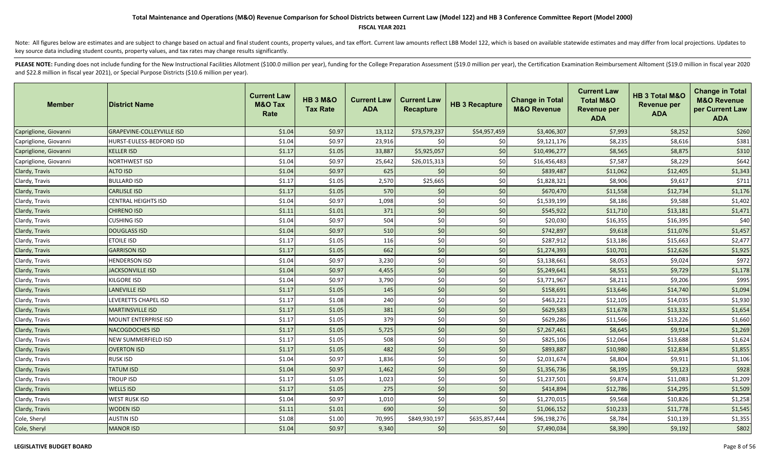### **FISCAL YEAR 2021**

Note: All figures below are estimates and are subject to change based on actual and final student counts, property values, and tax effort. Current law amounts reflect LBB Model 122, which is based on available statewide es key source data including student counts, property values, and tax rates may change results significantly.

| <b>Member</b>         | <b>District Name</b>             | <b>Current Law</b><br><b>M&amp;O Tax</b><br>Rate | <b>HB 3 M&amp;O</b><br><b>Tax Rate</b> | <b>Current Law</b><br><b>ADA</b> | <b>Current Law</b><br><b>Recapture</b> | <b>HB 3 Recapture</b> | <b>Change in Total</b><br><b>M&amp;O Revenue</b> | <b>Current Law</b><br><b>Total M&amp;O</b><br><b>Revenue per</b><br><b>ADA</b> | HB 3 Total M&O<br><b>Revenue per</b><br><b>ADA</b> | <b>Change in Total</b><br><b>M&amp;O Revenue</b><br>per Current Law<br><b>ADA</b> |
|-----------------------|----------------------------------|--------------------------------------------------|----------------------------------------|----------------------------------|----------------------------------------|-----------------------|--------------------------------------------------|--------------------------------------------------------------------------------|----------------------------------------------------|-----------------------------------------------------------------------------------|
| Capriglione, Giovanni | <b>GRAPEVINE-COLLEYVILLE ISD</b> | \$1.04                                           | \$0.97                                 | 13,112                           | \$73,579,237                           | \$54,957,459          | \$3,406,307                                      | \$7,993                                                                        | \$8,252                                            | \$260                                                                             |
| Capriglione, Giovanni | HURST-EULESS-BEDFORD ISD         | \$1.04                                           | \$0.97                                 | 23,916                           | \$0                                    | \$0                   | \$9,121,176                                      | \$8,235                                                                        | \$8,616                                            | \$381                                                                             |
| Capriglione, Giovanni | <b>KELLER ISD</b>                | \$1.17                                           | \$1.05                                 | 33,887                           | \$5,925,057                            | \$0                   | \$10,496,277                                     | \$8,565                                                                        | \$8,875                                            | \$310                                                                             |
| Capriglione, Giovanni | NORTHWEST ISD                    | \$1.04                                           | \$0.97                                 | 25,642                           | \$26,015,313                           | \$0                   | \$16,456,483                                     | \$7,587                                                                        | \$8,229                                            | \$642                                                                             |
| Clardy, Travis        | <b>ALTO ISD</b>                  | \$1.04                                           | \$0.97                                 | 625                              | \$0                                    | \$0                   | \$839,487                                        | \$11,062                                                                       | \$12,405                                           | \$1,343                                                                           |
| Clardy, Travis        | <b>BULLARD ISD</b>               | \$1.17                                           | \$1.05                                 | 2,570                            | \$25,665                               | \$0                   | \$1,828,321                                      | \$8,906                                                                        | \$9,617                                            | \$711                                                                             |
| Clardy, Travis        | <b>CARLISLE ISD</b>              | \$1.17                                           | \$1.05                                 | 570                              | $$0$$                                  | \$0                   | \$670,470                                        | \$11,558                                                                       | \$12,734                                           | \$1,176                                                                           |
| Clardy, Travis        | CENTRAL HEIGHTS ISD              | \$1.04                                           | \$0.97                                 | 1,098                            | \$0                                    | \$0                   | \$1,539,199                                      | \$8,186                                                                        | \$9,588                                            | \$1,402                                                                           |
| Clardy, Travis        | <b>CHIRENO ISD</b>               | \$1.11                                           | \$1.01                                 | 371                              | \$0                                    | \$0                   | \$545,922                                        | \$11,710                                                                       | \$13,181                                           | \$1,471                                                                           |
| Clardy, Travis        | <b>CUSHING ISD</b>               | \$1.04                                           | \$0.97                                 | 504                              | \$0                                    | \$0                   | \$20,030                                         | \$16,355                                                                       | \$16,395                                           | \$40                                                                              |
| Clardy, Travis        | <b>DOUGLASS ISD</b>              | \$1.04                                           | \$0.97                                 | 510                              | \$0                                    | \$0                   | \$742,897                                        | \$9,618                                                                        | \$11,076                                           | \$1,457                                                                           |
| Clardy, Travis        | <b>ETOILE ISD</b>                | \$1.17                                           | \$1.05                                 | 116                              | \$0                                    | \$0                   | \$287,912                                        | \$13,186                                                                       | \$15,663                                           | \$2,477                                                                           |
| Clardy, Travis        | <b>GARRISON ISD</b>              | \$1.17                                           | \$1.05                                 | 662                              | $$0$$                                  | \$0                   | \$1,274,393                                      | \$10,701                                                                       | \$12,626                                           | \$1,925                                                                           |
| Clardy, Travis        | <b>HENDERSON ISD</b>             | \$1.04                                           | \$0.97                                 | 3,230                            | \$0                                    | \$0                   | \$3,138,661                                      | \$8,053                                                                        | \$9,024                                            | \$972                                                                             |
| Clardy, Travis        | <b>JACKSONVILLE ISD</b>          | \$1.04                                           | \$0.97                                 | 4,455                            | \$0                                    | \$0                   | \$5,249,641                                      | \$8,551                                                                        | \$9,729                                            | \$1,178                                                                           |
| Clardy, Travis        | KILGORE ISD                      | \$1.04                                           | \$0.97                                 | 3,790                            | \$0                                    | \$0                   | \$3,771,967                                      | \$8,211                                                                        | \$9,206                                            | \$995                                                                             |
| Clardy, Travis        | <b>LANEVILLE ISD</b>             | \$1.17                                           | \$1.05                                 | 145                              | \$0                                    | \$0                   | \$158,691                                        | \$13,646                                                                       | \$14,740                                           | \$1,094                                                                           |
| Clardy, Travis        | LEVERETTS CHAPEL ISD             | \$1.17                                           | \$1.08                                 | 240                              | \$0                                    | \$0                   | \$463,221                                        | \$12,105                                                                       | \$14,035                                           | \$1,930                                                                           |
| Clardy, Travis        | <b>MARTINSVILLE ISD</b>          | \$1.17                                           | \$1.05                                 | 381                              | $$0$$                                  | $$0$$                 | \$629,583                                        | \$11,678                                                                       | \$13,332                                           | \$1,654                                                                           |
| Clardy, Travis        | <b>MOUNT ENTERPRISE ISD</b>      | \$1.17                                           | \$1.05                                 | 379                              | \$0                                    | \$0                   | \$629,286                                        | \$11,566                                                                       | \$13,226                                           | \$1,660                                                                           |
| Clardy, Travis        | <b>NACOGDOCHES ISD</b>           | \$1.17                                           | \$1.05                                 | 5,725                            | $$0$$                                  | \$0                   | \$7,267,461                                      | \$8,645                                                                        | \$9,914                                            | \$1,269                                                                           |
| Clardy, Travis        | NEW SUMMERFIELD ISD              | \$1.17                                           | \$1.05                                 | 508                              | \$0                                    | \$0                   | \$825,106                                        | \$12,064                                                                       | \$13,688                                           | \$1,624                                                                           |
| Clardy, Travis        | OVERTON ISD                      | \$1.17                                           | \$1.05                                 | 482                              | \$0                                    | \$0                   | \$893,887                                        | \$10,980                                                                       | \$12,834                                           | \$1,855                                                                           |
| Clardy, Travis        | RUSK ISD                         | \$1.04                                           | \$0.97                                 | 1,836                            | \$0                                    | \$0                   | \$2,031,674                                      | \$8,804                                                                        | \$9,911                                            | \$1,106                                                                           |
| Clardy, Travis        | <b>TATUM ISD</b>                 | \$1.04                                           | \$0.97                                 | 1,462                            | \$0                                    | \$0                   | \$1,356,736                                      | \$8,195                                                                        | \$9,123                                            | \$928                                                                             |
| Clardy, Travis        | <b>TROUP ISD</b>                 | \$1.17                                           | \$1.05                                 | 1,023                            | \$0                                    | \$0                   | \$1,237,501                                      | \$9,874                                                                        | \$11,083                                           | \$1,209                                                                           |
| Clardy, Travis        | <b>WELLS ISD</b>                 | \$1.17                                           | \$1.05                                 | 275                              | \$0                                    | \$0                   | \$414,894                                        | \$12,786                                                                       | \$14,295                                           | \$1,509                                                                           |
| Clardy, Travis        | WEST RUSK ISD                    | \$1.04                                           | \$0.97                                 | 1,010                            | \$0                                    | \$0                   | \$1,270,015                                      | \$9,568                                                                        | \$10,826                                           | \$1,258                                                                           |
| Clardy, Travis        | <b>WODEN ISD</b>                 | \$1.11                                           | \$1.01                                 | 690                              | \$0                                    | \$0                   | \$1,066,152                                      | \$10,233                                                                       | \$11,778                                           | \$1,545                                                                           |
| Cole, Sheryl          | AUSTIN ISD                       | \$1.08                                           | \$1.00                                 | 70,995                           | \$849,930,197                          | \$635,857,444         | \$96,198,276                                     | \$8,784                                                                        | \$10,139                                           | \$1,355                                                                           |
| Cole, Sheryl          | <b>MANOR ISD</b>                 | \$1.04                                           | \$0.97                                 | 9,340                            | \$0                                    | \$0                   | \$7,490,034                                      | \$8,390                                                                        | \$9,192                                            | \$802                                                                             |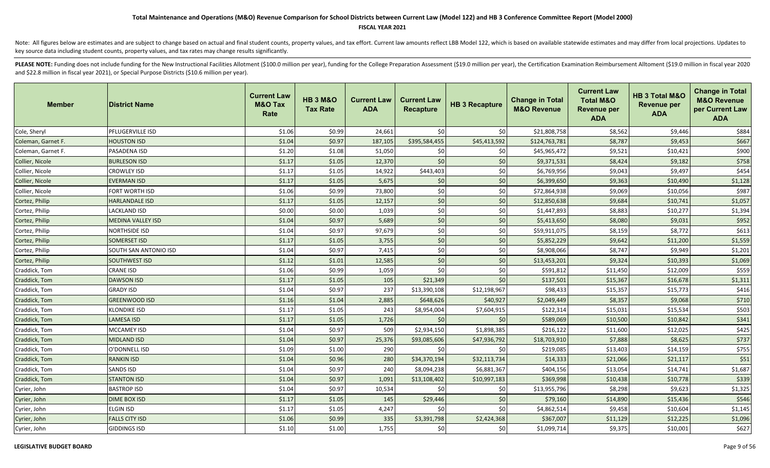### **FISCAL YEAR 2021**

Note: All figures below are estimates and are subject to change based on actual and final student counts, property values, and tax effort. Current law amounts reflect LBB Model 122, which is based on available statewide es key source data including student counts, property values, and tax rates may change results significantly.

| <b>Member</b>      | <b>District Name</b>     | <b>Current Law</b><br><b>M&amp;O Tax</b><br>Rate | <b>HB 3 M&amp;O</b><br><b>Tax Rate</b> | <b>Current Law</b><br><b>ADA</b> | <b>Current Law</b><br><b>Recapture</b> | <b>HB 3 Recapture</b> | <b>Change in Total</b><br><b>M&amp;O Revenue</b> | <b>Current Law</b><br><b>Total M&amp;O</b><br><b>Revenue per</b><br><b>ADA</b> | HB 3 Total M&O<br><b>Revenue per</b><br><b>ADA</b> | <b>Change in Total</b><br><b>M&amp;O Revenue</b><br>per Current Law<br><b>ADA</b> |
|--------------------|--------------------------|--------------------------------------------------|----------------------------------------|----------------------------------|----------------------------------------|-----------------------|--------------------------------------------------|--------------------------------------------------------------------------------|----------------------------------------------------|-----------------------------------------------------------------------------------|
| Cole, Sheryl       | PFLUGERVILLE ISD         | \$1.06                                           | \$0.99                                 | 24,661                           | \$0                                    | \$0                   | \$21,808,758                                     | \$8,562                                                                        | \$9,446                                            | \$884                                                                             |
| Coleman, Garnet F. | <b>HOUSTON ISD</b>       | \$1.04                                           | \$0.97                                 | 187,105                          | \$395,584,455                          | \$45,413,592          | \$124,763,781                                    | \$8,787                                                                        | \$9,453                                            | \$667                                                                             |
| Coleman, Garnet F. | PASADENA ISD             | \$1.20                                           | \$1.08                                 | 51,050                           | \$0                                    | \$0                   | \$45,965,472                                     | \$9,521                                                                        | \$10,421                                           | \$900                                                                             |
| Collier, Nicole    | <b>BURLESON ISD</b>      | \$1.17                                           | \$1.05                                 | 12,370                           | \$0                                    | \$0                   | \$9,371,531                                      | \$8,424                                                                        | \$9,182                                            | \$758                                                                             |
| Collier, Nicole    | <b>CROWLEY ISD</b>       | \$1.17                                           | \$1.05                                 | 14,922                           | \$443,403                              | \$0                   | \$6,769,956                                      | \$9,043                                                                        | \$9,497                                            | \$454                                                                             |
| Collier, Nicole    | <b>EVERMAN ISD</b>       | \$1.17                                           | \$1.05                                 | 5,675                            | \$0                                    | \$0                   | \$6,399,650                                      | \$9,363                                                                        | \$10,490                                           | \$1,128                                                                           |
| Collier, Nicole    | FORT WORTH ISD           | \$1.06                                           | \$0.99                                 | 73,800                           | \$0                                    | \$0                   | \$72,864,938                                     | \$9,069                                                                        | \$10,056                                           | \$987                                                                             |
| Cortez, Philip     | <b>HARLANDALE ISD</b>    | \$1.17                                           | \$1.05                                 | 12,157                           | \$0                                    | \$0                   | \$12,850,638                                     | \$9,684                                                                        | \$10,741                                           | \$1,057                                                                           |
| Cortez, Philip     | LACKLAND ISD             | \$0.00                                           | \$0.00                                 | 1,039                            | \$0                                    | \$0                   | \$1,447,893                                      | \$8,883                                                                        | \$10,277                                           | \$1,394                                                                           |
| Cortez, Philip     | <b>MEDINA VALLEY ISD</b> | \$1.04                                           | \$0.97                                 | 5,689                            | $$0$$                                  | \$0                   | \$5,413,650                                      | \$8,080                                                                        | \$9,031                                            | \$952                                                                             |
| Cortez, Philip     | <b>NORTHSIDE ISD</b>     | \$1.04                                           | \$0.97                                 | 97,679                           | $$0$$                                  | \$0                   | \$59,911,075                                     | \$8,159                                                                        | \$8,772                                            | \$613                                                                             |
| Cortez, Philip     | <b>SOMERSET ISD</b>      | \$1.17                                           | \$1.05                                 | 3,755                            | \$0                                    | \$0                   | \$5,852,229                                      | \$9,642                                                                        | \$11,200                                           | \$1,559                                                                           |
| Cortez, Philip     | SOUTH SAN ANTONIO ISD    | \$1.04                                           | \$0.97                                 | 7,415                            | \$0                                    | \$0                   | \$8,908,066                                      | \$8,747                                                                        | \$9,949                                            | \$1,201                                                                           |
| Cortez, Philip     | <b>SOUTHWEST ISD</b>     | \$1.12                                           | \$1.01                                 | 12,585                           | \$0                                    | \$0                   | \$13,453,201                                     | \$9,324                                                                        | \$10,393                                           | \$1,069                                                                           |
| Craddick, Tom      | <b>CRANE ISD</b>         | \$1.06                                           | \$0.99                                 | 1,059                            | \$0                                    | \$0                   | \$591,812                                        | \$11,450                                                                       | \$12,009                                           | \$559                                                                             |
| Craddick, Tom      | <b>DAWSON ISD</b>        | \$1.17                                           | \$1.05                                 | 105                              | \$21,349                               | \$0                   | \$137,501                                        | \$15,367                                                                       | \$16,678                                           | \$1,311                                                                           |
| Craddick, Tom      | <b>GRADY ISD</b>         | \$1.04                                           | \$0.97                                 | 237                              | \$13,390,108                           | \$12,198,967          | \$98,433                                         | \$15,357                                                                       | \$15,773                                           | \$416                                                                             |
| Craddick, Tom      | <b>GREENWOOD ISD</b>     | \$1.16                                           | \$1.04                                 | 2,885                            | \$648,626                              | \$40,927              | \$2,049,449                                      | \$8,357                                                                        | \$9,068                                            | \$710                                                                             |
| Craddick, Tom      | <b>KLONDIKE ISD</b>      | \$1.17                                           | \$1.05                                 | 243                              | \$8,954,004                            | \$7,604,915           | \$122,314                                        | \$15,031                                                                       | \$15,534                                           | \$503                                                                             |
| Craddick, Tom      | <b>LAMESA ISD</b>        | \$1.17                                           | \$1.05                                 | 1,726                            | \$0                                    | \$0                   | \$589,069                                        | \$10,500                                                                       | \$10,842                                           | \$341                                                                             |
| Craddick, Tom      | <b>MCCAMEY ISD</b>       | \$1.04                                           | \$0.97                                 | 509                              | \$2,934,150                            | \$1,898,385           | \$216,122                                        | \$11,600                                                                       | \$12,025                                           | \$425                                                                             |
| Craddick, Tom      | <b>MIDLAND ISD</b>       | \$1.04                                           | \$0.97                                 | 25,376                           | \$93,085,606                           | \$47,936,792          | \$18,703,910                                     | \$7,888                                                                        | \$8,625                                            | \$737                                                                             |
| Craddick, Tom      | O'DONNELL ISD            | \$1.09                                           | \$1.00                                 | 290                              | \$0                                    | \$0                   | \$219,085                                        | \$13,403                                                                       | \$14,159                                           | \$755                                                                             |
| Craddick, Tom      | <b>RANKIN ISD</b>        | \$1.04                                           | \$0.96                                 | 280                              | \$34,370,194                           | \$32,113,734          | \$14,333                                         | \$21,066                                                                       | \$21,117                                           | \$51                                                                              |
| Craddick, Tom      | SANDS ISD                | \$1.04                                           | \$0.97                                 | 240                              | \$8,094,238                            | \$6,881,367           | \$404,156                                        | \$13,054                                                                       | \$14,741                                           | \$1,687                                                                           |
| Craddick, Tom      | <b>STANTON ISD</b>       | \$1.04                                           | \$0.97                                 | 1,091                            | \$13,108,402                           | \$10,997,183          | \$369,998                                        | \$10,438                                                                       | \$10,778                                           | \$339                                                                             |
| Cyrier, John       | <b>BASTROP ISD</b>       | \$1.04                                           | \$0.97                                 | 10,534                           | \$0                                    | \$0                   | \$13,955,796                                     | \$8,298                                                                        | \$9,623                                            | \$1,325                                                                           |
| Cyrier, John       | <b>DIME BOX ISD</b>      | \$1.17                                           | \$1.05                                 | 145                              | \$29,446                               | \$0                   | \$79,160                                         | \$14,890                                                                       | \$15,436                                           | \$546                                                                             |
| Cyrier, John       | <b>ELGIN ISD</b>         | \$1.17                                           | \$1.05                                 | 4,247                            | \$0                                    | \$0                   | \$4,862,514                                      | \$9,458                                                                        | \$10,604                                           | \$1,145                                                                           |
| Cyrier, John       | <b>FALLS CITY ISD</b>    | \$1.06                                           | \$0.99                                 | 335                              | \$3,391,798                            | \$2,424,368           | \$367,007                                        | \$11,129                                                                       | \$12,225                                           | \$1,096                                                                           |
| Cyrier, John       | <b>GIDDINGS ISD</b>      | \$1.10                                           | \$1.00                                 | 1,755                            | \$0                                    | \$0                   | \$1,099,714                                      | \$9,375                                                                        | \$10,001                                           | \$627                                                                             |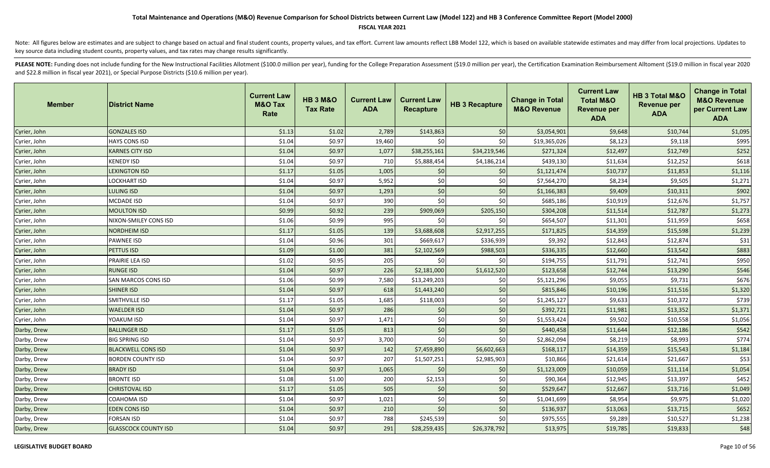### **FISCAL YEAR 2021**

Note: All figures below are estimates and are subject to change based on actual and final student counts, property values, and tax effort. Current law amounts reflect LBB Model 122, which is based on available statewide es key source data including student counts, property values, and tax rates may change results significantly.

| <b>Member</b> | <b>District Name</b>        | <b>Current Law</b><br><b>M&amp;O Tax</b><br>Rate | <b>HB 3 M&amp;O</b><br><b>Tax Rate</b> | <b>Current Law</b><br><b>ADA</b> | <b>Current Law</b><br><b>Recapture</b> | <b>HB 3 Recapture</b> | <b>Change in Total</b><br><b>M&amp;O Revenue</b> | <b>Current Law</b><br><b>Total M&amp;O</b><br><b>Revenue per</b><br><b>ADA</b> | HB 3 Total M&O<br><b>Revenue per</b><br><b>ADA</b> | <b>Change in Total</b><br><b>M&amp;O Revenue</b><br>per Current Law<br><b>ADA</b> |
|---------------|-----------------------------|--------------------------------------------------|----------------------------------------|----------------------------------|----------------------------------------|-----------------------|--------------------------------------------------|--------------------------------------------------------------------------------|----------------------------------------------------|-----------------------------------------------------------------------------------|
| Cyrier, John  | <b>GONZALES ISD</b>         | \$1.13                                           | \$1.02                                 | 2,789                            | \$143,863                              | \$0                   | \$3,054,901                                      | \$9,648                                                                        | \$10,744                                           | \$1,095                                                                           |
| Cyrier, John  | <b>HAYS CONS ISD</b>        | \$1.04                                           | \$0.97                                 | 19,460                           | \$0                                    | \$0                   | \$19,365,026                                     | \$8,123                                                                        | \$9,118                                            | \$995                                                                             |
| Cyrier, John  | <b>KARNES CITY ISD</b>      | \$1.04                                           | \$0.97                                 | 1,077                            | \$38,255,161                           | \$34,219,546          | \$271,324                                        | \$12,497                                                                       | \$12,749                                           | \$252                                                                             |
| Cyrier, John  | KENEDY ISD                  | \$1.04                                           | \$0.97                                 | 710                              | \$5,888,454                            | \$4,186,214           | \$439,130                                        | \$11,634                                                                       | \$12,252                                           | \$618                                                                             |
| Cyrier, John  | <b>LEXINGTON ISD</b>        | \$1.17                                           | \$1.05                                 | 1,005                            | \$0                                    | \$0                   | \$1,121,474                                      | \$10,737                                                                       | \$11,853                                           | \$1,116                                                                           |
| Cyrier, John  | <b>LOCKHART ISD</b>         | \$1.04                                           | \$0.97                                 | 5,952                            | $$0$$                                  | \$0                   | \$7,564,270                                      | \$8,234                                                                        | \$9,505                                            | \$1,271                                                                           |
| Cyrier, John  | LULING ISD                  | \$1.04                                           | \$0.97                                 | 1,293                            | \$0                                    | \$0                   | \$1,166,383                                      | \$9,409                                                                        | \$10,311                                           | \$902                                                                             |
| Cyrier, John  | <b>MCDADE ISD</b>           | \$1.04                                           | \$0.97                                 | 390                              | \$0                                    | \$0                   | \$685,186                                        | \$10,919                                                                       | \$12,676                                           | \$1,757                                                                           |
| Cyrier, John  | <b>MOULTON ISD</b>          | \$0.99                                           | \$0.92                                 | 239                              | \$909,069                              | \$205,150             | \$304,208                                        | \$11,514                                                                       | \$12,787                                           | \$1,273                                                                           |
| Cyrier, John  | NIXON-SMILEY CONS ISD       | \$1.06                                           | \$0.99                                 | 995                              | \$0                                    | \$0                   | \$654,507                                        | \$11,301                                                                       | \$11,959                                           | \$658                                                                             |
| Cyrier, John  | <b>NORDHEIM ISD</b>         | \$1.17                                           | \$1.05                                 | 139                              | \$3,688,608                            | \$2,917,255           | \$171,825                                        | \$14,359                                                                       | \$15,598                                           | \$1,239                                                                           |
| Cyrier, John  | <b>PAWNEE ISD</b>           | \$1.04                                           | \$0.96                                 | 301                              | \$669,617                              | \$336,939             | \$9,392                                          | \$12,843                                                                       | \$12,874                                           | \$31                                                                              |
| Cyrier, John  | PETTUS ISD                  | \$1.09                                           | \$1.00                                 | 381                              | \$2,102,569                            | \$988,503             | \$336,335                                        | \$12,660                                                                       | \$13,542                                           | \$883                                                                             |
| Cyrier, John  | PRAIRIE LEA ISD             | \$1.02                                           | \$0.95                                 | 205                              | \$0                                    | \$0                   | \$194,755                                        | \$11,791                                                                       | \$12,741                                           | \$950                                                                             |
| Cyrier, John  | <b>RUNGE ISD</b>            | \$1.04                                           | \$0.97                                 | 226                              | \$2,181,000                            | \$1,612,520           | \$123,658                                        | \$12,744                                                                       | \$13,290                                           | \$546                                                                             |
| Cyrier, John  | SAN MARCOS CONS ISD         | \$1.06                                           | \$0.99                                 | 7,580                            | \$13,249,203                           | \$0                   | \$5,121,296                                      | \$9,055                                                                        | \$9,731                                            | \$676                                                                             |
| Cyrier, John  | <b>SHINER ISD</b>           | \$1.04                                           | \$0.97                                 | 618                              | \$1,443,240                            | \$0                   | \$815,846                                        | \$10,196                                                                       | \$11,516                                           | \$1,320                                                                           |
| Cyrier, John  | SMITHVILLE ISD              | \$1.17                                           | \$1.05                                 | 1,685                            | \$118,003                              | \$0                   | \$1,245,127                                      | \$9,633                                                                        | \$10,372                                           | \$739                                                                             |
| Cyrier, John  | <b>WAELDER ISD</b>          | \$1.04                                           | \$0.97                                 | 286                              | \$0                                    | \$0                   | \$392,721                                        | \$11,981                                                                       | \$13,352                                           | \$1,371                                                                           |
| Cyrier, John  | YOAKUM ISD                  | \$1.04                                           | \$0.97                                 | 1,471                            | \$0                                    | \$0                   | \$1,553,424                                      | \$9,502                                                                        | \$10,558                                           | \$1,056                                                                           |
| Darby, Drew   | <b>BALLINGER ISD</b>        | \$1.17                                           | \$1.05                                 | 813                              | \$0                                    | \$0                   | \$440,458                                        | \$11,644                                                                       | \$12,186                                           | \$542                                                                             |
| Darby, Drew   | <b>BIG SPRING ISD</b>       | \$1.04                                           | \$0.97                                 | 3,700                            | \$0                                    | \$0                   | \$2,862,094                                      | \$8,219                                                                        | \$8,993                                            | \$774                                                                             |
| Darby, Drew   | <b>BLACKWELL CONS ISD</b>   | \$1.04                                           | \$0.97                                 | 142                              | \$7,459,890                            | \$6,602,663           | \$168,117                                        | \$14,359                                                                       | \$15,543                                           | \$1,184                                                                           |
| Darby, Drew   | <b>BORDEN COUNTY ISD</b>    | \$1.04                                           | \$0.97                                 | 207                              | \$1,507,251                            | \$2,985,903           | \$10,866                                         | \$21,614                                                                       | \$21,667                                           | \$53                                                                              |
| Darby, Drew   | <b>BRADY ISD</b>            | \$1.04                                           | \$0.97                                 | 1,065                            | \$0                                    | \$0                   | \$1,123,009                                      | \$10,059                                                                       | \$11,114                                           | \$1,054                                                                           |
| Darby, Drew   | <b>BRONTE ISD</b>           | \$1.08                                           | \$1.00                                 | 200                              | \$2,153                                | \$0                   | \$90,364                                         | \$12,945                                                                       | \$13,397                                           | \$452                                                                             |
| Darby, Drew   | <b>CHRISTOVAL ISD</b>       | \$1.17                                           | \$1.05                                 | 505                              | \$0                                    | \$0                   | \$529,647                                        | \$12,667                                                                       | \$13,716                                           | \$1,049                                                                           |
| Darby, Drew   | COAHOMA ISD                 | \$1.04                                           | \$0.97                                 | 1,021                            | \$0                                    | \$0                   | \$1,041,699                                      | \$8,954                                                                        | \$9,975                                            | \$1,020                                                                           |
| Darby, Drew   | <b>EDEN CONS ISD</b>        | \$1.04                                           | \$0.97                                 | 210                              | \$0                                    | \$0                   | \$136,937                                        | \$13,063                                                                       | \$13,715                                           | \$652                                                                             |
| Darby, Drew   | <b>FORSAN ISD</b>           | \$1.04                                           | \$0.97                                 | 788                              | \$245,539                              | \$0                   | \$975,555                                        | \$9,289                                                                        | \$10,527                                           | \$1,238                                                                           |
| Darby, Drew   | <b>GLASSCOCK COUNTY ISD</b> | \$1.04                                           | \$0.97                                 | 291                              | \$28,259,435                           | \$26,378,792          | \$13,975                                         | \$19,785                                                                       | \$19,833                                           | \$48                                                                              |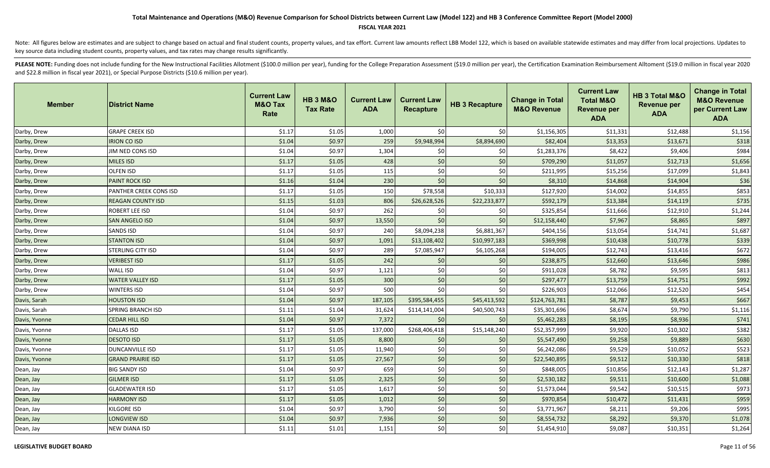### **FISCAL YEAR 2021**

Note: All figures below are estimates and are subject to change based on actual and final student counts, property values, and tax effort. Current law amounts reflect LBB Model 122, which is based on available statewide es key source data including student counts, property values, and tax rates may change results significantly.

| <b>Member</b> | <b>District Name</b>     | <b>Current Law</b><br><b>M&amp;O Tax</b><br>Rate | <b>HB 3 M&amp;O</b><br><b>Tax Rate</b> | <b>Current Law</b><br><b>ADA</b> | <b>Current Law</b><br><b>Recapture</b> | <b>HB 3 Recapture</b> | <b>Change in Total</b><br><b>M&amp;O Revenue</b> | <b>Current Law</b><br><b>Total M&amp;O</b><br><b>Revenue per</b><br><b>ADA</b> | HB 3 Total M&O<br><b>Revenue per</b><br><b>ADA</b> | <b>Change in Total</b><br><b>M&amp;O Revenue</b><br>per Current Law<br><b>ADA</b> |
|---------------|--------------------------|--------------------------------------------------|----------------------------------------|----------------------------------|----------------------------------------|-----------------------|--------------------------------------------------|--------------------------------------------------------------------------------|----------------------------------------------------|-----------------------------------------------------------------------------------|
| Darby, Drew   | <b>GRAPE CREEK ISD</b>   | \$1.17                                           | \$1.05                                 | 1,000                            | \$0                                    | \$0                   | \$1,156,305                                      | \$11,331                                                                       | \$12,488                                           | \$1,156                                                                           |
| Darby, Drew   | <b>IRION CO ISD</b>      | \$1.04                                           | \$0.97                                 | 259                              | \$9,948,994                            | \$8,894,690           | \$82,404                                         | \$13,353                                                                       | \$13,671                                           | \$318                                                                             |
| Darby, Drew   | JIM NED CONS ISD         | \$1.04                                           | \$0.97                                 | 1,304                            | \$0                                    | \$0                   | \$1,283,376                                      | \$8,422                                                                        | \$9,406                                            | \$984                                                                             |
| Darby, Drew   | <b>MILES ISD</b>         | \$1.17                                           | \$1.05                                 | 428                              | \$0                                    | \$0                   | \$709,290                                        | \$11,057                                                                       | \$12,713                                           | \$1,656                                                                           |
| Darby, Drew   | OLFEN ISD                | \$1.17                                           | \$1.05                                 | 115                              | \$0                                    | \$0                   | \$211,995                                        | \$15,256                                                                       | \$17,099                                           | \$1,843                                                                           |
| Darby, Drew   | <b>PAINT ROCK ISD</b>    | \$1.16                                           | \$1.04                                 | 230                              | \$0                                    | \$0                   | \$8,310                                          | \$14,868                                                                       | \$14,904                                           | \$36                                                                              |
| Darby, Drew   | PANTHER CREEK CONS ISD   | \$1.17                                           | \$1.05                                 | 150                              | \$78,558                               | \$10,333              | \$127,920                                        | \$14,002                                                                       | \$14,855                                           | \$853                                                                             |
| Darby, Drew   | <b>REAGAN COUNTY ISD</b> | \$1.15                                           | \$1.03                                 | 806                              | \$26,628,526                           | \$22,233,877          | \$592,179                                        | \$13,384                                                                       | \$14,119                                           | \$735                                                                             |
| Darby, Drew   | ROBERT LEE ISD           | \$1.04                                           | \$0.97                                 | 262                              | \$0                                    | \$0                   | \$325,854                                        | \$11,666                                                                       | \$12,910                                           | \$1,244                                                                           |
| Darby, Drew   | <b>SAN ANGELO ISD</b>    | \$1.04                                           | \$0.97                                 | 13,550                           | \$0                                    | \$0                   | \$12,158,440                                     | \$7,967                                                                        | \$8,865                                            | \$897                                                                             |
| Darby, Drew   | SANDS ISD                | \$1.04                                           | \$0.97                                 | 240                              | \$8,094,238                            | \$6,881,367           | \$404,156                                        | \$13,054                                                                       | \$14,741                                           | \$1,687                                                                           |
| Darby, Drew   | <b>STANTON ISD</b>       | \$1.04                                           | \$0.97                                 | 1,091                            | \$13,108,402                           | \$10,997,183          | \$369,998                                        | \$10,438                                                                       | \$10,778                                           | \$339                                                                             |
| Darby, Drew   | STERLING CITY ISD        | \$1.04                                           | \$0.97                                 | 289                              | \$7,085,947                            | \$6,105,268           | \$194,005                                        | \$12,743                                                                       | \$13,416                                           | \$672                                                                             |
| Darby, Drew   | <b>VERIBEST ISD</b>      | \$1.17                                           | \$1.05                                 | 242                              | \$0                                    | \$0                   | \$238,875                                        | \$12,660                                                                       | \$13,646                                           | \$986                                                                             |
| Darby, Drew   | <b>WALL ISD</b>          | \$1.04                                           | \$0.97                                 | 1,121                            | $$0$$                                  | \$0                   | \$911,028                                        | \$8,782                                                                        | \$9,595                                            | \$813                                                                             |
| Darby, Drew   | <b>WATER VALLEY ISD</b>  | \$1.17                                           | \$1.05                                 | 300                              | \$0                                    | \$0                   | \$297,477                                        | \$13,759                                                                       | \$14,751                                           | \$992                                                                             |
| Darby, Drew   | WINTERS ISD              | \$1.04                                           | \$0.97                                 | 500                              | \$0                                    | \$0                   | \$226,903                                        | \$12,066                                                                       | \$12,520                                           | \$454                                                                             |
| Davis, Sarah  | <b>HOUSTON ISD</b>       | \$1.04                                           | \$0.97                                 | 187,105                          | \$395,584,455                          | \$45,413,592          | \$124,763,781                                    | \$8,787                                                                        | \$9,453                                            | \$667                                                                             |
| Davis, Sarah  | SPRING BRANCH ISD        | \$1.11                                           | \$1.04                                 | 31,624                           | \$114,141,004                          | \$40,500,743          | \$35,301,696                                     | \$8,674                                                                        | \$9,790                                            | \$1,116                                                                           |
| Davis, Yvonne | <b>CEDAR HILL ISD</b>    | \$1.04                                           | \$0.97                                 | 7,372                            | \$0                                    | \$0                   | \$5,462,283                                      | \$8,195                                                                        | \$8,936                                            | \$741                                                                             |
| Davis, Yvonne | <b>DALLAS ISD</b>        | \$1.17                                           | \$1.05                                 | 137,000                          | \$268,406,418                          | \$15,148,240          | \$52,357,999                                     | \$9,920                                                                        | \$10,302                                           | \$382                                                                             |
| Davis, Yvonne | <b>DESOTO ISD</b>        | \$1.17                                           | \$1.05                                 | 8,800                            | \$0                                    | \$0                   | \$5,547,490                                      | \$9,258                                                                        | \$9,889                                            | \$630                                                                             |
| Davis, Yvonne | <b>DUNCANVILLE ISD</b>   | \$1.17                                           | \$1.05                                 | 11,940                           | \$0                                    | \$0                   | \$6,242,086                                      | \$9,529                                                                        | \$10,052                                           | \$523                                                                             |
| Davis, Yvonne | <b>GRAND PRAIRIE ISD</b> | \$1.17                                           | \$1.05                                 | 27,567                           | \$0                                    | \$0                   | \$22,540,895                                     | \$9,512                                                                        | \$10,330                                           | \$818                                                                             |
| Dean, Jay     | <b>BIG SANDY ISD</b>     | \$1.04                                           | \$0.97                                 | 659                              | \$0                                    | \$0                   | \$848,005                                        | \$10,856                                                                       | \$12,143                                           | \$1,287                                                                           |
| Dean, Jay     | <b>GILMER ISD</b>        | \$1.17                                           | \$1.05                                 | 2,325                            | $$0$$                                  | \$0                   | \$2,530,182                                      | \$9,511                                                                        | \$10,600                                           | \$1,088                                                                           |
| Dean, Jay     | <b>GLADEWATER ISD</b>    | \$1.17                                           | \$1.05                                 | 1,617                            | \$0                                    | \$0                   | \$1,573,044                                      | \$9,542                                                                        | \$10,515                                           | \$973                                                                             |
| Dean, Jay     | <b>HARMONY ISD</b>       | \$1.17                                           | \$1.05                                 | 1,012                            | $$0$$                                  | \$0                   | \$970,854                                        | \$10,472                                                                       | \$11,431                                           | \$959                                                                             |
| Dean, Jay     | KILGORE ISD              | \$1.04                                           | \$0.97                                 | 3,790                            | $$0$$                                  | \$0                   | \$3,771,967                                      | \$8,211                                                                        | \$9,206                                            | \$995                                                                             |
| Dean, Jay     | LONGVIEW ISD             | \$1.04                                           | \$0.97                                 | 7,936                            | $$0$$                                  | \$0                   | \$8,554,732                                      | \$8,292                                                                        | \$9,370                                            | \$1,078                                                                           |
| Dean, Jay     | <b>NEW DIANA ISD</b>     | \$1.11                                           | \$1.01                                 | 1,151                            | \$0                                    | \$0                   | \$1,454,910                                      | \$9,087                                                                        | \$10,351                                           | \$1,264                                                                           |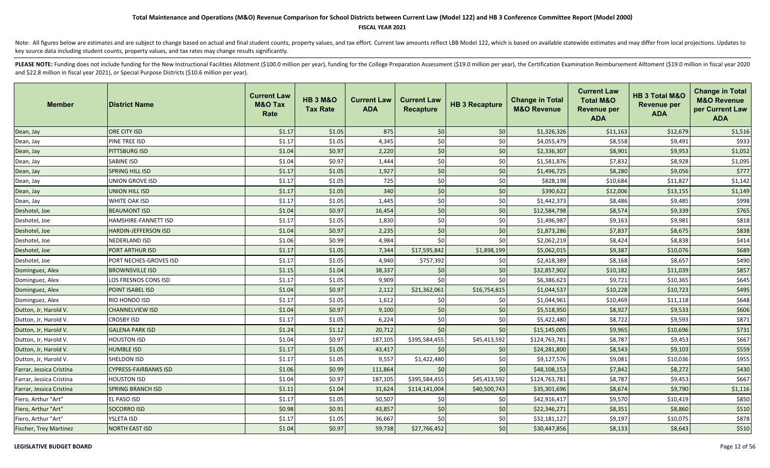### **FISCAL YEAR 2021**

Note: All figures below are estimates and are subject to change based on actual and final student counts, property values, and tax effort. Current law amounts reflect LBB Model 122, which is based on available statewide es key source data including student counts, property values, and tax rates may change results significantly.

| <b>Member</b>                 | <b>District Name</b>         | <b>Current Law</b><br><b>M&amp;O Tax</b><br>Rate | <b>HB 3 M&amp;O</b><br><b>Tax Rate</b> | <b>Current Law</b><br><b>ADA</b> | <b>Current Law</b><br><b>Recapture</b> | <b>HB 3 Recapture</b> | <b>Change in Total</b><br><b>M&amp;O Revenue</b> | <b>Current Law</b><br><b>Total M&amp;O</b><br><b>Revenue per</b><br><b>ADA</b> | HB 3 Total M&O<br><b>Revenue per</b><br><b>ADA</b> | <b>Change in Total</b><br><b>M&amp;O Revenue</b><br>per Current Law<br><b>ADA</b> |
|-------------------------------|------------------------------|--------------------------------------------------|----------------------------------------|----------------------------------|----------------------------------------|-----------------------|--------------------------------------------------|--------------------------------------------------------------------------------|----------------------------------------------------|-----------------------------------------------------------------------------------|
| Dean, Jay                     | <b>ORE CITY ISD</b>          | \$1.17                                           | \$1.05                                 | 875                              | \$0                                    | \$0                   | \$1,326,326                                      | \$11,163                                                                       | \$12,679                                           | \$1,516                                                                           |
| Dean, Jay                     | PINE TREE ISD                | \$1.17                                           | \$1.05                                 | 4,345                            | $$0$$                                  | \$0                   | \$4,055,479                                      | \$8,558                                                                        | \$9,491                                            | \$933                                                                             |
| Dean, Jay                     | PITTSBURG ISD                | \$1.04                                           | \$0.97                                 | 2,220                            | $$0$$                                  | \$0                   | \$2,336,307                                      | \$8,901                                                                        | \$9,953                                            | \$1,052                                                                           |
| Dean, Jay                     | <b>SABINE ISD</b>            | \$1.04                                           | \$0.97                                 | 1,444                            | \$0                                    | \$0                   | \$1,581,876                                      | \$7,832                                                                        | \$8,928                                            | \$1,095                                                                           |
| Dean, Jay                     | <b>SPRING HILL ISD</b>       | \$1.17                                           | \$1.05                                 | 1,927                            | \$0                                    | \$0                   | \$1,496,725                                      | \$8,280                                                                        | \$9,056                                            | \$777                                                                             |
| Dean, Jay                     | UNION GROVE ISD              | \$1.17                                           | \$1.05                                 | 725                              | \$0                                    | \$0                   | \$828,198                                        | \$10,684                                                                       | \$11,827                                           | \$1,142                                                                           |
| Dean, Jay                     | UNION HILL ISD               | \$1.17                                           | \$1.05                                 | 340                              | \$0                                    | \$0                   | \$390,622                                        | \$12,006                                                                       | \$13,155                                           | \$1,149                                                                           |
| Dean, Jay                     | WHITE OAK ISD                | \$1.17                                           | \$1.05                                 | 1,445                            | \$0                                    | \$0                   | \$1,442,373                                      | \$8,486                                                                        | \$9,485                                            | \$998                                                                             |
| Deshotel, Joe                 | <b>BEAUMONT ISD</b>          | \$1.04                                           | \$0.97                                 | 16,454                           | \$0                                    | \$0                   | \$12,584,798                                     | \$8,574                                                                        | \$9,339                                            | \$765                                                                             |
| Deshotel, Joe                 | HAMSHIRE-FANNETT ISD         | \$1.17                                           | \$1.05                                 | 1,830                            | \$0                                    | \$0                   | \$1,496,987                                      | \$9,163                                                                        | \$9,981                                            | \$818                                                                             |
| Deshotel, Joe                 | <b>HARDIN-JEFFERSON ISD</b>  | \$1.04                                           | \$0.97                                 | 2,235                            | \$0                                    | \$0                   | \$1,873,286                                      | \$7,837                                                                        | \$8,675                                            | \$838                                                                             |
| Deshotel, Joe                 | NEDERLAND ISD                | \$1.06                                           | \$0.99                                 | 4,984                            | \$0                                    | \$0                   | \$2,062,219                                      | \$8,424                                                                        | \$8,838                                            | \$414                                                                             |
| Deshotel, Joe                 | PORT ARTHUR ISD              | \$1.17                                           | \$1.05                                 | 7,344                            | \$17,595,842                           | \$1,898,199           | \$5,062,015                                      | \$9,387                                                                        | \$10,076                                           | \$689                                                                             |
| Deshotel, Joe                 | PORT NECHES-GROVES ISD       | \$1.17                                           | \$1.05                                 | 4,940                            | \$757,392                              | \$0                   | \$2,418,389                                      | \$8,168                                                                        | \$8,657                                            | \$490                                                                             |
| Dominguez, Alex               | <b>BROWNSVILLE ISD</b>       | \$1.15                                           | \$1.04                                 | 38,337                           | \$0                                    | \$0                   | \$32,857,902                                     | \$10,182                                                                       | \$11,039                                           | \$857                                                                             |
| Dominguez, Alex               | LOS FRESNOS CONS ISD         | \$1.17                                           | \$1.05                                 | 9,909                            | \$0                                    | \$0                   | \$6,386,623                                      | \$9,721                                                                        | \$10,365                                           | \$645                                                                             |
| Dominguez, Alex               | POINT ISABEL ISD             | \$1.04                                           | \$0.97                                 | 2,112                            | \$21,362,061                           | \$16,754,815          | \$1,044,537                                      | \$10,228                                                                       | \$10,723                                           | \$495                                                                             |
| Dominguez, Alex               | RIO HONDO ISD                | \$1.17                                           | \$1.05                                 | 1,612                            | \$0                                    | \$0                   | \$1,044,961                                      | \$10,469                                                                       | \$11,118                                           | \$648                                                                             |
| Dutton, Jr, Harold V.         | <b>CHANNELVIEW ISD</b>       | \$1.04                                           | \$0.97                                 | 9,100                            | \$0                                    | \$0                   | \$5,518,950                                      | \$8,927                                                                        | \$9,533                                            | \$606                                                                             |
| Dutton, Jr, Harold V.         | <b>CROSBY ISD</b>            | \$1.17                                           | \$1.05                                 | 6,224                            | \$0                                    | \$0                   | \$5,422,480                                      | \$8,722                                                                        | \$9,593                                            | \$871                                                                             |
| Dutton, Jr, Harold V.         | <b>GALENA PARK ISD</b>       | \$1.24                                           | \$1.12                                 | 20,712                           | \$0                                    | \$0                   | \$15,145,005                                     | \$9,965                                                                        | \$10,696                                           | \$731                                                                             |
| Dutton, Jr, Harold V.         | <b>HOUSTON ISD</b>           | \$1.04                                           | \$0.97                                 | 187,105                          | \$395,584,455                          | \$45,413,592          | \$124,763,781                                    | \$8,787                                                                        | \$9,453                                            | \$667                                                                             |
| Dutton, Jr, Harold V.         | <b>HUMBLE ISD</b>            | \$1.17                                           | \$1.05                                 | 43,417                           | \$0                                    | \$0                   | \$24,281,800                                     | \$8,543                                                                        | \$9,103                                            | \$559                                                                             |
| Dutton, Jr, Harold V.         | SHELDON ISD                  | \$1.17                                           | \$1.05                                 | 9,557                            | \$1,422,480                            | \$0                   | \$9,127,576                                      | \$9,081                                                                        | \$10,036                                           | \$955                                                                             |
| Farrar, Jessica Cristina      | <b>CYPRESS-FAIRBANKS ISD</b> | \$1.06                                           | \$0.99                                 | 111,864                          | \$0                                    | \$0                   | \$48,108,153                                     | \$7,842                                                                        | \$8,272                                            | \$430                                                                             |
| Farrar, Jessica Cristina      | <b>HOUSTON ISD</b>           | \$1.04                                           | \$0.97                                 | 187,105                          | \$395,584,455                          | \$45,413,592          | \$124,763,781                                    | \$8,787                                                                        | \$9,453                                            | \$667                                                                             |
| Farrar, Jessica Cristina      | <b>SPRING BRANCH ISD</b>     | \$1.11                                           | \$1.04                                 | 31,624                           | \$114,141,004                          | \$40,500,743          | \$35,301,696                                     | \$8,674                                                                        | \$9,790                                            | \$1,116                                                                           |
| Fiero, Arthur "Art"           | EL PASO ISD                  | \$1.17                                           | \$1.05                                 | 50,507                           | \$0                                    | \$0                   | \$42,916,417                                     | \$9,570                                                                        | \$10,419                                           | \$850                                                                             |
| Fiero, Arthur "Art"           | <b>SOCORRO ISD</b>           | \$0.98                                           | \$0.91                                 | 43,857                           | \$0                                    | \$0                   | \$22,346,271                                     | \$8,351                                                                        | \$8,860                                            | \$510                                                                             |
| Fiero, Arthur "Art"           | YSLETA ISD                   | \$1.17                                           | \$1.05                                 | 36,667                           | \$0                                    | \$0                   | \$32,181,127                                     | \$9,197                                                                        | \$10,075                                           | \$878                                                                             |
| <b>Fischer, Trey Martinez</b> | <b>NORTH EAST ISD</b>        | \$1.04                                           | \$0.97                                 | 59,738                           | \$27,766,452                           | \$0                   | \$30,447,856                                     | \$8,133                                                                        | \$8,643                                            | \$510                                                                             |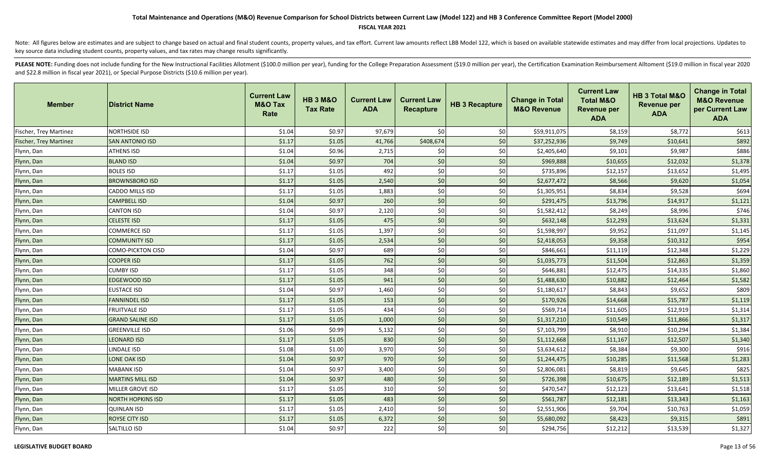### **FISCAL YEAR 2021**

Note: All figures below are estimates and are subject to change based on actual and final student counts, property values, and tax effort. Current law amounts reflect LBB Model 122, which is based on available statewide es key source data including student counts, property values, and tax rates may change results significantly.

| <b>Member</b>                 | ∣District Name           | <b>Current Law</b><br><b>M&amp;O Tax</b><br>Rate | <b>HB 3 M&amp;O</b><br><b>Tax Rate</b> | <b>Current Law</b><br><b>ADA</b> | <b>Current Law</b><br><b>Recapture</b> | <b>HB 3 Recapture</b> | <b>Change in Total</b><br><b>M&amp;O Revenue</b> | <b>Current Law</b><br><b>Total M&amp;O</b><br><b>Revenue per</b><br><b>ADA</b> | HB 3 Total M&O<br><b>Revenue per</b><br><b>ADA</b> | <b>Change in Total</b><br><b>M&amp;O Revenue</b><br>per Current Law<br><b>ADA</b> |
|-------------------------------|--------------------------|--------------------------------------------------|----------------------------------------|----------------------------------|----------------------------------------|-----------------------|--------------------------------------------------|--------------------------------------------------------------------------------|----------------------------------------------------|-----------------------------------------------------------------------------------|
| Fischer, Trey Martinez        | <b>NORTHSIDE ISD</b>     | \$1.04                                           | \$0.97                                 | 97,679                           | 50 <sup>1</sup>                        | \$0                   | \$59,911,075                                     | \$8,159                                                                        | \$8,772                                            | \$613                                                                             |
| <b>Fischer, Trey Martinez</b> | <b>SAN ANTONIO ISD</b>   | \$1.17                                           | \$1.05                                 | 41,766                           | \$408,674                              | \$0                   | \$37,252,936                                     | \$9,749                                                                        | \$10,641                                           | \$892                                                                             |
| Flynn, Dan                    | <b>ATHENS ISD</b>        | \$1.04                                           | \$0.96                                 | 2,715                            | \$0                                    | \$0                   | \$2,405,640                                      | \$9,101                                                                        | \$9,987                                            | \$886                                                                             |
| Flynn, Dan                    | <b>BLAND ISD</b>         | \$1.04                                           | \$0.97                                 | 704                              | \$0                                    | \$0                   | \$969,888                                        | \$10,655                                                                       | \$12,032                                           | \$1,378                                                                           |
| Flynn, Dan                    | <b>BOLES ISD</b>         | \$1.17                                           | \$1.05                                 | 492                              | \$0                                    | \$0                   | \$735,896                                        | \$12,157                                                                       | \$13,652                                           | \$1,495                                                                           |
| Flynn, Dan                    | <b>BROWNSBORO ISD</b>    | \$1.17                                           | \$1.05                                 | 2,540                            | \$0                                    | \$0                   | \$2,677,472                                      | \$8,566                                                                        | \$9,620                                            | \$1,054                                                                           |
| Flynn, Dan                    | <b>CADDO MILLS ISD</b>   | \$1.17                                           | \$1.05                                 | 1,883                            | \$0                                    | \$0                   | \$1,305,951                                      | \$8,834                                                                        | \$9,528                                            | \$694                                                                             |
| Flynn, Dan                    | <b>CAMPBELL ISD</b>      | \$1.04                                           | \$0.97                                 | 260                              | \$0                                    | \$0                   | \$291,475                                        | \$13,796                                                                       | \$14,917                                           | \$1,121                                                                           |
| Flynn, Dan                    | <b>CANTON ISD</b>        | \$1.04                                           | \$0.97                                 | 2,120                            | \$0                                    | \$0                   | \$1,582,412                                      | \$8,249                                                                        | \$8,996                                            | \$746                                                                             |
| Flynn, Dan                    | <b>CELESTE ISD</b>       | \$1.17                                           | \$1.05                                 | 475                              | \$0                                    | \$0                   | \$632,148                                        | \$12,293                                                                       | \$13,624                                           | \$1,331                                                                           |
| Flynn, Dan                    | <b>COMMERCE ISD</b>      | \$1.17                                           | \$1.05                                 | 1,397                            | \$0                                    | \$0                   | \$1,598,997                                      | \$9,952                                                                        | \$11,097                                           | \$1,145                                                                           |
| Flynn, Dan                    | <b>COMMUNITY ISD</b>     | \$1.17                                           | \$1.05                                 | 2,534                            | \$0                                    | \$0                   | \$2,418,053                                      | \$9,358                                                                        | \$10,312                                           | \$954                                                                             |
| Flynn, Dan                    | <b>COMO-PICKTON CISD</b> | \$1.04                                           | \$0.97                                 | 689                              | \$0                                    | \$0                   | \$846,661                                        | \$11,119                                                                       | \$12,348                                           | \$1,229                                                                           |
| Flynn, Dan                    | <b>COOPER ISD</b>        | \$1.17                                           | \$1.05                                 | 762                              | \$0                                    | \$0                   | \$1,035,773                                      | \$11,504                                                                       | \$12,863                                           | \$1,359                                                                           |
| Flynn, Dan                    | <b>CUMBY ISD</b>         | \$1.17                                           | \$1.05                                 | 348                              | \$0                                    | \$0                   | \$646,881                                        | \$12,475                                                                       | \$14,335                                           | \$1,860                                                                           |
| Flynn, Dan                    | <b>EDGEWOOD ISD</b>      | \$1.17                                           | \$1.05                                 | 941                              | \$0                                    | \$0                   | \$1,488,630                                      | \$10,882                                                                       | \$12,464                                           | \$1,582                                                                           |
| Flynn, Dan                    | <b>EUSTACE ISD</b>       | \$1.04                                           | \$0.97                                 | 1,460                            | \$0                                    | \$0                   | \$1,180,617                                      | \$8,843                                                                        | \$9,652                                            | \$809                                                                             |
| Flynn, Dan                    | <b>FANNINDEL ISD</b>     | \$1.17                                           | \$1.05                                 | 153                              | $$0$$                                  | \$0                   | \$170,926                                        | \$14,668                                                                       | \$15,787                                           | \$1,119                                                                           |
| Flynn, Dan                    | <b>FRUITVALE ISD</b>     | \$1.17                                           | \$1.05                                 | 434                              | \$0                                    | \$0                   | \$569,714                                        | \$11,605                                                                       | \$12,919                                           | \$1,314                                                                           |
| Flynn, Dan                    | <b>GRAND SALINE ISD</b>  | \$1.17                                           | \$1.05                                 | 1,000                            | $$0$$                                  | \$0                   | \$1,317,210                                      | \$10,549                                                                       | \$11,866                                           | \$1,317                                                                           |
| Flynn, Dan                    | <b>GREENVILLE ISD</b>    | \$1.06                                           | \$0.99                                 | 5,132                            | \$0                                    | \$0                   | \$7,103,799                                      | \$8,910                                                                        | \$10,294                                           | \$1,384                                                                           |
| Flynn, Dan                    | <b>LEONARD ISD</b>       | \$1.17                                           | \$1.05                                 | 830                              | \$0                                    | \$0                   | \$1,112,668                                      | \$11,167                                                                       | \$12,507                                           | \$1,340                                                                           |
| Flynn, Dan                    | <b>LINDALE ISD</b>       | \$1.08                                           | \$1.00                                 | 3,970                            | \$0                                    | \$0                   | \$3,634,612                                      | \$8,384                                                                        | \$9,300                                            | \$916                                                                             |
| Flynn, Dan                    | LONE OAK ISD             | \$1.04                                           | \$0.97                                 | 970                              | $$0$$                                  | \$0                   | \$1,244,475                                      | \$10,285                                                                       | \$11,568                                           | \$1,283                                                                           |
| Flynn, Dan                    | <b>MABANK ISD</b>        | \$1.04                                           | \$0.97                                 | 3,400                            | \$0                                    | \$0                   | \$2,806,081                                      | \$8,819                                                                        | \$9,645                                            | \$825                                                                             |
| Flynn, Dan                    | <b>MARTINS MILL ISD</b>  | \$1.04                                           | \$0.97                                 | 480                              | \$0                                    | \$0                   | \$726,398                                        | \$10,675                                                                       | \$12,189                                           | \$1,513                                                                           |
| Flynn, Dan                    | <b>MILLER GROVE ISD</b>  | \$1.17                                           | \$1.05                                 | 310                              | \$0                                    | \$0                   | \$470,547                                        | \$12,123                                                                       | \$13,641                                           | \$1,518                                                                           |
| Flynn, Dan                    | <b>NORTH HOPKINS ISD</b> | \$1.17                                           | \$1.05                                 | 483                              | \$0                                    | \$0                   | \$561,787                                        | \$12,181                                                                       | \$13,343                                           | \$1,163                                                                           |
| Flynn, Dan                    | <b>QUINLAN ISD</b>       | \$1.17                                           | \$1.05                                 | 2,410                            | \$0                                    | \$0                   | \$2,551,906                                      | \$9,704                                                                        | \$10,763                                           | \$1,059                                                                           |
| Flynn, Dan                    | <b>ROYSE CITY ISD</b>    | \$1.17                                           | \$1.05                                 | 6,372                            | \$0                                    | \$0                   | \$5,680,092                                      | \$8,423                                                                        | \$9,315                                            | \$891                                                                             |
| Flynn, Dan                    | <b>SALTILLO ISD</b>      | \$1.04                                           | \$0.97                                 | 222                              | \$0                                    | \$0                   | \$294,756                                        | \$12,212                                                                       | \$13,539                                           | \$1,327                                                                           |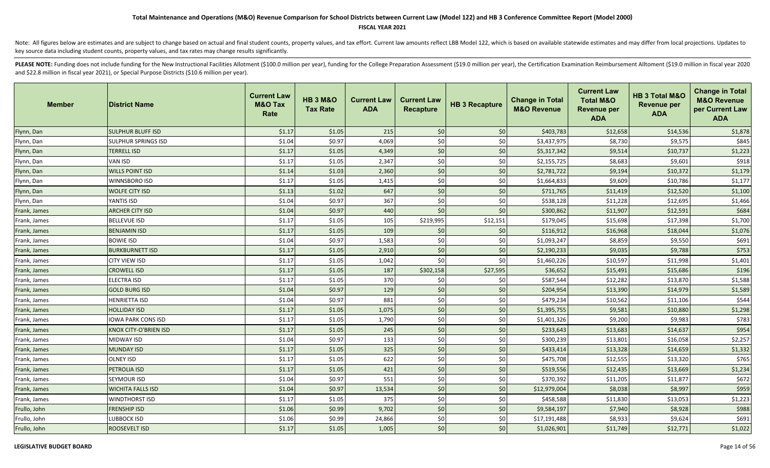### **FISCAL YEAR 2021**

Note: All figures below are estimates and are subject to change based on actual and final student counts, property values, and tax effort. Current law amounts reflect LBB Model 122, which is based on available statewide es key source data including student counts, property values, and tax rates may change results significantly.

| <b>Member</b> | <b>District Name</b>         | <b>Current Law</b><br><b>M&amp;O Tax</b><br>Rate | <b>HB 3 M&amp;O</b><br><b>Tax Rate</b> | <b>Current Law</b><br><b>ADA</b> | <b>Current Law</b><br><b>Recapture</b> | <b>HB 3 Recapture</b> | <b>Change in Total</b><br><b>M&amp;O Revenue</b> | <b>Current Law</b><br><b>Total M&amp;O</b><br><b>Revenue per</b><br><b>ADA</b> | HB 3 Total M&O<br><b>Revenue per</b><br><b>ADA</b> | <b>Change in Total</b><br><b>M&amp;O Revenue</b><br>per Current Law<br><b>ADA</b> |
|---------------|------------------------------|--------------------------------------------------|----------------------------------------|----------------------------------|----------------------------------------|-----------------------|--------------------------------------------------|--------------------------------------------------------------------------------|----------------------------------------------------|-----------------------------------------------------------------------------------|
| Flynn, Dan    | <b>SULPHUR BLUFF ISD</b>     | \$1.17                                           | \$1.05                                 | 215                              | \$0                                    | \$0                   | \$403,783                                        | \$12,658                                                                       | \$14,536                                           | \$1,878                                                                           |
| Flynn, Dan    | SULPHUR SPRINGS ISD          | \$1.04                                           | \$0.97                                 | 4,069                            | \$0                                    | \$0                   | \$3,437,975                                      | \$8,730                                                                        | \$9,575                                            | \$845                                                                             |
| Flynn, Dan    | <b>TERRELL ISD</b>           | \$1.17                                           | \$1.05                                 | 4,349                            | \$0                                    | \$0                   | \$5,317,342                                      | \$9,514                                                                        | \$10,737                                           | \$1,223                                                                           |
| Flynn, Dan    | VAN ISD                      | \$1.17                                           | \$1.05                                 | 2,347                            | \$0                                    | \$0                   | \$2,155,725                                      | \$8,683                                                                        | \$9,601                                            | \$918                                                                             |
| Flynn, Dan    | <b>WILLS POINT ISD</b>       | \$1.14                                           | \$1.03                                 | 2,360                            | \$0                                    | \$0                   | \$2,781,722                                      | \$9,194                                                                        | \$10,372                                           | \$1,179                                                                           |
| Flynn, Dan    | WINNSBORO ISD                | \$1.17                                           | \$1.05                                 | 1,415                            | \$0                                    | \$0                   | \$1,664,833                                      | \$9,609                                                                        | \$10,786                                           | \$1,177                                                                           |
| Flynn, Dan    | <b>WOLFE CITY ISD</b>        | \$1.13                                           | \$1.02                                 | 647                              | \$0                                    | \$0                   | \$711,765                                        | \$11,419                                                                       | \$12,520                                           | \$1,100                                                                           |
| Flynn, Dan    | YANTIS ISD                   | \$1.04                                           | \$0.97                                 | 367                              | \$0                                    | \$0                   | \$538,128                                        | \$11,228                                                                       | \$12,695                                           | \$1,466                                                                           |
| Frank, James  | <b>ARCHER CITY ISD</b>       | \$1.04                                           | \$0.97                                 | 440                              | \$0                                    | \$0                   | \$300,862                                        | \$11,907                                                                       | \$12,591                                           | \$684                                                                             |
| Frank, James  | <b>BELLEVUE ISD</b>          | \$1.17                                           | \$1.05                                 | 105                              | \$219,995                              | \$12,151              | \$179,045                                        | \$15,698                                                                       | \$17,398                                           | \$1,700                                                                           |
| Frank, James  | <b>BENJAMIN ISD</b>          | \$1.17                                           | \$1.05                                 | 109                              | \$0                                    | \$0                   | \$116,912                                        | \$16,968                                                                       | \$18,044                                           | \$1,076                                                                           |
| Frank, James  | <b>BOWIE ISD</b>             | \$1.04                                           | \$0.97                                 | 1,583                            | \$0                                    | \$0                   | \$1,093,247                                      | \$8,859                                                                        | \$9,550                                            | \$691                                                                             |
| Frank, James  | <b>BURKBURNETT ISD</b>       | \$1.17                                           | \$1.05                                 | 2,910                            | \$0                                    | \$0                   | \$2,190,233                                      | \$9,035                                                                        | \$9,788                                            | \$753                                                                             |
| Frank, James  | CITY VIEW ISD                | \$1.17                                           | \$1.05                                 | 1,042                            | \$0                                    | \$0                   | \$1,460,226                                      | \$10,597                                                                       | \$11,998                                           | \$1,401                                                                           |
| Frank, James  | <b>CROWELL ISD</b>           | \$1.17                                           | \$1.05                                 | 187                              | \$302,158                              | \$27,595              | \$36,652                                         | \$15,491                                                                       | \$15,686                                           | \$196                                                                             |
| Frank, James  | ELECTRA ISD                  | \$1.17                                           | \$1.05                                 | 370                              | \$0                                    | \$0                   | \$587,544                                        | \$12,282                                                                       | \$13,870                                           | \$1,588                                                                           |
| Frank, James  | <b>GOLD BURG ISD</b>         | \$1.04                                           | \$0.97                                 | 129                              | \$0                                    | \$0                   | \$204,954                                        | \$13,390                                                                       | \$14,979                                           | \$1,589                                                                           |
| Frank, James  | <b>HENRIETTA ISD</b>         | \$1.04                                           | \$0.97                                 | 881                              | \$0                                    | \$0                   | \$479,234                                        | \$10,562                                                                       | \$11,106                                           | \$544                                                                             |
| Frank, James  | <b>HOLLIDAY ISD</b>          | \$1.17                                           | \$1.05                                 | 1,075                            | $$0$$                                  | \$0                   | \$1,395,755                                      | \$9,581                                                                        | \$10,880                                           | \$1,298                                                                           |
| Frank, James  | IOWA PARK CONS ISD           | \$1.17                                           | \$1.05                                 | 1,790                            | \$0                                    | \$0                   | \$1,401,326                                      | \$9,200                                                                        | \$9,983                                            | \$783                                                                             |
| Frank, James  | <b>KNOX CITY-O'BRIEN ISD</b> | \$1.17                                           | \$1.05                                 | 245                              | $$0$$                                  | \$0                   | \$233,643                                        | \$13,683                                                                       | \$14,637                                           | \$954                                                                             |
| Frank, James  | MIDWAY ISD                   | \$1.04                                           | \$0.97                                 | 133                              | \$0                                    | \$0                   | \$300,239                                        | \$13,801                                                                       | \$16,058                                           | \$2,257                                                                           |
| Frank, James  | <b>MUNDAY ISD</b>            | \$1.17                                           | \$1.05                                 | 325                              | $$0$$                                  | \$0                   | \$433,414                                        | \$13,328                                                                       | \$14,659                                           | \$1,332                                                                           |
| Frank, James  | OLNEY ISD                    | \$1.17                                           | \$1.05                                 | 622                              | \$0                                    | \$0                   | \$475,708                                        | \$12,555                                                                       | \$13,320                                           | \$765                                                                             |
| Frank, James  | PETROLIA ISD                 | \$1.17                                           | \$1.05                                 | 421                              | \$0                                    | \$0                   | \$519,556                                        | \$12,435                                                                       | \$13,669                                           | \$1,234                                                                           |
| Frank, James  | SEYMOUR ISD                  | \$1.04                                           | \$0.97                                 | 551                              | \$0                                    | \$0                   | \$370,392                                        | \$11,205                                                                       | \$11,877                                           | \$672                                                                             |
| Frank, James  | <b>WICHITA FALLS ISD</b>     | \$1.04                                           | \$0.97                                 | 13,534                           | \$0                                    | \$0                   | \$12,979,004                                     | \$8,038                                                                        | \$8,997                                            | \$959                                                                             |
| Frank, James  | <b>WINDTHORST ISD</b>        | \$1.17                                           | \$1.05                                 | 375                              | \$0                                    | \$0                   | \$458,588                                        | \$11,830                                                                       | \$13,053                                           | \$1,223                                                                           |
| Frullo, John  | <b>FRENSHIP ISD</b>          | \$1.06                                           | \$0.99                                 | 9,702                            | $$0$$                                  | \$0                   | \$9,584,197                                      | \$7,940                                                                        | \$8,928                                            | \$988                                                                             |
| Frullo, John  | LUBBOCK ISD                  | \$1.06                                           | \$0.99                                 | 24,866                           | \$0                                    | \$0                   | \$17,191,488                                     | \$8,933                                                                        | \$9,624                                            | \$691                                                                             |
| Frullo, John  | <b>ROOSEVELT ISD</b>         | \$1.17                                           | \$1.05                                 | 1,005                            | \$0                                    | \$0                   | \$1,026,901                                      | \$11,749                                                                       | \$12,771                                           | \$1,022                                                                           |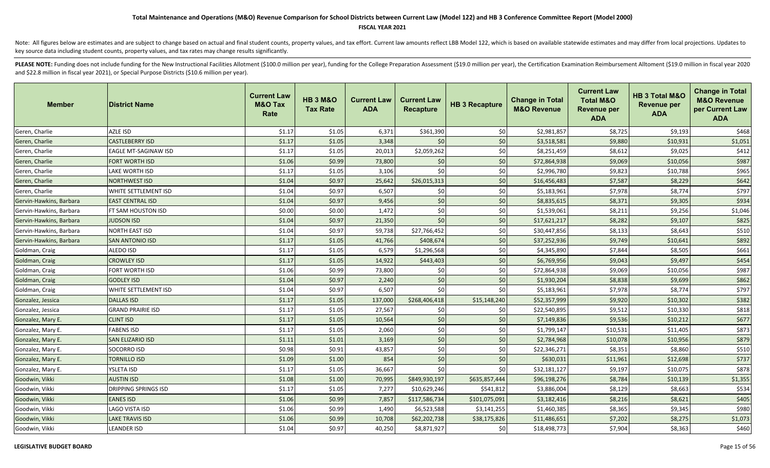### **FISCAL YEAR 2021**

Note: All figures below are estimates and are subject to change based on actual and final student counts, property values, and tax effort. Current law amounts reflect LBB Model 122, which is based on available statewide es key source data including student counts, property values, and tax rates may change results significantly.

| <b>Member</b>           | <b>District Name</b>        | <b>Current Law</b><br><b>M&amp;O Tax</b><br>Rate | <b>HB 3 M&amp;O</b><br><b>Tax Rate</b> | <b>Current Law</b><br><b>ADA</b> | <b>Current Law</b><br><b>Recapture</b> | <b>HB 3 Recapture</b> | <b>Change in Total</b><br><b>M&amp;O Revenue</b> | <b>Current Law</b><br><b>Total M&amp;O</b><br><b>Revenue per</b><br><b>ADA</b> | HB 3 Total M&O<br><b>Revenue per</b><br><b>ADA</b> | <b>Change in Total</b><br><b>M&amp;O Revenue</b><br>per Current Law<br><b>ADA</b> |
|-------------------------|-----------------------------|--------------------------------------------------|----------------------------------------|----------------------------------|----------------------------------------|-----------------------|--------------------------------------------------|--------------------------------------------------------------------------------|----------------------------------------------------|-----------------------------------------------------------------------------------|
| Geren, Charlie          | AZLE ISD                    | \$1.17                                           | \$1.05                                 | 6,371                            | \$361,390                              | \$0                   | \$2,981,857                                      | \$8,725                                                                        | \$9,193                                            | \$468                                                                             |
| Geren, Charlie          | <b>CASTLEBERRY ISD</b>      | \$1.17                                           | \$1.05                                 | 3,348                            | \$0                                    | \$0                   | \$3,518,581                                      | \$9,880                                                                        | \$10,931                                           | \$1,051                                                                           |
| Geren, Charlie          | EAGLE MT-SAGINAW ISD        | \$1.17                                           | \$1.05                                 | 20,013                           | \$2,059,262                            | \$0                   | \$8,251,459                                      | \$8,612                                                                        | \$9,025                                            | \$412                                                                             |
| Geren, Charlie          | <b>FORT WORTH ISD</b>       | \$1.06                                           | \$0.99                                 | 73,800                           | \$0                                    | \$0                   | \$72,864,938                                     | \$9,069                                                                        | \$10,056                                           | \$987                                                                             |
| Geren, Charlie          | LAKE WORTH ISD              | \$1.17                                           | \$1.05                                 | 3,106                            | \$0                                    | \$0                   | \$2,996,780                                      | \$9,823                                                                        | \$10,788                                           | \$965                                                                             |
| Geren, Charlie          | <b>NORTHWEST ISD</b>        | \$1.04                                           | \$0.97                                 | 25,642                           | \$26,015,313                           | \$0                   | \$16,456,483                                     | \$7,587                                                                        | \$8,229                                            | \$642                                                                             |
| Geren, Charlie          | WHITE SETTLEMENT ISD        | \$1.04                                           | \$0.97                                 | 6,507                            | \$0                                    | \$0                   | \$5,183,961                                      | \$7,978                                                                        | \$8,774                                            | \$797                                                                             |
| Gervin-Hawkins, Barbara | <b>EAST CENTRAL ISD</b>     | \$1.04                                           | \$0.97                                 | 9,456                            | \$0                                    | \$0                   | \$8,835,615                                      | \$8,371                                                                        | \$9,305                                            | \$934                                                                             |
| Gervin-Hawkins, Barbara | FT SAM HOUSTON ISD          | \$0.00                                           | \$0.00                                 | 1,472                            | \$0                                    | \$0                   | \$1,539,061                                      | \$8,211                                                                        | \$9,256                                            | \$1,046                                                                           |
| Gervin-Hawkins, Barbara | <b>JUDSON ISD</b>           | \$1.04                                           | \$0.97                                 | 21,350                           | \$0                                    | \$0                   | \$17,621,217                                     | \$8,282                                                                        | \$9,107                                            | \$825                                                                             |
| Gervin-Hawkins, Barbara | NORTH EAST ISD              | \$1.04                                           | \$0.97                                 | 59,738                           | \$27,766,452                           | \$0                   | \$30,447,856                                     | \$8,133                                                                        | \$8,643                                            | \$510                                                                             |
| Gervin-Hawkins, Barbara | <b>SAN ANTONIO ISD</b>      | \$1.17                                           | \$1.05                                 | 41,766                           | \$408,674                              | \$0                   | \$37,252,936                                     | \$9,749                                                                        | \$10,641                                           | \$892                                                                             |
| Goldman, Craig          | ALEDO ISD                   | \$1.17                                           | \$1.05                                 | 6,579                            | \$1,296,568                            | \$0                   | \$4,345,890                                      | \$7,844                                                                        | \$8,505                                            | \$661                                                                             |
| Goldman, Craig          | <b>CROWLEY ISD</b>          | \$1.17                                           | \$1.05                                 | 14,922                           | \$443,403                              | \$0                   | \$6,769,956                                      | \$9,043                                                                        | \$9,497                                            | \$454                                                                             |
| Goldman, Craig          | FORT WORTH ISD              | \$1.06                                           | \$0.99                                 | 73,800                           | \$0                                    | \$0                   | \$72,864,938                                     | \$9,069                                                                        | \$10,056                                           | \$987                                                                             |
| Goldman, Craig          | <b>GODLEY ISD</b>           | \$1.04                                           | \$0.97                                 | 2,240                            | \$0                                    | \$0                   | \$1,930,204                                      | \$8,838                                                                        | \$9,699                                            | \$862                                                                             |
| Goldman, Craig          | WHITE SETTLEMENT ISD        | \$1.04                                           | \$0.97                                 | 6,507                            | \$0                                    | \$0                   | \$5,183,961                                      | \$7,978                                                                        | \$8,774                                            | \$797                                                                             |
| Gonzalez, Jessica       | <b>DALLAS ISD</b>           | \$1.17                                           | \$1.05                                 | 137,000                          | \$268,406,418                          | \$15,148,240          | \$52,357,999                                     | \$9,920                                                                        | \$10,302                                           | \$382                                                                             |
| Gonzalez, Jessica       | <b>GRAND PRAIRIE ISD</b>    | \$1.17                                           | \$1.05                                 | 27,567                           | \$0                                    | \$0                   | \$22,540,895                                     | \$9,512                                                                        | \$10,330                                           | \$818                                                                             |
| Gonzalez, Mary E.       | <b>CLINT ISD</b>            | \$1.17                                           | \$1.05                                 | 10,564                           | \$0                                    | \$0                   | \$7,149,836                                      | \$9,536                                                                        | \$10,212                                           | \$677                                                                             |
| Gonzalez, Mary E.       | <b>FABENS ISD</b>           | \$1.17                                           | \$1.05                                 | 2,060                            | \$0                                    | \$0                   | \$1,799,147                                      | \$10,531                                                                       | \$11,405                                           | \$873                                                                             |
| Gonzalez, Mary E.       | <b>SAN ELIZARIO ISD</b>     | \$1.11                                           | \$1.01                                 | 3,169                            | \$0                                    | \$0                   | \$2,784,968                                      | \$10,078                                                                       | \$10,956                                           | \$879                                                                             |
| Gonzalez, Mary E.       | SOCORRO ISD                 | \$0.98                                           | \$0.91                                 | 43,857                           | \$0                                    | \$0                   | \$22,346,271                                     | \$8,351                                                                        | \$8,860                                            | \$510                                                                             |
| Gonzalez, Mary E.       | <b>TORNILLO ISD</b>         | \$1.09                                           | \$1.00                                 | 854                              | \$0                                    | \$0                   | \$630,031                                        | \$11,961                                                                       | \$12,698                                           | \$737                                                                             |
| Gonzalez, Mary E.       | YSLETA ISD                  | \$1.17                                           | \$1.05                                 | 36,667                           | \$0                                    | \$0                   | \$32,181,127                                     | \$9,197                                                                        | \$10,075                                           | \$878                                                                             |
| Goodwin, Vikki          | <b>AUSTIN ISD</b>           | \$1.08                                           | \$1.00                                 | 70,995                           | \$849,930,197                          | \$635,857,444         | \$96,198,276                                     | \$8,784                                                                        | \$10,139                                           | \$1,355                                                                           |
| Goodwin, Vikki          | <b>DRIPPING SPRINGS ISD</b> | \$1.17                                           | \$1.05                                 | 7,277                            | \$10,629,246                           | \$541,812             | \$3,886,004                                      | \$8,129                                                                        | \$8,663                                            | \$534                                                                             |
| Goodwin, Vikki          | <b>EANES ISD</b>            | \$1.06                                           | \$0.99                                 | 7,857                            | \$117,586,734                          | \$101,075,091         | \$3,182,416                                      | \$8,216                                                                        | \$8,621                                            | \$405                                                                             |
| Goodwin, Vikki          | LAGO VISTA ISD              | \$1.06                                           | \$0.99                                 | 1,490                            | \$6,523,588                            | \$3,141,255           | \$1,460,385                                      | \$8,365                                                                        | \$9,345                                            | \$980                                                                             |
| Goodwin, Vikki          | <b>LAKE TRAVIS ISD</b>      | \$1.06                                           | \$0.99                                 | 10,708                           | \$62,202,738                           | \$38,175,826          | \$11,486,651                                     | \$7,202                                                                        | \$8,275                                            | \$1,073                                                                           |
| Goodwin, Vikki          | LEANDER ISD                 | \$1.04                                           | \$0.97                                 | 40,250                           | \$8,871,927                            | \$0                   | \$18,498,773                                     | \$7,904                                                                        | \$8,363                                            | \$460                                                                             |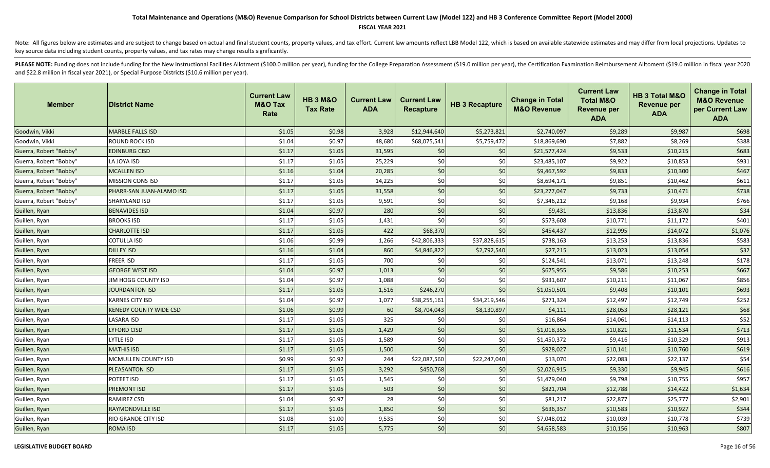### **FISCAL YEAR 2021**

Note: All figures below are estimates and are subject to change based on actual and final student counts, property values, and tax effort. Current law amounts reflect LBB Model 122, which is based on available statewide es key source data including student counts, property values, and tax rates may change results significantly.

| <b>Member</b>          | <b>IDistrict Name</b>         | <b>Current Law</b><br><b>M&amp;O Tax</b><br>Rate | <b>HB 3 M&amp;O</b><br><b>Tax Rate</b> | <b>Current Law</b><br><b>ADA</b> | <b>Current Law</b><br><b>Recapture</b> | <b>HB 3 Recapture</b> | <b>Change in Total</b><br><b>M&amp;O Revenue</b> | <b>Current Law</b><br><b>Total M&amp;O</b><br><b>Revenue per</b><br><b>ADA</b> | HB 3 Total M&O<br><b>Revenue per</b><br><b>ADA</b> | <b>Change in Total</b><br><b>M&amp;O Revenue</b><br>per Current Law<br><b>ADA</b> |
|------------------------|-------------------------------|--------------------------------------------------|----------------------------------------|----------------------------------|----------------------------------------|-----------------------|--------------------------------------------------|--------------------------------------------------------------------------------|----------------------------------------------------|-----------------------------------------------------------------------------------|
| Goodwin, Vikki         | <b>MARBLE FALLS ISD</b>       | \$1.05                                           | \$0.98                                 | 3,928                            | \$12,944,640                           | \$5,273,821           | \$2,740,097                                      | \$9,289                                                                        | \$9,987                                            | \$698                                                                             |
| Goodwin, Vikki         | <b>ROUND ROCK ISD</b>         | \$1.04                                           | \$0.97                                 | 48,680                           | \$68,075,541                           | \$5,759,472           | \$18,869,690                                     | \$7,882                                                                        | \$8,269                                            | \$388                                                                             |
| Guerra, Robert "Bobby" | <b>EDINBURG CISD</b>          | \$1.17                                           | \$1.05                                 | 31,595                           | \$0                                    | \$0                   | \$21,577,424                                     | \$9,533                                                                        | \$10,215                                           | \$683                                                                             |
| Guerra, Robert "Bobby" | LA JOYA ISD                   | \$1.17                                           | \$1.05                                 | 25,229                           | \$0                                    | \$0                   | \$23,485,107                                     | \$9,922                                                                        | \$10,853                                           | \$931                                                                             |
| Guerra, Robert "Bobby" | <b>MCALLEN ISD</b>            | \$1.16                                           | \$1.04                                 | 20,285                           | \$0                                    | \$0                   | \$9,467,592                                      | \$9,833                                                                        | \$10,300                                           | \$467                                                                             |
| Guerra, Robert "Bobby" | <b>MISSION CONS ISD</b>       | \$1.17                                           | \$1.05                                 | 14,225                           | \$0                                    | \$0                   | \$8,694,171                                      | \$9,851                                                                        | \$10,462                                           | \$611                                                                             |
| Guerra, Robert "Bobby" | PHARR-SAN JUAN-ALAMO ISD      | \$1.17                                           | \$1.05                                 | 31,558                           | \$0                                    | \$0                   | \$23,277,047                                     | \$9,733                                                                        | \$10,471                                           | \$738                                                                             |
| Guerra, Robert "Bobby" | SHARYLAND ISD                 | \$1.17                                           | \$1.05                                 | 9,591                            | \$0                                    | \$0                   | \$7,346,212                                      | \$9,168                                                                        | \$9,934                                            | \$766                                                                             |
| Guillen, Ryan          | <b>BENAVIDES ISD</b>          | \$1.04                                           | \$0.97                                 | 280                              | $$0$$                                  | \$0                   | \$9,431                                          | \$13,836                                                                       | \$13,870                                           | \$34                                                                              |
| Guillen, Ryan          | <b>BROOKS ISD</b>             | \$1.17                                           | \$1.05                                 | 1,431                            | \$0                                    | \$0                   | \$573,608                                        | \$10,771                                                                       | \$11,172                                           | \$401                                                                             |
| Guillen, Ryan          | <b>CHARLOTTE ISD</b>          | \$1.17                                           | \$1.05                                 | 422                              | \$68,370                               | \$0                   | \$454,437                                        | \$12,995                                                                       | \$14,072                                           | \$1,076                                                                           |
| Guillen, Ryan          | <b>COTULLA ISD</b>            | \$1.06                                           | \$0.99                                 | 1,266                            | \$42,806,333                           | \$37,828,615          | \$738,163                                        | \$13,253                                                                       | \$13,836                                           | \$583                                                                             |
| Guillen, Ryan          | <b>DILLEY ISD</b>             | \$1.16                                           | \$1.04                                 | 860                              | \$4,846,822                            | \$2,792,540           | \$27,215                                         | \$13,023                                                                       | \$13,054                                           | \$32                                                                              |
| Guillen, Ryan          | <b>FREER ISD</b>              | \$1.17                                           | \$1.05                                 | 700                              | \$0                                    | \$0                   | \$124,541                                        | \$13,071                                                                       | \$13,248                                           | \$178                                                                             |
| Guillen, Ryan          | <b>GEORGE WEST ISD</b>        | \$1.04                                           | \$0.97                                 | 1,013                            | \$0                                    | \$0                   | \$675,955                                        | \$9,586                                                                        | \$10,253                                           | \$667                                                                             |
| Guillen, Ryan          | JIM HOGG COUNTY ISD           | \$1.04                                           | \$0.97                                 | 1,088                            | \$0                                    | \$0                   | \$931,607                                        | \$10,211                                                                       | \$11,067                                           | \$856                                                                             |
| Guillen, Ryan          | <b>JOURDANTON ISD</b>         | \$1.17                                           | \$1.05                                 | 1,516                            | \$246,270                              | \$0                   | \$1,050,501                                      | \$9,408                                                                        | \$10,101                                           | \$693                                                                             |
| Guillen, Ryan          | <b>KARNES CITY ISD</b>        | \$1.04                                           | \$0.97                                 | 1,077                            | \$38,255,161                           | \$34,219,546          | \$271,324                                        | \$12,497                                                                       | \$12,749                                           | \$252                                                                             |
| Guillen, Ryan          | <b>KENEDY COUNTY WIDE CSD</b> | \$1.06                                           | \$0.99                                 | 60                               | \$8,704,043                            | \$8,130,897           | \$4,111                                          | \$28,053                                                                       | \$28,121                                           | \$68                                                                              |
| Guillen, Ryan          | LASARA ISD                    | \$1.17                                           | \$1.05                                 | 325                              | \$0                                    | \$0                   | \$16,864                                         | \$14,061                                                                       | \$14,113                                           | \$52                                                                              |
| Guillen, Ryan          | <b>LYFORD CISD</b>            | \$1.17                                           | \$1.05                                 | 1,429                            | \$0                                    | \$0                   | \$1,018,355                                      | \$10,821                                                                       | \$11,534                                           | \$713                                                                             |
| Guillen, Ryan          | LYTLE ISD                     | \$1.17                                           | \$1.05                                 | 1,589                            | \$0                                    | \$0                   | \$1,450,372                                      | \$9,416                                                                        | \$10,329                                           | \$913                                                                             |
| Guillen, Ryan          | <b>MATHIS ISD</b>             | \$1.17                                           | \$1.05                                 | 1,500                            | \$0                                    | \$0                   | \$928,027                                        | \$10,141                                                                       | \$10,760                                           | \$619                                                                             |
| Guillen, Ryan          | MCMULLEN COUNTY ISD           | \$0.99                                           | \$0.92                                 | 244                              | \$22,087,560                           | \$22,247,040          | \$13,070                                         | \$22,083                                                                       | \$22,137                                           | \$54                                                                              |
| Guillen, Ryan          | <b>PLEASANTON ISD</b>         | \$1.17                                           | \$1.05                                 | 3,292                            | \$450,768                              | \$0                   | \$2,026,915                                      | \$9,330                                                                        | \$9,945                                            | \$616                                                                             |
| Guillen, Ryan          | POTEET ISD                    | \$1.17                                           | \$1.05                                 | 1,545                            | \$0                                    | \$0                   | \$1,479,040                                      | \$9,798                                                                        | \$10,755                                           | \$957                                                                             |
| Guillen, Ryan          | PREMONT ISD                   | \$1.17                                           | \$1.05                                 | 503                              | $$0$$                                  | \$0                   | \$821,704                                        | \$12,788                                                                       | \$14,422                                           | \$1,634                                                                           |
| Guillen, Ryan          | <b>RAMIREZ CSD</b>            | \$1.04                                           | \$0.97                                 | 28                               | \$0                                    | \$0                   | \$81,217                                         | \$22,877                                                                       | \$25,777                                           | \$2,901                                                                           |
| Guillen, Ryan          | RAYMONDVILLE ISD              | \$1.17                                           | \$1.05                                 | 1,850                            | \$0                                    | \$0                   | \$636,357                                        | \$10,583                                                                       | \$10,927                                           | \$344                                                                             |
| Guillen, Ryan          | RIO GRANDE CITY ISD           | \$1.08                                           | \$1.00                                 | 9,535                            | \$0                                    | \$0                   | \$7,048,012                                      | \$10,039                                                                       | \$10,778                                           | \$739                                                                             |
| Guillen, Ryan          | <b>ROMA ISD</b>               | \$1.17                                           | \$1.05                                 | 5,775                            | \$0                                    | \$0                   | \$4,658,583                                      | \$10,156                                                                       | \$10,963                                           | \$807                                                                             |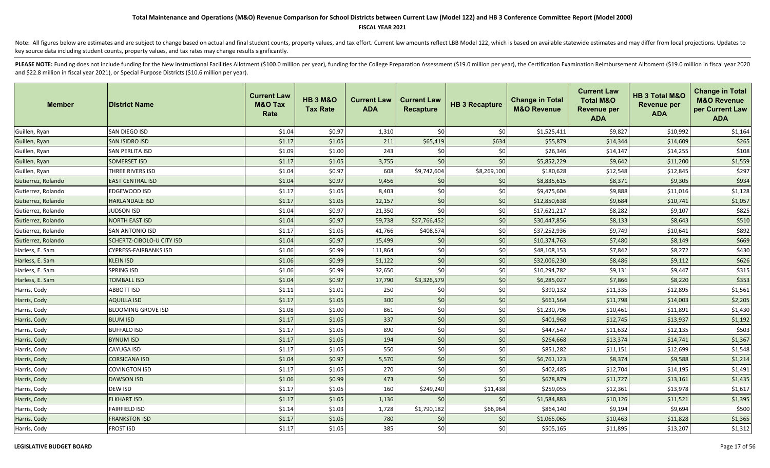### **FISCAL YEAR 2021**

Note: All figures below are estimates and are subject to change based on actual and final student counts, property values, and tax effort. Current law amounts reflect LBB Model 122, which is based on available statewide es key source data including student counts, property values, and tax rates may change results significantly.

| <b>Member</b>      | <b>District Name</b>             | <b>Current Law</b><br><b>M&amp;O Tax</b><br>Rate | <b>HB 3 M&amp;O</b><br><b>Tax Rate</b> | <b>Current Law</b><br><b>ADA</b> | <b>Current Law</b><br><b>Recapture</b> | <b>HB 3 Recapture</b> | <b>Change in Total</b><br><b>M&amp;O Revenue</b> | <b>Current Law</b><br><b>Total M&amp;O</b><br><b>Revenue per</b><br><b>ADA</b> | HB 3 Total M&O<br><b>Revenue per</b><br><b>ADA</b> | <b>Change in Total</b><br><b>M&amp;O Revenue</b><br>per Current Law<br><b>ADA</b> |
|--------------------|----------------------------------|--------------------------------------------------|----------------------------------------|----------------------------------|----------------------------------------|-----------------------|--------------------------------------------------|--------------------------------------------------------------------------------|----------------------------------------------------|-----------------------------------------------------------------------------------|
| Guillen, Ryan      | <b>SAN DIEGO ISD</b>             | \$1.04                                           | \$0.97                                 | 1,310                            | \$0                                    | \$0                   | \$1,525,411                                      | \$9,827                                                                        | \$10,992                                           | \$1,164                                                                           |
| Guillen, Ryan      | <b>SAN ISIDRO ISD</b>            | \$1.17                                           | \$1.05                                 | 211                              | \$65,419                               | \$634                 | \$55,879                                         | \$14,344                                                                       | \$14,609                                           | \$265                                                                             |
| Guillen, Ryan      | <b>SAN PERLITA ISD</b>           | \$1.09                                           | \$1.00                                 | 243                              | \$0                                    | \$0                   | \$26,346                                         | \$14,147                                                                       | \$14,255                                           | \$108                                                                             |
| Guillen, Ryan      | <b>SOMERSET ISD</b>              | \$1.17                                           | \$1.05                                 | 3,755                            | \$0                                    | \$0                   | \$5,852,229                                      | \$9,642                                                                        | \$11,200                                           | \$1,559                                                                           |
| Guillen, Ryan      | THREE RIVERS ISD                 | \$1.04                                           | \$0.97                                 | 608                              | \$9,742,604                            | \$8,269,100           | \$180,628                                        | \$12,548                                                                       | \$12,845                                           | \$297                                                                             |
| Gutierrez, Rolando | <b>EAST CENTRAL ISD</b>          | \$1.04                                           | \$0.97                                 | 9,456                            | \$0                                    | \$0                   | \$8,835,615                                      | \$8,371                                                                        | \$9,305                                            | \$934                                                                             |
| Gutierrez, Rolando | EDGEWOOD ISD                     | \$1.17                                           | \$1.05                                 | 8,403                            | \$0                                    | \$0                   | \$9,475,604                                      | \$9,888                                                                        | \$11,016                                           | \$1,128                                                                           |
| Gutierrez, Rolando | <b>HARLANDALE ISD</b>            | \$1.17                                           | \$1.05                                 | 12,157                           | \$0                                    | \$0                   | \$12,850,638                                     | \$9,684                                                                        | \$10,741                                           | \$1,057                                                                           |
| Gutierrez, Rolando | <b>JUDSON ISD</b>                | \$1.04                                           | \$0.97                                 | 21,350                           | \$0                                    | \$0                   | \$17,621,217                                     | \$8,282                                                                        | \$9,107                                            | \$825                                                                             |
| Gutierrez, Rolando | <b>NORTH EAST ISD</b>            | \$1.04                                           | \$0.97                                 | 59,738                           | \$27,766,452                           | \$0                   | \$30,447,856                                     | \$8,133                                                                        | \$8,643                                            | \$510                                                                             |
| Gutierrez, Rolando | <b>SAN ANTONIO ISD</b>           | \$1.17                                           | \$1.05                                 | 41,766                           | \$408,674                              | \$0                   | \$37,252,936                                     | \$9,749                                                                        | \$10,641                                           | \$892                                                                             |
| Gutierrez, Rolando | <b>SCHERTZ-CIBOLO-U CITY ISD</b> | \$1.04                                           | \$0.97                                 | 15,499                           | \$0                                    | \$0                   | \$10,374,763                                     | \$7,480                                                                        | \$8,149                                            | \$669                                                                             |
| Harless, E. Sam    | <b>CYPRESS-FAIRBANKS ISD</b>     | \$1.06                                           | \$0.99                                 | 111,864                          | \$0                                    | \$0                   | \$48,108,153                                     | \$7,842                                                                        | \$8,272                                            | \$430                                                                             |
| Harless, E. Sam    | <b>KLEIN ISD</b>                 | \$1.06                                           | \$0.99                                 | 51,122                           | \$0                                    | \$0                   | \$32,006,230                                     | \$8,486                                                                        | \$9,112                                            | \$626                                                                             |
| Harless, E. Sam    | <b>SPRING ISD</b>                | \$1.06                                           | \$0.99                                 | 32,650                           | \$0                                    | \$0                   | \$10,294,782                                     | \$9,131                                                                        | \$9,447                                            | \$315                                                                             |
| Harless, E. Sam    | <b>TOMBALL ISD</b>               | \$1.04                                           | \$0.97                                 | 17,790                           | \$3,326,579                            | \$0                   | \$6,285,027                                      | \$7,866                                                                        | \$8,220                                            | \$353                                                                             |
| Harris, Cody       | <b>ABBOTT ISD</b>                | \$1.11                                           | \$1.01                                 | 250                              | \$0                                    | \$0                   | \$390,132                                        | \$11,335                                                                       | \$12,895                                           | \$1,561                                                                           |
| Harris, Cody       | <b>AQUILLA ISD</b>               | \$1.17                                           | \$1.05                                 | 300                              | \$0                                    | $$0$$                 | \$661,564                                        | \$11,798                                                                       | \$14,003                                           | \$2,205                                                                           |
| Harris, Cody       | <b>BLOOMING GROVE ISD</b>        | \$1.08                                           | \$1.00                                 | 861                              | \$0                                    | \$0                   | \$1,230,796                                      | \$10,461                                                                       | \$11,891                                           | \$1,430                                                                           |
| Harris, Cody       | <b>BLUM ISD</b>                  | \$1.17                                           | \$1.05                                 | 337                              | \$0                                    | \$0                   | \$401,968                                        | \$12,745                                                                       | \$13,937                                           | \$1,192                                                                           |
| Harris, Cody       | <b>BUFFALO ISD</b>               | \$1.17                                           | \$1.05                                 | 890                              | \$0                                    | \$0                   | \$447,547                                        | \$11,632                                                                       | \$12,135                                           | \$503                                                                             |
| Harris, Cody       | <b>BYNUM ISD</b>                 | \$1.17                                           | \$1.05                                 | 194                              | \$0                                    | \$0                   | \$264,668                                        | \$13,374                                                                       | \$14,741                                           | \$1,367                                                                           |
| Harris, Cody       | <b>CAYUGA ISD</b>                | \$1.17                                           | \$1.05                                 | 550                              | \$0                                    | \$0                   | \$851,282                                        | \$11,151                                                                       | \$12,699                                           | \$1,548                                                                           |
| Harris, Cody       | <b>CORSICANA ISD</b>             | \$1.04                                           | \$0.97                                 | 5,570                            | \$0                                    | \$0                   | \$6,761,123                                      | \$8,374                                                                        | \$9,588                                            | \$1,214                                                                           |
| Harris, Cody       | <b>COVINGTON ISD</b>             | \$1.17                                           | \$1.05                                 | 270                              | \$0                                    | \$0                   | \$402,485                                        | \$12,704                                                                       | \$14,195                                           | \$1,491                                                                           |
| Harris, Cody       | <b>DAWSON ISD</b>                | \$1.06                                           | \$0.99                                 | 473                              | \$0                                    | \$0                   | \$678,879                                        | \$11,727                                                                       | \$13,161                                           | \$1,435                                                                           |
| Harris, Cody       | <b>DEW ISD</b>                   | \$1.17                                           | \$1.05                                 | 160                              | \$249,240                              | \$11,438              | \$259,055                                        | \$12,361                                                                       | \$13,978                                           | \$1,617                                                                           |
| Harris, Cody       | <b>ELKHART ISD</b>               | \$1.17                                           | \$1.05                                 | 1,136                            | \$0                                    | \$0                   | \$1,584,883                                      | \$10,126                                                                       | \$11,521                                           | \$1,395                                                                           |
| Harris, Cody       | <b>FAIRFIELD ISD</b>             | \$1.14                                           | \$1.03                                 | 1,728                            | \$1,790,182                            | \$66,964              | \$864,140                                        | \$9,194                                                                        | \$9,694                                            | \$500                                                                             |
| Harris, Cody       | <b>FRANKSTON ISD</b>             | \$1.17                                           | \$1.05                                 | 780                              | \$0                                    | \$0                   | \$1,065,065                                      | \$10,463                                                                       | \$11,828                                           | \$1,365                                                                           |
| Harris, Cody       | <b>FROST ISD</b>                 | \$1.17                                           | \$1.05                                 | 385                              | \$0                                    | \$0                   | \$505,165                                        | \$11,895                                                                       | \$13,207                                           | \$1,312                                                                           |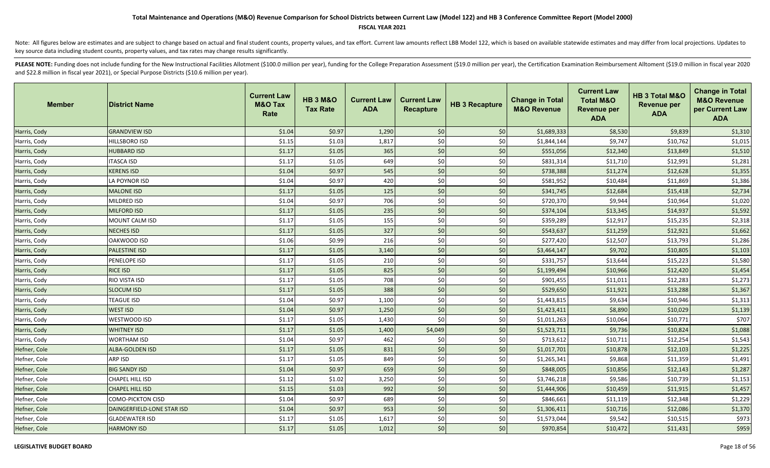### **FISCAL YEAR 2021**

Note: All figures below are estimates and are subject to change based on actual and final student counts, property values, and tax effort. Current law amounts reflect LBB Model 122, which is based on available statewide es key source data including student counts, property values, and tax rates may change results significantly.

| <b>Member</b> | <b>IDistrict Name</b>      | <b>Current Law</b><br><b>M&amp;O Tax</b><br>Rate | <b>HB 3 M&amp;O</b><br><b>Tax Rate</b> | <b>Current Law</b><br><b>ADA</b> | <b>Current Law</b><br><b>Recapture</b> | <b>HB 3 Recapture</b> | <b>Change in Total</b><br><b>M&amp;O Revenue</b> | <b>Current Law</b><br><b>Total M&amp;O</b><br><b>Revenue per</b><br><b>ADA</b> | HB 3 Total M&O<br><b>Revenue per</b><br><b>ADA</b> | <b>Change in Total</b><br><b>M&amp;O Revenue</b><br>per Current Law<br><b>ADA</b> |
|---------------|----------------------------|--------------------------------------------------|----------------------------------------|----------------------------------|----------------------------------------|-----------------------|--------------------------------------------------|--------------------------------------------------------------------------------|----------------------------------------------------|-----------------------------------------------------------------------------------|
| Harris, Cody  | <b>GRANDVIEW ISD</b>       | \$1.04                                           | \$0.97                                 | 1,290                            | \$0                                    | \$0                   | \$1,689,333                                      | \$8,530                                                                        | \$9,839                                            | \$1,310                                                                           |
| Harris, Cody  | HILLSBORO ISD              | \$1.15                                           | \$1.03                                 | 1,817                            | \$0                                    | \$0                   | \$1,844,144                                      | \$9,747                                                                        | \$10,762                                           | \$1,015                                                                           |
| Harris, Cody  | <b>HUBBARD ISD</b>         | \$1.17                                           | \$1.05                                 | 365                              | \$0                                    | \$0                   | \$551,056                                        | \$12,340                                                                       | \$13,849                                           | \$1,510                                                                           |
| Harris, Cody  | ITASCA ISD                 | \$1.17                                           | \$1.05                                 | 649                              | \$0                                    | \$0                   | \$831,314                                        | \$11,710                                                                       | \$12,991                                           | \$1,281                                                                           |
| Harris, Cody  | <b>KERENS ISD</b>          | \$1.04                                           | \$0.97                                 | 545                              | \$0                                    | \$0                   | \$738,388                                        | \$11,274                                                                       | \$12,628                                           | \$1,355                                                                           |
| Harris, Cody  | LA POYNOR ISD              | \$1.04                                           | \$0.97                                 | 420                              | \$0                                    | \$0                   | \$581,952                                        | \$10,484                                                                       | \$11,869                                           | \$1,386                                                                           |
| Harris, Cody  | <b>MALONE ISD</b>          | \$1.17                                           | \$1.05                                 | 125                              | \$0                                    | \$0                   | \$341,745                                        | \$12,684                                                                       | \$15,418                                           | \$2,734                                                                           |
| Harris, Cody  | MILDRED ISD                | \$1.04                                           | \$0.97                                 | 706                              | \$0                                    | \$0                   | \$720,370                                        | \$9,944                                                                        | \$10,964                                           | \$1,020                                                                           |
| Harris, Cody  | <b>MILFORD ISD</b>         | \$1.17                                           | \$1.05                                 | 235                              | \$0                                    | \$0                   | \$374,104                                        | \$13,345                                                                       | \$14,937                                           | \$1,592                                                                           |
| Harris, Cody  | MOUNT CALM ISD             | \$1.17                                           | \$1.05                                 | 155                              | \$0                                    | \$0                   | \$359,289                                        | \$12,917                                                                       | \$15,235                                           | \$2,318                                                                           |
| Harris, Cody  | <b>NECHES ISD</b>          | \$1.17                                           | \$1.05                                 | 327                              | \$0                                    | \$0                   | \$543,637                                        | \$11,259                                                                       | \$12,921                                           | \$1,662                                                                           |
| Harris, Cody  | OAKWOOD ISD                | \$1.06                                           | \$0.99                                 | 216                              | \$0                                    | \$0                   | \$277,420                                        | \$12,507                                                                       | \$13,793                                           | \$1,286                                                                           |
| Harris, Cody  | <b>PALESTINE ISD</b>       | \$1.17                                           | \$1.05                                 | 3,140                            | \$0                                    | \$0                   | \$3,464,147                                      | \$9,702                                                                        | \$10,805                                           | \$1,103                                                                           |
| Harris, Cody  | PENELOPE ISD               | \$1.17                                           | \$1.05                                 | 210                              | \$0                                    | \$0                   | \$331,757                                        | \$13,644                                                                       | \$15,223                                           | \$1,580                                                                           |
| Harris, Cody  | <b>RICE ISD</b>            | \$1.17                                           | \$1.05                                 | 825                              | \$0                                    | \$0                   | \$1,199,494                                      | \$10,966                                                                       | \$12,420                                           | \$1,454                                                                           |
| Harris, Cody  | RIO VISTA ISD              | \$1.17                                           | \$1.05                                 | 708                              | \$0                                    | \$0                   | \$901,455                                        | \$11,011                                                                       | \$12,283                                           | \$1,273                                                                           |
| Harris, Cody  | <b>SLOCUM ISD</b>          | \$1.17                                           | \$1.05                                 | 388                              | \$0                                    | \$0                   | \$529,650                                        | \$11,921                                                                       | \$13,288                                           | \$1,367                                                                           |
| Harris, Cody  | <b>TEAGUE ISD</b>          | \$1.04                                           | \$0.97                                 | 1,100                            | \$0                                    | \$0                   | \$1,443,815                                      | \$9,634                                                                        | \$10,946                                           | \$1,313                                                                           |
| Harris, Cody  | <b>WEST ISD</b>            | \$1.04                                           | \$0.97                                 | 1,250                            | \$0                                    | \$0                   | \$1,423,411                                      | \$8,890                                                                        | \$10,029                                           | \$1,139                                                                           |
| Harris, Cody  | WESTWOOD ISD               | \$1.17                                           | \$1.05                                 | 1,430                            | \$0                                    | \$0                   | \$1,011,263                                      | \$10,064                                                                       | \$10,771                                           | \$707                                                                             |
| Harris, Cody  | <b>WHITNEY ISD</b>         | \$1.17                                           | \$1.05                                 | 1,400                            | \$4,049                                | \$0                   | \$1,523,711                                      | \$9,736                                                                        | \$10,824                                           | \$1,088                                                                           |
| Harris, Cody  | <b>WORTHAM ISD</b>         | \$1.04                                           | \$0.97                                 | 462                              | \$0                                    | \$0                   | \$713,612                                        | \$10,711                                                                       | \$12,254                                           | \$1,543                                                                           |
| Hefner, Cole  | <b>ALBA-GOLDEN ISD</b>     | \$1.17                                           | \$1.05                                 | 831                              | \$0                                    | \$0                   | \$1,017,701                                      | \$10,878                                                                       | \$12,103                                           | \$1,225                                                                           |
| Hefner, Cole  | ARP ISD                    | \$1.17                                           | \$1.05                                 | 849                              | \$0                                    | \$0                   | \$1,265,341                                      | \$9,868                                                                        | \$11,359                                           | \$1,491                                                                           |
| Hefner, Cole  | <b>BIG SANDY ISD</b>       | \$1.04                                           | \$0.97                                 | 659                              | \$0                                    | \$0                   | \$848,005                                        | \$10,856                                                                       | \$12,143                                           | \$1,287                                                                           |
| Hefner, Cole  | CHAPEL HILL ISD            | \$1.12                                           | \$1.02                                 | 3,250                            | \$0                                    | \$0                   | \$3,746,218                                      | \$9,586                                                                        | \$10,739                                           | \$1,153                                                                           |
| Hefner, Cole  | <b>CHAPEL HILL ISD</b>     | \$1.15                                           | \$1.03                                 | 992                              | \$0                                    | \$0                   | \$1,444,906                                      | \$10,459                                                                       | \$11,915                                           | \$1,457                                                                           |
| Hefner, Cole  | <b>COMO-PICKTON CISD</b>   | \$1.04                                           | \$0.97                                 | 689                              | \$0                                    | \$0                   | \$846,661                                        | \$11,119                                                                       | \$12,348                                           | \$1,229                                                                           |
| Hefner, Cole  | DAINGERFIELD-LONE STAR ISD | \$1.04                                           | \$0.97                                 | 953                              | \$0                                    | \$0                   | \$1,306,411                                      | \$10,716                                                                       | \$12,086                                           | \$1,370                                                                           |
| Hefner, Cole  | <b>GLADEWATER ISD</b>      | \$1.17                                           | \$1.05                                 | 1,617                            | \$0                                    | \$0                   | \$1,573,044                                      | \$9,542                                                                        | \$10,515                                           | \$973                                                                             |
| Hefner, Cole  | <b>HARMONY ISD</b>         | \$1.17                                           | \$1.05                                 | 1,012                            | \$0                                    | \$0                   | \$970,854                                        | \$10,472                                                                       | \$11,431                                           | \$959                                                                             |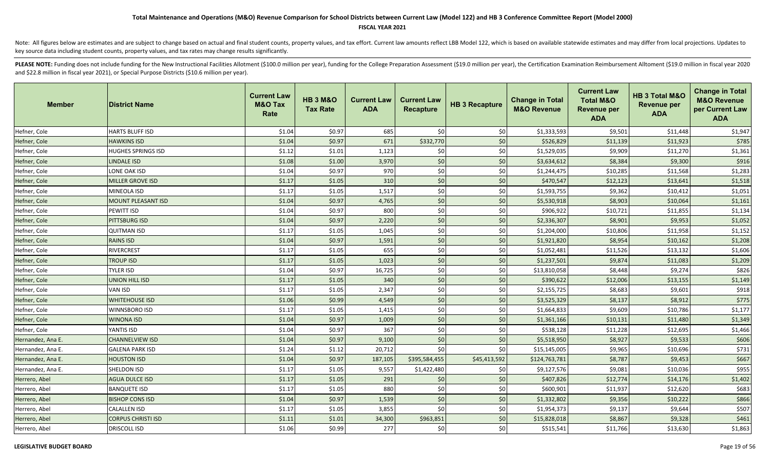### **FISCAL YEAR 2021**

Note: All figures below are estimates and are subject to change based on actual and final student counts, property values, and tax effort. Current law amounts reflect LBB Model 122, which is based on available statewide es key source data including student counts, property values, and tax rates may change results significantly.

| <b>Member</b>     | ∣District Name            | <b>Current Law</b><br><b>M&amp;O Tax</b><br>Rate | <b>HB 3 M&amp;O</b><br><b>Tax Rate</b> | <b>Current Law</b><br><b>ADA</b> | <b>Current Law</b><br><b>Recapture</b> | <b>HB 3 Recapture</b> | <b>Change in Total</b><br><b>M&amp;O Revenue</b> | <b>Current Law</b><br><b>Total M&amp;O</b><br><b>Revenue per</b><br><b>ADA</b> | HB 3 Total M&O<br><b>Revenue per</b><br><b>ADA</b> | <b>Change in Total</b><br><b>M&amp;O Revenue</b><br>per Current Law<br><b>ADA</b> |
|-------------------|---------------------------|--------------------------------------------------|----------------------------------------|----------------------------------|----------------------------------------|-----------------------|--------------------------------------------------|--------------------------------------------------------------------------------|----------------------------------------------------|-----------------------------------------------------------------------------------|
| Hefner, Cole      | <b>HARTS BLUFF ISD</b>    | \$1.04                                           | \$0.97                                 | 685                              | 50 <sup>1</sup>                        | \$0                   | \$1,333,593                                      | \$9,501                                                                        | \$11,448                                           | \$1,947                                                                           |
| Hefner, Cole      | <b>HAWKINS ISD</b>        | \$1.04                                           | \$0.97                                 | 671                              | \$332,770                              | \$0                   | \$526,829                                        | \$11,139                                                                       | \$11,923                                           | \$785                                                                             |
| Hefner, Cole      | <b>HUGHES SPRINGS ISD</b> | \$1.12                                           | \$1.01                                 | 1,123                            | \$0                                    | \$0                   | \$1,529,035                                      | \$9,909                                                                        | \$11,270                                           | \$1,361                                                                           |
| Hefner, Cole      | <b>LINDALE ISD</b>        | \$1.08                                           | \$1.00                                 | 3,970                            | \$0                                    | \$0                   | \$3,634,612                                      | \$8,384                                                                        | \$9,300                                            | \$916                                                                             |
| Hefner, Cole      | LONE OAK ISD              | \$1.04                                           | \$0.97                                 | 970                              | \$0                                    | \$0                   | \$1,244,475                                      | \$10,285                                                                       | \$11,568                                           | \$1,283                                                                           |
| Hefner, Cole      | <b>MILLER GROVE ISD</b>   | \$1.17                                           | \$1.05                                 | 310                              | \$0                                    | \$0                   | \$470,547                                        | \$12,123                                                                       | \$13,641                                           | \$1,518                                                                           |
| Hefner, Cole      | <b>MINEOLA ISD</b>        | \$1.17                                           | \$1.05                                 | 1,517                            | \$0                                    | \$0                   | \$1,593,755                                      | \$9,362                                                                        | \$10,412                                           | \$1,051                                                                           |
| Hefner, Cole      | <b>MOUNT PLEASANT ISD</b> | \$1.04                                           | \$0.97                                 | 4,765                            | \$0                                    | \$0                   | \$5,530,918                                      | \$8,903                                                                        | \$10,064                                           | \$1,161                                                                           |
| Hefner, Cole      | PEWITT ISD                | \$1.04                                           | \$0.97                                 | 800                              | \$0                                    | \$0                   | \$906,922                                        | \$10,721                                                                       | \$11,855                                           | \$1,134                                                                           |
| Hefner, Cole      | <b>PITTSBURG ISD</b>      | \$1.04                                           | \$0.97                                 | 2,220                            | \$0                                    | \$0                   | \$2,336,307                                      | \$8,901                                                                        | \$9,953                                            | \$1,052                                                                           |
| Hefner, Cole      | <b>QUITMAN ISD</b>        | \$1.17                                           | \$1.05                                 | 1,045                            | \$0                                    | \$0                   | \$1,204,000                                      | \$10,806                                                                       | \$11,958                                           | \$1,152                                                                           |
| Hefner, Cole      | <b>RAINS ISD</b>          | \$1.04                                           | \$0.97                                 | 1,591                            | $$0$$                                  | \$0                   | \$1,921,820                                      | \$8,954                                                                        | \$10,162                                           | \$1,208                                                                           |
| Hefner, Cole      | <b>RIVERCREST</b>         | \$1.17                                           | \$1.05                                 | 655                              | \$0                                    | \$0                   | \$1,052,481                                      | \$11,526                                                                       | \$13,132                                           | \$1,606                                                                           |
| Hefner, Cole      | <b>TROUP ISD</b>          | \$1.17                                           | \$1.05                                 | 1,023                            | \$0                                    | \$0                   | \$1,237,501                                      | \$9,874                                                                        | \$11,083                                           | \$1,209                                                                           |
| Hefner, Cole      | <b>TYLER ISD</b>          | \$1.04                                           | \$0.97                                 | 16,725                           | \$0                                    | \$0                   | \$13,810,058                                     | \$8,448                                                                        | \$9,274                                            | \$826                                                                             |
| Hefner, Cole      | UNION HILL ISD            | \$1.17                                           | \$1.05                                 | 340                              | \$0                                    | \$0                   | \$390,622                                        | \$12,006                                                                       | \$13,155                                           | \$1,149                                                                           |
| Hefner, Cole      | VAN ISD                   | \$1.17                                           | \$1.05                                 | 2,347                            | \$0                                    | \$0                   | \$2,155,725                                      | \$8,683                                                                        | \$9,601                                            | \$918                                                                             |
| Hefner, Cole      | <b>WHITEHOUSE ISD</b>     | \$1.06                                           | \$0.99                                 | 4,549                            | \$0\$                                  | \$0                   | \$3,525,329                                      | \$8,137                                                                        | \$8,912                                            | \$775                                                                             |
| Hefner, Cole      | <b>WINNSBORO ISD</b>      | \$1.17                                           | \$1.05                                 | 1,415                            | \$0                                    | \$0                   | \$1,664,833                                      | \$9,609                                                                        | \$10,786                                           | \$1,177                                                                           |
| Hefner, Cole      | <b>WINONA ISD</b>         | \$1.04                                           | \$0.97                                 | 1,009                            | $$0$$                                  | \$0                   | \$1,361,166                                      | \$10,131                                                                       | \$11,480                                           | \$1,349                                                                           |
| Hefner, Cole      | YANTIS ISD                | \$1.04                                           | \$0.97                                 | 367                              | \$0                                    | \$0                   | \$538,128                                        | \$11,228                                                                       | \$12,695                                           | \$1,466                                                                           |
| Hernandez, Ana E. | <b>CHANNELVIEW ISD</b>    | \$1.04                                           | \$0.97                                 | 9,100                            | \$0                                    | \$0                   | \$5,518,950                                      | \$8,927                                                                        | \$9,533                                            | \$606                                                                             |
| Hernandez, Ana E. | <b>GALENA PARK ISD</b>    | \$1.24                                           | \$1.12                                 | 20,712                           | \$0                                    | \$0                   | \$15,145,005                                     | \$9,965                                                                        | \$10,696                                           | \$731                                                                             |
| Hernandez, Ana E. | <b>HOUSTON ISD</b>        | \$1.04                                           | \$0.97                                 | 187,105                          | \$395,584,455                          | \$45,413,592          | \$124,763,781                                    | \$8,787                                                                        | \$9,453                                            | \$667                                                                             |
| Hernandez, Ana E. | SHELDON ISD               | \$1.17                                           | \$1.05                                 | 9,557                            | \$1,422,480                            | \$0                   | \$9,127,576                                      | \$9,081                                                                        | \$10,036                                           | \$955                                                                             |
| Herrero, Abel     | <b>AGUA DULCE ISD</b>     | \$1.17                                           | \$1.05                                 | 291                              | \$0                                    | \$0                   | \$407,826                                        | \$12,774                                                                       | \$14,176                                           | \$1,402                                                                           |
| Herrero, Abel     | <b>BANQUETE ISD</b>       | \$1.17                                           | \$1.05                                 | 880                              | \$0                                    | \$0                   | \$600,901                                        | \$11,937                                                                       | \$12,620                                           | \$683                                                                             |
| Herrero, Abel     | <b>BISHOP CONS ISD</b>    | \$1.04                                           | \$0.97                                 | 1,539                            | \$0                                    | \$0                   | \$1,332,802                                      | \$9,356                                                                        | \$10,222                                           | \$866                                                                             |
| Herrero, Abel     | <b>CALALLEN ISD</b>       | \$1.17                                           | \$1.05                                 | 3,855                            | \$0                                    | \$0                   | \$1,954,373                                      | \$9,137                                                                        | \$9,644                                            | \$507                                                                             |
| Herrero, Abel     | <b>CORPUS CHRISTI ISD</b> | \$1.11                                           | \$1.01                                 | 34,300                           | \$963,851                              | \$0                   | \$15,828,018                                     | \$8,867                                                                        | \$9,328                                            | \$461                                                                             |
| Herrero, Abel     | <b>DRISCOLL ISD</b>       | \$1.06                                           | \$0.99                                 | 277                              | \$0                                    | \$0                   | \$515,541                                        | \$11,766                                                                       | \$13,630                                           | \$1,863                                                                           |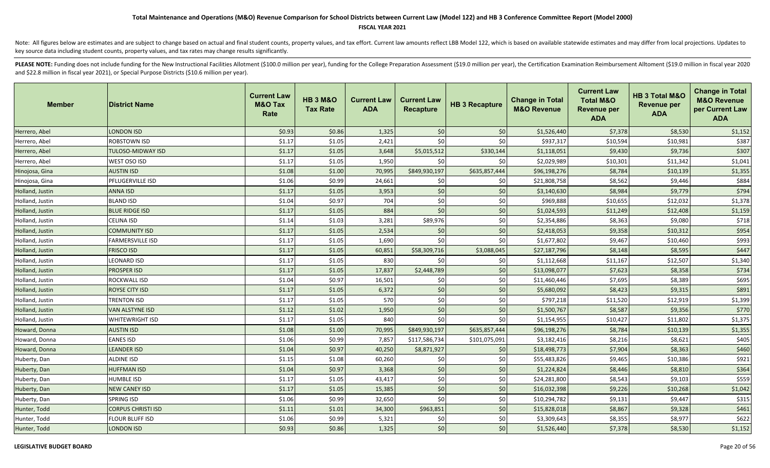### **FISCAL YEAR 2021**

Note: All figures below are estimates and are subject to change based on actual and final student counts, property values, and tax effort. Current law amounts reflect LBB Model 122, which is based on available statewide es key source data including student counts, property values, and tax rates may change results significantly.

| <b>Member</b>   | <b>District Name</b>      | <b>Current Law</b><br><b>M&amp;O Tax</b><br>Rate | <b>HB 3 M&amp;O</b><br><b>Tax Rate</b> | <b>Current Law</b><br><b>ADA</b> | <b>Current Law</b><br><b>Recapture</b> | <b>HB 3 Recapture</b> | <b>Change in Total</b><br><b>M&amp;O Revenue</b> | <b>Current Law</b><br><b>Total M&amp;O</b><br><b>Revenue per</b><br><b>ADA</b> | HB 3 Total M&O<br><b>Revenue per</b><br><b>ADA</b> | <b>Change in Total</b><br><b>M&amp;O Revenue</b><br>per Current Law<br><b>ADA</b> |
|-----------------|---------------------------|--------------------------------------------------|----------------------------------------|----------------------------------|----------------------------------------|-----------------------|--------------------------------------------------|--------------------------------------------------------------------------------|----------------------------------------------------|-----------------------------------------------------------------------------------|
| Herrero, Abel   | <b>LONDON ISD</b>         | \$0.93                                           | \$0.86                                 | 1,325                            | \$0                                    | \$0                   | \$1,526,440                                      | \$7,378                                                                        | \$8,530                                            | \$1,152                                                                           |
| Herrero, Abel   | ROBSTOWN ISD              | \$1.17                                           | \$1.05                                 | 2,421                            | \$0                                    | \$0                   | \$937,317                                        | \$10,594                                                                       | \$10,981                                           | \$387                                                                             |
| Herrero, Abel   | TULOSO-MIDWAY ISD         | \$1.17                                           | \$1.05                                 | 3,648                            | \$5,015,512                            | \$330,144             | \$1,118,051                                      | \$9,430                                                                        | \$9,736                                            | \$307                                                                             |
| Herrero, Abel   | WEST OSO ISD              | \$1.17                                           | \$1.05                                 | 1,950                            | \$0                                    | \$0                   | \$2,029,989                                      | \$10,301                                                                       | \$11,342                                           | \$1,041                                                                           |
| Hinojosa, Gina  | <b>AUSTIN ISD</b>         | \$1.08                                           | \$1.00                                 | 70,995                           | \$849,930,197                          | \$635,857,444         | \$96,198,276                                     | \$8,784                                                                        | \$10,139                                           | \$1,355                                                                           |
| Hinojosa, Gina  | PFLUGERVILLE ISD          | \$1.06                                           | \$0.99                                 | 24,661                           | \$0                                    | \$0                   | \$21,808,758                                     | \$8,562                                                                        | \$9,446                                            | \$884                                                                             |
| Holland, Justin | <b>ANNA ISD</b>           | \$1.17                                           | \$1.05                                 | 3,953                            | \$0                                    | \$0                   | \$3,140,630                                      | \$8,984                                                                        | \$9,779                                            | \$794                                                                             |
| Holland, Justin | <b>BLAND ISD</b>          | \$1.04                                           | \$0.97                                 | 704                              | \$0                                    | \$0                   | \$969,888                                        | \$10,655                                                                       | \$12,032                                           | \$1,378                                                                           |
| Holland, Justin | <b>BLUE RIDGE ISD</b>     | \$1.17                                           | \$1.05                                 | 884                              | \$0                                    | \$0                   | \$1,024,593                                      | \$11,249                                                                       | \$12,408                                           | \$1,159                                                                           |
| Holland, Justin | <b>CELINA ISD</b>         | \$1.14                                           | \$1.03                                 | 3,281                            | \$89,976                               | \$0                   | \$2,354,886                                      | \$8,363                                                                        | \$9,080                                            | \$718                                                                             |
| Holland, Justin | <b>COMMUNITY ISD</b>      | \$1.17                                           | \$1.05                                 | 2,534                            | \$0                                    | \$0                   | \$2,418,053                                      | \$9,358                                                                        | \$10,312                                           | \$954                                                                             |
| Holland, Justin | <b>FARMERSVILLE ISD</b>   | \$1.17                                           | \$1.05                                 | 1,690                            | \$0                                    | \$0                   | \$1,677,802                                      | \$9,467                                                                        | \$10,460                                           | \$993                                                                             |
| Holland, Justin | <b>FRISCO ISD</b>         | \$1.17                                           | \$1.05                                 | 60,851                           | \$58,309,716                           | \$3,088,045           | \$27,187,796                                     | \$8,148                                                                        | \$8,595                                            | \$447                                                                             |
| Holland, Justin | <b>LEONARD ISD</b>        | \$1.17                                           | \$1.05                                 | 830                              | \$0                                    | \$0                   | \$1,112,668                                      | \$11,167                                                                       | \$12,507                                           | \$1,340                                                                           |
| Holland, Justin | <b>PROSPER ISD</b>        | \$1.17                                           | \$1.05                                 | 17,837                           | \$2,448,789                            | \$0                   | \$13,098,077                                     | \$7,623                                                                        | \$8,358                                            | \$734                                                                             |
| Holland, Justin | ROCKWALL ISD              | \$1.04                                           | \$0.97                                 | 16,501                           | \$0                                    | \$0                   | \$11,460,446                                     | \$7,695                                                                        | \$8,389                                            | \$695                                                                             |
| Holland, Justin | ROYSE CITY ISD            | \$1.17                                           | \$1.05                                 | 6,372                            | \$0                                    | \$0                   | \$5,680,092                                      | \$8,423                                                                        | \$9,315                                            | \$891                                                                             |
| Holland, Justin | TRENTON ISD               | \$1.17                                           | \$1.05                                 | 570                              | \$0                                    | \$0                   | \$797,218                                        | \$11,520                                                                       | \$12,919                                           | \$1,399                                                                           |
| Holland, Justin | <b>VAN ALSTYNE ISD</b>    | \$1.12                                           | \$1.02                                 | 1,950                            | \$0                                    | \$0                   | \$1,500,767                                      | \$8,587                                                                        | \$9,356                                            | \$770                                                                             |
| Holland, Justin | <b>WHITEWRIGHT ISD</b>    | \$1.17                                           | \$1.05                                 | 840                              | \$0                                    | \$0                   | \$1,154,955                                      | \$10,427                                                                       | \$11,802                                           | \$1,375                                                                           |
| Howard, Donna   | <b>AUSTIN ISD</b>         | \$1.08                                           | \$1.00                                 | 70,995                           | \$849,930,197                          | \$635,857,444         | \$96,198,276                                     | \$8,784                                                                        | \$10,139                                           | \$1,355                                                                           |
| Howard, Donna   | <b>EANES ISD</b>          | \$1.06                                           | \$0.99                                 | 7,857                            | \$117,586,734                          | \$101,075,091         | \$3,182,416                                      | \$8,216                                                                        | \$8,621                                            | \$405                                                                             |
| Howard, Donna   | LEANDER ISD               | \$1.04                                           | \$0.97                                 | 40,250                           | \$8,871,927                            | \$0                   | \$18,498,773                                     | \$7,904                                                                        | \$8,363                                            | \$460                                                                             |
| Huberty, Dan    | <b>ALDINE ISD</b>         | \$1.15                                           | \$1.08                                 | 60,260                           | \$0                                    | \$0                   | \$55,483,826                                     | \$9,465                                                                        | \$10,386                                           | \$921                                                                             |
| Huberty, Dan    | <b>HUFFMAN ISD</b>        | \$1.04                                           | \$0.97                                 | 3,368                            | \$0                                    | \$0                   | \$1,224,824                                      | \$8,446                                                                        | \$8,810                                            | \$364                                                                             |
| Huberty, Dan    | <b>HUMBLE ISD</b>         | \$1.17                                           | \$1.05                                 | 43,417                           | \$0                                    | \$0                   | \$24,281,800                                     | \$8,543                                                                        | \$9,103                                            | \$559                                                                             |
| Huberty, Dan    | <b>NEW CANEY ISD</b>      | \$1.17                                           | \$1.05                                 | 15,385                           | \$0                                    | \$0                   | \$16,032,398                                     | \$9,226                                                                        | \$10,268                                           | \$1,042                                                                           |
| Huberty, Dan    | <b>SPRING ISD</b>         | \$1.06                                           | \$0.99                                 | 32,650                           | \$0                                    | \$0                   | \$10,294,782                                     | \$9,131                                                                        | \$9,447                                            | \$315                                                                             |
| Hunter, Todd    | <b>CORPUS CHRISTI ISD</b> | \$1.11                                           | \$1.01                                 | 34,300                           | \$963,851                              | \$0                   | \$15,828,018                                     | \$8,867                                                                        | \$9,328                                            | \$461                                                                             |
| Hunter, Todd    | <b>FLOUR BLUFF ISD</b>    | \$1.06                                           | \$0.99                                 | 5,321                            | \$0                                    | \$0                   | \$3,309,643                                      | \$8,355                                                                        | \$8,977                                            | \$622                                                                             |
| Hunter, Todd    | <b>LONDON ISD</b>         | \$0.93                                           | \$0.86                                 | 1,325                            | \$0                                    | \$0                   | \$1,526,440                                      | \$7,378                                                                        | \$8,530                                            | \$1,152                                                                           |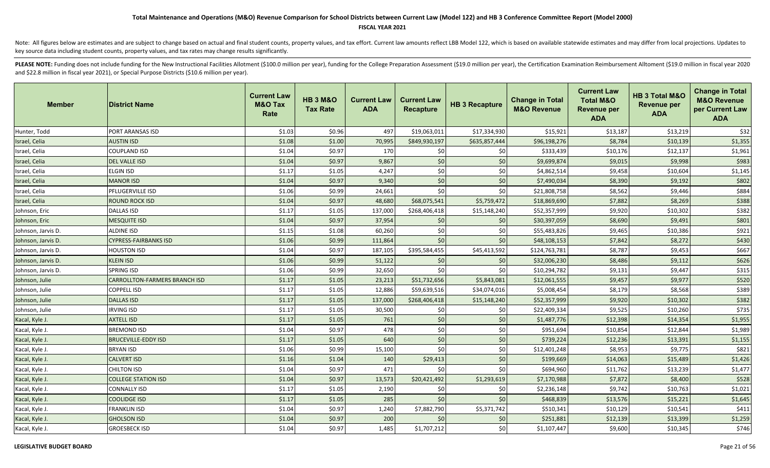### **FISCAL YEAR 2021**

Note: All figures below are estimates and are subject to change based on actual and final student counts, property values, and tax effort. Current law amounts reflect LBB Model 122, which is based on available statewide es key source data including student counts, property values, and tax rates may change results significantly.

| <b>Member</b>      | <b>District Name</b>                 | <b>Current Law</b><br><b>M&amp;O Tax</b><br>Rate | <b>HB 3 M&amp;O</b><br><b>Tax Rate</b> | <b>Current Law</b><br><b>ADA</b> | <b>Current Law</b><br><b>Recapture</b> | <b>HB 3 Recapture</b> | <b>Change in Total</b><br><b>M&amp;O Revenue</b> | <b>Current Law</b><br><b>Total M&amp;O</b><br><b>Revenue per</b><br><b>ADA</b> | HB 3 Total M&O<br><b>Revenue per</b><br><b>ADA</b> | <b>Change in Total</b><br><b>M&amp;O Revenue</b><br>per Current Law<br><b>ADA</b> |
|--------------------|--------------------------------------|--------------------------------------------------|----------------------------------------|----------------------------------|----------------------------------------|-----------------------|--------------------------------------------------|--------------------------------------------------------------------------------|----------------------------------------------------|-----------------------------------------------------------------------------------|
| Hunter, Todd       | PORT ARANSAS ISD                     | \$1.03                                           | \$0.96                                 | 497                              | \$19,063,011                           | \$17,334,930          | \$15,921                                         | \$13,187                                                                       | \$13,219                                           | \$32                                                                              |
| Israel, Celia      | <b>AUSTIN ISD</b>                    | \$1.08                                           | \$1.00                                 | 70,995                           | \$849,930,197                          | \$635,857,444         | \$96,198,276                                     | \$8,784                                                                        | \$10,139                                           | \$1,355                                                                           |
| Israel, Celia      | COUPLAND ISD                         | \$1.04                                           | \$0.97                                 | 170                              | \$0                                    | \$0                   | \$333,439                                        | \$10,176                                                                       | \$12,137                                           | \$1,961                                                                           |
| Israel, Celia      | <b>DEL VALLE ISD</b>                 | \$1.04                                           | \$0.97                                 | 9,867                            | \$0                                    | \$0                   | \$9,699,874                                      | \$9,015                                                                        | \$9,998                                            | \$983                                                                             |
| Israel, Celia      | <b>ELGIN ISD</b>                     | \$1.17                                           | \$1.05                                 | 4,247                            | \$0                                    | \$0                   | \$4,862,514                                      | \$9,458                                                                        | \$10,604                                           | \$1,145                                                                           |
| Israel, Celia      | <b>MANOR ISD</b>                     | \$1.04                                           | \$0.97                                 | 9,340                            | \$0                                    | \$0                   | \$7,490,034                                      | \$8,390                                                                        | \$9,192                                            | \$802                                                                             |
| Israel, Celia      | PFLUGERVILLE ISD                     | \$1.06                                           | \$0.99                                 | 24,661                           | \$0                                    | \$0                   | \$21,808,758                                     | \$8,562                                                                        | \$9,446                                            | \$884                                                                             |
| Israel, Celia      | ROUND ROCK ISD                       | \$1.04                                           | \$0.97                                 | 48,680                           | \$68,075,541                           | \$5,759,472           | \$18,869,690                                     | \$7,882                                                                        | \$8,269                                            | \$388                                                                             |
| Johnson, Eric      | <b>DALLAS ISD</b>                    | \$1.17                                           | \$1.05                                 | 137,000                          | \$268,406,418                          | \$15,148,240          | \$52,357,999                                     | \$9,920                                                                        | \$10,302                                           | \$382                                                                             |
| Johnson, Eric      | <b>MESQUITE ISD</b>                  | \$1.04                                           | \$0.97                                 | 37,954                           | \$0                                    | \$0                   | \$30,397,059                                     | \$8,690                                                                        | \$9,491                                            | \$801                                                                             |
| Johnson, Jarvis D. | <b>ALDINE ISD</b>                    | \$1.15                                           | \$1.08                                 | 60,260                           | $$0$$                                  | \$0                   | \$55,483,826                                     | \$9,465                                                                        | \$10,386                                           | \$921                                                                             |
| Johnson, Jarvis D. | <b>CYPRESS-FAIRBANKS ISD</b>         | \$1.06                                           | \$0.99                                 | 111,864                          | \$0                                    | \$0                   | \$48,108,153                                     | \$7,842                                                                        | \$8,272                                            | \$430                                                                             |
| Johnson, Jarvis D. | <b>HOUSTON ISD</b>                   | \$1.04                                           | \$0.97                                 | 187,105                          | \$395,584,455                          | \$45,413,592          | \$124,763,781                                    | \$8,787                                                                        | \$9,453                                            | \$667                                                                             |
| Johnson, Jarvis D. | <b>KLEIN ISD</b>                     | \$1.06                                           | \$0.99                                 | 51,122                           | \$0                                    | \$0                   | \$32,006,230                                     | \$8,486                                                                        | \$9,112                                            | \$626                                                                             |
| Johnson, Jarvis D. | SPRING ISD                           | \$1.06                                           | \$0.99                                 | 32,650                           | \$0                                    | \$0                   | \$10,294,782                                     | \$9,131                                                                        | \$9,447                                            | \$315                                                                             |
| Johnson, Julie     | <b>CARROLLTON-FARMERS BRANCH ISD</b> | \$1.17                                           | \$1.05                                 | 23,213                           | \$51,732,656                           | \$5,843,081           | \$12,061,555                                     | \$9,457                                                                        | \$9,977                                            | \$520                                                                             |
| Johnson, Julie     | <b>COPPELL ISD</b>                   | \$1.17                                           | \$1.05                                 | 12,886                           | \$59,639,516                           | \$34,074,016          | \$5,008,454                                      | \$8,179                                                                        | \$8,568                                            | \$389                                                                             |
| Johnson, Julie     | <b>DALLAS ISD</b>                    | \$1.17                                           | \$1.05                                 | 137,000                          | \$268,406,418                          | \$15,148,240          | \$52,357,999                                     | \$9,920                                                                        | \$10,302                                           | \$382                                                                             |
| Johnson, Julie     | <b>IRVING ISD</b>                    | \$1.17                                           | \$1.05                                 | 30,500                           | \$0                                    | \$0                   | \$22,409,334                                     | \$9,525                                                                        | \$10,260                                           | \$735                                                                             |
| Kacal, Kyle J.     | <b>AXTELL ISD</b>                    | \$1.17                                           | \$1.05                                 | 761                              | \$0                                    | \$0                   | \$1,487,776                                      | \$12,398                                                                       | \$14,354                                           | \$1,955                                                                           |
| Kacal, Kyle J.     | <b>BREMOND ISD</b>                   | \$1.04                                           | \$0.97                                 | 478                              | \$0                                    | \$0                   | \$951,694                                        | \$10,854                                                                       | \$12,844                                           | \$1,989                                                                           |
| Kacal, Kyle J.     | <b>BRUCEVILLE-EDDY ISD</b>           | \$1.17                                           | \$1.05                                 | 640                              | $$0$$                                  | \$0                   | \$739,224                                        | \$12,236                                                                       | \$13,391                                           | \$1,155                                                                           |
| Kacal, Kyle J.     | <b>BRYAN ISD</b>                     | \$1.06                                           | \$0.99                                 | 15,100                           | \$0                                    | \$0                   | \$12,401,248                                     | \$8,953                                                                        | \$9,775                                            | \$821                                                                             |
| Kacal, Kyle J.     | <b>CALVERT ISD</b>                   | \$1.16                                           | \$1.04                                 | 140                              | \$29,413                               | \$0                   | \$199,669                                        | \$14,063                                                                       | \$15,489                                           | \$1,426                                                                           |
| Kacal, Kyle J.     | CHILTON ISD                          | \$1.04                                           | \$0.97                                 | 471                              | \$0                                    | \$0                   | \$694,960                                        | \$11,762                                                                       | \$13,239                                           | \$1,477                                                                           |
| Kacal, Kyle J.     | <b>COLLEGE STATION ISD</b>           | \$1.04                                           | \$0.97                                 | 13,573                           | \$20,421,492                           | \$1,293,619           | \$7,170,988                                      | \$7,872                                                                        | \$8,400                                            | \$528                                                                             |
| Kacal, Kyle J      | <b>CONNALLY ISD</b>                  | \$1.17                                           | \$1.05                                 | 2,190                            | \$0                                    | \$0                   | \$2,236,148                                      | \$9,742                                                                        | \$10,763                                           | \$1,021                                                                           |
| Kacal, Kyle J.     | <b>COOLIDGE ISD</b>                  | \$1.17                                           | \$1.05                                 | 285                              | \$0                                    | \$0                   | \$468,839                                        | \$13,576                                                                       | \$15,221                                           | \$1,645                                                                           |
| Kacal, Kyle J.     | <b>FRANKLIN ISD</b>                  | \$1.04                                           | \$0.97                                 | 1,240                            | \$7,882,790                            | \$5,371,742           | \$510,341                                        | \$10,129                                                                       | \$10,541                                           | \$411                                                                             |
| Kacal, Kyle J.     | <b>GHOLSON ISD</b>                   | \$1.04                                           | \$0.97                                 | 200                              | \$0                                    | \$0                   | \$251,881                                        | \$12,139                                                                       | \$13,399                                           | \$1,259                                                                           |
| Kacal, Kyle J.     | <b>GROESBECK ISD</b>                 | \$1.04                                           | \$0.97                                 | 1,485                            | \$1,707,212                            | \$0                   | \$1,107,447                                      | \$9,600                                                                        | \$10,345                                           | \$746                                                                             |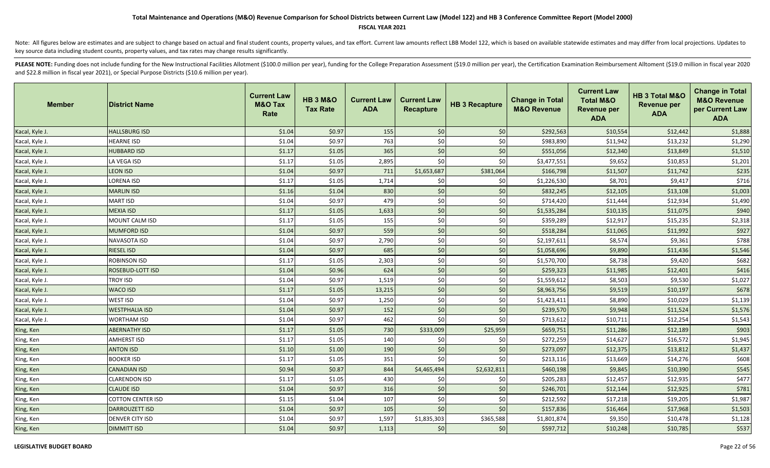### **FISCAL YEAR 2021**

Note: All figures below are estimates and are subject to change based on actual and final student counts, property values, and tax effort. Current law amounts reflect LBB Model 122, which is based on available statewide es key source data including student counts, property values, and tax rates may change results significantly.

| <b>Member</b>  | <b>District Name</b>  | <b>Current Law</b><br><b>M&amp;O Tax</b><br>Rate | <b>HB 3 M&amp;O</b><br><b>Tax Rate</b> | <b>Current Law</b><br><b>ADA</b> | <b>Current Law</b><br><b>Recapture</b> | <b>HB 3 Recapture</b> | <b>Change in Total</b><br><b>M&amp;O Revenue</b> | <b>Current Law</b><br><b>Total M&amp;O</b><br><b>Revenue per</b><br><b>ADA</b> | HB 3 Total M&O<br><b>Revenue per</b><br><b>ADA</b> | <b>Change in Total</b><br><b>M&amp;O Revenue</b><br>per Current Law<br><b>ADA</b> |
|----------------|-----------------------|--------------------------------------------------|----------------------------------------|----------------------------------|----------------------------------------|-----------------------|--------------------------------------------------|--------------------------------------------------------------------------------|----------------------------------------------------|-----------------------------------------------------------------------------------|
| Kacal, Kyle J. | <b>HALLSBURG ISD</b>  | \$1.04                                           | \$0.97                                 | 155                              | \$0                                    | \$0                   | \$292,563                                        | \$10,554                                                                       | \$12,442                                           | \$1,888                                                                           |
| Kacal, Kyle J. | <b>HEARNE ISD</b>     | \$1.04                                           | \$0.97                                 | 763                              | \$0                                    | \$0                   | \$983,890                                        | \$11,942                                                                       | \$13,232                                           | \$1,290                                                                           |
| Kacal, Kyle J. | <b>HUBBARD ISD</b>    | \$1.17                                           | \$1.05                                 | 365                              | \$0                                    | \$0                   | \$551,056                                        | \$12,340                                                                       | \$13,849                                           | \$1,510                                                                           |
| Kacal, Kyle J. | LA VEGA ISD           | \$1.17                                           | \$1.05                                 | 2,895                            | \$0                                    | \$0                   | \$3,477,551                                      | \$9,652                                                                        | \$10,853                                           | \$1,201                                                                           |
| Kacal, Kyle J. | <b>LEON ISD</b>       | \$1.04                                           | \$0.97                                 | 711                              | \$1,653,687                            | \$381,064             | \$166,798                                        | \$11,507                                                                       | \$11,742                                           | \$235                                                                             |
| Kacal, Kyle J. | LORENA ISD            | \$1.17                                           | \$1.05                                 | 1,714                            | \$0                                    | \$0                   | \$1,226,530                                      | \$8,701                                                                        | \$9,417                                            | \$716                                                                             |
| Kacal, Kyle J. | <b>MARLIN ISD</b>     | \$1.16                                           | \$1.04                                 | 830                              | \$0                                    | \$0                   | \$832,245                                        | \$12,105                                                                       | \$13,108                                           | \$1,003                                                                           |
| Kacal, Kyle J. | MART ISD              | \$1.04                                           | \$0.97                                 | 479                              | \$0                                    | \$0                   | \$714,420                                        | \$11,444                                                                       | \$12,934                                           | \$1,490                                                                           |
| Kacal, Kyle J. | <b>MEXIA ISD</b>      | \$1.17                                           | \$1.05                                 | 1,633                            | \$0                                    | \$0                   | \$1,535,284                                      | \$10,135                                                                       | \$11,075                                           | \$940                                                                             |
| Kacal, Kyle J. | MOUNT CALM ISD        | \$1.17                                           | \$1.05                                 | 155                              | \$0                                    | \$0                   | \$359,289                                        | \$12,917                                                                       | \$15,235                                           | \$2,318                                                                           |
| Kacal, Kyle J. | <b>MUMFORD ISD</b>    | \$1.04                                           | \$0.97                                 | 559                              | \$0                                    | \$0                   | \$518,284                                        | \$11,065                                                                       | \$11,992                                           | \$927                                                                             |
| Kacal, Kyle J. | <b>NAVASOTA ISD</b>   | \$1.04                                           | \$0.97                                 | 2,790                            | \$0                                    | \$0                   | \$2,197,611                                      | \$8,574                                                                        | \$9,361                                            | \$788                                                                             |
| Kacal, Kyle J. | <b>RIESEL ISD</b>     | \$1.04                                           | \$0.97                                 | 685                              | \$0                                    | \$0                   | \$1,058,696                                      | \$9,890                                                                        | \$11,436                                           | \$1,546                                                                           |
| Kacal, Kyle J. | <b>ROBINSON ISD</b>   | \$1.17                                           | \$1.05                                 | 2,303                            | \$0                                    | \$0                   | \$1,570,700                                      | \$8,738                                                                        | \$9,420                                            | \$682                                                                             |
| Kacal, Kyle J. | ROSEBUD-LOTT ISD      | \$1.04                                           | \$0.96                                 | 624                              | \$0                                    | \$0                   | \$259,323                                        | \$11,985                                                                       | \$12,401                                           | \$416                                                                             |
| Kacal, Kyle J. | <b>TROY ISD</b>       | \$1.04                                           | \$0.97                                 | 1,519                            | \$0                                    | \$0                   | \$1,559,612                                      | \$8,503                                                                        | \$9,530                                            | \$1,027                                                                           |
| Kacal, Kyle J. | <b>WACO ISD</b>       | \$1.17                                           | \$1.05                                 | 13,215                           | \$0                                    | \$0                   | \$8,963,756                                      | \$9,519                                                                        | \$10,197                                           | \$678                                                                             |
| Kacal, Kyle J. | WEST ISD              | \$1.04                                           | \$0.97                                 | 1,250                            | \$0                                    | \$0                   | \$1,423,411                                      | \$8,890                                                                        | \$10,029                                           | \$1,139                                                                           |
| Kacal, Kyle J. | <b>WESTPHALIA ISD</b> | \$1.04                                           | \$0.97                                 | 152                              | \$0                                    | \$0                   | \$239,570                                        | \$9,948                                                                        | \$11,524                                           | \$1,576                                                                           |
| Kacal, Kyle J. | <b>WORTHAM ISD</b>    | \$1.04                                           | \$0.97                                 | 462                              | \$0                                    | \$0                   | \$713,612                                        | \$10,711                                                                       | \$12,254                                           | \$1,543                                                                           |
| King, Ken      | <b>ABERNATHY ISD</b>  | \$1.17                                           | \$1.05                                 | 730                              | \$333,009                              | \$25,959              | \$659,751                                        | \$11,286                                                                       | \$12,189                                           | \$903                                                                             |
| King, Ken      | <b>AMHERST ISD</b>    | \$1.17                                           | \$1.05                                 | 140                              | \$0                                    | \$0                   | \$272,259                                        | \$14,627                                                                       | \$16,572                                           | \$1,945                                                                           |
| King, Ken      | <b>ANTON ISD</b>      | \$1.10                                           | \$1.00                                 | 190                              | \$0                                    | \$0                   | \$273,097                                        | \$12,375                                                                       | \$13,812                                           | \$1,437                                                                           |
| King, Ken      | <b>BOOKER ISD</b>     | \$1.17                                           | \$1.05                                 | 351                              | \$0                                    | \$0                   | \$213,116                                        | \$13,669                                                                       | \$14,276                                           | \$608                                                                             |
| King, Ken      | <b>CANADIAN ISD</b>   | \$0.94                                           | \$0.87                                 | 844                              | \$4,465,494                            | \$2,632,811           | \$460,198                                        | \$9,845                                                                        | \$10,390                                           | \$545                                                                             |
| King, Ken      | <b>CLARENDON ISD</b>  | \$1.17                                           | \$1.05                                 | 430                              | \$0                                    | \$0                   | \$205,283                                        | \$12,457                                                                       | \$12,935                                           | \$477                                                                             |
| King, Ken      | <b>CLAUDE ISD</b>     | \$1.04                                           | \$0.97                                 | 316                              | \$0                                    | \$0                   | \$246,701                                        | \$12,144                                                                       | \$12,925                                           | \$781                                                                             |
| King, Ken      | COTTON CENTER ISD     | \$1.15                                           | \$1.04                                 | 107                              | \$0                                    | \$0                   | \$212,592                                        | \$17,218                                                                       | \$19,205                                           | \$1,987                                                                           |
| King, Ken      | <b>DARROUZETT ISD</b> | \$1.04                                           | \$0.97                                 | 105                              | \$0                                    | \$0                   | \$157,836                                        | \$16,464                                                                       | \$17,968                                           | \$1,503                                                                           |
| King, Ken      | DENVER CITY ISD       | \$1.04                                           | \$0.97                                 | 1,597                            | \$1,835,303                            | \$365,588             | \$1,801,874                                      | \$9,350                                                                        | \$10,478                                           | \$1,128                                                                           |
| King, Ken      | <b>DIMMITT ISD</b>    | \$1.04                                           | \$0.97                                 | 1,113                            | \$0                                    | \$0                   | \$597,712                                        | \$10,248                                                                       | \$10,785                                           | \$537                                                                             |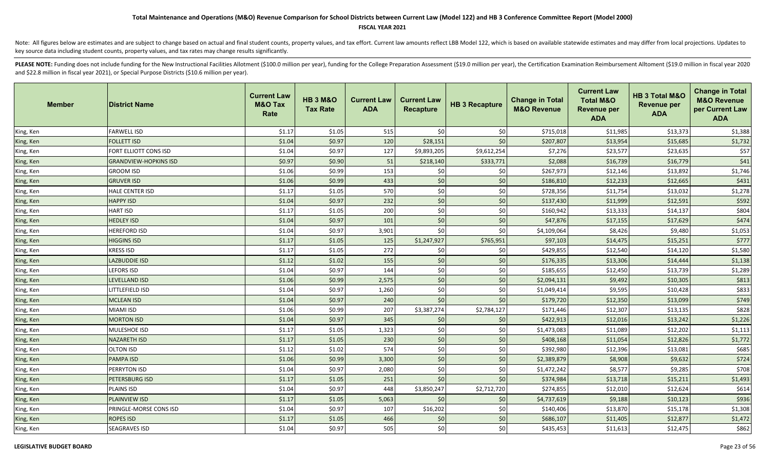### **FISCAL YEAR 2021**

Note: All figures below are estimates and are subject to change based on actual and final student counts, property values, and tax effort. Current law amounts reflect LBB Model 122, which is based on available statewide es key source data including student counts, property values, and tax rates may change results significantly.

| <b>Member</b> | <b>District Name</b>         | <b>Current Law</b><br><b>M&amp;O Tax</b><br>Rate | <b>HB 3 M&amp;O</b><br><b>Tax Rate</b> | <b>Current Law</b><br><b>ADA</b> | <b>Current Law</b><br>Recapture | <b>HB 3 Recapture</b> | <b>Change in Total</b><br><b>M&amp;O Revenue</b> | <b>Current Law</b><br><b>Total M&amp;O</b><br><b>Revenue per</b><br><b>ADA</b> | HB 3 Total M&O<br><b>Revenue per</b><br><b>ADA</b> | <b>Change in Total</b><br><b>M&amp;O Revenue</b><br>per Current Law<br><b>ADA</b> |
|---------------|------------------------------|--------------------------------------------------|----------------------------------------|----------------------------------|---------------------------------|-----------------------|--------------------------------------------------|--------------------------------------------------------------------------------|----------------------------------------------------|-----------------------------------------------------------------------------------|
| King, Ken     | <b>FARWELL ISD</b>           | \$1.17                                           | \$1.05                                 | 515                              | \$0                             | \$0                   | \$715,018                                        | \$11,985                                                                       | \$13,373                                           | \$1,388                                                                           |
| King, Ken     | <b>FOLLETT ISD</b>           | \$1.04                                           | \$0.97                                 | 120                              | \$28,151                        | \$0                   | \$207,807                                        | \$13,954                                                                       | \$15,685                                           | \$1,732                                                                           |
| King, Ken     | FORT ELLIOTT CONS ISD        | \$1.04                                           | \$0.97                                 | 127                              | \$9,893,205                     | \$9,612,254           | \$7,276                                          | \$23,577                                                                       | \$23,635                                           | \$57                                                                              |
| King, Ken     | <b>GRANDVIEW-HOPKINS ISD</b> | \$0.97                                           | \$0.90                                 | 51                               | \$218,140                       | \$333,771             | \$2,088                                          | \$16,739                                                                       | \$16,779                                           | \$41                                                                              |
| King, Ken     | <b>GROOM ISD</b>             | \$1.06                                           | \$0.99                                 | 153                              | \$0                             | \$0                   | \$267,973                                        | \$12,146                                                                       | \$13,892                                           | \$1,746                                                                           |
| King, Ken     | <b>GRUVER ISD</b>            | \$1.06                                           | \$0.99                                 | 433                              | \$0                             | \$0                   | \$186,810                                        | \$12,233                                                                       | \$12,665                                           | \$431                                                                             |
| King, Ken     | <b>HALE CENTER ISD</b>       | \$1.17                                           | \$1.05                                 | 570                              | \$0                             | \$0                   | \$728,356                                        | \$11,754                                                                       | \$13,032                                           | \$1,278                                                                           |
| King, Ken     | <b>HAPPY ISD</b>             | \$1.04                                           | \$0.97                                 | 232                              | \$0                             | \$0                   | \$137,430                                        | \$11,999                                                                       | \$12,591                                           | \$592                                                                             |
| King, Ken     | <b>HART ISD</b>              | \$1.17                                           | \$1.05                                 | 200                              | \$0                             | \$0                   | \$160,942                                        | \$13,333                                                                       | \$14,137                                           | \$804                                                                             |
| King, Ken     | <b>HEDLEY ISD</b>            | \$1.04                                           | \$0.97                                 | 101                              | \$0                             | \$0                   | \$47,876                                         | \$17,155                                                                       | \$17,629                                           | \$474                                                                             |
| King, Ken     | <b>HEREFORD ISD</b>          | \$1.04                                           | \$0.97                                 | 3,901                            | \$0                             | \$0                   | \$4,109,064                                      | \$8,426                                                                        | \$9,480                                            | \$1,053                                                                           |
| King, Ken     | <b>HIGGINS ISD</b>           | \$1.17                                           | \$1.05                                 | 125                              | \$1,247,927                     | \$765,951             | \$97,103                                         | \$14,475                                                                       | \$15,251                                           | \$777                                                                             |
| King, Ken     | <b>KRESS ISD</b>             | \$1.17                                           | \$1.05                                 | 272                              | \$0                             | \$0                   | \$429,855                                        | \$12,540                                                                       | \$14,120                                           | \$1,580                                                                           |
| King, Ken     | <b>LAZBUDDIE ISD</b>         | \$1.12                                           | \$1.02                                 | 155                              | \$0                             | \$0                   | \$176,335                                        | \$13,306                                                                       | \$14,444                                           | \$1,138                                                                           |
| King, Ken     | LEFORS ISD                   | \$1.04                                           | \$0.97                                 | 144                              | \$0                             | \$0                   | \$185,655                                        | \$12,450                                                                       | \$13,739                                           | \$1,289                                                                           |
| King, Ken     | <b>LEVELLAND ISD</b>         | \$1.06                                           | \$0.99                                 | 2,575                            | \$0                             | \$0                   | \$2,094,131                                      | \$9,492                                                                        | \$10,305                                           | \$813                                                                             |
| King, Ken     | LITTLEFIELD ISD              | \$1.04                                           | \$0.97                                 | 1,260                            | \$0                             | \$0                   | \$1,049,414                                      | \$9,595                                                                        | \$10,428                                           | \$833                                                                             |
| King, Ken     | <b>MCLEAN ISD</b>            | \$1.04                                           | \$0.97                                 | 240                              | \$0                             | \$0                   | \$179,720                                        | \$12,350                                                                       | \$13,099                                           | \$749                                                                             |
| King, Ken     | <b>MIAMI ISD</b>             | \$1.06                                           | \$0.99                                 | 207                              | \$3,387,274                     | \$2,784,127           | \$171,446                                        | \$12,307                                                                       | \$13,135                                           | \$828                                                                             |
| King, Ken     | <b>MORTON ISD</b>            | \$1.04                                           | \$0.97                                 | 345                              | \$0                             | \$0                   | \$422,913                                        | \$12,016                                                                       | \$13,242                                           | \$1,226                                                                           |
| King, Ken     | <b>MULESHOE ISD</b>          | \$1.17                                           | \$1.05                                 | 1,323                            | \$0                             | \$0                   | \$1,473,083                                      | \$11,089                                                                       | \$12,202                                           | \$1,113                                                                           |
| King, Ken     | <b>NAZARETH ISD</b>          | \$1.17                                           | \$1.05                                 | 230                              | \$0                             | \$0                   | \$408,168                                        | \$11,054                                                                       | \$12,826                                           | \$1,772                                                                           |
| King, Ken     | <b>OLTON ISD</b>             | \$1.12                                           | \$1.02                                 | 574                              | \$0                             | \$0                   | \$392,980                                        | \$12,396                                                                       | \$13,081                                           | \$685                                                                             |
| King, Ken     | <b>PAMPA ISD</b>             | \$1.06                                           | \$0.99                                 | 3,300                            | \$0                             | \$0                   | \$2,389,879                                      | \$8,908                                                                        | \$9,632                                            | \$724                                                                             |
| King, Ken     | <b>PERRYTON ISD</b>          | \$1.04                                           | \$0.97                                 | 2,080                            | \$0                             | \$0                   | \$1,472,242                                      | \$8,577                                                                        | \$9,285                                            | \$708                                                                             |
| King, Ken     | <b>PETERSBURG ISD</b>        | \$1.17                                           | \$1.05                                 | 251                              | \$0                             | \$0                   | \$374,984                                        | \$13,718                                                                       | \$15,211                                           | \$1,493                                                                           |
| King, Ken     | <b>PLAINS ISD</b>            | \$1.04                                           | \$0.97                                 | 448                              | \$3,850,247                     | \$2,712,720           | \$274,855                                        | \$12,010                                                                       | \$12,624                                           | \$614                                                                             |
| King, Ken     | <b>PLAINVIEW ISD</b>         | \$1.17                                           | \$1.05                                 | 5,063                            | \$0                             | \$0                   | \$4,737,619                                      | \$9,188                                                                        | \$10,123                                           | \$936                                                                             |
| King, Ken     | PRINGLE-MORSE CONS ISD       | \$1.04                                           | \$0.97                                 | 107                              | \$16,202                        | \$0                   | \$140,406                                        | \$13,870                                                                       | \$15,178                                           | \$1,308                                                                           |
| King, Ken     | <b>ROPES ISD</b>             | \$1.17                                           | \$1.05                                 | 466                              | \$0                             | \$0                   | \$686,107                                        | \$11,405                                                                       | \$12,877                                           | \$1,472                                                                           |
| King, Ken     | <b>SEAGRAVES ISD</b>         | \$1.04                                           | \$0.97                                 | 505                              | \$0                             | \$0                   | \$435,453                                        | \$11,613                                                                       | \$12,475                                           | \$862                                                                             |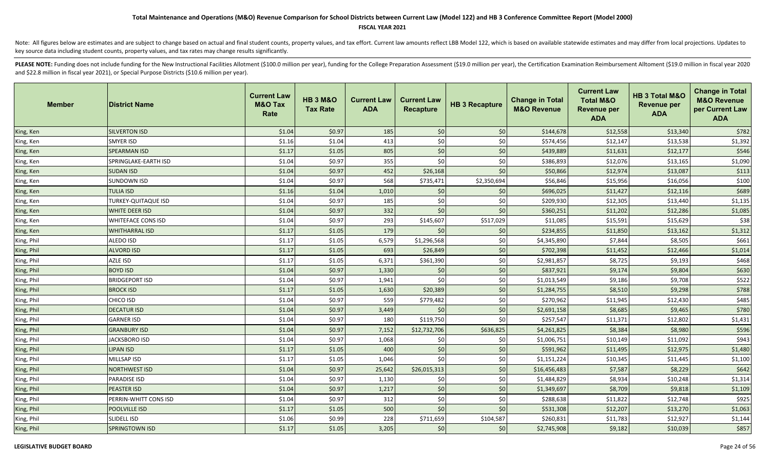### **FISCAL YEAR 2021**

Note: All figures below are estimates and are subject to change based on actual and final student counts, property values, and tax effort. Current law amounts reflect LBB Model 122, which is based on available statewide es key source data including student counts, property values, and tax rates may change results significantly.

| <b>Member</b> | <b>IDistrict Name</b> | <b>Current Law</b><br><b>M&amp;O Tax</b><br>Rate | <b>HB 3 M&amp;O</b><br><b>Tax Rate</b> | <b>Current Law</b><br><b>ADA</b> | <b>Current Law</b><br><b>Recapture</b> | <b>HB 3 Recapture</b> | <b>Change in Total</b><br><b>M&amp;O Revenue</b> | <b>Current Law</b><br><b>Total M&amp;O</b><br><b>Revenue per</b><br><b>ADA</b> | HB 3 Total M&O<br><b>Revenue per</b><br><b>ADA</b> | <b>Change in Total</b><br><b>M&amp;O Revenue</b><br>per Current Law<br><b>ADA</b> |
|---------------|-----------------------|--------------------------------------------------|----------------------------------------|----------------------------------|----------------------------------------|-----------------------|--------------------------------------------------|--------------------------------------------------------------------------------|----------------------------------------------------|-----------------------------------------------------------------------------------|
| King, Ken     | <b>SILVERTON ISD</b>  | \$1.04                                           | \$0.97                                 | 185                              | \$0                                    | \$0                   | \$144,678                                        | \$12,558                                                                       | \$13,340                                           | \$782                                                                             |
| King, Ken     | <b>SMYER ISD</b>      | \$1.16                                           | \$1.04                                 | 413                              | \$0                                    | \$0                   | \$574,456                                        | \$12,147                                                                       | \$13,538                                           | \$1,392                                                                           |
| King, Ken     | <b>SPEARMAN ISD</b>   | \$1.17                                           | \$1.05                                 | 805                              | \$0                                    | \$0                   | \$439,889                                        | \$11,631                                                                       | \$12,177                                           | \$546                                                                             |
| King, Ken     | SPRINGLAKE-EARTH ISD  | \$1.04                                           | \$0.97                                 | 355                              | \$0                                    | \$0                   | \$386,893                                        | \$12,076                                                                       | \$13,165                                           | \$1,090                                                                           |
| King, Ken     | <b>SUDAN ISD</b>      | \$1.04                                           | \$0.97                                 | 452                              | \$26,168                               | \$0                   | \$50,866                                         | \$12,974                                                                       | \$13,087                                           | \$113                                                                             |
| King, Ken     | <b>SUNDOWN ISD</b>    | \$1.04                                           | \$0.97                                 | 568                              | \$735,471                              | \$2,350,694           | \$56,846                                         | \$15,956                                                                       | \$16,056                                           | \$100                                                                             |
| King, Ken     | <b>TULIA ISD</b>      | \$1.16                                           | \$1.04                                 | 1,010                            | \$0                                    | \$0                   | \$696,025                                        | \$11,427                                                                       | \$12,116                                           | \$689                                                                             |
| King, Ken     | TURKEY-QUITAQUE ISD   | \$1.04                                           | \$0.97                                 | 185                              | \$0                                    | \$0                   | \$209,930                                        | \$12,305                                                                       | \$13,440                                           | \$1,135                                                                           |
| King, Ken     | <b>WHITE DEER ISD</b> | \$1.04                                           | \$0.97                                 | 332                              | \$0                                    | \$0                   | \$360,251                                        | \$11,202                                                                       | \$12,286                                           | \$1,085                                                                           |
| King, Ken     | WHITEFACE CONS ISD    | \$1.04                                           | \$0.97                                 | 293                              | \$145,607                              | \$517,029             | \$11,085                                         | \$15,591                                                                       | \$15,629                                           | \$38                                                                              |
| King, Ken     | <b>WHITHARRAL ISD</b> | \$1.17                                           | \$1.05                                 | 179                              | \$0                                    | \$0                   | \$234,855                                        | \$11,850                                                                       | \$13,162                                           | \$1,312                                                                           |
| King, Phil    | ALEDO ISD             | \$1.17                                           | \$1.05                                 | 6,579                            | \$1,296,568                            | \$0                   | \$4,345,890                                      | \$7,844                                                                        | \$8,505                                            | \$661                                                                             |
| King, Phil    | <b>ALVORD ISD</b>     | \$1.17                                           | \$1.05                                 | 693                              | \$26,849                               | \$0                   | \$702,398                                        | \$11,452                                                                       | \$12,466                                           | \$1,014                                                                           |
| King, Phil    | AZLE ISD              | \$1.17                                           | \$1.05                                 | 6,371                            | \$361,390                              | \$0                   | \$2,981,857                                      | \$8,725                                                                        | \$9,193                                            | \$468                                                                             |
| King, Phil    | <b>BOYD ISD</b>       | \$1.04                                           | \$0.97                                 | 1,330                            | \$0                                    | \$0                   | \$837,921                                        | \$9,174                                                                        | \$9,804                                            | \$630                                                                             |
| King, Phil    | <b>BRIDGEPORT ISD</b> | \$1.04                                           | \$0.97                                 | 1,941                            | \$0                                    | \$0                   | \$1,013,549                                      | \$9,186                                                                        | \$9,708                                            | \$522                                                                             |
| King, Phil    | <b>BROCK ISD</b>      | \$1.17                                           | \$1.05                                 | 1,630                            | \$20,389                               | \$0                   | \$1,284,755                                      | \$8,510                                                                        | \$9,298                                            | \$788                                                                             |
| King, Phil    | CHICO ISD             | \$1.04                                           | \$0.97                                 | 559                              | \$779,482                              | \$0                   | \$270,962                                        | \$11,945                                                                       | \$12,430                                           | \$485                                                                             |
| King, Phil    | <b>DECATUR ISD</b>    | \$1.04                                           | \$0.97                                 | 3,449                            | \$0                                    | \$0                   | \$2,691,158                                      | \$8,685                                                                        | \$9,465                                            | \$780                                                                             |
| King, Phil    | <b>GARNER ISD</b>     | \$1.04                                           | \$0.97                                 | 180                              | \$119,750                              | \$0                   | \$257,547                                        | \$11,371                                                                       | \$12,802                                           | \$1,431                                                                           |
| King, Phil    | <b>GRANBURY ISD</b>   | \$1.04                                           | \$0.97                                 | 7,152                            | \$12,732,706                           | \$636,825             | \$4,261,825                                      | \$8,384                                                                        | \$8,980                                            | \$596                                                                             |
| King, Phil    | <b>JACKSBORO ISD</b>  | \$1.04                                           | \$0.97                                 | 1,068                            | \$0                                    | \$0                   | \$1,006,751                                      | \$10,149                                                                       | \$11,092                                           | \$943                                                                             |
| King, Phil    | <b>LIPAN ISD</b>      | \$1.17                                           | \$1.05                                 | 400                              | \$0                                    | \$0                   | \$591,962                                        | \$11,495                                                                       | \$12,975                                           | \$1,480                                                                           |
| King, Phil    | MILLSAP ISD           | \$1.17                                           | \$1.05                                 | 1,046                            | \$0                                    | \$0                   | \$1,151,224                                      | \$10,345                                                                       | \$11,445                                           | \$1,100                                                                           |
| King, Phil    | NORTHWEST ISD         | \$1.04                                           | \$0.97                                 | 25,642                           | \$26,015,313                           | \$0                   | \$16,456,483                                     | \$7,587                                                                        | \$8,229                                            | \$642                                                                             |
| King, Phil    | PARADISE ISD          | \$1.04                                           | \$0.97                                 | 1,130                            | \$0                                    | \$0                   | \$1,484,829                                      | \$8,934                                                                        | \$10,248                                           | \$1,314                                                                           |
| King, Phil    | <b>PEASTER ISD</b>    | \$1.04                                           | \$0.97                                 | 1,217                            | \$0                                    | \$0                   | \$1,349,697                                      | \$8,709                                                                        | \$9,818                                            | \$1,109                                                                           |
| King, Phil    | PERRIN-WHITT CONS ISD | \$1.04                                           | \$0.97                                 | 312                              | \$0                                    | \$0                   | \$288,638                                        | \$11,822                                                                       | \$12,748                                           | \$925                                                                             |
| King, Phil    | POOLVILLE ISD         | \$1.17                                           | \$1.05                                 | 500                              | \$0                                    | \$0                   | \$531,308                                        | \$12,207                                                                       | \$13,270                                           | \$1,063                                                                           |
| King, Phil    | SLIDELL ISD           | \$1.06                                           | \$0.99                                 | 228                              | \$711,659                              | \$104,587             | \$260,831                                        | \$11,783                                                                       | \$12,927                                           | \$1,144                                                                           |
| King, Phil    | <b>SPRINGTOWN ISD</b> | \$1.17                                           | \$1.05                                 | 3,205                            | \$0                                    | \$0                   | \$2,745,908                                      | \$9,182                                                                        | \$10,039                                           | \$857                                                                             |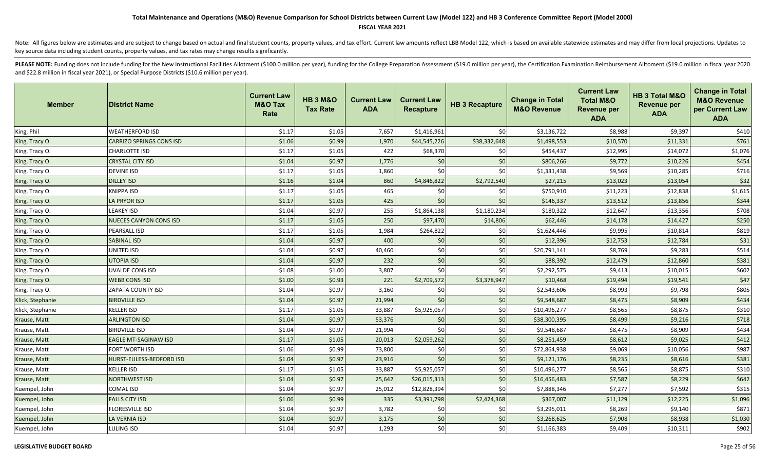### **FISCAL YEAR 2021**

Note: All figures below are estimates and are subject to change based on actual and final student counts, property values, and tax effort. Current law amounts reflect LBB Model 122, which is based on available statewide es key source data including student counts, property values, and tax rates may change results significantly.

| <b>Member</b>    | <b>District Name</b>            | <b>Current Law</b><br><b>M&amp;O Tax</b><br>Rate | <b>HB 3 M&amp;O</b><br><b>Tax Rate</b> | <b>Current Law</b><br><b>ADA</b> | <b>Current Law</b><br><b>Recapture</b> | <b>HB 3 Recapture</b> | <b>Change in Total</b><br><b>M&amp;O Revenue</b> | <b>Current Law</b><br><b>Total M&amp;O</b><br><b>Revenue per</b><br><b>ADA</b> | HB 3 Total M&O<br><b>Revenue per</b><br><b>ADA</b> | <b>Change in Total</b><br><b>M&amp;O Revenue</b><br>per Current Law<br><b>ADA</b> |
|------------------|---------------------------------|--------------------------------------------------|----------------------------------------|----------------------------------|----------------------------------------|-----------------------|--------------------------------------------------|--------------------------------------------------------------------------------|----------------------------------------------------|-----------------------------------------------------------------------------------|
| King, Phil       | <b>WEATHERFORD ISD</b>          | \$1.17                                           | \$1.05                                 | 7,657                            | \$1,416,961                            | \$0                   | \$3,136,722                                      | \$8,988                                                                        | \$9,397                                            | \$410                                                                             |
| King, Tracy O.   | <b>CARRIZO SPRINGS CONS ISD</b> | \$1.06                                           | \$0.99                                 | 1,970                            | \$44,545,226                           | \$38,332,648          | \$1,498,553                                      | \$10,570                                                                       | \$11,331                                           | \$761                                                                             |
| King, Tracy O.   | <b>CHARLOTTE ISD</b>            | \$1.17                                           | \$1.05                                 | 422                              | \$68,370                               | \$0                   | \$454,437                                        | \$12,995                                                                       | \$14,072                                           | \$1,076                                                                           |
| King, Tracy O.   | <b>CRYSTAL CITY ISD</b>         | \$1.04                                           | \$0.97                                 | 1,776                            | \$0                                    | \$0                   | \$806,266                                        | \$9,772                                                                        | \$10,226                                           | \$454                                                                             |
| King, Tracy O.   | <b>DEVINE ISD</b>               | \$1.17                                           | \$1.05                                 | 1,860                            | \$0                                    | \$0                   | \$1,331,438                                      | \$9,569                                                                        | \$10,285                                           | \$716                                                                             |
| King, Tracy O.   | <b>DILLEY ISD</b>               | \$1.16                                           | \$1.04                                 | 860                              | \$4,846,822                            | \$2,792,540           | \$27,215                                         | \$13,023                                                                       | \$13,054                                           | \$32                                                                              |
| King, Tracy O.   | KNIPPA ISD                      | \$1.17                                           | \$1.05                                 | 465                              | \$0                                    | \$0                   | \$750,910                                        | \$11,223                                                                       | \$12,838                                           | \$1,615                                                                           |
| King, Tracy O.   | <b>LA PRYOR ISD</b>             | \$1.17                                           | \$1.05                                 | 425                              | \$0                                    | \$0                   | \$146,337                                        | \$13,512                                                                       | \$13,856                                           | \$344                                                                             |
| King, Tracy O.   | <b>LEAKEY ISD</b>               | \$1.04                                           | \$0.97                                 | 255                              | \$1,864,138                            | \$1,180,234           | \$180,322                                        | \$12,647                                                                       | \$13,356                                           | \$708                                                                             |
| King, Tracy O.   | <b>NUECES CANYON CONS ISD</b>   | \$1.17                                           | \$1.05                                 | 250                              | \$97,470                               | \$14,806              | \$62,446                                         | \$14,178                                                                       | \$14,427                                           | \$250                                                                             |
| King, Tracy O.   | PEARSALL ISD                    | \$1.17                                           | \$1.05                                 | 1,984                            | \$264,822                              | \$0                   | \$1,624,446                                      | \$9,995                                                                        | \$10,814                                           | \$819                                                                             |
| King, Tracy O.   | <b>SABINAL ISD</b>              | \$1.04                                           | \$0.97                                 | 400                              | \$0                                    | \$0                   | \$12,396                                         | \$12,753                                                                       | \$12,784                                           | \$31                                                                              |
| King, Tracy O.   | UNITED ISD                      | \$1.04                                           | \$0.97                                 | 40,460                           | \$0                                    | \$0                   | \$20,791,141                                     | \$8,769                                                                        | \$9,283                                            | \$514                                                                             |
| King, Tracy O.   | <b>UTOPIA ISD</b>               | \$1.04                                           | \$0.97                                 | 232                              | \$0                                    | \$0                   | \$88,392                                         | \$12,479                                                                       | \$12,860                                           | \$381                                                                             |
| King, Tracy O.   | UVALDE CONS ISD                 | \$1.08                                           | \$1.00                                 | 3,807                            | \$0                                    | \$0                   | \$2,292,575                                      | \$9,413                                                                        | \$10,015                                           | \$602                                                                             |
| King, Tracy O.   | <b>WEBB CONS ISD</b>            | \$1.00                                           | \$0.93                                 | 221                              | \$2,709,572                            | \$3,378,947           | \$10,468                                         | \$19,494                                                                       | \$19,541                                           | \$47                                                                              |
| King, Tracy O.   | ZAPATA COUNTY ISD               | \$1.04                                           | \$0.97                                 | 3,160                            | \$0                                    | \$0                   | \$2,543,606                                      | \$8,993                                                                        | \$9,798                                            | \$805                                                                             |
| Klick, Stephanie | <b>BIRDVILLE ISD</b>            | \$1.04                                           | \$0.97                                 | 21,994                           | \$0                                    | \$0                   | \$9,548,687                                      | \$8,475                                                                        | \$8,909                                            | \$434                                                                             |
| Klick, Stephanie | <b>KELLER ISD</b>               | \$1.17                                           | \$1.05                                 | 33,887                           | \$5,925,057                            | \$0                   | \$10,496,277                                     | \$8,565                                                                        | \$8,875                                            | \$310                                                                             |
| Krause, Matt     | <b>ARLINGTON ISD</b>            | \$1.04                                           | \$0.97                                 | 53,376                           | \$0                                    | \$0                   | \$38,300,395                                     | \$8,499                                                                        | \$9,216                                            | \$718                                                                             |
| Krause, Matt     | <b>BIRDVILLE ISD</b>            | \$1.04                                           | \$0.97                                 | 21,994                           | \$0                                    | \$0                   | \$9,548,687                                      | \$8,475                                                                        | \$8,909                                            | \$434                                                                             |
| Krause, Matt     | <b>EAGLE MT-SAGINAW ISD</b>     | \$1.17                                           | \$1.05                                 | 20,013                           | \$2,059,262                            | \$0                   | \$8,251,459                                      | \$8,612                                                                        | \$9,025                                            | \$412                                                                             |
| Krause, Matt     | <b>FORT WORTH ISD</b>           | \$1.06                                           | \$0.99                                 | 73,800                           | \$0                                    | \$0                   | \$72,864,938                                     | \$9,069                                                                        | \$10,056                                           | \$987                                                                             |
| Krause, Matt     | HURST-EULESS-BEDFORD ISD        | \$1.04                                           | \$0.97                                 | 23,916                           | \$0                                    | \$0                   | \$9,121,176                                      | \$8,235                                                                        | \$8,616                                            | \$381                                                                             |
| Krause, Matt     | KELLER ISD                      | \$1.17                                           | \$1.05                                 | 33,887                           | \$5,925,057                            | \$0                   | \$10,496,277                                     | \$8,565                                                                        | \$8,875                                            | \$310                                                                             |
| Krause, Matt     | <b>NORTHWEST ISD</b>            | \$1.04                                           | \$0.97                                 | 25,642                           | \$26,015,313                           | \$0                   | \$16,456,483                                     | \$7,587                                                                        | \$8,229                                            | \$642                                                                             |
| Kuempel, John    | COMAL ISD                       | \$1.04                                           | \$0.97                                 | 25,012                           | \$12,828,394                           | \$0                   | \$7,888,346                                      | \$7,277                                                                        | \$7,592                                            | \$315                                                                             |
| Kuempel, John    | <b>FALLS CITY ISD</b>           | \$1.06                                           | \$0.99                                 | 335                              | \$3,391,798                            | \$2,424,368           | \$367,007                                        | \$11,129                                                                       | \$12,225                                           | \$1,096                                                                           |
| Kuempel, John    | <b>FLORESVILLE ISD</b>          | \$1.04                                           | \$0.97                                 | 3,782                            | \$0                                    | \$0                   | \$3,295,011                                      | \$8,269                                                                        | \$9,140                                            | \$871                                                                             |
| Kuempel, John    | LA VERNIA ISD                   | \$1.04                                           | \$0.97                                 | 3,175                            | $$0$$                                  | \$0                   | \$3,268,625                                      | \$7,908                                                                        | \$8,938                                            | \$1,030                                                                           |
| Kuempel, John    | <b>LULING ISD</b>               | \$1.04                                           | \$0.97                                 | 1,293                            | \$0                                    | \$0                   | \$1,166,383                                      | \$9,409                                                                        | \$10,311                                           | \$902                                                                             |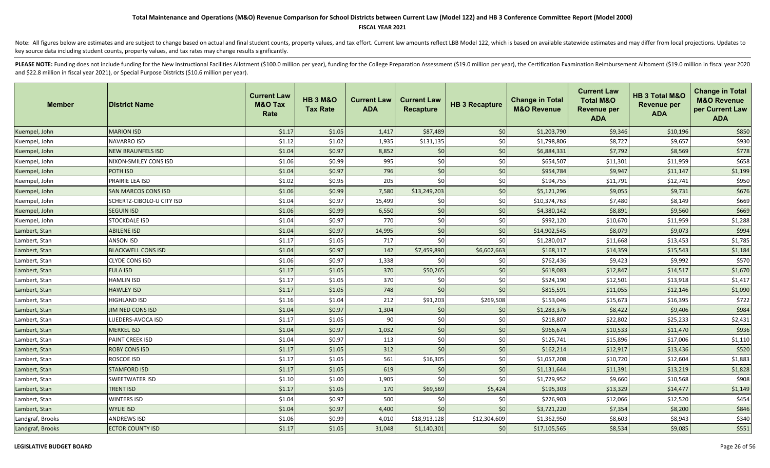### **FISCAL YEAR 2021**

Note: All figures below are estimates and are subject to change based on actual and final student counts, property values, and tax effort. Current law amounts reflect LBB Model 122, which is based on available statewide es key source data including student counts, property values, and tax rates may change results significantly.

| <b>Member</b>    | <b>District Name</b>      | <b>Current Law</b><br><b>M&amp;O Tax</b><br>Rate | <b>HB 3 M&amp;O</b><br><b>Tax Rate</b> | <b>Current Law</b><br><b>ADA</b> | <b>Current Law</b><br><b>Recapture</b> | <b>HB 3 Recapture</b> | <b>Change in Total</b><br><b>M&amp;O Revenue</b> | <b>Current Law</b><br><b>Total M&amp;O</b><br><b>Revenue per</b><br><b>ADA</b> | HB 3 Total M&O<br><b>Revenue per</b><br><b>ADA</b> | <b>Change in Total</b><br><b>M&amp;O Revenue</b><br>per Current Law<br><b>ADA</b> |
|------------------|---------------------------|--------------------------------------------------|----------------------------------------|----------------------------------|----------------------------------------|-----------------------|--------------------------------------------------|--------------------------------------------------------------------------------|----------------------------------------------------|-----------------------------------------------------------------------------------|
| Kuempel, John    | <b>MARION ISD</b>         | \$1.17                                           | \$1.05                                 | 1,417                            | \$87,489                               | \$0                   | \$1,203,790                                      | \$9,346                                                                        | \$10,196                                           | \$850                                                                             |
| Kuempel, John    | <b>NAVARRO ISD</b>        | \$1.12                                           | \$1.02                                 | 1,935                            | \$131,135                              | \$0                   | \$1,798,806                                      | \$8,727                                                                        | \$9,657                                            | \$930                                                                             |
| Kuempel, John    | <b>NEW BRAUNFELS ISD</b>  | \$1.04                                           | \$0.97                                 | 8,852                            | \$0                                    | \$0                   | \$6,884,331                                      | \$7,792                                                                        | \$8,569                                            | \$778                                                                             |
| Kuempel, John    | NIXON-SMILEY CONS ISD     | \$1.06                                           | \$0.99                                 | 995                              | \$0                                    | \$0                   | \$654,507                                        | \$11,301                                                                       | \$11,959                                           | \$658                                                                             |
| Kuempel, John    | POTH ISD                  | \$1.04                                           | \$0.97                                 | 796                              | \$0                                    | \$0                   | \$954,784                                        | \$9,947                                                                        | \$11,147                                           | \$1,199                                                                           |
| Kuempel, John    | PRAIRIE LEA ISD           | \$1.02                                           | \$0.95                                 | 205                              | \$0                                    | \$0                   | \$194,755                                        | \$11,791                                                                       | \$12,741                                           | \$950                                                                             |
| Kuempel, John    | SAN MARCOS CONS ISD       | \$1.06                                           | \$0.99                                 | 7,580                            | \$13,249,203                           | \$0                   | \$5,121,296                                      | \$9,055                                                                        | \$9,731                                            | \$676                                                                             |
| Kuempel, John    | SCHERTZ-CIBOLO-U CITY ISD | \$1.04                                           | \$0.97                                 | 15,499                           | \$0                                    | \$0                   | \$10,374,763                                     | \$7,480                                                                        | \$8,149                                            | \$669                                                                             |
| Kuempel, John    | SEGUIN ISD                | \$1.06                                           | \$0.99                                 | 6,550                            | \$0                                    | \$0                   | \$4,380,142                                      | \$8,891                                                                        | \$9,560                                            | \$669                                                                             |
| Kuempel, John    | <b>STOCKDALE ISD</b>      | \$1.04                                           | \$0.97                                 | 770                              | \$0                                    | \$0                   | \$992,120                                        | \$10,670                                                                       | \$11,959                                           | \$1,288                                                                           |
| Lambert, Stan    | <b>ABILENE ISD</b>        | \$1.04                                           | \$0.97                                 | 14,995                           | $$0$$                                  | \$0                   | \$14,902,545                                     | \$8,079                                                                        | \$9,073                                            | \$994                                                                             |
| Lambert, Stan    | ANSON ISD                 | \$1.17                                           | \$1.05                                 | 717                              | \$0                                    | \$0                   | \$1,280,017                                      | \$11,668                                                                       | \$13,453                                           | \$1,785                                                                           |
| Lambert, Stan    | <b>BLACKWELL CONS ISD</b> | \$1.04                                           | \$0.97                                 | 142                              | \$7,459,890                            | \$6,602,663           | \$168,117                                        | \$14,359                                                                       | \$15,543                                           | \$1,184                                                                           |
| Lambert, Stan    | CLYDE CONS ISD            | \$1.06                                           | \$0.97                                 | 1,338                            | \$0                                    | \$0                   | \$762,436                                        | \$9,423                                                                        | \$9,992                                            | \$570                                                                             |
| Lambert, Stan    | <b>EULA ISD</b>           | \$1.17                                           | \$1.05                                 | 370                              | \$50,265                               | \$0                   | \$618,083                                        | \$12,847                                                                       | \$14,517                                           | \$1,670                                                                           |
| Lambert, Stan    | <b>HAMLIN ISD</b>         | \$1.17                                           | \$1.05                                 | 370                              | \$0                                    | \$0                   | \$524,190                                        | \$12,501                                                                       | \$13,918                                           | \$1,417                                                                           |
| Lambert, Stan    | <b>HAWLEY ISD</b>         | \$1.17                                           | \$1.05                                 | 748                              | \$0                                    | \$0                   | \$815,591                                        | \$11,055                                                                       | \$12,146                                           | \$1,090                                                                           |
| Lambert, Stan    | <b>HIGHLAND ISD</b>       | \$1.16                                           | \$1.04                                 | 212                              | \$91,203                               | \$269,508             | \$153,046                                        | \$15,673                                                                       | \$16,395                                           | \$722                                                                             |
| Lambert, Stan    | <b>IIM NED CONS ISD</b>   | \$1.04                                           | \$0.97                                 | 1,304                            | \$0                                    | \$0                   | \$1,283,376                                      | \$8,422                                                                        | \$9,406                                            | \$984                                                                             |
| Lambert, Stan    | LUEDERS-AVOCA ISD         | \$1.17                                           | \$1.05                                 | 90                               | \$0                                    | \$0                   | \$218,807                                        | \$22,802                                                                       | \$25,233                                           | \$2,431                                                                           |
| Lambert, Stan    | <b>MERKEL ISD</b>         | \$1.04                                           | \$0.97                                 | 1,032                            | \$0                                    | \$0                   | \$966,674                                        | \$10,533                                                                       | \$11,470                                           | \$936                                                                             |
| Lambert, Stan    | PAINT CREEK ISD           | \$1.04                                           | \$0.97                                 | 113                              | \$0                                    | \$0                   | \$125,741                                        | \$15,896                                                                       | \$17,006                                           | \$1,110                                                                           |
| Lambert, Stan    | <b>ROBY CONS ISD</b>      | \$1.17                                           | \$1.05                                 | 312                              | \$0                                    | \$0                   | \$162,214                                        | \$12,917                                                                       | \$13,436                                           | \$520                                                                             |
| Lambert, Stan    | ROSCOE ISD                | \$1.17                                           | \$1.05                                 | 561                              | \$16,305                               | \$0                   | \$1,057,208                                      | \$10,720                                                                       | \$12,604                                           | \$1,883                                                                           |
| Lambert, Stan    | <b>STAMFORD ISD</b>       | \$1.17                                           | \$1.05                                 | 619                              | \$0                                    | \$0                   | \$1,131,644                                      | \$11,391                                                                       | \$13,219                                           | \$1,828                                                                           |
| Lambert, Stan    | SWEETWATER ISD            | \$1.10                                           | \$1.00                                 | 1,905                            | \$0                                    | \$0                   | \$1,729,952                                      | \$9,660                                                                        | \$10,568                                           | \$908                                                                             |
| Lambert, Stan    | <b>TRENT ISD</b>          | \$1.17                                           | \$1.05                                 | 170                              | \$69,569                               | \$5,424               | \$195,303                                        | \$13,329                                                                       | \$14,477                                           | \$1,149                                                                           |
| Lambert, Stan    | <b>WINTERS ISD</b>        | \$1.04                                           | \$0.97                                 | 500                              | \$0                                    | \$0                   | \$226,903                                        | \$12,066                                                                       | \$12,520                                           | \$454                                                                             |
| Lambert, Stan    | <b>WYLIE ISD</b>          | \$1.04                                           | \$0.97                                 | 4,400                            | \$0                                    | \$0                   | \$3,721,220                                      | \$7,354                                                                        | \$8,200                                            | \$846                                                                             |
| Landgraf, Brooks | ANDREWS ISD               | \$1.06                                           | \$0.99                                 | 4,010                            | \$18,913,128                           | \$12,304,609          | \$1,362,950                                      | \$8,603                                                                        | \$8,943                                            | \$340                                                                             |
| Landgraf, Brooks | <b>ECTOR COUNTY ISD</b>   | \$1.17                                           | \$1.05                                 | 31,048                           | \$1,140,301                            | \$0                   | \$17,105,565                                     | \$8,534                                                                        | \$9,085                                            | \$551                                                                             |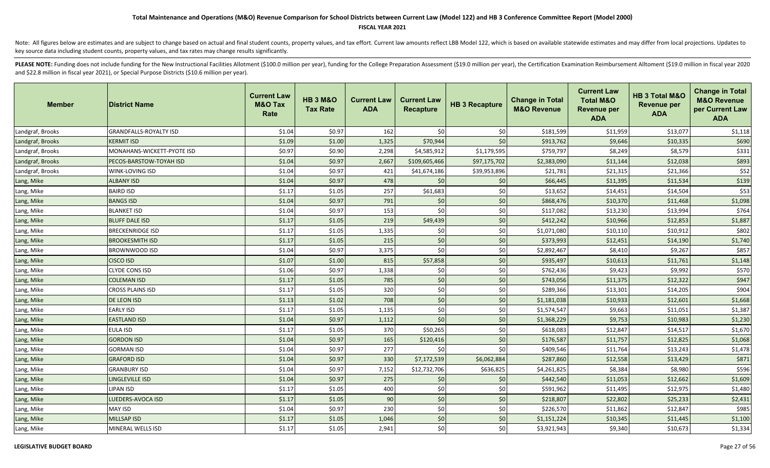### **FISCAL YEAR 2021**

Note: All figures below are estimates and are subject to change based on actual and final student counts, property values, and tax effort. Current law amounts reflect LBB Model 122, which is based on available statewide es key source data including student counts, property values, and tax rates may change results significantly.

| <b>Member</b>    | <b>District Name</b>          | <b>Current Law</b><br><b>M&amp;O Tax</b><br>Rate | <b>HB 3 M&amp;O</b><br><b>Tax Rate</b> | <b>Current Law</b><br><b>ADA</b> | <b>Current Law</b><br>Recapture | <b>HB 3 Recapture</b> | <b>Change in Total</b><br><b>M&amp;O Revenue</b> | <b>Current Law</b><br><b>Total M&amp;O</b><br><b>Revenue per</b><br><b>ADA</b> | HB 3 Total M&O<br><b>Revenue per</b><br><b>ADA</b> | <b>Change in Total</b><br><b>M&amp;O Revenue</b><br>per Current Law<br><b>ADA</b> |
|------------------|-------------------------------|--------------------------------------------------|----------------------------------------|----------------------------------|---------------------------------|-----------------------|--------------------------------------------------|--------------------------------------------------------------------------------|----------------------------------------------------|-----------------------------------------------------------------------------------|
| Landgraf, Brooks | <b>GRANDFALLS-ROYALTY ISD</b> | \$1.04                                           | \$0.97                                 | 162                              | \$0                             | \$0                   | \$181,599                                        | \$11,959                                                                       | \$13,077                                           | \$1,118                                                                           |
| Landgraf, Brooks | <b>KERMIT ISD</b>             | \$1.09                                           | \$1.00                                 | 1,325                            | \$70,944                        | \$0                   | \$913,762                                        | \$9,646                                                                        | \$10,335                                           | \$690                                                                             |
| Landgraf, Brooks | MONAHANS-WICKETT-PYOTE ISD    | \$0.97                                           | \$0.90                                 | 2,298                            | \$4,585,912                     | \$1,179,595           | \$759,797                                        | \$8,249                                                                        | \$8,579                                            | \$331                                                                             |
| Landgraf, Brooks | PECOS-BARSTOW-TOYAH ISD       | \$1.04                                           | \$0.97                                 | 2,667                            | \$109,605,466                   | \$97,175,702          | \$2,383,090                                      | \$11,144                                                                       | \$12,038                                           | \$893                                                                             |
| Landgraf, Brooks | WINK-LOVING ISD               | \$1.04                                           | \$0.97                                 | 421                              | \$41,674,186                    | \$39,953,896          | \$21,781                                         | \$21,315                                                                       | \$21,366                                           | \$52                                                                              |
| Lang, Mike       | <b>ALBANY ISD</b>             | \$1.04                                           | \$0.97                                 | 478                              | \$0                             | \$0                   | \$66,445                                         | \$11,395                                                                       | \$11,534                                           | \$139                                                                             |
| Lang, Mike       | <b>BAIRD ISD</b>              | \$1.17                                           | \$1.05                                 | 257                              | \$61,683                        | \$0                   | \$13,652                                         | \$14,451                                                                       | \$14,504                                           | \$53                                                                              |
| Lang, Mike       | <b>BANGS ISD</b>              | \$1.04                                           | \$0.97                                 | 791                              | \$0                             | \$0                   | \$868,476                                        | \$10,370                                                                       | \$11,468                                           | \$1,098                                                                           |
| Lang, Mike       | <b>BLANKET ISD</b>            | \$1.04                                           | \$0.97                                 | 153                              | \$0                             | \$0                   | \$117,082                                        | \$13,230                                                                       | \$13,994                                           | \$764                                                                             |
| Lang, Mike       | <b>BLUFF DALE ISD</b>         | \$1.17                                           | \$1.05                                 | 219                              | \$49,439                        | \$0                   | \$412,242                                        | \$10,966                                                                       | \$12,853                                           | \$1,887                                                                           |
| Lang, Mike       | <b>BRECKENRIDGE ISD</b>       | \$1.17                                           | \$1.05                                 | 1,335                            | \$0                             | \$0                   | \$1,071,080                                      | \$10,110                                                                       | \$10,912                                           | \$802                                                                             |
| Lang, Mike       | <b>BROOKESMITH ISD</b>        | \$1.17                                           | \$1.05                                 | 215                              | \$0                             | \$0                   | \$373,993                                        | \$12,451                                                                       | \$14,190                                           | \$1,740                                                                           |
| Lang, Mike       | <b>BROWNWOOD ISD</b>          | \$1.04                                           | \$0.97                                 | 3,375                            | \$0                             | \$0                   | \$2,892,467                                      | \$8,410                                                                        | \$9,267                                            | \$857                                                                             |
| Lang, Mike       | <b>CISCO ISD</b>              | \$1.07                                           | \$1.00                                 | 815                              | \$57,858                        | \$0                   | \$935,497                                        | \$10,613                                                                       | \$11,761                                           | \$1,148                                                                           |
| Lang, Mike       | <b>CLYDE CONS ISD</b>         | \$1.06                                           | \$0.97                                 | 1,338                            | \$0                             | \$0                   | \$762,436                                        | \$9,423                                                                        | \$9,992                                            | \$570                                                                             |
| Lang, Mike       | <b>COLEMAN ISD</b>            | \$1.17                                           | \$1.05                                 | 785                              | \$0                             | \$0                   | \$743,056                                        | \$11,375                                                                       | \$12,322                                           | \$947                                                                             |
| Lang, Mike       | <b>CROSS PLAINS ISD</b>       | \$1.17                                           | \$1.05                                 | 320                              | \$0                             | \$0                   | \$289,366                                        | \$13,301                                                                       | \$14,205                                           | \$904                                                                             |
| Lang, Mike       | <b>DE LEON ISD</b>            | \$1.13                                           | \$1.02                                 | 708                              | \$0                             | \$0                   | \$1,181,038                                      | \$10,933                                                                       | \$12,601                                           | \$1,668                                                                           |
| Lang, Mike       | <b>EARLY ISD</b>              | \$1.17                                           | \$1.05                                 | 1,135                            | \$0                             | \$0                   | \$1,574,547                                      | \$9,663                                                                        | \$11,051                                           | \$1,387                                                                           |
| Lang, Mike       | <b>EASTLAND ISD</b>           | \$1.04                                           | \$0.97                                 | 1,112                            | \$0                             | \$0                   | \$1,368,229                                      | \$9,753                                                                        | \$10,983                                           | \$1,230                                                                           |
| Lang, Mike       | <b>EULA ISD</b>               | \$1.17                                           | \$1.05                                 | 370                              | \$50,265                        | \$0                   | \$618,083                                        | \$12,847                                                                       | \$14,517                                           | \$1,670                                                                           |
| Lang, Mike       | <b>GORDON ISD</b>             | \$1.04                                           | \$0.97                                 | 165                              | \$120,416                       | \$0                   | \$176,587                                        | \$11,757                                                                       | \$12,825                                           | \$1,068                                                                           |
| Lang, Mike       | <b>GORMAN ISD</b>             | \$1.04                                           | \$0.97                                 | 277                              | \$0                             | \$0                   | \$409,546                                        | \$11,764                                                                       | \$13,243                                           | \$1,478                                                                           |
| Lang, Mike       | <b>GRAFORD ISD</b>            | \$1.04                                           | \$0.97                                 | 330                              | \$7,172,539                     | \$6,062,884           | \$287,860                                        | \$12,558                                                                       | \$13,429                                           | \$871                                                                             |
| Lang, Mike       | <b>GRANBURY ISD</b>           | \$1.04                                           | \$0.97                                 | 7,152                            | \$12,732,706                    | \$636,825             | \$4,261,825                                      | \$8,384                                                                        | \$8,980                                            | \$596                                                                             |
| Lang, Mike       | LINGLEVILLE ISD               | \$1.04                                           | \$0.97                                 | 275                              | \$0                             | \$0                   | \$442,540                                        | \$11,053                                                                       | \$12,662                                           | \$1,609                                                                           |
| Lang, Mike       | <b>LIPAN ISD</b>              | \$1.17                                           | \$1.05                                 | 400                              | \$0                             | \$0                   | \$591,962                                        | \$11,495                                                                       | \$12,975                                           | \$1,480                                                                           |
| Lang, Mike       | <b>LUEDERS-AVOCA ISD</b>      | \$1.17                                           | \$1.05                                 | 90                               | \$0                             | \$0                   | \$218,807                                        | \$22,802                                                                       | \$25,233                                           | \$2,431                                                                           |
| Lang, Mike       | <b>MAY ISD</b>                | \$1.04                                           | \$0.97                                 | 230                              | \$0                             | \$0                   | \$226,570                                        | \$11,862                                                                       | \$12,847                                           | \$985                                                                             |
| Lang, Mike       | <b>MILLSAP ISD</b>            | \$1.17                                           | \$1.05                                 | 1,046                            | \$0                             | \$0                   | \$1,151,224                                      | \$10,345                                                                       | \$11,445                                           | \$1,100                                                                           |
| Lang, Mike       | MINERAL WELLS ISD             | \$1.17                                           | \$1.05                                 | 2,941                            | \$0                             | \$0                   | \$3,921,943                                      | \$9,340                                                                        | \$10,673                                           | \$1,334                                                                           |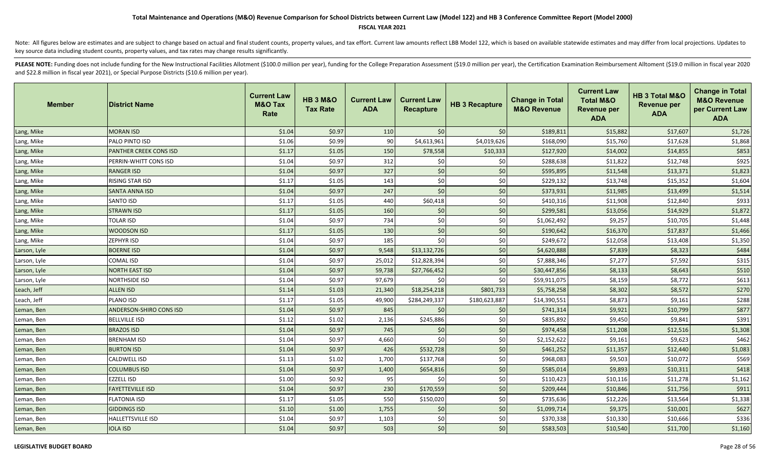### **FISCAL YEAR 2021**

Note: All figures below are estimates and are subject to change based on actual and final student counts, property values, and tax effort. Current law amounts reflect LBB Model 122, which is based on available statewide es key source data including student counts, property values, and tax rates may change results significantly.

| <b>Member</b> | ∣District Name                 | <b>Current Law</b><br><b>M&amp;O Tax</b><br>Rate | <b>HB 3 M&amp;O</b><br><b>Tax Rate</b> | <b>Current Law</b><br><b>ADA</b> | <b>Current Law</b><br>Recapture | <b>HB 3 Recapture</b> | <b>Change in Total</b><br><b>M&amp;O Revenue</b> | <b>Current Law</b><br><b>Total M&amp;O</b><br><b>Revenue per</b><br><b>ADA</b> | HB 3 Total M&O<br><b>Revenue per</b><br><b>ADA</b> | <b>Change in Total</b><br><b>M&amp;O Revenue</b><br>per Current Law<br><b>ADA</b> |
|---------------|--------------------------------|--------------------------------------------------|----------------------------------------|----------------------------------|---------------------------------|-----------------------|--------------------------------------------------|--------------------------------------------------------------------------------|----------------------------------------------------|-----------------------------------------------------------------------------------|
| Lang, Mike    | <b>MORAN ISD</b>               | \$1.04                                           | \$0.97                                 | 110                              | \$0                             | \$0                   | \$189,811                                        | \$15,882                                                                       | \$17,607                                           | \$1,726                                                                           |
| Lang, Mike    | PALO PINTO ISD                 | \$1.06                                           | \$0.99                                 | 90                               | \$4,613,961                     | \$4,019,626           | \$168,090                                        | \$15,760                                                                       | \$17,628                                           | \$1,868                                                                           |
| Lang, Mike    | <b>PANTHER CREEK CONS ISD</b>  | \$1.17                                           | \$1.05                                 | 150                              | \$78,558                        | \$10,333              | \$127,920                                        | \$14,002                                                                       | \$14,855                                           | \$853                                                                             |
| Lang, Mike    | PERRIN-WHITT CONS ISD          | \$1.04                                           | \$0.97                                 | 312                              | \$0                             | \$0                   | \$288,638                                        | \$11,822                                                                       | \$12,748                                           | \$925                                                                             |
| Lang, Mike    | <b>RANGER ISD</b>              | \$1.04                                           | \$0.97                                 | 327                              | \$0                             | \$0                   | \$595,895                                        | \$11,548                                                                       | \$13,371                                           | \$1,823                                                                           |
| Lang, Mike    | <b>RISING STAR ISD</b>         | \$1.17                                           | \$1.05                                 | 143                              | \$0                             | \$0                   | \$229,132                                        | \$13,748                                                                       | \$15,352                                           | \$1,604                                                                           |
| Lang, Mike    | <b>SANTA ANNA ISD</b>          | \$1.04                                           | \$0.97                                 | 247                              | \$0                             | \$0                   | \$373,931                                        | \$11,985                                                                       | \$13,499                                           | \$1,514                                                                           |
| Lang, Mike    | <b>SANTO ISD</b>               | \$1.17                                           | \$1.05                                 | 440                              | \$60,418                        | \$0                   | \$410,316                                        | \$11,908                                                                       | \$12,840                                           | \$933                                                                             |
| Lang, Mike    | <b>STRAWN ISD</b>              | \$1.17                                           | \$1.05                                 | 160                              | \$0                             | \$0                   | \$299,581                                        | \$13,056                                                                       | \$14,929                                           | \$1,872                                                                           |
| Lang, Mike    | <b>TOLAR ISD</b>               | \$1.04                                           | \$0.97                                 | 734                              | \$0                             | \$0                   | \$1,062,492                                      | \$9,257                                                                        | \$10,705                                           | \$1,448                                                                           |
| Lang, Mike    | <b>WOODSON ISD</b>             | \$1.17                                           | \$1.05                                 | 130                              | \$0                             | \$0                   | \$190,642                                        | \$16,370                                                                       | \$17,837                                           | \$1,466                                                                           |
| Lang, Mike    | ZEPHYR ISD                     | \$1.04                                           | \$0.97                                 | 185                              | \$0                             | \$0                   | \$249,672                                        | \$12,058                                                                       | \$13,408                                           | \$1,350                                                                           |
| Larson, Lyle  | <b>BOERNE ISD</b>              | \$1.04                                           | \$0.97                                 | 9,548                            | \$13,132,726                    | \$0                   | \$4,620,888                                      | \$7,839                                                                        | \$8,323                                            | \$484                                                                             |
| Larson, Lyle  | <b>COMAL ISD</b>               | \$1.04                                           | \$0.97                                 | 25,012                           | \$12,828,394                    | \$0                   | \$7,888,346                                      | \$7,277                                                                        | \$7,592                                            | \$315                                                                             |
| Larson, Lyle  | <b>NORTH EAST ISD</b>          | \$1.04                                           | \$0.97                                 | 59,738                           | \$27,766,452                    | \$0                   | \$30,447,856                                     | \$8,133                                                                        | \$8,643                                            | \$510                                                                             |
| Larson, Lyle  | <b>NORTHSIDE ISD</b>           | \$1.04                                           | \$0.97                                 | 97,679                           | \$0                             | \$0                   | \$59,911,075                                     | \$8,159                                                                        | \$8,772                                            | \$613                                                                             |
| Leach, Jeff   | <b>ALLEN ISD</b>               | \$1.14                                           | \$1.03                                 | 21,340                           | \$18,254,218                    | \$801,733             | \$5,758,258                                      | \$8,302                                                                        | \$8,572                                            | \$270                                                                             |
| Leach, Jeff   | <b>PLANO ISD</b>               | \$1.17                                           | \$1.05                                 | 49,900                           | \$284,249,337                   | \$180,623,887         | \$14,390,551                                     | \$8,873                                                                        | \$9,161                                            | \$288                                                                             |
| Leman, Ben    | <b>ANDERSON-SHIRO CONS ISD</b> | \$1.04                                           | \$0.97                                 | 845                              | \$0                             | \$0                   | \$741,314                                        | \$9,921                                                                        | \$10,799                                           | \$877                                                                             |
| Leman, Ben    | <b>BELLVILLE ISD</b>           | \$1.12                                           | \$1.02                                 | 2,136                            | \$245,886                       | \$0                   | \$835,892                                        | \$9,450                                                                        | \$9,841                                            | \$391                                                                             |
| Leman, Ben    | <b>BRAZOS ISD</b>              | \$1.04                                           | \$0.97                                 | 745                              | \$0                             | \$0                   | \$974,458                                        | \$11,208                                                                       | \$12,516                                           | \$1,308                                                                           |
| Leman, Ben    | <b>BRENHAM ISD</b>             | \$1.04                                           | \$0.97                                 | 4,660                            | \$0                             | \$0                   | \$2,152,622                                      | \$9,161                                                                        | \$9,623                                            | \$462                                                                             |
| Leman, Ben    | <b>BURTON ISD</b>              | \$1.04                                           | \$0.97                                 | 426                              | \$532,728                       | \$0                   | \$461,252                                        | \$11,357                                                                       | \$12,440                                           | \$1,083                                                                           |
| Leman, Ben    | <b>CALDWELL ISD</b>            | \$1.13                                           | \$1.02                                 | 1,700                            | \$137,768                       | \$0                   | \$968,083                                        | \$9,503                                                                        | \$10,072                                           | \$569                                                                             |
| Leman, Ben    | <b>COLUMBUS ISD</b>            | \$1.04                                           | \$0.97                                 | 1,400                            | \$654,816                       | \$0                   | \$585,014                                        | \$9,893                                                                        | \$10,311                                           | \$418                                                                             |
| Leman, Ben    | <b>EZZELL ISD</b>              | \$1.00                                           | \$0.92                                 | 95                               | \$0                             | \$0                   | \$110,423                                        | \$10,116                                                                       | \$11,278                                           | \$1,162                                                                           |
| Leman, Ben    | <b>FAYETTEVILLE ISD</b>        | \$1.04                                           | \$0.97                                 | 230                              | \$170,559                       | \$0                   | \$209,444                                        | \$10,846                                                                       | \$11,756                                           | \$911                                                                             |
| Leman, Ben    | <b>FLATONIA ISD</b>            | \$1.17                                           | \$1.05                                 | 550                              | \$150,020                       | \$0                   | \$735,636                                        | \$12,226                                                                       | \$13,564                                           | \$1,338                                                                           |
| Leman, Ben    | <b>GIDDINGS ISD</b>            | \$1.10                                           | \$1.00                                 | 1,755                            | \$0                             | \$0                   | \$1,099,714                                      | \$9,375                                                                        | \$10,001                                           | \$627                                                                             |
| Leman, Ben    | <b>HALLETTSVILLE ISD</b>       | \$1.04                                           | \$0.97                                 | 1,103                            | \$0                             | \$0                   | \$370,338                                        | \$10,330                                                                       | \$10,666                                           | \$336                                                                             |
| Leman, Ben    | <b>IOLA ISD</b>                | \$1.04                                           | \$0.97                                 | 503                              | \$0                             | \$0                   | \$583,503                                        | \$10,540                                                                       | \$11,700                                           | \$1,160                                                                           |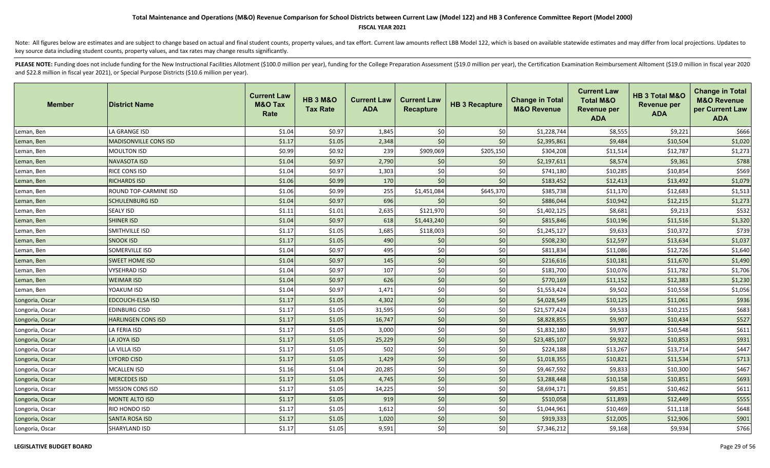### **FISCAL YEAR 2021**

Note: All figures below are estimates and are subject to change based on actual and final student counts, property values, and tax effort. Current law amounts reflect LBB Model 122, which is based on available statewide es key source data including student counts, property values, and tax rates may change results significantly.

| <b>Member</b>   | <b>District Name</b>         | <b>Current Law</b><br><b>M&amp;O Tax</b><br>Rate | <b>HB 3 M&amp;O</b><br><b>Tax Rate</b> | <b>Current Law</b><br><b>ADA</b> | <b>Current Law</b><br><b>Recapture</b> | <b>HB 3 Recapture</b> | <b>Change in Total</b><br><b>M&amp;O Revenue</b> | <b>Current Law</b><br><b>Total M&amp;O</b><br><b>Revenue per</b><br><b>ADA</b> | HB 3 Total M&O<br><b>Revenue per</b><br><b>ADA</b> | <b>Change in Total</b><br><b>M&amp;O Revenue</b><br>per Current Law<br><b>ADA</b> |
|-----------------|------------------------------|--------------------------------------------------|----------------------------------------|----------------------------------|----------------------------------------|-----------------------|--------------------------------------------------|--------------------------------------------------------------------------------|----------------------------------------------------|-----------------------------------------------------------------------------------|
| Leman, Ben      | LA GRANGE ISD                | \$1.04                                           | \$0.97                                 | 1,845                            | \$0                                    | \$0                   | \$1,228,744                                      | \$8,555                                                                        | \$9,221                                            | \$666                                                                             |
| Leman, Ben      | <b>MADISONVILLE CONS ISD</b> | \$1.17                                           | \$1.05                                 | 2,348                            | \$0                                    | \$0                   | \$2,395,861                                      | \$9,484                                                                        | \$10,504                                           | \$1,020                                                                           |
| Leman, Ben      | <b>MOULTON ISD</b>           | \$0.99                                           | \$0.92                                 | 239                              | \$909,069                              | \$205,150             | \$304,208                                        | \$11,514                                                                       | \$12,787                                           | \$1,273                                                                           |
| Leman, Ben      | <b>NAVASOTA ISD</b>          | \$1.04                                           | \$0.97                                 | 2,790                            | \$0                                    | \$0                   | \$2,197,611                                      | \$8,574                                                                        | \$9,361                                            | \$788                                                                             |
| Leman, Ben      | RICE CONS ISD                | \$1.04                                           | \$0.97                                 | 1,303                            | \$0                                    | \$0                   | \$741,180                                        | \$10,285                                                                       | \$10,854                                           | \$569                                                                             |
| Leman, Ben      | <b>RICHARDS ISD</b>          | \$1.06                                           | \$0.99                                 | 170                              | \$0                                    | \$0                   | \$183,452                                        | \$12,413                                                                       | \$13,492                                           | \$1,079                                                                           |
| Leman, Ben      | ROUND TOP-CARMINE ISD        | \$1.06                                           | \$0.99                                 | 255                              | \$1,451,084                            | \$645,370             | \$385,738                                        | \$11,170                                                                       | \$12,683                                           | \$1,513                                                                           |
| Leman, Ben      | <b>SCHULENBURG ISD</b>       | \$1.04                                           | \$0.97                                 | 696                              | \$0                                    | \$0                   | \$886,044                                        | \$10,942                                                                       | \$12,215                                           | \$1,273                                                                           |
| Leman, Ben      | <b>SEALY ISD</b>             | \$1.11                                           | \$1.01                                 | 2,635                            | \$121,970                              | \$0                   | \$1,402,125                                      | \$8,681                                                                        | \$9,213                                            | \$532                                                                             |
| Leman, Ben      | <b>SHINER ISD</b>            | \$1.04                                           | \$0.97                                 | 618                              | \$1,443,240                            | \$0                   | \$815,846                                        | \$10,196                                                                       | \$11,516                                           | \$1,320                                                                           |
| Leman, Ben      | SMITHVILLE ISD               | \$1.17                                           | \$1.05                                 | 1,685                            | \$118,003                              | \$0                   | \$1,245,127                                      | \$9,633                                                                        | \$10,372                                           | \$739                                                                             |
| Leman, Ben      | <b>SNOOK ISD</b>             | \$1.17                                           | \$1.05                                 | 490                              | \$0                                    | \$0                   | \$508,230                                        | \$12,597                                                                       | \$13,634                                           | \$1,037                                                                           |
| Leman, Ben      | SOMERVILLE ISD               | \$1.04                                           | \$0.97                                 | 495                              | \$0                                    | \$0                   | \$811,834                                        | \$11,086                                                                       | \$12,726                                           | \$1,640                                                                           |
| Leman, Ben      | <b>SWEET HOME ISD</b>        | \$1.04                                           | \$0.97                                 | 145                              | \$0                                    | \$0                   | \$216,616                                        | \$10,181                                                                       | \$11,670                                           | \$1,490                                                                           |
| Leman, Ben      | <b>VYSEHRAD ISD</b>          | \$1.04                                           | \$0.97                                 | 107                              | $$0$$                                  | \$0                   | \$181,700                                        | \$10,076                                                                       | \$11,782                                           | \$1,706                                                                           |
| Leman, Ben      | <b>WEIMAR ISD</b>            | \$1.04                                           | \$0.97                                 | 626                              | \$0                                    | \$0                   | \$770,169                                        | \$11,152                                                                       | \$12,383                                           | \$1,230                                                                           |
| Leman, Ben      | YOAKUM ISD                   | \$1.04                                           | \$0.97                                 | 1,471                            | \$0                                    | \$0                   | \$1,553,424                                      | \$9,502                                                                        | \$10,558                                           | \$1,056                                                                           |
| Longoria, Oscar | <b>EDCOUCH-ELSA ISD</b>      | \$1.17                                           | \$1.05                                 | 4,302                            | \$0                                    | \$0                   | \$4,028,549                                      | \$10,125                                                                       | \$11,061                                           | \$936                                                                             |
| Longoria, Oscar | <b>EDINBURG CISD</b>         | \$1.17                                           | \$1.05                                 | 31,595                           | $$0$$                                  | \$0                   | \$21,577,424                                     | \$9,533                                                                        | \$10,215                                           | \$683                                                                             |
| Longoria, Oscar | <b>HARLINGEN CONS ISD</b>    | \$1.17                                           | \$1.05                                 | 16,747                           | \$0                                    | \$0                   | \$8,828,855                                      | \$9,907                                                                        | \$10,434                                           | \$527                                                                             |
| Longoria, Oscar | LA FERIA ISD                 | \$1.17                                           | \$1.05                                 | 3,000                            | \$0                                    | \$0                   | \$1,832,180                                      | \$9,937                                                                        | \$10,548                                           | \$611                                                                             |
| Longoria, Oscar | LA JOYA ISD                  | \$1.17                                           | \$1.05                                 | 25,229                           | \$0                                    | \$0                   | \$23,485,107                                     | \$9,922                                                                        | \$10,853                                           | \$931                                                                             |
| Longoria, Oscar | LA VILLA ISD                 | \$1.17                                           | \$1.05                                 | 502                              | \$0                                    | \$0                   | \$224,188                                        | \$13,267                                                                       | \$13,714                                           | \$447                                                                             |
| Longoria, Oscar | <b>LYFORD CISD</b>           | \$1.17                                           | \$1.05                                 | 1,429                            | $$0$                                   | \$0                   | \$1,018,355                                      | \$10,821                                                                       | \$11,534                                           | \$713                                                                             |
| Longoria, Oscar | <b>MCALLEN ISD</b>           | \$1.16                                           | \$1.04                                 | 20,285                           | \$0                                    | \$0                   | \$9,467,592                                      | \$9,833                                                                        | \$10,300                                           | \$467                                                                             |
| Longoria, Oscar | <b>MERCEDES ISD</b>          | \$1.17                                           | \$1.05                                 | 4,745                            | \$0                                    | \$0                   | \$3,288,448                                      | \$10,158                                                                       | \$10,851                                           | \$693                                                                             |
| Longoria, Oscar | <b>MISSION CONS ISD</b>      | \$1.17                                           | \$1.05                                 | 14,225                           | \$0                                    | \$0                   | \$8,694,171                                      | \$9,851                                                                        | \$10,462                                           | \$611                                                                             |
| Longoria, Oscar | <b>MONTE ALTO ISD</b>        | \$1.17                                           | \$1.05                                 | 919                              | \$0                                    | \$0                   | \$510,058                                        | \$11,893                                                                       | \$12,449                                           | \$555                                                                             |
| Longoria, Oscar | RIO HONDO ISD                | \$1.17                                           | \$1.05                                 | 1,612                            | $$0$$                                  | \$0                   | \$1,044,961                                      | \$10,469                                                                       | \$11,118                                           | \$648                                                                             |
| Longoria, Oscar | <b>SANTA ROSA ISD</b>        | \$1.17                                           | \$1.05                                 | 1,020                            | \$0                                    | \$0                   | \$919,333                                        | \$12,005                                                                       | \$12,906                                           | \$901                                                                             |
| Longoria, Oscar | SHARYLAND ISD                | \$1.17                                           | \$1.05                                 | 9,591                            | \$0                                    | \$0                   | \$7,346,212                                      | \$9,168                                                                        | \$9,934                                            | \$766                                                                             |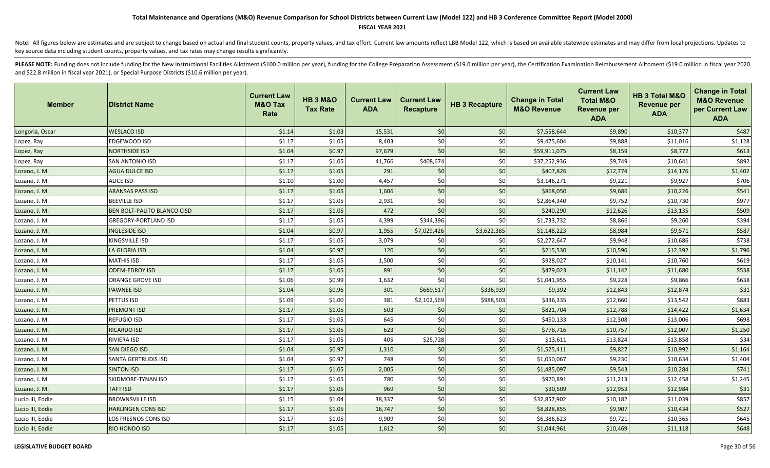### **FISCAL YEAR 2021**

Note: All figures below are estimates and are subject to change based on actual and final student counts, property values, and tax effort. Current law amounts reflect LBB Model 122, which is based on available statewide es key source data including student counts, property values, and tax rates may change results significantly.

| <b>Member</b>    | ∣District Name              | <b>Current Law</b><br><b>M&amp;O Tax</b><br>Rate | <b>HB 3 M&amp;O</b><br><b>Tax Rate</b> | <b>Current Law</b><br><b>ADA</b> | <b>Current Law</b><br><b>Recapture</b> | <b>HB 3 Recapture</b> | <b>Change in Total</b><br><b>M&amp;O Revenue</b> | <b>Current Law</b><br><b>Total M&amp;O</b><br><b>Revenue per</b><br><b>ADA</b> | HB 3 Total M&O<br><b>Revenue per</b><br><b>ADA</b> | <b>Change in Total</b><br><b>M&amp;O Revenue</b><br>per Current Law<br><b>ADA</b> |
|------------------|-----------------------------|--------------------------------------------------|----------------------------------------|----------------------------------|----------------------------------------|-----------------------|--------------------------------------------------|--------------------------------------------------------------------------------|----------------------------------------------------|-----------------------------------------------------------------------------------|
| Longoria, Oscar  | <b>WESLACO ISD</b>          | \$1.14                                           | \$1.03                                 | 15,531                           | \$0                                    | \$0                   | \$7,558,644                                      | \$9,890                                                                        | \$10,377                                           | \$487                                                                             |
| Lopez, Ray       | EDGEWOOD ISD                | \$1.17                                           | \$1.05                                 | 8,403                            | $$0$$                                  | \$0                   | \$9,475,604                                      | \$9,888                                                                        | \$11,016                                           | \$1,128                                                                           |
| Lopez, Ray       | <b>NORTHSIDE ISD</b>        | \$1.04                                           | \$0.97                                 | 97,679                           | \$0                                    | \$0                   | \$59,911,075                                     | \$8,159                                                                        | \$8,772                                            | \$613                                                                             |
| Lopez, Ray       | SAN ANTONIO ISD             | \$1.17                                           | \$1.05                                 | 41,766                           | \$408,674                              | \$0                   | \$37,252,936                                     | \$9,749                                                                        | \$10,641                                           | \$892                                                                             |
| Lozano, J. M.    | <b>AGUA DULCE ISD</b>       | \$1.17                                           | \$1.05                                 | 291                              | \$0                                    | \$0                   | \$407,826                                        | \$12,774                                                                       | \$14,176                                           | \$1,402                                                                           |
| Lozano, J. M.    | <b>ALICE ISD</b>            | \$1.10                                           | \$1.00                                 | 4,457                            | \$0                                    | \$0                   | \$3,146,271                                      | \$9,221                                                                        | \$9,927                                            | \$706                                                                             |
| Lozano, J. M.    | <b>ARANSAS PASS ISD</b>     | \$1.17                                           | \$1.05                                 | 1,606                            | \$0                                    | \$0                   | \$868,050                                        | \$9,686                                                                        | \$10,226                                           | \$541                                                                             |
| Lozano, J. M.    | <b>BEEVILLE ISD</b>         | \$1.17                                           | \$1.05                                 | 2,931                            | \$0                                    | \$0                   | \$2,864,340                                      | \$9,752                                                                        | \$10,730                                           | \$977                                                                             |
| Lozano, J. M.    | BEN BOLT-PALITO BLANCO CISD | \$1.17                                           | \$1.05                                 | 472                              | \$0                                    | \$0                   | \$240,290                                        | \$12,626                                                                       | \$13,135                                           | \$509                                                                             |
| Lozano, J. M.    | <b>GREGORY-PORTLAND ISD</b> | \$1.17                                           | \$1.05                                 | 4,399                            | \$344,396                              | \$0                   | \$1,733,732                                      | \$8,866                                                                        | \$9,260                                            | \$394                                                                             |
| Lozano, J. M.    | <b>INGLESIDE ISD</b>        | \$1.04                                           | \$0.97                                 | 1,955                            | \$7,029,426                            | \$3,622,385           | \$1,148,223                                      | \$8,984                                                                        | \$9,571                                            | \$587                                                                             |
| Lozano, J. M.    | KINGSVILLE ISD              | \$1.17                                           | \$1.05                                 | 3,079                            | \$0                                    | \$0                   | \$2,272,647                                      | \$9,948                                                                        | \$10,686                                           | \$738                                                                             |
| Lozano, J. M.    | <b>LA GLORIA ISD</b>        | \$1.04                                           | \$0.97                                 | 120                              | \$0                                    | \$0                   | \$215,530                                        | \$10,596                                                                       | \$12,392                                           | \$1,796                                                                           |
| Lozano, J. M.    | <b>MATHIS ISD</b>           | \$1.17                                           | \$1.05                                 | 1,500                            | \$0                                    | \$0                   | \$928,027                                        | \$10,141                                                                       | \$10,760                                           | \$619                                                                             |
| Lozano, J. M.    | <b>ODEM-EDROY ISD</b>       | \$1.17                                           | \$1.05                                 | 891                              | $$0$$                                  | \$0                   | \$479,023                                        | \$11,142                                                                       | \$11,680                                           | \$538                                                                             |
| Lozano, J. M.    | <b>ORANGE GROVE ISD</b>     | \$1.06                                           | \$0.99                                 | 1,632                            | \$0                                    | \$0                   | \$1,041,955                                      | \$9,228                                                                        | \$9,866                                            | \$638                                                                             |
| Lozano, J. M.    | <b>PAWNEE ISD</b>           | \$1.04                                           | \$0.96                                 | 301                              | \$669,617                              | \$336,939             | \$9,392                                          | \$12,843                                                                       | \$12,874                                           | \$31                                                                              |
| Lozano, J. M.    | PETTUS ISD                  | \$1.09                                           | \$1.00                                 | 381                              | \$2,102,569                            | \$988,503             | \$336,335                                        | \$12,660                                                                       | \$13,542                                           | \$883                                                                             |
| Lozano, J. M.    | <b>PREMONT ISD</b>          | \$1.17                                           | \$1.05                                 | 503                              | \$0                                    | \$0                   | \$821,704                                        | \$12,788                                                                       | \$14,422                                           | \$1,634                                                                           |
| Lozano, J. M.    | <b>REFUGIO ISD</b>          | \$1.17                                           | \$1.05                                 | 645                              | \$0                                    | \$0                   | \$450,133                                        | \$12,308                                                                       | \$13,006                                           | \$698                                                                             |
| Lozano, J. M.    | <b>RICARDO ISD</b>          | \$1.17                                           | \$1.05                                 | 623                              | \$0                                    | \$0                   | \$778,716                                        | \$10,757                                                                       | \$12,007                                           | \$1,250                                                                           |
| Lozano, J. M.    | <b>RIVIERA ISD</b>          | \$1.17                                           | \$1.05                                 | 405                              | \$25,728                               | \$0                   | \$13,611                                         | \$13,824                                                                       | \$13,858                                           | \$34                                                                              |
| Lozano, J. M.    | <b>SAN DIEGO ISD</b>        | \$1.04                                           | \$0.97                                 | 1,310                            | \$0                                    | \$0                   | \$1,525,411                                      | \$9,827                                                                        | \$10,992                                           | \$1,164                                                                           |
| Lozano, J. M.    | <b>SANTA GERTRUDIS ISD</b>  | \$1.04                                           | \$0.97                                 | 748                              | \$0                                    | \$0                   | \$1,050,067                                      | \$9,230                                                                        | \$10,634                                           | \$1,404                                                                           |
| Lozano, J. M.    | <b>SINTON ISD</b>           | \$1.17                                           | \$1.05                                 | 2,005                            | \$0                                    | \$0                   | \$1,485,097                                      | \$9,543                                                                        | \$10,284                                           | \$741                                                                             |
| Lozano, J. M.    | <b>SKIDMORE-TYNAN ISD</b>   | \$1.17                                           | \$1.05                                 | 780                              | \$0                                    | \$0                   | \$970,891                                        | \$11,213                                                                       | \$12,458                                           | \$1,245                                                                           |
| Lozano, J. M.    | <b>TAFT ISD</b>             | \$1.17                                           | \$1.05                                 | 969                              | \$0                                    | \$0                   | \$30,509                                         | \$12,953                                                                       | \$12,984                                           | \$31                                                                              |
| Lucio III, Eddie | <b>BROWNSVILLE ISD</b>      | \$1.15                                           | \$1.04                                 | 38,337                           | \$0                                    | \$0                   | \$32,857,902                                     | \$10,182                                                                       | \$11,039                                           | \$857                                                                             |
| Lucio III, Eddie | <b>HARLINGEN CONS ISD</b>   | \$1.17                                           | \$1.05                                 | 16,747                           | \$0                                    | \$0                   | \$8,828,855                                      | \$9,907                                                                        | \$10,434                                           | \$527                                                                             |
| Lucio III, Eddie | LOS FRESNOS CONS ISD        | \$1.17                                           | \$1.05                                 | 9,909                            | \$0                                    | \$0                   | \$6,386,623                                      | \$9,721                                                                        | \$10,365                                           | \$645                                                                             |
| Lucio III, Eddie | <b>RIO HONDO ISD</b>        | \$1.17                                           | \$1.05                                 | 1,612                            | \$0                                    | \$0                   | \$1,044,961                                      | \$10,469                                                                       | \$11,118                                           | \$648                                                                             |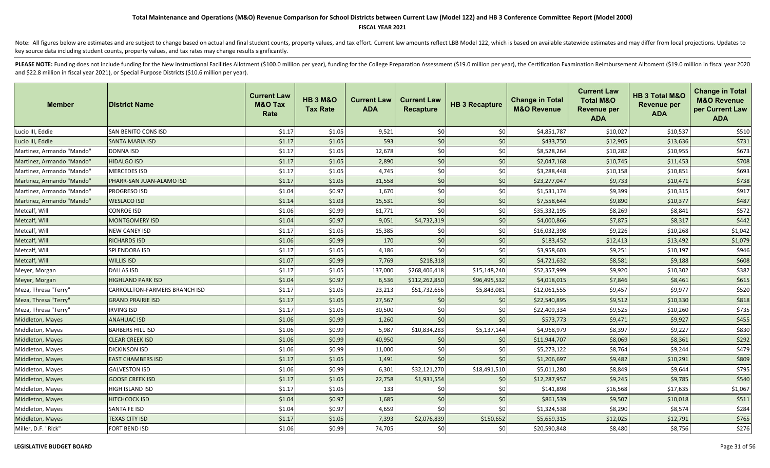### **FISCAL YEAR 2021**

Note: All figures below are estimates and are subject to change based on actual and final student counts, property values, and tax effort. Current law amounts reflect LBB Model 122, which is based on available statewide es key source data including student counts, property values, and tax rates may change results significantly.

| <b>Member</b>             | <b>District Name</b>          | <b>Current Law</b><br><b>M&amp;O Tax</b><br>Rate | <b>HB 3 M&amp;O</b><br><b>Tax Rate</b> | <b>Current Law</b><br><b>ADA</b> | <b>Current Law</b><br><b>Recapture</b> | <b>HB 3 Recapture</b> | <b>Change in Total</b><br><b>M&amp;O Revenue</b> | <b>Current Law</b><br><b>Total M&amp;O</b><br><b>Revenue per</b><br><b>ADA</b> | HB 3 Total M&O<br><b>Revenue per</b><br><b>ADA</b> | <b>Change in Total</b><br><b>M&amp;O Revenue</b><br>per Current Law<br><b>ADA</b> |
|---------------------------|-------------------------------|--------------------------------------------------|----------------------------------------|----------------------------------|----------------------------------------|-----------------------|--------------------------------------------------|--------------------------------------------------------------------------------|----------------------------------------------------|-----------------------------------------------------------------------------------|
| Lucio III, Eddie          | SAN BENITO CONS ISD           | \$1.17                                           | \$1.05                                 | 9,521                            | \$0                                    | \$0                   | \$4,851,787                                      | \$10,027                                                                       | \$10,537                                           | \$510                                                                             |
| Lucio III, Eddie          | <b>SANTA MARIA ISD</b>        | \$1.17                                           | \$1.05                                 | 593                              | \$0                                    | \$0                   | \$433,750                                        | \$12,905                                                                       | \$13,636                                           | \$731                                                                             |
| Martinez, Armando "Mando" | <b>DONNA ISD</b>              | \$1.17                                           | \$1.05                                 | 12,678                           | \$0                                    | \$0                   | \$8,528,264                                      | \$10,282                                                                       | \$10,955                                           | \$673                                                                             |
| Martinez, Armando "Mando" | <b>HIDALGO ISD</b>            | \$1.17                                           | \$1.05                                 | 2,890                            | \$0                                    | \$0                   | \$2,047,168                                      | \$10,745                                                                       | \$11,453                                           | \$708                                                                             |
| Martinez, Armando "Mando" | <b>MERCEDES ISD</b>           | \$1.17                                           | \$1.05                                 | 4,745                            | \$0                                    | \$0                   | \$3,288,448                                      | \$10,158                                                                       | \$10,851                                           | \$693                                                                             |
| Martinez, Armando "Mando" | PHARR-SAN JUAN-ALAMO ISD      | \$1.17                                           | \$1.05                                 | 31,558                           | \$0                                    | \$0                   | \$23,277,047                                     | \$9,733                                                                        | \$10,471                                           | \$738                                                                             |
| Martinez, Armando "Mando' | <b>PROGRESO ISD</b>           | \$1.04                                           | \$0.97                                 | 1,670                            | \$0                                    | \$0                   | \$1,531,174                                      | \$9,399                                                                        | \$10,315                                           | \$917                                                                             |
| Martinez, Armando "Mando" | <b>WESLACO ISD</b>            | \$1.14                                           | \$1.03                                 | 15,531                           | \$0                                    | \$0                   | \$7,558,644                                      | \$9,890                                                                        | \$10,377                                           | \$487                                                                             |
| Metcalf, Will             | <b>CONROE ISD</b>             | \$1.06                                           | \$0.99                                 | 61,771                           | \$0                                    | \$0                   | \$35,332,195                                     | \$8,269                                                                        | \$8,841                                            | \$572                                                                             |
| Metcalf, Will             | <b>MONTGOMERY ISD</b>         | \$1.04                                           | \$0.97                                 | 9,051                            | \$4,732,319                            | \$0                   | \$4,000,866                                      | \$7,875                                                                        | \$8,317                                            | \$442                                                                             |
| Metcalf, Will             | <b>NEW CANEY ISD</b>          | \$1.17                                           | \$1.05                                 | 15,385                           | \$0                                    | \$0                   | \$16,032,398                                     | \$9,226                                                                        | \$10,268                                           | \$1,042                                                                           |
| Metcalf, Will             | <b>RICHARDS ISD</b>           | \$1.06                                           | \$0.99                                 | 170                              | \$0                                    | \$0                   | \$183,452                                        | \$12,413                                                                       | \$13,492                                           | \$1,079                                                                           |
| Metcalf, Will             | <b>SPLENDORA ISD</b>          | \$1.17                                           | \$1.05                                 | 4,186                            | \$0                                    | \$0                   | \$3,958,603                                      | \$9,251                                                                        | \$10,197                                           | \$946                                                                             |
| Metcalf, Will             | <b>WILLIS ISD</b>             | \$1.07                                           | \$0.99                                 | 7,769                            | \$218,318                              | \$0                   | \$4,721,632                                      | \$8,581                                                                        | \$9,188                                            | \$608                                                                             |
| Meyer, Morgan             | <b>DALLAS ISD</b>             | \$1.17                                           | \$1.05                                 | 137,000                          | \$268,406,418                          | \$15,148,240          | \$52,357,999                                     | \$9,920                                                                        | \$10,302                                           | \$382                                                                             |
| Meyer, Morgan             | <b>HIGHLAND PARK ISD</b>      | \$1.04                                           | \$0.97                                 | 6,536                            | \$112,262,850                          | \$96,495,532          | \$4,018,015                                      | \$7,846                                                                        | \$8,461                                            | \$615                                                                             |
| Meza, Thresa "Terry"      | CARROLLTON-FARMERS BRANCH ISD | \$1.17                                           | \$1.05                                 | 23,213                           | \$51,732,656                           | \$5,843,081           | \$12,061,555                                     | \$9,457                                                                        | \$9,977                                            | \$520                                                                             |
| Meza, Thresa "Terry"      | <b>GRAND PRAIRIE ISD</b>      | \$1.17                                           | \$1.05                                 | 27,567                           | \$0                                    | \$0                   | \$22,540,895                                     | \$9,512                                                                        | \$10,330                                           | \$818                                                                             |
| Meza, Thresa "Terry"      | <b>IRVING ISD</b>             | \$1.17                                           | \$1.05                                 | 30,500                           | \$0                                    | \$0                   | \$22,409,334                                     | \$9,525                                                                        | \$10,260                                           | \$735                                                                             |
| Middleton, Mayes          | <b>ANAHUAC ISD</b>            | \$1.06                                           | \$0.99                                 | 1,260                            | \$0                                    | \$0                   | \$573,773                                        | \$9,471                                                                        | \$9,927                                            | \$455                                                                             |
| Middleton, Mayes          | <b>BARBERS HILL ISD</b>       | \$1.06                                           | \$0.99                                 | 5,987                            | \$10,834,283                           | \$5,137,144           | \$4,968,979                                      | \$8,397                                                                        | \$9,227                                            | \$830                                                                             |
| Middleton, Mayes          | <b>CLEAR CREEK ISD</b>        | \$1.06                                           | \$0.99                                 | 40,950                           | \$0                                    | \$0                   | \$11,944,707                                     | \$8,069                                                                        | \$8,361                                            | \$292                                                                             |
| Middleton, Mayes          | <b>DICKINSON ISD</b>          | \$1.06                                           | \$0.99                                 | 11,000                           | \$0                                    | \$0                   | \$5,273,122                                      | \$8,764                                                                        | \$9,244                                            | \$479                                                                             |
| Middleton, Mayes          | <b>EAST CHAMBERS ISD</b>      | \$1.17                                           | \$1.05                                 | 1,491                            | \$0                                    | \$0                   | \$1,206,697                                      | \$9,482                                                                        | \$10,291                                           | \$809                                                                             |
| Middleton, Mayes          | <b>GALVESTON ISD</b>          | \$1.06                                           | \$0.99                                 | 6,301                            | \$32,121,270                           | \$18,491,510          | \$5,011,280                                      | \$8,849                                                                        | \$9,644                                            | \$795                                                                             |
| Middleton, Mayes          | <b>GOOSE CREEK ISD</b>        | \$1.17                                           | \$1.05                                 | 22,758                           | \$1,931,554                            | \$0                   | \$12,287,957                                     | \$9,245                                                                        | \$9,785                                            | \$540                                                                             |
| Middleton, Mayes          | <b>HIGH ISLAND ISD</b>        | \$1.17                                           | \$1.05                                 | 133                              | \$0                                    | \$0                   | \$141,898                                        | \$16,568                                                                       | \$17,635                                           | \$1,067                                                                           |
| Middleton, Mayes          | <b>HITCHCOCK ISD</b>          | \$1.04                                           | \$0.97                                 | 1,685                            | \$0                                    | \$0                   | \$861,539                                        | \$9,507                                                                        | \$10,018                                           | \$511                                                                             |
| Middleton, Mayes          | SANTA FE ISD                  | \$1.04                                           | \$0.97                                 | 4,659                            | \$0                                    | \$0                   | \$1,324,538                                      | \$8,290                                                                        | \$8,574                                            | \$284                                                                             |
| Middleton, Mayes          | <b>TEXAS CITY ISD</b>         | \$1.17                                           | \$1.05                                 | 7,393                            | \$2,076,839                            | \$150,652             | \$5,659,315                                      | \$12,025                                                                       | \$12,791                                           | \$765                                                                             |
| Miller, D.F. "Rick"       | FORT BEND ISD                 | \$1.06                                           | \$0.99                                 | 74,705                           | \$0                                    | \$0                   | \$20,590,848                                     | \$8,480                                                                        | \$8,756                                            | \$276                                                                             |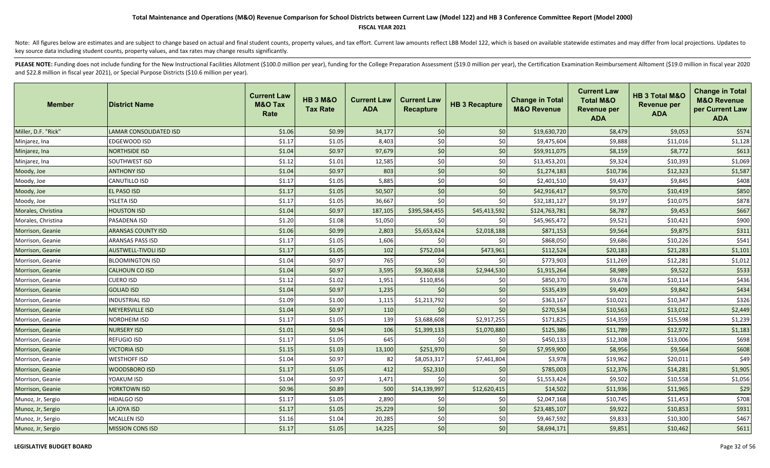### **FISCAL YEAR 2021**

Note: All figures below are estimates and are subject to change based on actual and final student counts, property values, and tax effort. Current law amounts reflect LBB Model 122, which is based on available statewide es key source data including student counts, property values, and tax rates may change results significantly.

| <b>Member</b>       | <b>District Name</b>       | <b>Current Law</b><br><b>M&amp;O Tax</b><br>Rate | <b>HB 3 M&amp;O</b><br><b>Tax Rate</b> | <b>Current Law</b><br><b>ADA</b> | <b>Current Law</b><br><b>Recapture</b> | <b>HB 3 Recapture</b> | <b>Change in Total</b><br><b>M&amp;O Revenue</b> | <b>Current Law</b><br><b>Total M&amp;O</b><br><b>Revenue per</b><br><b>ADA</b> | HB 3 Total M&O<br><b>Revenue per</b><br><b>ADA</b> | <b>Change in Total</b><br><b>M&amp;O Revenue</b><br>per Current Law<br><b>ADA</b> |
|---------------------|----------------------------|--------------------------------------------------|----------------------------------------|----------------------------------|----------------------------------------|-----------------------|--------------------------------------------------|--------------------------------------------------------------------------------|----------------------------------------------------|-----------------------------------------------------------------------------------|
| Miller, D.F. "Rick" | LAMAR CONSOLIDATED ISD     | \$1.06                                           | \$0.99                                 | 34,177                           | \$0                                    | \$0                   | \$19,630,720                                     | \$8,479                                                                        | \$9,053                                            | \$574                                                                             |
| Minjarez, Ina       | EDGEWOOD ISD               | \$1.17                                           | \$1.05                                 | 8,403                            | \$0                                    | \$0                   | \$9,475,604                                      | \$9,888                                                                        | \$11,016                                           | \$1,128                                                                           |
| Minjarez, Ina       | <b>NORTHSIDE ISD</b>       | \$1.04                                           | \$0.97                                 | 97,679                           | $$0$                                   | \$0                   | \$59,911,075                                     | \$8,159                                                                        | \$8,772                                            | \$613                                                                             |
| Minjarez, Ina       | SOUTHWEST ISD              | \$1.12                                           | \$1.01                                 | 12,585                           | \$0                                    | \$0                   | \$13,453,201                                     | \$9,324                                                                        | \$10,393                                           | \$1,069                                                                           |
| Moody, Joe          | <b>ANTHONY ISD</b>         | \$1.04                                           | \$0.97                                 | 803                              | \$0                                    | \$0                   | \$1,274,183                                      | \$10,736                                                                       | \$12,323                                           | \$1,587                                                                           |
| Moody, Joe          | CANUTILLO ISD              | \$1.17                                           | \$1.05                                 | 5,885                            | \$0                                    | \$0                   | \$2,401,510                                      | \$9,437                                                                        | \$9,845                                            | \$408                                                                             |
| Moody, Joe          | EL PASO ISD                | \$1.17                                           | \$1.05                                 | 50,507                           | $$0$                                   | \$0                   | \$42,916,417                                     | \$9,570                                                                        | \$10,419                                           | \$850                                                                             |
| Moody, Joe          | YSLETA ISD                 | \$1.17                                           | \$1.05                                 | 36,667                           | \$0                                    | \$0                   | \$32,181,127                                     | \$9,197                                                                        | \$10,075                                           | \$878                                                                             |
| Morales, Christina  | <b>HOUSTON ISD</b>         | \$1.04                                           | \$0.97                                 | 187,105                          | \$395,584,455                          | \$45,413,592          | \$124,763,781                                    | \$8,787                                                                        | \$9,453                                            | \$667                                                                             |
| Morales, Christina  | PASADENA ISD               | \$1.20                                           | \$1.08                                 | 51,050                           | \$0                                    | \$0                   | \$45,965,472                                     | \$9,521                                                                        | \$10,421                                           | \$900                                                                             |
| Morrison, Geanie    | <b>ARANSAS COUNTY ISD</b>  | \$1.06                                           | \$0.99                                 | 2,803                            | \$5,653,624                            | \$2,018,188           | \$871,153                                        | \$9,564                                                                        | \$9,875                                            | \$311                                                                             |
| Morrison, Geanie    | ARANSAS PASS ISD           | \$1.17                                           | \$1.05                                 | 1,606                            | \$0                                    | \$0                   | \$868,050                                        | \$9,686                                                                        | \$10,226                                           | \$541                                                                             |
| Morrison, Geanie    | <b>AUSTWELL-TIVOLI ISD</b> | \$1.17                                           | \$1.05                                 | 102                              | \$752,034                              | \$473,961             | \$112,524                                        | \$20,183                                                                       | \$21,283                                           | \$1,101                                                                           |
| Morrison, Geanie    | <b>BLOOMINGTON ISD</b>     | \$1.04                                           | \$0.97                                 | 765                              | \$0                                    | \$0                   | \$773,903                                        | \$11,269                                                                       | \$12,281                                           | \$1,012                                                                           |
| Morrison, Geanie    | <b>CALHOUN CO ISD</b>      | \$1.04                                           | \$0.97                                 | 3,595                            | \$9,360,638                            | \$2,944,530           | \$1,915,264                                      | \$8,989                                                                        | \$9,522                                            | \$533                                                                             |
| Morrison, Geanie    | <b>CUERO ISD</b>           | \$1.12                                           | \$1.02                                 | 1,951                            | \$110,856                              | \$0                   | \$850,370                                        | \$9,678                                                                        | \$10,114                                           | \$436                                                                             |
| Morrison, Geanie    | <b>GOLIAD ISD</b>          | \$1.04                                           | \$0.97                                 | 1,235                            | \$0                                    | \$0                   | \$535,439                                        | \$9,409                                                                        | \$9,842                                            | \$434                                                                             |
| Morrison, Geanie    | INDUSTRIAL ISD             | \$1.09                                           | \$1.00                                 | 1,115                            | \$1,213,792                            | \$0                   | \$363,167                                        | \$10,021                                                                       | \$10,347                                           | \$326                                                                             |
| Morrison, Geanie    | <b>MEYERSVILLE ISD</b>     | \$1.04                                           | \$0.97                                 | 110                              | \$0                                    | \$0                   | \$270,534                                        | \$10,563                                                                       | \$13,012                                           | \$2,449                                                                           |
| Morrison, Geanie    | <b>NORDHEIM ISD</b>        | \$1.17                                           | \$1.05                                 | 139                              | \$3,688,608                            | \$2,917,255           | \$171,825                                        | \$14,359                                                                       | \$15,598                                           | \$1,239                                                                           |
| Morrison, Geanie    | <b>NURSERY ISD</b>         | \$1.01                                           | \$0.94                                 | 106                              | \$1,399,133                            | \$1,070,880           | \$125,386                                        | \$11,789                                                                       | \$12,972                                           | \$1,183                                                                           |
| Morrison, Geanie    | REFUGIO ISD                | \$1.17                                           | \$1.05                                 | 645                              | \$0                                    | \$0                   | \$450,133                                        | \$12,308                                                                       | \$13,006                                           | \$698                                                                             |
| Morrison, Geanie    | <b>VICTORIA ISD</b>        | \$1.15                                           | \$1.03                                 | 13,100                           | \$251,970                              | \$0                   | \$7,959,900                                      | \$8,956                                                                        | \$9,564                                            | \$608                                                                             |
| Morrison, Geanie    | <b>WESTHOFF ISD</b>        | \$1.04                                           | \$0.97                                 | 82                               | \$8,053,317                            | \$7,461,804           | \$3,978                                          | \$19,962                                                                       | \$20,011                                           | \$49                                                                              |
| Morrison, Geanie    | WOODSBORO ISD              | \$1.17                                           | \$1.05                                 | 412                              | \$52,310                               | \$0                   | \$785,003                                        | \$12,376                                                                       | \$14,281                                           | \$1,905                                                                           |
| Morrison, Geanie    | YOAKUM ISD                 | \$1.04                                           | \$0.97                                 | 1,471                            | \$0                                    | \$0                   | \$1,553,424                                      | \$9,502                                                                        | \$10,558                                           | \$1,056                                                                           |
| Morrison, Geanie    | YORKTOWN ISD               | \$0.96                                           | \$0.89                                 | 500                              | \$14,139,997                           | \$12,620,415          | \$14,502                                         | \$11,936                                                                       | \$11,965                                           | \$29                                                                              |
| Munoz, Jr, Sergio   | <b>HIDALGO ISD</b>         | \$1.17                                           | \$1.05                                 | 2,890                            | \$0                                    | \$0                   | \$2,047,168                                      | \$10,745                                                                       | \$11,453                                           | \$708                                                                             |
| Munoz, Jr, Sergio   | LA JOYA ISD                | \$1.17                                           | \$1.05                                 | 25,229                           | $$0$                                   | \$0                   | \$23,485,107                                     | \$9,922                                                                        | \$10,853                                           | \$931                                                                             |
| Munoz, Jr, Sergio   | <b>MCALLEN ISD</b>         | \$1.16                                           | \$1.04                                 | 20,285                           | \$0                                    | \$0                   | \$9,467,592                                      | \$9,833                                                                        | \$10,300                                           | \$467                                                                             |
| Munoz, Jr, Sergio   | <b>MISSION CONS ISD</b>    | \$1.17                                           | \$1.05                                 | 14,225                           | \$0                                    | \$0                   | \$8,694,171                                      | \$9,851                                                                        | \$10,462                                           | \$611                                                                             |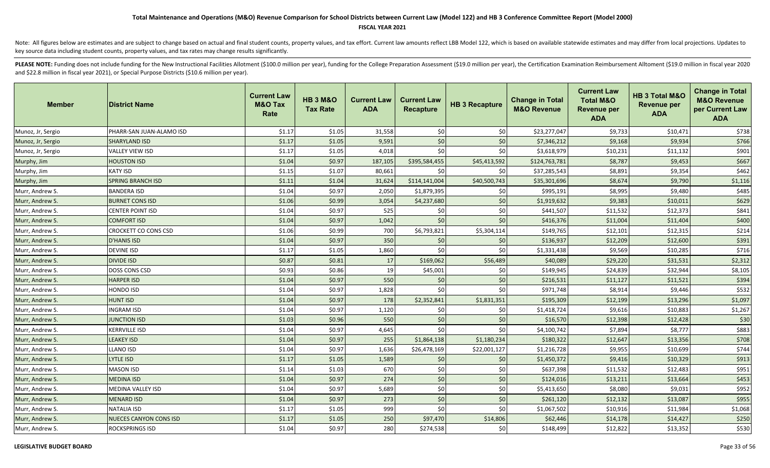### **FISCAL YEAR 2021**

Note: All figures below are estimates and are subject to change based on actual and final student counts, property values, and tax effort. Current law amounts reflect LBB Model 122, which is based on available statewide es key source data including student counts, property values, and tax rates may change results significantly.

| <b>Member</b>     | <b>District Name</b>     | <b>Current Law</b><br><b>M&amp;O Tax</b><br>Rate | <b>HB 3 M&amp;O</b><br><b>Tax Rate</b> | <b>Current Law</b><br><b>ADA</b> | <b>Current Law</b><br><b>Recapture</b> | <b>HB 3 Recapture</b> | <b>Change in Total</b><br><b>M&amp;O Revenue</b> | <b>Current Law</b><br><b>Total M&amp;O</b><br><b>Revenue per</b><br><b>ADA</b> | HB 3 Total M&O<br><b>Revenue per</b><br><b>ADA</b> | <b>Change in Total</b><br><b>M&amp;O Revenue</b><br>per Current Law<br><b>ADA</b> |
|-------------------|--------------------------|--------------------------------------------------|----------------------------------------|----------------------------------|----------------------------------------|-----------------------|--------------------------------------------------|--------------------------------------------------------------------------------|----------------------------------------------------|-----------------------------------------------------------------------------------|
| Munoz, Jr, Sergio | PHARR-SAN JUAN-ALAMO ISD | \$1.17                                           | \$1.05                                 | 31,558                           | \$0                                    | \$0                   | \$23,277,047                                     | \$9,733                                                                        | \$10,471                                           | \$738                                                                             |
| Munoz, Jr, Sergio | <b>SHARYLAND ISD</b>     | \$1.17                                           | \$1.05                                 | 9,591                            | \$0                                    | \$0                   | \$7,346,212                                      | \$9,168                                                                        | \$9,934                                            | \$766                                                                             |
| Munoz, Jr, Sergio | <b>VALLEY VIEW ISD</b>   | \$1.17                                           | \$1.05                                 | 4,018                            | \$0                                    | \$0                   | \$3,618,979                                      | \$10,231                                                                       | \$11,132                                           | \$901                                                                             |
| Murphy, Jim       | <b>HOUSTON ISD</b>       | \$1.04                                           | \$0.97                                 | 187,105                          | \$395,584,455                          | \$45,413,592          | \$124,763,781                                    | \$8,787                                                                        | \$9,453                                            | \$667                                                                             |
| Murphy, Jim       | <b>KATY ISD</b>          | \$1.15                                           | \$1.07                                 | 80,661                           | \$0                                    | \$0                   | \$37,285,543                                     | \$8,891                                                                        | \$9,354                                            | \$462                                                                             |
| Murphy, Jim       | <b>SPRING BRANCH ISD</b> | \$1.11                                           | \$1.04                                 | 31,624                           | \$114,141,004                          | \$40,500,743          | \$35,301,696                                     | \$8,674                                                                        | \$9,790                                            | \$1,116                                                                           |
| Murr, Andrew S.   | <b>BANDERA ISD</b>       | \$1.04                                           | \$0.97                                 | 2,050                            | \$1,879,395                            | \$0                   | \$995,191                                        | \$8,995                                                                        | \$9,480                                            | \$485                                                                             |
| Murr, Andrew S.   | <b>BURNET CONS ISD</b>   | \$1.06                                           | \$0.99                                 | 3,054                            | \$4,237,680                            | \$0                   | \$1,919,632                                      | \$9,383                                                                        | \$10,011                                           | \$629                                                                             |
| Murr, Andrew S.   | CENTER POINT ISD         | \$1.04                                           | \$0.97                                 | 525                              | \$0                                    | \$0                   | \$441,507                                        | \$11,532                                                                       | \$12,373                                           | \$841                                                                             |
| Murr, Andrew S.   | <b>COMFORT ISD</b>       | \$1.04                                           | \$0.97                                 | 1,042                            | \$0                                    | \$0                   | \$416,376                                        | \$11,004                                                                       | \$11,404                                           | \$400                                                                             |
| Murr, Andrew S.   | CROCKETT CO CONS CSD     | \$1.06                                           | \$0.99                                 | 700                              | \$6,793,821                            | \$5,304,114           | \$149,765                                        | \$12,101                                                                       | \$12,315                                           | \$214                                                                             |
| Murr, Andrew S.   | <b>D'HANIS ISD</b>       | \$1.04                                           | \$0.97                                 | 350                              | \$0                                    | \$0                   | \$136,937                                        | \$12,209                                                                       | \$12,600                                           | \$391                                                                             |
| Murr, Andrew S.   | <b>DEVINE ISD</b>        | \$1.17                                           | \$1.05                                 | 1,860                            | \$0                                    | \$0                   | \$1,331,438                                      | \$9,569                                                                        | \$10,285                                           | \$716                                                                             |
| Murr, Andrew S.   | <b>DIVIDE ISD</b>        | \$0.87                                           | \$0.81                                 | 17                               | \$169,062                              | \$56,489              | \$40,089                                         | \$29,220                                                                       | \$31,531                                           | \$2,312                                                                           |
| Murr, Andrew S.   | DOSS CONS CSD            | \$0.93                                           | \$0.86                                 | 19                               | \$45,001                               | \$0                   | \$149,945                                        | \$24,839                                                                       | \$32,944                                           | \$8,105                                                                           |
| Murr, Andrew S.   | <b>HARPER ISD</b>        | \$1.04                                           | \$0.97                                 | 550                              | \$0                                    | \$0                   | \$216,531                                        | \$11,127                                                                       | \$11,521                                           | \$394                                                                             |
| Murr, Andrew S.   | HONDO ISD                | \$1.04                                           | \$0.97                                 | 1,828                            | \$0                                    | \$0                   | \$971,748                                        | \$8,914                                                                        | \$9,446                                            | \$532                                                                             |
| Murr, Andrew S.   | <b>HUNT ISD</b>          | \$1.04                                           | \$0.97                                 | 178                              | \$2,352,841                            | \$1,831,351           | \$195,309                                        | \$12,199                                                                       | \$13,296                                           | \$1,097                                                                           |
| Murr, Andrew S.   | <b>INGRAM ISD</b>        | \$1.04                                           | \$0.97                                 | 1,120                            | \$0                                    | \$0                   | \$1,418,724                                      | \$9,616                                                                        | \$10,883                                           | \$1,267                                                                           |
| Murr, Andrew S.   | <b>JUNCTION ISD</b>      | \$1.03                                           | \$0.96                                 | 550                              | \$0                                    | \$0                   | \$16,570                                         | \$12,398                                                                       | \$12,428                                           | \$30                                                                              |
| Murr, Andrew S.   | <b>KERRVILLE ISD</b>     | \$1.04                                           | \$0.97                                 | 4,645                            | \$0                                    | \$0                   | \$4,100,742                                      | \$7,894                                                                        | \$8,777                                            | \$883                                                                             |
| Murr, Andrew S.   | <b>LEAKEY ISD</b>        | \$1.04                                           | \$0.97                                 | 255                              | \$1,864,138                            | \$1,180,234           | \$180,322                                        | \$12,647                                                                       | \$13,356                                           | \$708                                                                             |
| Murr, Andrew S.   | <b>LLANO ISD</b>         | \$1.04                                           | \$0.97                                 | 1,636                            | \$26,478,169                           | \$22,001,127          | \$1,216,728                                      | \$9,955                                                                        | \$10,699                                           | \$744                                                                             |
| Murr, Andrew S.   | LYTLE ISD                | \$1.17                                           | \$1.05                                 | 1,589                            | \$0                                    | \$0                   | \$1,450,372                                      | \$9,416                                                                        | \$10,329                                           | \$913                                                                             |
| Murr, Andrew S.   | <b>MASON ISD</b>         | \$1.14                                           | \$1.03                                 | 670                              | \$0                                    | \$0                   | \$637,398                                        | \$11,532                                                                       | \$12,483                                           | \$951                                                                             |
| Murr, Andrew S.   | <b>MEDINA ISD</b>        | \$1.04                                           | \$0.97                                 | 274                              | \$0                                    | \$0                   | \$124,016                                        | \$13,211                                                                       | \$13,664                                           | \$453                                                                             |
| Murr, Andrew S.   | <b>MEDINA VALLEY ISD</b> | \$1.04                                           | \$0.97                                 | 5,689                            | \$0                                    | \$0                   | \$5,413,650                                      | \$8,080                                                                        | \$9,031                                            | \$952                                                                             |
| Murr, Andrew S.   | <b>MENARD ISD</b>        | \$1.04                                           | \$0.97                                 | 273                              | \$0                                    | \$0                   | \$261,120                                        | \$12,132                                                                       | \$13,087                                           | \$955                                                                             |
| Murr, Andrew S.   | <b>NATALIA ISD</b>       | \$1.17                                           | \$1.05                                 | 999                              | \$0                                    | \$0                   | \$1,067,502                                      | \$10,916                                                                       | \$11,984                                           | \$1,068                                                                           |
| Murr, Andrew S.   | NUECES CANYON CONS ISD   | \$1.17                                           | \$1.05                                 | 250                              | \$97,470                               | \$14,806              | \$62,446                                         | \$14,178                                                                       | \$14,427                                           | \$250                                                                             |
| Murr, Andrew S.   | <b>ROCKSPRINGS ISD</b>   | \$1.04                                           | \$0.97                                 | 280                              | \$274,538                              | \$0                   | \$148,499                                        | \$12,822                                                                       | \$13,352                                           | \$530                                                                             |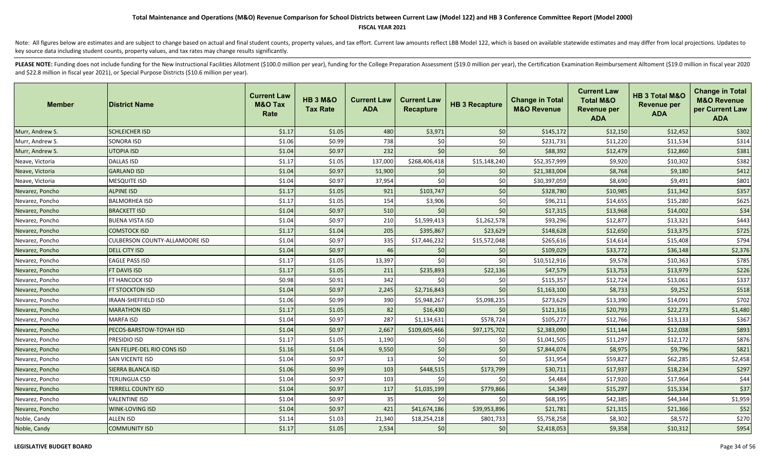### **FISCAL YEAR 2021**

Note: All figures below are estimates and are subject to change based on actual and final student counts, property values, and tax effort. Current law amounts reflect LBB Model 122, which is based on available statewide es key source data including student counts, property values, and tax rates may change results significantly.

| <b>Member</b>   | <b>District Name</b>                  | <b>Current Law</b><br><b>M&amp;O Tax</b><br>Rate | <b>HB 3 M&amp;O</b><br><b>Tax Rate</b> | <b>Current Law</b><br><b>ADA</b> | <b>Current Law</b><br><b>Recapture</b> | <b>HB 3 Recapture</b> | <b>Change in Total</b><br><b>M&amp;O Revenue</b> | <b>Current Law</b><br><b>Total M&amp;O</b><br><b>Revenue per</b><br><b>ADA</b> | HB 3 Total M&O<br><b>Revenue per</b><br><b>ADA</b> | <b>Change in Total</b><br><b>M&amp;O Revenue</b><br>per Current Law<br><b>ADA</b> |
|-----------------|---------------------------------------|--------------------------------------------------|----------------------------------------|----------------------------------|----------------------------------------|-----------------------|--------------------------------------------------|--------------------------------------------------------------------------------|----------------------------------------------------|-----------------------------------------------------------------------------------|
| Murr, Andrew S. | <b>SCHLEICHER ISD</b>                 | \$1.17                                           | \$1.05                                 | 480                              | \$3,971                                | \$0                   | \$145,172                                        | \$12,150                                                                       | \$12,452                                           | \$302                                                                             |
| Murr, Andrew S. | <b>SONORA ISD</b>                     | \$1.06                                           | \$0.99                                 | 738                              | \$0                                    | \$0                   | \$231,731                                        | \$11,220                                                                       | \$11,534                                           | \$314                                                                             |
| Murr, Andrew S. | <b>UTOPIA ISD</b>                     | \$1.04                                           | \$0.97                                 | 232                              | \$0                                    | \$0                   | \$88,392                                         | \$12,479                                                                       | \$12,860                                           | \$381                                                                             |
| Neave, Victoria | <b>DALLAS ISD</b>                     | \$1.17                                           | \$1.05                                 | 137,000                          | \$268,406,418                          | \$15,148,240          | \$52,357,999                                     | \$9,920                                                                        | \$10,302                                           | \$382                                                                             |
| Neave, Victoria | <b>GARLAND ISD</b>                    | \$1.04                                           | \$0.97                                 | 51,900                           | \$0                                    | \$0                   | \$21,383,004                                     | \$8,768                                                                        | \$9,180                                            | \$412                                                                             |
| Neave, Victoria | <b>MESQUITE ISD</b>                   | \$1.04                                           | \$0.97                                 | 37,954                           | \$0                                    | \$0                   | \$30,397,059                                     | \$8,690                                                                        | \$9,491                                            | \$801                                                                             |
| Nevarez, Poncho | <b>ALPINE ISD</b>                     | \$1.17                                           | \$1.05                                 | 921                              | \$103,747                              | \$0                   | \$328,780                                        | \$10,985                                                                       | \$11,342                                           | \$357                                                                             |
| Nevarez, Poncho | <b>BALMORHEA ISD</b>                  | \$1.17                                           | \$1.05                                 | 154                              | \$3,906                                | \$0                   | \$96,211                                         | \$14,655                                                                       | \$15,280                                           | \$625                                                                             |
| Nevarez, Poncho | <b>BRACKETT ISD</b>                   | \$1.04                                           | \$0.97                                 | 510                              | \$0                                    | \$0                   | \$17,315                                         | \$13,968                                                                       | \$14,002                                           | \$34                                                                              |
| Nevarez, Poncho | <b>BUENA VISTA ISD</b>                | \$1.04                                           | \$0.97                                 | 210                              | \$1,599,413                            | \$1,262,578           | \$93,296                                         | \$12,877                                                                       | \$13,321                                           | \$443                                                                             |
| Nevarez, Poncho | <b>COMSTOCK ISD</b>                   | \$1.17                                           | \$1.04                                 | 205                              | \$395,867                              | \$23,629              | \$148,628                                        | \$12,650                                                                       | \$13,375                                           | \$725                                                                             |
| Nevarez, Poncho | <b>CULBERSON COUNTY-ALLAMOORE ISD</b> | \$1.04                                           | \$0.97                                 | 335                              | \$17,446,232                           | \$15,572,048          | \$265,616                                        | \$14,614                                                                       | \$15,408                                           | \$794                                                                             |
| Nevarez, Poncho | <b>DELL CITY ISD</b>                  | \$1.04                                           | \$0.97                                 | 46                               | \$0                                    | \$0                   | \$109,029                                        | \$33,772                                                                       | \$36,148                                           | \$2,376                                                                           |
| Nevarez, Poncho | <b>EAGLE PASS ISD</b>                 | \$1.17                                           | \$1.05                                 | 13,397                           | \$0                                    | \$0                   | \$10,512,916                                     | \$9,578                                                                        | \$10,363                                           | \$785                                                                             |
| Nevarez, Poncho | FT DAVIS ISD                          | \$1.17                                           | \$1.05                                 | 211                              | \$235,893                              | \$22,136              | \$47,579                                         | \$13,753                                                                       | \$13,979                                           | \$226                                                                             |
| Nevarez, Poncho | FT HANCOCK ISD                        | \$0.98                                           | \$0.91                                 | 342                              | \$0                                    | \$0                   | \$115,357                                        | \$12,724                                                                       | \$13,061                                           | \$337                                                                             |
| Nevarez, Poncho | FT STOCKTON ISD                       | \$1.04                                           | \$0.97                                 | 2,245                            | \$2,716,843                            | \$0                   | \$1,163,100                                      | \$8,733                                                                        | \$9,252                                            | \$518                                                                             |
| Nevarez, Poncho | IRAAN-SHEFFIELD ISD                   | \$1.06                                           | \$0.99                                 | 390                              | \$5,948,267                            | \$5,098,235           | \$273,629                                        | \$13,390                                                                       | \$14,091                                           | \$702                                                                             |
| Nevarez, Poncho | <b>MARATHON ISD</b>                   | \$1.17                                           | \$1.05                                 | 82                               | \$16,430                               | \$0                   | \$121,316                                        | \$20,793                                                                       | \$22,273                                           | \$1,480                                                                           |
| Nevarez, Poncho | <b>MARFA ISD</b>                      | \$1.04                                           | \$0.97                                 | 287                              | \$1,134,631                            | \$578,724             | \$105,277                                        | \$12,766                                                                       | \$13,133                                           | \$367                                                                             |
| Nevarez, Poncho | PECOS-BARSTOW-TOYAH ISD               | \$1.04                                           | \$0.97                                 | 2,667                            | \$109,605,466                          | \$97,175,702          | \$2,383,090                                      | \$11,144                                                                       | \$12,038                                           | \$893                                                                             |
| Nevarez, Poncho | PRESIDIO ISD                          | \$1.17                                           | \$1.05                                 | 1,190                            | \$0                                    | \$0                   | \$1,041,505                                      | \$11,297                                                                       | \$12,172                                           | \$876                                                                             |
| Nevarez, Poncho | SAN FELIPE-DEL RIO CONS ISD           | \$1.16                                           | \$1.04                                 | 9,550                            | \$0                                    | \$0                   | \$7,844,074                                      | \$8,975                                                                        | \$9,796                                            | \$821                                                                             |
| Nevarez, Poncho | SAN VICENTE ISD                       | \$1.04                                           | \$0.97                                 | 13                               | \$0                                    | \$0                   | \$31,954                                         | \$59,827                                                                       | \$62,285                                           | \$2,458                                                                           |
| Nevarez, Poncho | SIERRA BLANCA ISD                     | \$1.06                                           | \$0.99                                 | 103                              | \$448,515                              | \$173,799             | \$30,711                                         | \$17,937                                                                       | \$18,234                                           | \$297                                                                             |
| Nevarez, Poncho | TERLINGUA CSD                         | \$1.04                                           | \$0.97                                 | 103                              | \$0                                    | \$0                   | \$4,484                                          | \$17,920                                                                       | \$17,964                                           | \$44                                                                              |
| Nevarez, Poncho | <b>TERRELL COUNTY ISD</b>             | \$1.04                                           | \$0.97                                 | 117                              | \$1,035,199                            | \$779,866             | \$4,349                                          | \$15,297                                                                       | \$15,334                                           | \$37                                                                              |
| Nevarez, Poncho | <b>VALENTINE ISD</b>                  | \$1.04                                           | \$0.97                                 | 35                               | \$0                                    | \$0                   | \$68,195                                         | \$42,385                                                                       | \$44,344                                           | \$1,959                                                                           |
| Nevarez, Poncho | <b>WINK-LOVING ISD</b>                | \$1.04                                           | \$0.97                                 | 421                              | \$41,674,186                           | \$39,953,896          | \$21,781                                         | \$21,315                                                                       | \$21,366                                           | \$52                                                                              |
| Noble, Candy    | <b>ALLEN ISD</b>                      | \$1.14                                           | \$1.03                                 | 21,340                           | \$18,254,218                           | \$801,733             | \$5,758,258                                      | \$8,302                                                                        | \$8,572                                            | \$270                                                                             |
| Noble, Candy    | <b>COMMUNITY ISD</b>                  | \$1.17                                           | \$1.05                                 | 2,534                            | \$0                                    | \$0                   | \$2,418,053                                      | \$9,358                                                                        | \$10,312                                           | \$954                                                                             |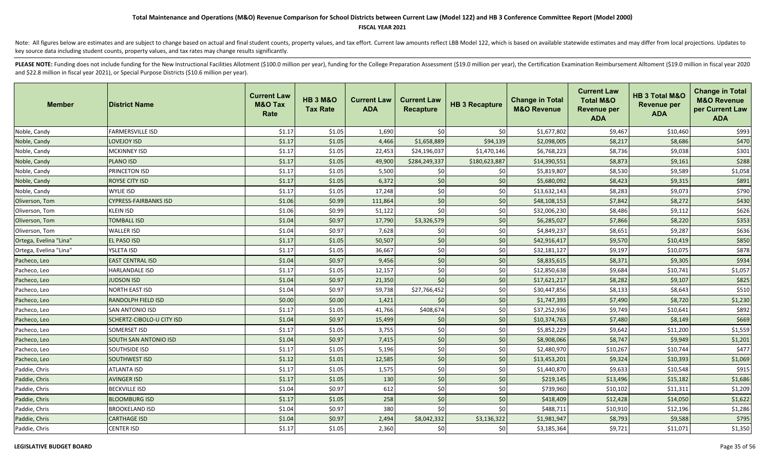### **FISCAL YEAR 2021**

Note: All figures below are estimates and are subject to change based on actual and final student counts, property values, and tax effort. Current law amounts reflect LBB Model 122, which is based on available statewide es key source data including student counts, property values, and tax rates may change results significantly.

| <b>Member</b>          | <b>District Name</b>         | <b>Current Law</b><br><b>M&amp;O Tax</b><br>Rate | <b>HB 3 M&amp;O</b><br><b>Tax Rate</b> | <b>Current Law</b><br><b>ADA</b> | <b>Current Law</b><br><b>Recapture</b> | <b>HB 3 Recapture</b> | <b>Change in Total</b><br><b>M&amp;O Revenue</b> | <b>Current Law</b><br><b>Total M&amp;O</b><br><b>Revenue per</b><br><b>ADA</b> | HB 3 Total M&O<br><b>Revenue per</b><br><b>ADA</b> | <b>Change in Total</b><br><b>M&amp;O Revenue</b><br>per Current Law<br><b>ADA</b> |
|------------------------|------------------------------|--------------------------------------------------|----------------------------------------|----------------------------------|----------------------------------------|-----------------------|--------------------------------------------------|--------------------------------------------------------------------------------|----------------------------------------------------|-----------------------------------------------------------------------------------|
| Noble, Candy           | <b>FARMERSVILLE ISD</b>      | \$1.17                                           | \$1.05                                 | 1,690                            | \$0                                    | \$0                   | \$1,677,802                                      | \$9,467                                                                        | \$10,460                                           | \$993                                                                             |
| Noble, Candy           | <b>LOVEJOY ISD</b>           | \$1.17                                           | \$1.05                                 | 4,466                            | \$1,658,889                            | \$94,139              | \$2,098,005                                      | \$8,217                                                                        | \$8,686                                            | \$470                                                                             |
| Noble, Candy           | <b>MCKINNEY ISD</b>          | \$1.17                                           | \$1.05                                 | 22,453                           | \$24,196,037                           | \$1,470,146           | \$6,768,223                                      | \$8,736                                                                        | \$9,038                                            | \$301                                                                             |
| Noble, Candy           | <b>PLANO ISD</b>             | \$1.17                                           | \$1.05                                 | 49,900                           | \$284,249,337                          | \$180,623,887         | \$14,390,551                                     | \$8,873                                                                        | \$9,161                                            | \$288                                                                             |
| Noble, Candy           | PRINCETON ISD                | \$1.17                                           | \$1.05                                 | 5,500                            | \$0                                    | \$0                   | \$5,819,807                                      | \$8,530                                                                        | \$9,589                                            | \$1,058                                                                           |
| Noble, Candy           | ROYSE CITY ISD               | \$1.17                                           | \$1.05                                 | 6,372                            | \$0                                    | \$0                   | \$5,680,092                                      | \$8,423                                                                        | \$9,315                                            | \$891                                                                             |
| Noble, Candy           | WYLIE ISD                    | \$1.17                                           | \$1.05                                 | 17,248                           | \$0                                    | \$0                   | \$13,632,143                                     | \$8,283                                                                        | \$9,073                                            | \$790                                                                             |
| Oliverson, Tom         | <b>CYPRESS-FAIRBANKS ISD</b> | \$1.06                                           | \$0.99                                 | 111,864                          | \$0                                    | \$0                   | \$48,108,153                                     | \$7,842                                                                        | \$8,272                                            | \$430                                                                             |
| Oliverson, Tom         | KLEIN ISD                    | \$1.06                                           | \$0.99                                 | 51,122                           | \$0                                    | \$0                   | \$32,006,230                                     | \$8,486                                                                        | \$9,112                                            | \$626                                                                             |
| Oliverson, Tom         | <b>TOMBALL ISD</b>           | \$1.04                                           | \$0.97                                 | 17,790                           | \$3,326,579                            | \$0                   | \$6,285,027                                      | \$7,866                                                                        | \$8,220                                            | \$353                                                                             |
| Oliverson, Tom         | <b>WALLER ISD</b>            | \$1.04                                           | \$0.97                                 | 7,628                            | \$0                                    | \$0                   | \$4,849,237                                      | \$8,651                                                                        | \$9,287                                            | \$636                                                                             |
| Ortega, Evelina "Lina" | <b>EL PASO ISD</b>           | \$1.17                                           | \$1.05                                 | 50,507                           | \$0                                    | \$0                   | \$42,916,417                                     | \$9,570                                                                        | \$10,419                                           | \$850                                                                             |
| Ortega, Evelina "Lina" | YSLETA ISD                   | \$1.17                                           | \$1.05                                 | 36,667                           | \$0                                    | \$0                   | \$32,181,127                                     | \$9,197                                                                        | \$10,075                                           | \$878                                                                             |
| Pacheco, Leo           | <b>EAST CENTRAL ISD</b>      | \$1.04                                           | \$0.97                                 | 9,456                            | \$0                                    | \$0                   | \$8,835,615                                      | \$8,371                                                                        | \$9,305                                            | \$934                                                                             |
| Pacheco, Leo           | HARLANDALE ISD               | \$1.17                                           | \$1.05                                 | 12,157                           | \$0                                    | \$0                   | \$12,850,638                                     | \$9,684                                                                        | \$10,741                                           | \$1,057                                                                           |
| Pacheco, Leo           | <b>JUDSON ISD</b>            | \$1.04                                           | \$0.97                                 | 21,350                           | \$0                                    | \$0                   | \$17,621,217                                     | \$8,282                                                                        | \$9,107                                            | \$825                                                                             |
| Pacheco, Leo           | NORTH EAST ISD               | \$1.04                                           | \$0.97                                 | 59,738                           | \$27,766,452                           | \$0                   | \$30,447,856                                     | \$8,133                                                                        | \$8,643                                            | \$510                                                                             |
| Pacheco, Leo           | RANDOLPH FIELD ISD           | \$0.00                                           | \$0.00                                 | 1,421                            | \$0                                    | \$0                   | \$1,747,393                                      | \$7,490                                                                        | \$8,720                                            | \$1,230                                                                           |
| Pacheco, Leo           | SAN ANTONIO ISD              | \$1.17                                           | \$1.05                                 | 41,766                           | \$408,674                              | \$0                   | \$37,252,936                                     | \$9,749                                                                        | \$10,641                                           | \$892                                                                             |
| Pacheco, Leo           | SCHERTZ-CIBOLO-U CITY ISD    | \$1.04                                           | \$0.97                                 | 15,499                           | \$0                                    | \$0                   | \$10,374,763                                     | \$7,480                                                                        | \$8,149                                            | \$669                                                                             |
| Pacheco, Leo           | SOMERSET ISD                 | \$1.17                                           | \$1.05                                 | 3,755                            | \$0                                    | \$0                   | \$5,852,229                                      | \$9,642                                                                        | \$11,200                                           | \$1,559                                                                           |
| Pacheco, Leo           | SOUTH SAN ANTONIO ISD        | \$1.04                                           | \$0.97                                 | 7,415                            | \$0                                    | \$0                   | \$8,908,066                                      | \$8,747                                                                        | \$9,949                                            | \$1,201                                                                           |
| Pacheco, Leo           | SOUTHSIDE ISD                | \$1.17                                           | \$1.05                                 | 5,196                            | \$0                                    | \$0                   | \$2,480,970                                      | \$10,267                                                                       | \$10,744                                           | \$477                                                                             |
| Pacheco, Leo           | SOUTHWEST ISD                | \$1.12                                           | \$1.01                                 | 12,585                           | $$0$$                                  | \$0                   | \$13,453,201                                     | \$9,324                                                                        | \$10,393                                           | \$1,069                                                                           |
| Paddie, Chris          | ATLANTA ISD                  | \$1.17                                           | \$1.05                                 | 1,575                            | \$0                                    | \$0                   | \$1,440,870                                      | \$9,633                                                                        | \$10,548                                           | \$915                                                                             |
| Paddie, Chris          | <b>AVINGER ISD</b>           | \$1.17                                           | \$1.05                                 | 130                              | $$0$$                                  | \$0                   | \$219,145                                        | \$13,496                                                                       | \$15,182                                           | \$1,686                                                                           |
| Paddie, Chris          | <b>BECKVILLE ISD</b>         | \$1.04                                           | \$0.97                                 | 612                              | \$0                                    | \$0                   | \$739,960                                        | \$10,102                                                                       | \$11,311                                           | \$1,209                                                                           |
| Paddie, Chris          | <b>BLOOMBURG ISD</b>         | \$1.17                                           | \$1.05                                 | 258                              | $$0$$                                  | \$0                   | \$418,409                                        | \$12,428                                                                       | \$14,050                                           | \$1,622                                                                           |
| Paddie, Chris          | <b>BROOKELAND ISD</b>        | \$1.04                                           | \$0.97                                 | 380                              | \$0                                    | \$0                   | \$488,711                                        | \$10,910                                                                       | \$12,196                                           | \$1,286                                                                           |
| Paddie, Chris          | <b>CARTHAGE ISD</b>          | \$1.04                                           | \$0.97                                 | 2,494                            | \$8,042,332                            | \$3,136,322           | \$1,981,947                                      | \$8,793                                                                        | \$9,588                                            | \$795                                                                             |
| Paddie, Chris          | <b>CENTER ISD</b>            | \$1.17                                           | \$1.05                                 | 2,360                            | 50 <sup>1</sup>                        | \$0                   | \$3,185,364                                      | \$9,721                                                                        | \$11,071                                           | \$1,350                                                                           |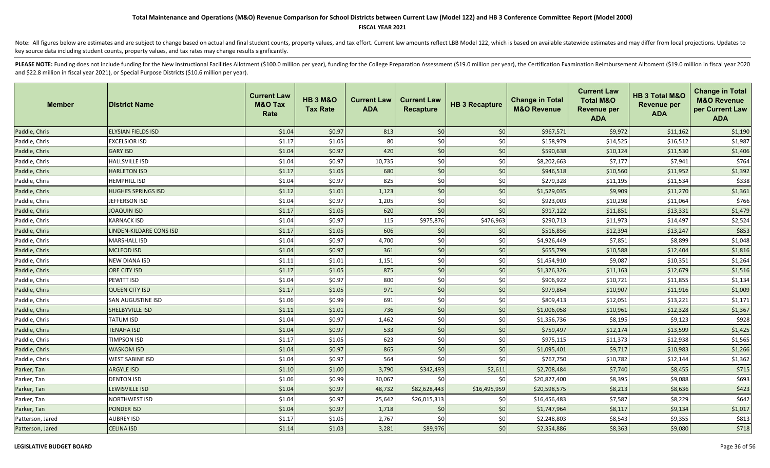### **FISCAL YEAR 2021**

Note: All figures below are estimates and are subject to change based on actual and final student counts, property values, and tax effort. Current law amounts reflect LBB Model 122, which is based on available statewide es key source data including student counts, property values, and tax rates may change results significantly.

| <b>Member</b>    | <b>District Name</b>      | <b>Current Law</b><br><b>M&amp;O Tax</b><br>Rate | <b>HB 3 M&amp;O</b><br><b>Tax Rate</b> | <b>Current Law</b><br><b>ADA</b> | <b>Current Law</b><br><b>Recapture</b> | <b>HB 3 Recapture</b> | <b>Change in Total</b><br><b>M&amp;O Revenue</b> | <b>Current Law</b><br><b>Total M&amp;O</b><br><b>Revenue per</b><br><b>ADA</b> | HB 3 Total M&O<br><b>Revenue per</b><br><b>ADA</b> | <b>Change in Total</b><br><b>M&amp;O Revenue</b><br>per Current Law<br><b>ADA</b> |
|------------------|---------------------------|--------------------------------------------------|----------------------------------------|----------------------------------|----------------------------------------|-----------------------|--------------------------------------------------|--------------------------------------------------------------------------------|----------------------------------------------------|-----------------------------------------------------------------------------------|
| Paddie, Chris    | <b>ELYSIAN FIELDS ISD</b> | \$1.04                                           | \$0.97                                 | 813                              | \$0                                    | \$0                   | \$967,571                                        | \$9,972                                                                        | \$11,162                                           | \$1,190                                                                           |
| Paddie, Chris    | <b>EXCELSIOR ISD</b>      | \$1.17                                           | \$1.05                                 | 80                               | $$0$$                                  | \$0                   | \$158,979                                        | \$14,525                                                                       | \$16,512                                           | \$1,987                                                                           |
| Paddie, Chris    | <b>GARY ISD</b>           | \$1.04                                           | \$0.97                                 | 420                              | \$0                                    | \$0                   | \$590,638                                        | \$10,124                                                                       | \$11,530                                           | \$1,406                                                                           |
| Paddie, Chris    | <b>HALLSVILLE ISD</b>     | \$1.04                                           | \$0.97                                 | 10,735                           | \$0                                    | \$0                   | \$8,202,663                                      | \$7,177                                                                        | \$7,941                                            | \$764                                                                             |
| Paddie, Chris    | <b>HARLETON ISD</b>       | \$1.17                                           | \$1.05                                 | 680                              | \$0                                    | \$0                   | \$946,518                                        | \$10,560                                                                       | \$11,952                                           | \$1,392                                                                           |
| Paddie, Chris    | <b>HEMPHILL ISD</b>       | \$1.04                                           | \$0.97                                 | 825                              | \$0                                    | \$0                   | \$279,328                                        | \$11,195                                                                       | \$11,534                                           | \$338                                                                             |
| Paddie, Chris    | <b>HUGHES SPRINGS ISD</b> | \$1.12                                           | \$1.01                                 | 1,123                            | \$0                                    | \$0                   | \$1,529,035                                      | \$9,909                                                                        | \$11,270                                           | \$1,361                                                                           |
| Paddie, Chris    | JEFFERSON ISD             | \$1.04                                           | \$0.97                                 | 1,205                            | \$0                                    | \$0                   | \$923,003                                        | \$10,298                                                                       | \$11,064                                           | \$766                                                                             |
| Paddie, Chris    | <b>JOAQUIN ISD</b>        | \$1.17                                           | \$1.05                                 | 620                              | \$0                                    | \$0                   | \$917,122                                        | \$11,851                                                                       | \$13,331                                           | \$1,479                                                                           |
| Paddie, Chris    | <b>KARNACK ISD</b>        | \$1.04                                           | \$0.97                                 | 115                              | \$975,876                              | \$476,963             | \$290,713                                        | \$11,973                                                                       | \$14,497                                           | \$2,524                                                                           |
| Paddie, Chris    | LINDEN-KILDARE CONS ISD   | \$1.17                                           | \$1.05                                 | 606                              | \$0                                    | \$0                   | \$516,856                                        | \$12,394                                                                       | \$13,247                                           | \$853                                                                             |
| Paddie, Chris    | <b>MARSHALL ISD</b>       | \$1.04                                           | \$0.97                                 | 4,700                            | \$0                                    | \$0                   | \$4,926,449                                      | \$7,851                                                                        | \$8,899                                            | \$1,048                                                                           |
| Paddie, Chris    | <b>MCLEOD ISD</b>         | \$1.04                                           | \$0.97                                 | 361                              | \$0                                    | \$0                   | \$655,799                                        | \$10,588                                                                       | \$12,404                                           | \$1,816                                                                           |
| Paddie, Chris    | <b>NEW DIANA ISD</b>      | \$1.11                                           | \$1.01                                 | 1,151                            | \$0                                    | \$0                   | \$1,454,910                                      | \$9,087                                                                        | \$10,351                                           | \$1,264                                                                           |
| Paddie, Chris    | ORE CITY ISD              | \$1.17                                           | \$1.05                                 | 875                              | $$0$$                                  | $$0$$                 | \$1,326,326                                      | \$11,163                                                                       | \$12,679                                           | \$1,516                                                                           |
| Paddie, Chris    | PEWITT ISD                | \$1.04                                           | \$0.97                                 | 800                              | \$0                                    | \$0                   | \$906,922                                        | \$10,721                                                                       | \$11,855                                           | \$1,134                                                                           |
| Paddie, Chris    | <b>QUEEN CITY ISD</b>     | \$1.17                                           | \$1.05                                 | 971                              | \$0                                    | \$0                   | \$979,864                                        | \$10,907                                                                       | \$11,916                                           | \$1,009                                                                           |
| Paddie, Chris    | <b>SAN AUGUSTINE ISD</b>  | \$1.06                                           | \$0.99                                 | 691                              | \$0                                    | \$0                   | \$809,413                                        | \$12,051                                                                       | \$13,221                                           | \$1,171                                                                           |
| Paddie, Chris    | SHELBYVILLE ISD           | \$1.11                                           | \$1.01                                 | 736                              | \$0                                    | \$0                   | \$1,006,058                                      | \$10,961                                                                       | \$12,328                                           | \$1,367                                                                           |
| Paddie, Chris    | <b>TATUM ISD</b>          | \$1.04                                           | \$0.97                                 | 1,462                            | \$0                                    | \$0                   | \$1,356,736                                      | \$8,195                                                                        | \$9,123                                            | \$928                                                                             |
| Paddie, Chris    | <b>TENAHA ISD</b>         | \$1.04                                           | \$0.97                                 | 533                              | $$0$$                                  | \$0                   | \$759,497                                        | \$12,174                                                                       | \$13,599                                           | \$1,425                                                                           |
| Paddie, Chris    | <b>TIMPSON ISD</b>        | \$1.17                                           | \$1.05                                 | 623                              | \$0                                    | \$0                   | \$975,115                                        | \$11,373                                                                       | \$12,938                                           | \$1,565                                                                           |
| Paddie, Chris    | <b>WASKOM ISD</b>         | \$1.04                                           | \$0.97                                 | 865                              | \$0                                    | \$0                   | \$1,095,401                                      | \$9,717                                                                        | \$10,983                                           | \$1,266                                                                           |
| Paddie, Chris    | <b>WEST SABINE ISD</b>    | \$1.04                                           | \$0.97                                 | 564                              | \$0                                    | \$0                   | \$767,750                                        | \$10,782                                                                       | \$12,144                                           | \$1,362                                                                           |
| Parker, Tan      | <b>ARGYLE ISD</b>         | \$1.10                                           | \$1.00                                 | 3,790                            | \$342,493                              | \$2,611               | \$2,708,484                                      | \$7,740                                                                        | \$8,455                                            | \$715                                                                             |
| Parker, Tan      | <b>DENTON ISD</b>         | \$1.06                                           | \$0.99                                 | 30,067                           | \$0                                    | \$0                   | \$20,827,400                                     | \$8,395                                                                        | \$9,088                                            | \$693                                                                             |
| Parker, Tan      | LEWISVILLE ISD            | \$1.04                                           | \$0.97                                 | 48,732                           | \$82,628,443                           | \$16,495,959          | \$20,598,575                                     | \$8,213                                                                        | \$8,636                                            | \$423                                                                             |
| Parker, Tan      | <b>NORTHWEST ISD</b>      | \$1.04                                           | \$0.97                                 | 25,642                           | \$26,015,313                           | \$0                   | \$16,456,483                                     | \$7,587                                                                        | \$8,229                                            | \$642                                                                             |
| Parker, Tan      | <b>PONDER ISD</b>         | \$1.04                                           | \$0.97                                 | 1,718                            | \$0                                    | \$0                   | \$1,747,964                                      | \$8,117                                                                        | \$9,134                                            | \$1,017                                                                           |
| Patterson, Jared | <b>AUBREY ISD</b>         | \$1.17                                           | \$1.05                                 | 2,767                            | \$0                                    | \$0                   | \$2,248,803                                      | \$8,543                                                                        | \$9,355                                            | \$813                                                                             |
| Patterson, Jared | <b>CELINA ISD</b>         | \$1.14                                           | \$1.03                                 | 3,281                            | \$89,976                               | \$0                   | \$2,354,886                                      | \$8,363                                                                        | \$9,080                                            | \$718                                                                             |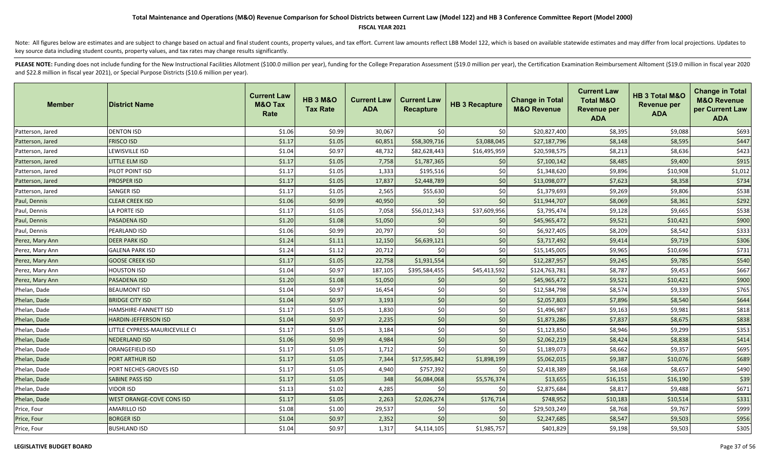### **FISCAL YEAR 2021**

Note: All figures below are estimates and are subject to change based on actual and final student counts, property values, and tax effort. Current law amounts reflect LBB Model 122, which is based on available statewide es key source data including student counts, property values, and tax rates may change results significantly.

| <b>Member</b>    | <b>District Name</b>           | <b>Current Law</b><br><b>M&amp;O Tax</b><br>Rate | <b>HB 3 M&amp;O</b><br><b>Tax Rate</b> | <b>Current Law</b><br><b>ADA</b> | <b>Current Law</b><br><b>Recapture</b> | <b>HB 3 Recapture</b> | <b>Change in Total</b><br><b>M&amp;O Revenue</b> | <b>Current Law</b><br><b>Total M&amp;O</b><br><b>Revenue per</b><br><b>ADA</b> | HB 3 Total M&O<br><b>Revenue per</b><br><b>ADA</b> | <b>Change in Total</b><br><b>M&amp;O Revenue</b><br>per Current Law<br><b>ADA</b> |
|------------------|--------------------------------|--------------------------------------------------|----------------------------------------|----------------------------------|----------------------------------------|-----------------------|--------------------------------------------------|--------------------------------------------------------------------------------|----------------------------------------------------|-----------------------------------------------------------------------------------|
| Patterson, Jared | <b>DENTON ISD</b>              | \$1.06                                           | \$0.99                                 | 30,067                           | \$0                                    | \$0                   | \$20,827,400                                     | \$8,395                                                                        | \$9,088                                            | \$693                                                                             |
| Patterson, Jared | <b>FRISCO ISD</b>              | \$1.17                                           | \$1.05                                 | 60,851                           | \$58,309,716                           | \$3,088,045           | \$27,187,796                                     | \$8,148                                                                        | \$8,595                                            | \$447                                                                             |
| Patterson, Jared | LEWISVILLE ISD                 | \$1.04                                           | \$0.97                                 | 48,732                           | \$82,628,443                           | \$16,495,959          | \$20,598,575                                     | \$8,213                                                                        | \$8,636                                            | \$423                                                                             |
| Patterson, Jared | LITTLE ELM ISD                 | \$1.17                                           | \$1.05                                 | 7,758                            | \$1,787,365                            | \$0                   | \$7,100,142                                      | \$8,485                                                                        | \$9,400                                            | \$915                                                                             |
| Patterson, Jared | PILOT POINT ISD                | \$1.17                                           | \$1.05                                 | 1,333                            | \$195,516                              | \$0                   | \$1,348,620                                      | \$9,896                                                                        | \$10,908                                           | \$1,012                                                                           |
| Patterson, Jared | <b>PROSPER ISD</b>             | \$1.17                                           | \$1.05                                 | 17,837                           | \$2,448,789                            | \$0                   | \$13,098,077                                     | \$7,623                                                                        | \$8,358                                            | \$734                                                                             |
| Patterson, Jared | SANGER ISD                     | \$1.17                                           | \$1.05                                 | 2,565                            | \$55,630                               | \$0                   | \$1,379,693                                      | \$9,269                                                                        | \$9,806                                            | \$538                                                                             |
| Paul, Dennis     | <b>CLEAR CREEK ISD</b>         | \$1.06                                           | \$0.99                                 | 40,950                           | \$0                                    | \$0                   | \$11,944,707                                     | \$8,069                                                                        | \$8,361                                            | \$292                                                                             |
| Paul, Dennis     | LA PORTE ISD                   | \$1.17                                           | \$1.05                                 | 7,058                            | \$56,012,343                           | \$37,609,956          | \$3,795,474                                      | \$9,128                                                                        | \$9,665                                            | \$538                                                                             |
| Paul, Dennis     | PASADENA ISD                   | \$1.20                                           | \$1.08                                 | 51,050                           | \$0                                    | \$0                   | \$45,965,472                                     | \$9,521                                                                        | \$10,421                                           | \$900                                                                             |
| Paul, Dennis     | PEARLAND ISD                   | \$1.06                                           | \$0.99                                 | 20,797                           | \$0                                    | \$0                   | \$6,927,405                                      | \$8,209                                                                        | \$8,542                                            | \$333                                                                             |
| Perez, Mary Ann  | <b>DEER PARK ISD</b>           | \$1.24                                           | \$1.11                                 | 12,150                           | \$6,639,121                            | \$0                   | \$3,717,492                                      | \$9,414                                                                        | \$9,719                                            | \$306                                                                             |
| Perez, Mary Ann  | <b>GALENA PARK ISD</b>         | \$1.24                                           | \$1.12                                 | 20,712                           | \$0                                    | \$0                   | \$15,145,005                                     | \$9,965                                                                        | \$10,696                                           | \$731                                                                             |
| Perez, Mary Ann  | <b>GOOSE CREEK ISD</b>         | \$1.17                                           | \$1.05                                 | 22,758                           | \$1,931,554                            | \$0                   | \$12,287,957                                     | \$9,245                                                                        | \$9,785                                            | \$540                                                                             |
| Perez, Mary Ann  | <b>HOUSTON ISD</b>             | \$1.04                                           | \$0.97                                 | 187,105                          | \$395,584,455                          | \$45,413,592          | \$124,763,781                                    | \$8,787                                                                        | \$9,453                                            | \$667                                                                             |
| Perez, Mary Ann  | PASADENA ISD                   | \$1.20                                           | \$1.08                                 | 51,050                           | \$0                                    | \$0                   | \$45,965,472                                     | \$9,521                                                                        | \$10,421                                           | \$900                                                                             |
| Phelan, Dade     | <b>BEAUMONT ISD</b>            | \$1.04                                           | \$0.97                                 | 16,454                           | \$0                                    | \$0                   | \$12,584,798                                     | \$8,574                                                                        | \$9,339                                            | \$765                                                                             |
| Phelan, Dade     | <b>BRIDGE CITY ISD</b>         | \$1.04                                           | \$0.97                                 | 3,193                            | \$0                                    | \$0                   | \$2,057,803                                      | \$7,896                                                                        | \$8,540                                            | \$644                                                                             |
| Phelan, Dade     | HAMSHIRE-FANNETT ISD           | \$1.17                                           | \$1.05                                 | 1,830                            | \$0                                    | \$0                   | \$1,496,987                                      | \$9,163                                                                        | \$9,981                                            | \$818                                                                             |
| Phelan, Dade     | <b>HARDIN-JEFFERSON ISD</b>    | \$1.04                                           | \$0.97                                 | 2,235                            | \$0                                    | \$0                   | \$1,873,286                                      | \$7,837                                                                        | \$8,675                                            | \$838                                                                             |
| Phelan, Dade     | LITTLE CYPRESS-MAURICEVILLE CI | \$1.17                                           | \$1.05                                 | 3,184                            | \$0                                    | \$0                   | \$1,123,850                                      | \$8,946                                                                        | \$9,299                                            | \$353                                                                             |
| Phelan, Dade     | <b>NEDERLAND ISD</b>           | \$1.06                                           | \$0.99                                 | 4,984                            | $$0$$                                  | \$0                   | \$2,062,219                                      | \$8,424                                                                        | \$8,838                                            | \$414                                                                             |
| Phelan, Dade     | ORANGEFIELD ISD                | \$1.17                                           | \$1.05                                 | 1,712                            | \$0                                    | \$0                   | \$1,189,073                                      | \$8,662                                                                        | \$9,357                                            | \$695                                                                             |
| Phelan, Dade     | PORT ARTHUR ISD                | \$1.17                                           | \$1.05                                 | 7,344                            | \$17,595,842                           | \$1,898,199           | \$5,062,015                                      | \$9,387                                                                        | \$10,076                                           | \$689                                                                             |
| Phelan, Dade     | PORT NECHES-GROVES ISD         | \$1.17                                           | \$1.05                                 | 4,940                            | \$757,392                              | \$0                   | \$2,418,389                                      | \$8,168                                                                        | \$8,657                                            | \$490                                                                             |
| Phelan, Dade     | <b>SABINE PASS ISD</b>         | \$1.17                                           | \$1.05                                 | 348                              | \$6,084,068                            | \$5,576,374           | \$13,655                                         | \$16,151                                                                       | \$16,190                                           | \$39                                                                              |
| Phelan, Dade     | VIDOR ISD                      | \$1.13                                           | \$1.02                                 | 4,285                            | \$0                                    | \$0                   | \$2,875,684                                      | \$8,817                                                                        | \$9,488                                            | \$671                                                                             |
| Phelan, Dade     | WEST ORANGE-COVE CONS ISD      | \$1.17                                           | \$1.05                                 | 2,263                            | \$2,026,274                            | \$176,714             | \$748,952                                        | \$10,183                                                                       | \$10,514                                           | \$331                                                                             |
| Price, Four      | AMARILLO ISD                   | \$1.08                                           | \$1.00                                 | 29,537                           | \$0                                    | \$0                   | \$29,503,249                                     | \$8,768                                                                        | \$9,767                                            | \$999                                                                             |
| Price, Four      | <b>BORGER ISD</b>              | \$1.04                                           | \$0.97                                 | 2,352                            | \$0                                    | \$0                   | \$2,247,685                                      | \$8,547                                                                        | \$9,503                                            | \$956                                                                             |
| Price, Four      | BUSHLAND ISD                   | \$1.04                                           | \$0.97                                 | 1,317                            | \$4,114,105                            | \$1,985,757           | \$401,829                                        | \$9,198                                                                        | \$9,503                                            | \$305                                                                             |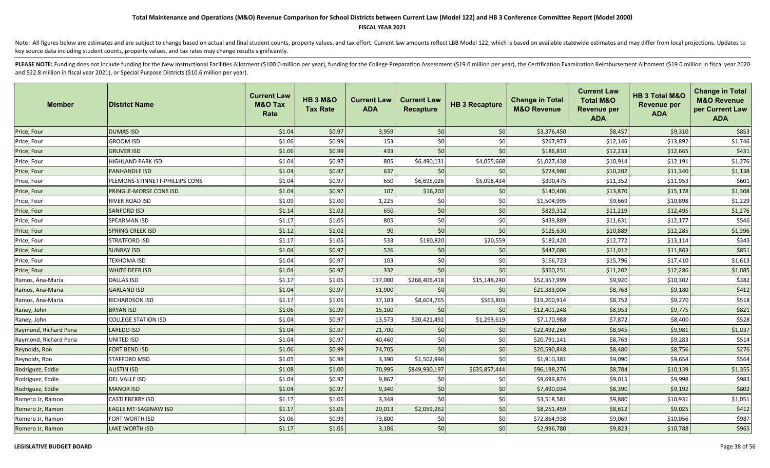### **FISCAL YEAR 2021**

Note: All figures below are estimates and are subject to change based on actual and final student counts, property values, and tax effort. Current law amounts reflect LBB Model 122, which is based on available statewide es key source data including student counts, property values, and tax rates may change results significantly.

| <b>Member</b>         | <b>District Name</b>           | <b>Current Law</b><br><b>M&amp;O Tax</b><br>Rate | <b>HB 3 M&amp;O</b><br><b>Tax Rate</b> | <b>Current Law</b><br><b>ADA</b> | <b>Current Law</b><br><b>Recapture</b> | <b>HB 3 Recapture</b> | <b>Change in Total</b><br><b>M&amp;O Revenue</b> | <b>Current Law</b><br><b>Total M&amp;O</b><br><b>Revenue per</b><br><b>ADA</b> | HB 3 Total M&O<br><b>Revenue per</b><br><b>ADA</b> | <b>Change in Total</b><br><b>M&amp;O Revenue</b><br>per Current Law<br><b>ADA</b> |
|-----------------------|--------------------------------|--------------------------------------------------|----------------------------------------|----------------------------------|----------------------------------------|-----------------------|--------------------------------------------------|--------------------------------------------------------------------------------|----------------------------------------------------|-----------------------------------------------------------------------------------|
| Price, Four           | <b>DUMAS ISD</b>               | \$1.04                                           | \$0.97                                 | 3,959                            | \$0                                    | \$0                   | \$3,376,450                                      | \$8,457                                                                        | \$9,310                                            | \$853                                                                             |
| Price, Four           | <b>GROOM ISD</b>               | \$1.06                                           | \$0.99                                 | 153                              | \$0                                    | \$0                   | \$267,973                                        | \$12,146                                                                       | \$13,892                                           | \$1,746                                                                           |
| Price, Four           | <b>GRUVER ISD</b>              | \$1.06                                           | \$0.99                                 | 433                              | \$0                                    | \$0                   | \$186,810                                        | \$12,233                                                                       | \$12,665                                           | \$431                                                                             |
| Price, Four           | HIGHLAND PARK ISD              | \$1.04                                           | \$0.97                                 | 805                              | \$6,490,131                            | \$4,055,668           | \$1,027,438                                      | \$10,914                                                                       | \$12,191                                           | \$1,276                                                                           |
| Price, Four           | <b>PANHANDLE ISD</b>           | \$1.04                                           | \$0.97                                 | 637                              | \$0                                    | \$0                   | \$724,980                                        | \$10,202                                                                       | \$11,340                                           | \$1,138                                                                           |
| Price, Four           | PLEMONS-STINNETT-PHILLIPS CONS | \$1.04                                           | \$0.97                                 | 650                              | \$6,695,026                            | \$5,098,434           | \$390,475                                        | \$11,352                                                                       | \$11,953                                           | \$601                                                                             |
| Price, Four           | PRINGLE-MORSE CONS ISD         | \$1.04                                           | \$0.97                                 | 107                              | \$16,202                               | \$0                   | \$140,406                                        | \$13,870                                                                       | \$15,178                                           | \$1,308                                                                           |
| Price, Four           | RIVER ROAD ISD                 | \$1.09                                           | \$1.00                                 | 1,225                            | \$0                                    | \$0                   | \$1,504,995                                      | \$9,669                                                                        | \$10,898                                           | \$1,229                                                                           |
| Price, Four           | <b>SANFORD ISD</b>             | \$1.14                                           | \$1.03                                 | 650                              | \$0                                    | \$0                   | \$829,312                                        | \$11,219                                                                       | \$12,495                                           | \$1,276                                                                           |
| Price, Four           | SPEARMAN ISD                   | \$1.17                                           | \$1.05                                 | 805                              | \$0                                    | \$0                   | \$439,889                                        | \$11,631                                                                       | \$12,177                                           | \$546                                                                             |
| Price, Four           | <b>SPRING CREEK ISD</b>        | \$1.12                                           | \$1.02                                 | 90                               | \$0                                    | \$0                   | \$125,630                                        | \$10,889                                                                       | \$12,285                                           | \$1,396                                                                           |
| Price, Four           | <b>STRATFORD ISD</b>           | \$1.17                                           | \$1.05                                 | 533                              | \$180,820                              | \$20,559              | \$182,420                                        | \$12,772                                                                       | \$13,114                                           | \$343                                                                             |
| Price, Four           | <b>SUNRAY ISD</b>              | \$1.04                                           | \$0.97                                 | 526                              | \$0                                    | \$0                   | \$447,080                                        | \$11,012                                                                       | \$11,863                                           | \$851                                                                             |
| Price, Four           | TEXHOMA ISD                    | \$1.04                                           | \$0.97                                 | 103                              | \$0                                    | \$0                   | \$166,723                                        | \$15,796                                                                       | \$17,410                                           | \$1,613                                                                           |
| Price, Four           | WHITE DEER ISD                 | \$1.04                                           | \$0.97                                 | 332                              | \$0                                    | \$0                   | \$360,251                                        | \$11,202                                                                       | \$12,286                                           | \$1,085                                                                           |
| Ramos, Ana-Maria      | <b>DALLAS ISD</b>              | \$1.17                                           | \$1.05                                 | 137,000                          | \$268,406,418                          | \$15,148,240          | \$52,357,999                                     | \$9,920                                                                        | \$10,302                                           | \$382                                                                             |
| Ramos, Ana-Maria      | <b>GARLAND ISD</b>             | \$1.04                                           | \$0.97                                 | 51,900                           | \$0                                    | \$0                   | \$21,383,004                                     | \$8,768                                                                        | \$9,180                                            | \$412                                                                             |
| Ramos, Ana-Maria      | RICHARDSON ISD                 | \$1.17                                           | \$1.05                                 | 37,103                           | \$8,604,765                            | \$563,803             | \$19,200,914                                     | \$8,752                                                                        | \$9,270                                            | \$518                                                                             |
| Raney, John           | <b>BRYAN ISD</b>               | \$1.06                                           | \$0.99                                 | 15,100                           | \$0                                    | \$0                   | \$12,401,248                                     | \$8,953                                                                        | \$9,775                                            | \$821                                                                             |
| Raney, John           | <b>COLLEGE STATION ISD</b>     | \$1.04                                           | \$0.97                                 | 13,573                           | \$20,421,492                           | \$1,293,619           | \$7,170,988                                      | \$7,872                                                                        | \$8,400                                            | \$528                                                                             |
| Raymond, Richard Pena | <b>LAREDO ISD</b>              | \$1.04                                           | \$0.97                                 | 21,700                           | \$0                                    | \$0                   | \$22,492,260                                     | \$8,945                                                                        | \$9,981                                            | \$1,037                                                                           |
| Raymond, Richard Pena | UNITED ISD                     | \$1.04                                           | \$0.97                                 | 40,460                           | \$0                                    | \$0                   | \$20,791,141                                     | \$8,769                                                                        | \$9,283                                            | \$514                                                                             |
| Reynolds, Ron         | <b>FORT BEND ISD</b>           | \$1.06                                           | \$0.99                                 | 74,705                           | \$0                                    | \$0                   | \$20,590,848                                     | \$8,480                                                                        | \$8,756                                            | \$276                                                                             |
| Reynolds, Ron         | STAFFORD MSD                   | \$1.05                                           | \$0.98                                 | 3,390                            | \$1,502,996                            | \$0                   | \$1,910,381                                      | \$9,090                                                                        | \$9,654                                            | \$564                                                                             |
| Rodriguez, Eddie      | <b>AUSTIN ISD</b>              | \$1.08                                           | \$1.00                                 | 70,995                           | \$849,930,197                          | \$635,857,444         | \$96,198,276                                     | \$8,784                                                                        | \$10,139                                           | \$1,355                                                                           |
| Rodriguez, Eddie      | DEL VALLE ISD                  | \$1.04                                           | \$0.97                                 | 9,867                            | \$0                                    | \$0                   | \$9,699,874                                      | \$9,015                                                                        | \$9,998                                            | \$983                                                                             |
| Rodriguez, Eddie      | <b>MANOR ISD</b>               | \$1.04                                           | \$0.97                                 | 9,340                            | \$0                                    | \$0                   | \$7,490,034                                      | \$8,390                                                                        | \$9,192                                            | \$802                                                                             |
| Romero Jr, Ramon      | <b>CASTLEBERRY ISD</b>         | \$1.17                                           | \$1.05                                 | 3,348                            | \$0                                    | \$0                   | \$3,518,581                                      | \$9,880                                                                        | \$10,931                                           | \$1,051                                                                           |
| Romero Jr, Ramon      | EAGLE MT-SAGINAW ISD           | \$1.17                                           | \$1.05                                 | 20,013                           | \$2,059,262                            | \$0                   | \$8,251,459                                      | \$8,612                                                                        | \$9,025                                            | \$412                                                                             |
| Romero Jr, Ramon      | FORT WORTH ISD                 | \$1.06                                           | \$0.99                                 | 73,800                           | \$0                                    | \$0                   | \$72,864,938                                     | \$9,069                                                                        | \$10,056                                           | \$987                                                                             |
| Romero Jr, Ramon      | <b>LAKE WORTH ISD</b>          | \$1.17                                           | \$1.05                                 | 3,106                            | \$0                                    | \$0                   | \$2,996,780                                      | \$9,823                                                                        | \$10,788                                           | \$965                                                                             |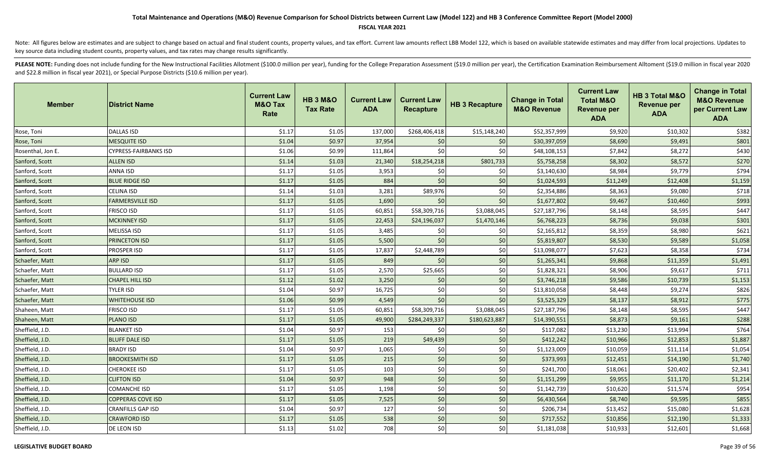### **FISCAL YEAR 2021**

Note: All figures below are estimates and are subject to change based on actual and final student counts, property values, and tax effort. Current law amounts reflect LBB Model 122, which is based on available statewide es key source data including student counts, property values, and tax rates may change results significantly.

| <b>Member</b>     | <b>District Name</b>         | <b>Current Law</b><br><b>M&amp;O Tax</b><br>Rate | <b>HB 3 M&amp;O</b><br><b>Tax Rate</b> | <b>Current Law</b><br><b>ADA</b> | <b>Current Law</b><br><b>Recapture</b> | <b>HB 3 Recapture</b> | <b>Change in Total</b><br><b>M&amp;O Revenue</b> | <b>Current Law</b><br><b>Total M&amp;O</b><br><b>Revenue per</b><br><b>ADA</b> | HB 3 Total M&O<br><b>Revenue per</b><br><b>ADA</b> | <b>Change in Total</b><br><b>M&amp;O Revenue</b><br>per Current Law<br><b>ADA</b> |
|-------------------|------------------------------|--------------------------------------------------|----------------------------------------|----------------------------------|----------------------------------------|-----------------------|--------------------------------------------------|--------------------------------------------------------------------------------|----------------------------------------------------|-----------------------------------------------------------------------------------|
| Rose, Toni        | <b>DALLAS ISD</b>            | \$1.17                                           | \$1.05                                 | 137,000                          | \$268,406,418                          | \$15,148,240          | \$52,357,999                                     | \$9,920                                                                        | \$10,302                                           | \$382                                                                             |
| Rose, Toni        | <b>MESQUITE ISD</b>          | \$1.04                                           | \$0.97                                 | 37,954                           | \$0                                    | \$0                   | \$30,397,059                                     | \$8,690                                                                        | \$9,491                                            | \$801                                                                             |
| Rosenthal, Jon E. | <b>CYPRESS-FAIRBANKS ISD</b> | \$1.06                                           | \$0.99                                 | 111,864                          | \$0                                    | \$0                   | \$48,108,153                                     | \$7,842                                                                        | \$8,272                                            | \$430                                                                             |
| Sanford, Scott    | <b>ALLEN ISD</b>             | \$1.14                                           | \$1.03                                 | 21,340                           | \$18,254,218                           | \$801,733             | \$5,758,258                                      | \$8,302                                                                        | \$8,572                                            | \$270                                                                             |
| Sanford, Scott    | <b>ANNA ISD</b>              | \$1.17                                           | \$1.05                                 | 3,953                            | \$0                                    | \$0                   | \$3,140,630                                      | \$8,984                                                                        | \$9,779                                            | \$794                                                                             |
| Sanford, Scott    | <b>BLUE RIDGE ISD</b>        | \$1.17                                           | \$1.05                                 | 884                              | \$0                                    | \$0                   | \$1,024,593                                      | \$11,249                                                                       | \$12,408                                           | \$1,159                                                                           |
| Sanford, Scott    | <b>CELINA ISD</b>            | \$1.14                                           | \$1.03                                 | 3,281                            | \$89,976                               | \$0                   | \$2,354,886                                      | \$8,363                                                                        | \$9,080                                            | \$718                                                                             |
| Sanford, Scott    | <b>FARMERSVILLE ISD</b>      | \$1.17                                           | \$1.05                                 | 1,690                            | \$0                                    | \$0                   | \$1,677,802                                      | \$9,467                                                                        | \$10,460                                           | \$993                                                                             |
| Sanford, Scott    | <b>FRISCO ISD</b>            | \$1.17                                           | \$1.05                                 | 60,851                           | \$58,309,716                           | \$3,088,045           | \$27,187,796                                     | \$8,148                                                                        | \$8,595                                            | \$447                                                                             |
| Sanford, Scott    | <b>MCKINNEY ISD</b>          | \$1.17                                           | \$1.05                                 | 22,453                           | \$24,196,037                           | \$1,470,146           | \$6,768,223                                      | \$8,736                                                                        | \$9,038                                            | \$301                                                                             |
| Sanford, Scott    | <b>MELISSA ISD</b>           | \$1.17                                           | \$1.05                                 | 3,485                            | \$0                                    | \$0                   | \$2,165,812                                      | \$8,359                                                                        | \$8,980                                            | \$621                                                                             |
| Sanford, Scott    | <b>PRINCETON ISD</b>         | \$1.17                                           | \$1.05                                 | 5,500                            | \$0                                    | \$0                   | \$5,819,807                                      | \$8,530                                                                        | \$9,589                                            | \$1,058                                                                           |
| Sanford, Scott    | <b>PROSPER ISD</b>           | \$1.17                                           | \$1.05                                 | 17,837                           | \$2,448,789                            | \$0                   | \$13,098,077                                     | \$7,623                                                                        | \$8,358                                            | \$734                                                                             |
| Schaefer, Matt    | <b>ARP ISD</b>               | \$1.17                                           | \$1.05                                 | 849                              | \$0                                    | \$0                   | \$1,265,341                                      | \$9,868                                                                        | \$11,359                                           | \$1,491                                                                           |
| Schaefer, Matt    | <b>BULLARD ISD</b>           | \$1.17                                           | \$1.05                                 | 2,570                            | \$25,665                               | \$0                   | \$1,828,321                                      | \$8,906                                                                        | \$9,617                                            | \$711                                                                             |
| Schaefer, Matt    | <b>CHAPEL HILL ISD</b>       | \$1.12                                           | \$1.02                                 | 3,250                            | \$0                                    | \$0                   | \$3,746,218                                      | \$9,586                                                                        | \$10,739                                           | \$1,153                                                                           |
| Schaefer, Matt    | <b>TYLER ISD</b>             | \$1.04                                           | \$0.97                                 | 16,725                           | \$0                                    | \$0                   | \$13,810,058                                     | \$8,448                                                                        | \$9,274                                            | \$826                                                                             |
| Schaefer, Matt    | <b>WHITEHOUSE ISD</b>        | \$1.06                                           | \$0.99                                 | 4,549                            | \$0                                    | \$0                   | \$3,525,329                                      | \$8,137                                                                        | \$8,912                                            | \$775                                                                             |
| Shaheen, Matt     | <b>FRISCO ISD</b>            | \$1.17                                           | \$1.05                                 | 60,851                           | \$58,309,716                           | \$3,088,045           | \$27,187,796                                     | \$8,148                                                                        | \$8,595                                            | \$447                                                                             |
| Shaheen, Matt     | <b>PLANO ISD</b>             | \$1.17                                           | \$1.05                                 | 49,900                           | \$284,249,337                          | \$180,623,887         | \$14,390,551                                     | \$8,873                                                                        | \$9,161                                            | \$288                                                                             |
| Sheffield, J.D.   | <b>BLANKET ISD</b>           | \$1.04                                           | \$0.97                                 | 153                              | \$0                                    | \$0                   | \$117,082                                        | \$13,230                                                                       | \$13,994                                           | \$764                                                                             |
| Sheffield, J.D.   | <b>BLUFF DALE ISD</b>        | \$1.17                                           | \$1.05                                 | 219                              | \$49,439                               | \$0                   | \$412,242                                        | \$10,966                                                                       | \$12,853                                           | \$1,887                                                                           |
| Sheffield, J.D.   | <b>BRADY ISD</b>             | \$1.04                                           | \$0.97                                 | 1,065                            | \$0                                    | \$0                   | \$1,123,009                                      | \$10,059                                                                       | \$11,114                                           | \$1,054                                                                           |
| Sheffield, J.D.   | <b>BROOKESMITH ISD</b>       | \$1.17                                           | \$1.05                                 | 215                              | \$0                                    | \$0                   | \$373,993                                        | \$12,451                                                                       | \$14,190                                           | \$1,740                                                                           |
| Sheffield, J.D.   | <b>CHEROKEE ISD</b>          | \$1.17                                           | \$1.05                                 | 103                              | \$0                                    | \$0                   | \$241,700                                        | \$18,061                                                                       | \$20,402                                           | \$2,341                                                                           |
| Sheffield, J.D.   | <b>CLIFTON ISD</b>           | \$1.04                                           | \$0.97                                 | 948                              | \$0                                    | \$0                   | \$1,151,299                                      | \$9,955                                                                        | \$11,170                                           | \$1,214                                                                           |
| Sheffield, J.D.   | <b>COMANCHE ISD</b>          | \$1.17                                           | \$1.05                                 | 1,198                            | \$0                                    | \$0                   | \$1,142,739                                      | \$10,620                                                                       | \$11,574                                           | \$954                                                                             |
| Sheffield, J.D.   | <b>COPPERAS COVE ISD</b>     | \$1.17                                           | \$1.05                                 | 7,525                            | \$0                                    | \$0                   | \$6,430,564                                      | \$8,740                                                                        | \$9,595                                            | \$855                                                                             |
| Sheffield, J.D.   | <b>CRANFILLS GAP ISD</b>     | \$1.04                                           | \$0.97                                 | 127                              | \$0                                    | \$0                   | \$206,734                                        | \$13,452                                                                       | \$15,080                                           | \$1,628                                                                           |
| Sheffield, J.D.   | <b>CRAWFORD ISD</b>          | \$1.17                                           | \$1.05                                 | 538                              | \$0                                    | \$0                   | \$717,552                                        | \$10,856                                                                       | \$12,190                                           | \$1,333                                                                           |
| Sheffield, J.D.   | <b>DE LEON ISD</b>           | \$1.13                                           | \$1.02                                 | 708                              | \$0                                    | \$0                   | \$1,181,038                                      | \$10,933                                                                       | \$12,601                                           | \$1,668                                                                           |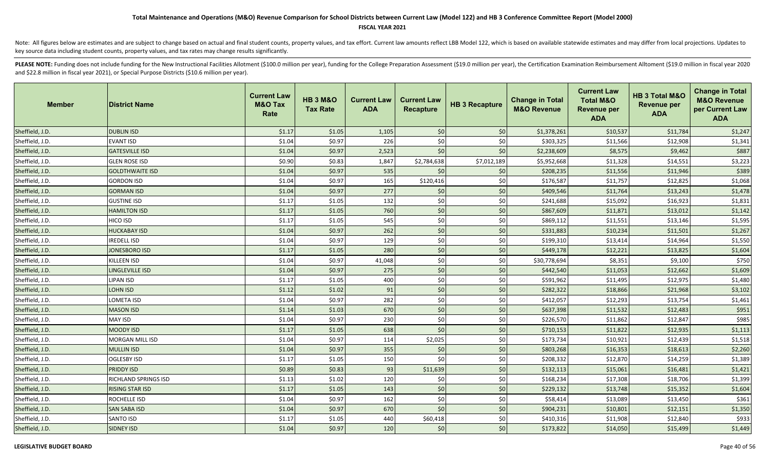### **FISCAL YEAR 2021**

Note: All figures below are estimates and are subject to change based on actual and final student counts, property values, and tax effort. Current law amounts reflect LBB Model 122, which is based on available statewide es key source data including student counts, property values, and tax rates may change results significantly.

| <b>Member</b>   | <b>District Name</b>        | <b>Current Law</b><br><b>M&amp;O Tax</b><br>Rate | <b>HB 3 M&amp;O</b><br><b>Tax Rate</b> | <b>Current Law</b><br><b>ADA</b> | <b>Current Law</b><br>Recapture | <b>HB 3 Recapture</b> | <b>Change in Total</b><br><b>M&amp;O Revenue</b> | <b>Current Law</b><br><b>Total M&amp;O</b><br><b>Revenue per</b><br><b>ADA</b> | HB 3 Total M&O<br><b>Revenue per</b><br><b>ADA</b> | <b>Change in Total</b><br><b>M&amp;O Revenue</b><br>per Current Law<br><b>ADA</b> |
|-----------------|-----------------------------|--------------------------------------------------|----------------------------------------|----------------------------------|---------------------------------|-----------------------|--------------------------------------------------|--------------------------------------------------------------------------------|----------------------------------------------------|-----------------------------------------------------------------------------------|
| Sheffield, J.D. | <b>DUBLIN ISD</b>           | \$1.17                                           | \$1.05                                 | 1,105                            | \$0                             | \$0                   | \$1,378,261                                      | \$10,537                                                                       | \$11,784                                           | \$1,247                                                                           |
| Sheffield, J.D. | <b>EVANT ISD</b>            | \$1.04                                           | \$0.97                                 | 226                              | \$0                             | \$0                   | \$303,325                                        | \$11,566                                                                       | \$12,908                                           | \$1,341                                                                           |
| Sheffield, J.D. | <b>GATESVILLE ISD</b>       | \$1.04                                           | \$0.97                                 | 2,523                            | \$0                             | \$0                   | \$2,238,609                                      | \$8,575                                                                        | \$9,462                                            | \$887                                                                             |
| Sheffield, J.D. | <b>GLEN ROSE ISD</b>        | \$0.90                                           | \$0.83                                 | 1,847                            | \$2,784,638                     | \$7,012,189           | \$5,952,668                                      | \$11,328                                                                       | \$14,551                                           | \$3,223                                                                           |
| Sheffield, J.D. | <b>GOLDTHWAITE ISD</b>      | \$1.04                                           | \$0.97                                 | 535                              | \$0                             | \$0                   | \$208,235                                        | \$11,556                                                                       | \$11,946                                           | \$389                                                                             |
| Sheffield, J.D. | <b>GORDON ISD</b>           | \$1.04                                           | \$0.97                                 | 165                              | \$120,416                       | \$0                   | \$176,587                                        | \$11,757                                                                       | \$12,825                                           | \$1,068                                                                           |
| Sheffield, J.D. | <b>GORMAN ISD</b>           | \$1.04                                           | \$0.97                                 | 277                              | \$0                             | \$0                   | \$409,546                                        | \$11,764                                                                       | \$13,243                                           | \$1,478                                                                           |
| Sheffield, J.D. | <b>GUSTINE ISD</b>          | \$1.17                                           | \$1.05                                 | 132                              | \$0                             | \$0                   | \$241,688                                        | \$15,092                                                                       | \$16,923                                           | \$1,831                                                                           |
| Sheffield, J.D. | <b>HAMILTON ISD</b>         | \$1.17                                           | \$1.05                                 | 760                              | \$0                             | \$0                   | \$867,609                                        | \$11,871                                                                       | \$13,012                                           | \$1,142                                                                           |
| Sheffield, J.D. | <b>HICO ISD</b>             | \$1.17                                           | \$1.05                                 | 545                              | $$0$$                           | \$0                   | \$869,112                                        | \$11,551                                                                       | \$13,146                                           | \$1,595                                                                           |
| Sheffield, J.D. | <b>HUCKABAY ISD</b>         | \$1.04                                           | \$0.97                                 | 262                              | \$0                             | \$0                   | \$331,883                                        | \$10,234                                                                       | \$11,501                                           | \$1,267                                                                           |
| Sheffield, J.D. | <b>IREDELL ISD</b>          | \$1.04                                           | \$0.97                                 | 129                              | \$0                             | \$0                   | \$199,310                                        | \$13,414                                                                       | \$14,964                                           | \$1,550                                                                           |
| Sheffield, J.D. | <b>JONESBORO ISD</b>        | \$1.17                                           | \$1.05                                 | 280                              | \$0\$                           | \$0                   | \$449,178                                        | \$12,221                                                                       | \$13,825                                           | \$1,604                                                                           |
| Sheffield, J.D. | <b>KILLEEN ISD</b>          | \$1.04                                           | \$0.97                                 | 41,048                           | \$0                             | \$0                   | \$30,778,694                                     | \$8,351                                                                        | \$9,100                                            | \$750                                                                             |
| Sheffield, J.D. | LINGLEVILLE ISD             | \$1.04                                           | \$0.97                                 | 275                              | \$0                             | \$0                   | \$442,540                                        | \$11,053                                                                       | \$12,662                                           | \$1,609                                                                           |
| Sheffield, J.D. | LIPAN ISD                   | \$1.17                                           | \$1.05                                 | 400                              | \$0                             | \$0                   | \$591,962                                        | \$11,495                                                                       | \$12,975                                           | \$1,480                                                                           |
| Sheffield, J.D. | <b>LOHN ISD</b>             | \$1.12                                           | \$1.02                                 | 91                               | \$0                             | \$0                   | \$282,322                                        | \$18,866                                                                       | \$21,968                                           | \$3,102                                                                           |
| Sheffield, J.D. | <b>LOMETA ISD</b>           | \$1.04                                           | \$0.97                                 | 282                              | \$0                             | \$0                   | \$412,057                                        | \$12,293                                                                       | \$13,754                                           | \$1,461                                                                           |
| Sheffield, J.D. | <b>MASON ISD</b>            | \$1.14                                           | \$1.03                                 | 670                              | $$0$$                           | $$0$$                 | \$637,398                                        | \$11,532                                                                       | \$12,483                                           | \$951                                                                             |
| Sheffield, J.D. | <b>MAY ISD</b>              | \$1.04                                           | \$0.97                                 | 230                              | \$0                             | \$0                   | \$226,570                                        | \$11,862                                                                       | \$12,847                                           | \$985                                                                             |
| Sheffield, J.D. | <b>MOODY ISD</b>            | \$1.17                                           | \$1.05                                 | 638                              | \$0                             | \$0                   | \$710,153                                        | \$11,822                                                                       | \$12,935                                           | \$1,113                                                                           |
| Sheffield, J.D. | <b>MORGAN MILL ISD</b>      | \$1.04                                           | \$0.97                                 | 114                              | \$2,025                         | \$0                   | \$173,734                                        | \$10,921                                                                       | \$12,439                                           | \$1,518                                                                           |
| Sheffield, J.D. | <b>MULLIN ISD</b>           | \$1.04                                           | \$0.97                                 | 355                              | \$0                             | \$0                   | \$803,268                                        | \$16,353                                                                       | \$18,613                                           | \$2,260                                                                           |
| Sheffield, J.D. | <b>OGLESBY ISD</b>          | \$1.17                                           | \$1.05                                 | 150                              | \$0                             | \$0                   | \$208,332                                        | \$12,870                                                                       | \$14,259                                           | \$1,389                                                                           |
| Sheffield, J.D. | <b>PRIDDY ISD</b>           | \$0.89                                           | \$0.83                                 | 93                               | \$11,639                        | \$0                   | \$132,113                                        | \$15,061                                                                       | \$16,481                                           | \$1,421                                                                           |
| Sheffield, J.D. | <b>RICHLAND SPRINGS ISD</b> | \$1.13                                           | \$1.02                                 | 120                              | \$0                             | \$0                   | \$168,234                                        | \$17,308                                                                       | \$18,706                                           | \$1,399                                                                           |
| Sheffield, J.D. | <b>RISING STAR ISD</b>      | \$1.17                                           | \$1.05                                 | 143                              | $$0$$                           | \$0                   | \$229,132                                        | \$13,748                                                                       | \$15,352                                           | \$1,604                                                                           |
| Sheffield, J.D. | ROCHELLE ISD                | \$1.04                                           | \$0.97                                 | 162                              | \$0                             | \$0                   | \$58,414                                         | \$13,089                                                                       | \$13,450                                           | \$361                                                                             |
| Sheffield, J.D. | <b>SAN SABA ISD</b>         | \$1.04                                           | \$0.97                                 | 670                              | \$0                             | \$0                   | \$904,231                                        | \$10,801                                                                       | \$12,151                                           | \$1,350                                                                           |
| Sheffield, J.D. | <b>SANTO ISD</b>            | \$1.17                                           | \$1.05                                 | 440                              | \$60,418                        | \$0                   | \$410,316                                        | \$11,908                                                                       | \$12,840                                           | \$933                                                                             |
| Sheffield, J.D. | <b>SIDNEY ISD</b>           | \$1.04                                           | \$0.97                                 | 120                              | 50 <sup>1</sup>                 | \$0                   | \$173,822                                        | \$14,050                                                                       | \$15,499                                           | \$1,449                                                                           |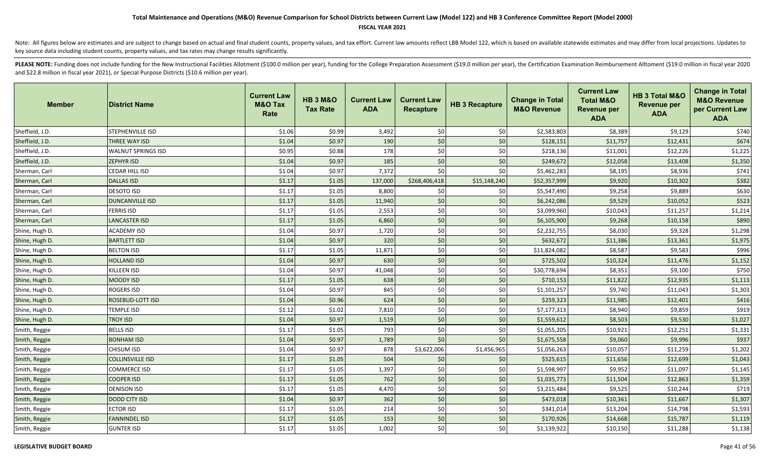### **FISCAL YEAR 2021**

Note: All figures below are estimates and are subject to change based on actual and final student counts, property values, and tax effort. Current law amounts reflect LBB Model 122, which is based on available statewide es key source data including student counts, property values, and tax rates may change results significantly.

| <b>Member</b>   | <b>IDistrict Name</b>   | <b>Current Law</b><br><b>M&amp;O Tax</b><br>Rate | <b>HB 3 M&amp;O</b><br><b>Tax Rate</b> | <b>Current Law</b><br><b>ADA</b> | <b>Current Law</b><br><b>Recapture</b> | <b>HB 3 Recapture</b> | <b>Change in Total</b><br><b>M&amp;O Revenue</b> | <b>Current Law</b><br><b>Total M&amp;O</b><br><b>Revenue per</b><br><b>ADA</b> | HB 3 Total M&O<br><b>Revenue per</b><br><b>ADA</b> | <b>Change in Total</b><br><b>M&amp;O Revenue</b><br>per Current Law<br><b>ADA</b> |
|-----------------|-------------------------|--------------------------------------------------|----------------------------------------|----------------------------------|----------------------------------------|-----------------------|--------------------------------------------------|--------------------------------------------------------------------------------|----------------------------------------------------|-----------------------------------------------------------------------------------|
| Sheffield, J.D. | STEPHENVILLE ISD        | \$1.06                                           | \$0.99                                 | 3,492                            | \$0                                    | \$0                   | \$2,583,803                                      | \$8,389                                                                        | \$9,129                                            | \$740                                                                             |
| Sheffield, J.D. | THREE WAY ISD           | \$1.04                                           | \$0.97                                 | 190                              | \$0                                    | \$0                   | \$128,151                                        | \$11,757                                                                       | \$12,431                                           | \$674                                                                             |
| Sheffield, J.D. | WALNUT SPRINGS ISD      | \$0.95                                           | \$0.88                                 | 178                              | \$0                                    | \$0                   | \$218,136                                        | \$11,001                                                                       | \$12,226                                           | \$1,225                                                                           |
| Sheffield, J.D. | <b>ZEPHYR ISD</b>       | \$1.04                                           | \$0.97                                 | 185                              | \$0                                    | \$0                   | \$249,672                                        | \$12,058                                                                       | \$13,408                                           | \$1,350                                                                           |
| Sherman, Carl   | CEDAR HILL ISD          | \$1.04                                           | \$0.97                                 | 7,372                            | \$0                                    | \$0                   | \$5,462,283                                      | \$8,195                                                                        | \$8,936                                            | \$741                                                                             |
| Sherman, Carl   | <b>DALLAS ISD</b>       | \$1.17                                           | \$1.05                                 | 137,000                          | \$268,406,418                          | \$15,148,240          | \$52,357,999                                     | \$9,920                                                                        | \$10,302                                           | \$382                                                                             |
| Sherman, Carl   | <b>DESOTO ISD</b>       | \$1.17                                           | \$1.05                                 | 8,800                            | \$0                                    | \$0                   | \$5,547,490                                      | \$9,258                                                                        | \$9,889                                            | \$630                                                                             |
| Sherman, Carl   | <b>DUNCANVILLE ISD</b>  | \$1.17                                           | \$1.05                                 | 11,940                           | $$0$$                                  | \$0                   | \$6,242,086                                      | \$9,529                                                                        | \$10,052                                           | \$523                                                                             |
| Sherman, Carl   | <b>FERRIS ISD</b>       | \$1.17                                           | \$1.05                                 | 2,553                            | \$0                                    | \$0                   | \$3,099,960                                      | \$10,043                                                                       | \$11,257                                           | \$1,214                                                                           |
| Sherman, Carl   | <b>LANCASTER ISD</b>    | \$1.17                                           | \$1.05                                 | 6,860                            | \$0                                    | \$0                   | \$6,105,900                                      | \$9,268                                                                        | \$10,158                                           | \$890                                                                             |
| Shine, Hugh D.  | <b>ACADEMY ISD</b>      | \$1.04                                           | \$0.97                                 | 1,720                            | \$0                                    | \$0                   | \$2,232,755                                      | \$8,030                                                                        | \$9,328                                            | \$1,298                                                                           |
| Shine, Hugh D.  | <b>BARTLETT ISD</b>     | \$1.04                                           | \$0.97                                 | 320                              | $$0$$                                  | \$0                   | \$632,672                                        | \$11,386                                                                       | \$13,361                                           | \$1,975                                                                           |
| Shine, Hugh D.  | <b>BELTON ISD</b>       | \$1.17                                           | \$1.05                                 | 11,871                           | \$0                                    | \$0                   | \$11,824,082                                     | \$8,587                                                                        | \$9,583                                            | \$996                                                                             |
| Shine, Hugh D.  | <b>HOLLAND ISD</b>      | \$1.04                                           | \$0.97                                 | 630                              | \$0                                    | \$0                   | \$725,502                                        | \$10,324                                                                       | \$11,476                                           | \$1,152                                                                           |
| Shine, Hugh D.  | <b>KILLEEN ISD</b>      | \$1.04                                           | \$0.97                                 | 41,048                           | $$0$$                                  | \$0                   | \$30,778,694                                     | \$8,351                                                                        | \$9,100                                            | \$750                                                                             |
| Shine, Hugh D.  | <b>MOODY ISD</b>        | \$1.17                                           | \$1.05                                 | 638                              | \$0                                    | \$0                   | \$710,153                                        | \$11,822                                                                       | \$12,935                                           | \$1,113                                                                           |
| Shine, Hugh D.  | ROGERS ISD              | \$1.04                                           | \$0.97                                 | 845                              | $$0$$                                  | \$0                   | \$1,101,257                                      | \$9,740                                                                        | \$11,043                                           | \$1,303                                                                           |
| Shine, Hugh D.  | <b>ROSEBUD-LOTT ISD</b> | \$1.04                                           | \$0.96                                 | 624                              | \$0                                    | $$0$$                 | \$259,323                                        | \$11,985                                                                       | \$12,401                                           | \$416                                                                             |
| Shine, Hugh D.  | TEMPLE ISD              | \$1.12                                           | \$1.02                                 | 7,810                            | \$0                                    | \$0                   | \$7,177,313                                      | \$8,940                                                                        | \$9,859                                            | \$919                                                                             |
| Shine, Hugh D.  | <b>TROY ISD</b>         | \$1.04                                           | \$0.97                                 | 1,519                            | $$0$$                                  | \$0                   | \$1,559,612                                      | \$8,503                                                                        | \$9,530                                            | \$1,027                                                                           |
| Smith, Reggie   | <b>BELLS ISD</b>        | \$1.17                                           | \$1.05                                 | 793                              | \$0                                    | \$0                   | \$1,055,205                                      | \$10,921                                                                       | \$12,251                                           | \$1,331                                                                           |
| Smith, Reggie   | <b>BONHAM ISD</b>       | \$1.04                                           | \$0.97                                 | 1,789                            | \$0                                    | \$0                   | \$1,675,558                                      | \$9,060                                                                        | \$9,996                                            | \$937                                                                             |
| Smith, Reggie   | <b>CHISUM ISD</b>       | \$1.04                                           | \$0.97                                 | 878                              | \$3,622,006                            | \$1,456,965           | \$1,056,263                                      | \$10,057                                                                       | \$11,259                                           | \$1,202                                                                           |
| Smith, Reggie   | <b>COLLINSVILLE ISD</b> | \$1.17                                           | \$1.05                                 | 504                              | \$0                                    | \$0                   | \$525,615                                        | \$11,656                                                                       | \$12,699                                           | \$1,043                                                                           |
| Smith, Reggie   | <b>COMMERCE ISD</b>     | \$1.17                                           | \$1.05                                 | 1,397                            | \$0                                    | \$0                   | \$1,598,997                                      | \$9,952                                                                        | \$11,097                                           | \$1,145                                                                           |
| Smith, Reggie   | <b>COOPER ISD</b>       | \$1.17                                           | \$1.05                                 | 762                              | \$0                                    | \$0                   | \$1,035,773                                      | \$11,504                                                                       | \$12,863                                           | \$1,359                                                                           |
| Smith, Reggie   | <b>DENISON ISD</b>      | \$1.17                                           | \$1.05                                 | 4,470                            | \$0                                    | \$0                   | \$3,215,484                                      | \$9,525                                                                        | \$10,244                                           | \$719                                                                             |
| Smith, Reggie   | <b>DODD CITY ISD</b>    | \$1.04                                           | \$0.97                                 | 362                              | $$0$$                                  | \$0                   | \$473,018                                        | \$10,361                                                                       | \$11,667                                           | \$1,307                                                                           |
| Smith, Reggie   | <b>ECTOR ISD</b>        | \$1.17                                           | \$1.05                                 | 214                              | \$0                                    | \$0                   | \$341,014                                        | \$13,204                                                                       | \$14,798                                           | \$1,593                                                                           |
| Smith, Reggie   | <b>FANNINDEL ISD</b>    | \$1.17                                           | \$1.05                                 | 153                              | \$0                                    | \$0                   | \$170,926                                        | \$14,668                                                                       | \$15,787                                           | \$1,119                                                                           |
| Smith, Reggie   | <b>GUNTER ISD</b>       | \$1.17                                           | \$1.05                                 | 1,002                            | \$0                                    | \$0                   | \$1,139,922                                      | \$10,150                                                                       | \$11,288                                           | \$1,138                                                                           |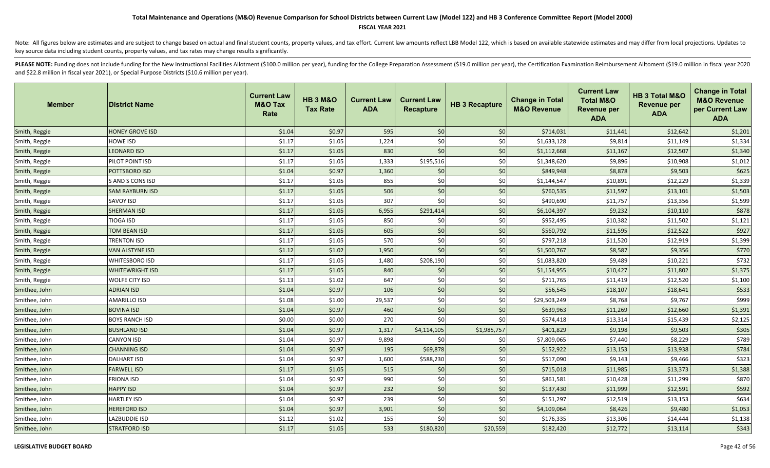### **FISCAL YEAR 2021**

Note: All figures below are estimates and are subject to change based on actual and final student counts, property values, and tax effort. Current law amounts reflect LBB Model 122, which is based on available statewide es key source data including student counts, property values, and tax rates may change results significantly.

| <b>Member</b> | <b>District Name</b>   | <b>Current Law</b><br><b>M&amp;O Tax</b><br>Rate | <b>HB 3 M&amp;O</b><br><b>Tax Rate</b> | <b>Current Law</b><br><b>ADA</b> | <b>Current Law</b><br><b>Recapture</b> | <b>HB 3 Recapture</b> | <b>Change in Total</b><br><b>M&amp;O Revenue</b> | <b>Current Law</b><br><b>Total M&amp;O</b><br><b>Revenue per</b><br><b>ADA</b> | HB 3 Total M&O<br><b>Revenue per</b><br><b>ADA</b> | <b>Change in Total</b><br><b>M&amp;O Revenue</b><br>per Current Law<br><b>ADA</b> |
|---------------|------------------------|--------------------------------------------------|----------------------------------------|----------------------------------|----------------------------------------|-----------------------|--------------------------------------------------|--------------------------------------------------------------------------------|----------------------------------------------------|-----------------------------------------------------------------------------------|
| Smith, Reggie | <b>HONEY GROVE ISD</b> | \$1.04                                           | \$0.97                                 | 595                              | \$0                                    | \$0                   | \$714,031                                        | \$11,441                                                                       | \$12,642                                           | \$1,201                                                                           |
| Smith, Reggie | HOWE ISD               | \$1.17                                           | \$1.05                                 | 1,224                            | \$0                                    | \$0                   | \$1,633,128                                      | \$9,814                                                                        | \$11,149                                           | \$1,334                                                                           |
| Smith, Reggie | <b>LEONARD ISD</b>     | \$1.17                                           | \$1.05                                 | 830                              | \$0                                    | \$0                   | \$1,112,668                                      | \$11,167                                                                       | \$12,507                                           | \$1,340                                                                           |
| Smith, Reggie | PILOT POINT ISD        | \$1.17                                           | \$1.05                                 | 1,333                            | \$195,516                              | \$0                   | \$1,348,620                                      | \$9,896                                                                        | \$10,908                                           | \$1,012                                                                           |
| Smith, Reggie | POTTSBORO ISD          | \$1.04                                           | \$0.97                                 | 1,360                            | \$0                                    | \$0                   | \$849,948                                        | \$8,878                                                                        | \$9,503                                            | \$625                                                                             |
| Smith, Reggie | S AND S CONS ISD       | \$1.17                                           | \$1.05                                 | 855                              | \$0                                    | \$0                   | \$1,144,547                                      | \$10,891                                                                       | \$12,229                                           | \$1,339                                                                           |
| Smith, Reggie | SAM RAYBURN ISD        | \$1.17                                           | \$1.05                                 | 506                              | \$0                                    | \$0                   | \$760,535                                        | \$11,597                                                                       | \$13,101                                           | \$1,503                                                                           |
| Smith, Reggie | SAVOY ISD              | \$1.17                                           | \$1.05                                 | 307                              | \$0                                    | \$0                   | \$490,690                                        | \$11,757                                                                       | \$13,356                                           | \$1,599                                                                           |
| Smith, Reggie | <b>SHERMAN ISD</b>     | \$1.17                                           | \$1.05                                 | 6,955                            | \$291,414                              | \$0                   | \$6,104,397                                      | \$9,232                                                                        | \$10,110                                           | \$878                                                                             |
| Smith, Reggie | TIOGA ISD              | \$1.17                                           | \$1.05                                 | 850                              | \$0                                    | \$0                   | \$952,495                                        | \$10,382                                                                       | \$11,502                                           | \$1,121                                                                           |
| Smith, Reggie | <b>TOM BEAN ISD</b>    | \$1.17                                           | \$1.05                                 | 605                              | \$0                                    | \$0                   | \$560,792                                        | \$11,595                                                                       | \$12,522                                           | \$927                                                                             |
| Smith, Reggie | <b>TRENTON ISD</b>     | \$1.17                                           | \$1.05                                 | 570                              | \$0                                    | \$0                   | \$797,218                                        | \$11,520                                                                       | \$12,919                                           | \$1,399                                                                           |
| Smith, Reggie | VAN ALSTYNE ISD        | \$1.12                                           | \$1.02                                 | 1,950                            | \$0                                    | \$0                   | \$1,500,767                                      | \$8,587                                                                        | \$9,356                                            | \$770                                                                             |
| Smith, Reggie | WHITESBORO ISD         | \$1.17                                           | \$1.05                                 | 1,480                            | \$208,190                              | \$0                   | \$1,083,820                                      | \$9,489                                                                        | \$10,221                                           | \$732                                                                             |
| Smith, Reggie | WHITEWRIGHT ISD        | \$1.17                                           | \$1.05                                 | 840                              | \$0                                    | \$0                   | \$1,154,955                                      | \$10,427                                                                       | \$11,802                                           | \$1,375                                                                           |
| Smith, Reggie | WOLFE CITY ISD         | \$1.13                                           | \$1.02                                 | 647                              | \$0                                    | \$0                   | \$711,765                                        | \$11,419                                                                       | \$12,520                                           | \$1,100                                                                           |
| Smithee, John | ADRIAN ISD             | \$1.04                                           | \$0.97                                 | 106                              | \$0                                    | \$0                   | \$56,545                                         | \$18,107                                                                       | \$18,641                                           | \$533                                                                             |
| Smithee, John | <b>AMARILLO ISD</b>    | \$1.08                                           | \$1.00                                 | 29,537                           | \$0                                    | \$0                   | \$29,503,249                                     | \$8,768                                                                        | \$9,767                                            | \$999                                                                             |
| Smithee, John | <b>BOVINA ISD</b>      | \$1.04                                           | \$0.97                                 | 460                              | \$0                                    | \$0                   | \$639,963                                        | \$11,269                                                                       | \$12,660                                           | \$1,391                                                                           |
| Smithee, John | <b>BOYS RANCH ISD</b>  | \$0.00                                           | \$0.00                                 | 270                              | \$0                                    | \$0                   | \$574,418                                        | \$13,314                                                                       | \$15,439                                           | \$2,125                                                                           |
| Smithee, John | <b>BUSHLAND ISD</b>    | \$1.04                                           | \$0.97                                 | 1,317                            | \$4,114,105                            | \$1,985,757           | \$401,829                                        | \$9,198                                                                        | \$9,503                                            | \$305                                                                             |
| Smithee, John | <b>CANYON ISD</b>      | \$1.04                                           | \$0.97                                 | 9,898                            | \$0                                    | \$0                   | \$7,809,065                                      | \$7,440                                                                        | \$8,229                                            | \$789                                                                             |
| Smithee, John | <b>CHANNING ISD</b>    | \$1.04                                           | \$0.97                                 | 195                              | \$69,878                               | \$0                   | \$152,922                                        | \$13,153                                                                       | \$13,938                                           | \$784                                                                             |
| Smithee, John | <b>DALHART ISD</b>     | \$1.04                                           | \$0.97                                 | 1,600                            | \$588,230                              | \$0                   | \$517,090                                        | \$9,143                                                                        | \$9,466                                            | \$323                                                                             |
| Smithee, John | <b>FARWELL ISD</b>     | \$1.17                                           | \$1.05                                 | 515                              | \$0                                    | \$0                   | \$715,018                                        | \$11,985                                                                       | \$13,373                                           | \$1,388                                                                           |
| Smithee, John | FRIONA ISD             | \$1.04                                           | \$0.97                                 | 990                              | \$0                                    | \$0                   | \$861,581                                        | \$10,428                                                                       | \$11,299                                           | \$870                                                                             |
| Smithee, John | <b>HAPPY ISD</b>       | \$1.04                                           | \$0.97                                 | 232                              | \$0                                    | \$0                   | \$137,430                                        | \$11,999                                                                       | \$12,591                                           | \$592                                                                             |
| Smithee, John | <b>HARTLEY ISD</b>     | \$1.04                                           | \$0.97                                 | 239                              | \$0                                    | \$0                   | \$151,297                                        | \$12,519                                                                       | \$13,153                                           | \$634                                                                             |
| Smithee, John | <b>HEREFORD ISD</b>    | \$1.04                                           | \$0.97                                 | 3,901                            | \$0                                    | \$0                   | \$4,109,064                                      | \$8,426                                                                        | \$9,480                                            | \$1,053                                                                           |
| Smithee, John | LAZBUDDIE ISD          | \$1.12                                           | \$1.02                                 | 155                              | \$0                                    | \$0                   | \$176,335                                        | \$13,306                                                                       | \$14,444                                           | \$1,138                                                                           |
| Smithee, John | <b>STRATFORD ISD</b>   | \$1.17                                           | \$1.05                                 | 533                              | \$180,820                              | \$20,559              | \$182,420                                        | \$12,772                                                                       | \$13,114                                           | \$343                                                                             |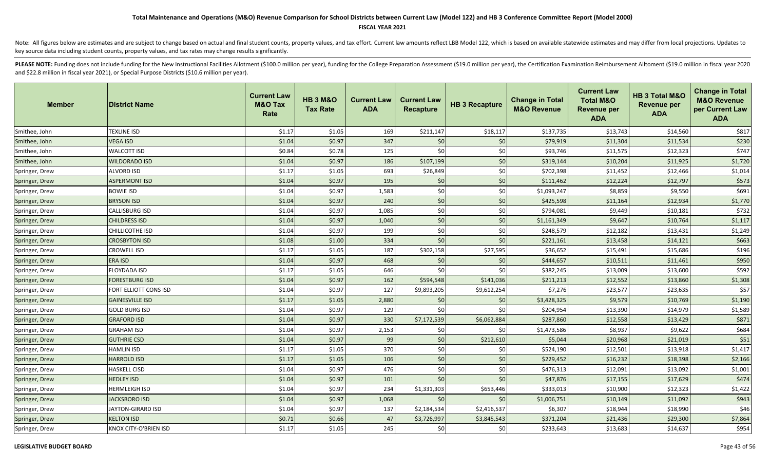### **FISCAL YEAR 2021**

Note: All figures below are estimates and are subject to change based on actual and final student counts, property values, and tax effort. Current law amounts reflect LBB Model 122, which is based on available statewide es key source data including student counts, property values, and tax rates may change results significantly.

| <b>Member</b>  | <b>District Name</b>   | <b>Current Law</b><br><b>M&amp;O Tax</b><br>Rate | <b>HB 3 M&amp;O</b><br><b>Tax Rate</b> | <b>Current Law</b><br><b>ADA</b> | <b>Current Law</b><br><b>Recapture</b> | <b>HB 3 Recapture</b> | <b>Change in Total</b><br><b>M&amp;O Revenue</b> | <b>Current Law</b><br><b>Total M&amp;O</b><br><b>Revenue per</b><br><b>ADA</b> | HB 3 Total M&O<br><b>Revenue per</b><br><b>ADA</b> | <b>Change in Total</b><br><b>M&amp;O Revenue</b><br>per Current Law<br><b>ADA</b> |
|----------------|------------------------|--------------------------------------------------|----------------------------------------|----------------------------------|----------------------------------------|-----------------------|--------------------------------------------------|--------------------------------------------------------------------------------|----------------------------------------------------|-----------------------------------------------------------------------------------|
| Smithee, John  | <b>TEXLINE ISD</b>     | \$1.17                                           | \$1.05                                 | 169                              | \$211,147                              | \$18,117              | \$137,735                                        | \$13,743                                                                       | \$14,560                                           | \$817                                                                             |
| Smithee, John  | <b>VEGA ISD</b>        | \$1.04                                           | \$0.97                                 | 347                              | \$0                                    | \$0                   | \$79,919                                         | \$11,304                                                                       | \$11,534                                           | \$230                                                                             |
| Smithee, John  | <b>WALCOTT ISD</b>     | \$0.84                                           | \$0.78                                 | 125                              | \$0                                    | \$0                   | \$93,746                                         | \$11,575                                                                       | \$12,323                                           | \$747                                                                             |
| Smithee, John  | <b>WILDORADO ISD</b>   | \$1.04                                           | \$0.97                                 | 186                              | \$107,199                              | \$0                   | \$319,144                                        | \$10,204                                                                       | \$11,925                                           | \$1,720                                                                           |
| Springer, Drew | ALVORD ISD             | \$1.17                                           | \$1.05                                 | 693                              | \$26,849                               | \$0                   | \$702,398                                        | \$11,452                                                                       | \$12,466                                           | \$1,014                                                                           |
| Springer, Drew | <b>ASPERMONT ISD</b>   | \$1.04                                           | \$0.97                                 | 195                              | \$0                                    | \$0                   | \$111,462                                        | \$12,224                                                                       | \$12,797                                           | \$573                                                                             |
| Springer, Drew | <b>BOWIE ISD</b>       | \$1.04                                           | \$0.97                                 | 1,583                            | \$0                                    | \$0                   | \$1,093,247                                      | \$8,859                                                                        | \$9,550                                            | \$691                                                                             |
| Springer, Drew | <b>BRYSON ISD</b>      | \$1.04                                           | \$0.97                                 | 240                              | \$0                                    | \$0                   | \$425,598                                        | \$11,164                                                                       | \$12,934                                           | \$1,770                                                                           |
| Springer, Drew | CALLISBURG ISD         | \$1.04                                           | \$0.97                                 | 1,085                            | \$0                                    | \$0                   | \$794,081                                        | \$9,449                                                                        | \$10,181                                           | \$732                                                                             |
| Springer, Drew | <b>CHILDRESS ISD</b>   | \$1.04                                           | \$0.97                                 | 1,040                            | \$0                                    | \$0                   | \$1,161,349                                      | \$9,647                                                                        | \$10,764                                           | \$1,117                                                                           |
| Springer, Drew | CHILLICOTHE ISD        | \$1.04                                           | \$0.97                                 | 199                              | \$0                                    | \$0                   | \$248,579                                        | \$12,182                                                                       | \$13,431                                           | \$1,249                                                                           |
| Springer, Drew | <b>CROSBYTON ISD</b>   | \$1.08                                           | \$1.00                                 | 334                              | \$0                                    | \$0                   | \$221,161                                        | \$13,458                                                                       | \$14,121                                           | \$663                                                                             |
| Springer, Drew | CROWELL ISD            | \$1.17                                           | \$1.05                                 | 187                              | \$302,158                              | \$27,595              | \$36,652                                         | \$15,491                                                                       | \$15,686                                           | \$196                                                                             |
| Springer, Drew | <b>ERA ISD</b>         | \$1.04                                           | \$0.97                                 | 468                              | \$0                                    | \$0                   | \$444,657                                        | \$10,511                                                                       | \$11,461                                           | \$950                                                                             |
| Springer, Drew | FLOYDADA ISD           | \$1.17                                           | \$1.05                                 | 646                              | \$0                                    | \$0                   | \$382,245                                        | \$13,009                                                                       | \$13,600                                           | \$592                                                                             |
| Springer, Drew | <b>FORESTBURG ISD</b>  | \$1.04                                           | \$0.97                                 | 162                              | \$594,548                              | \$141,036             | \$211,213                                        | \$12,552                                                                       | \$13,860                                           | \$1,308                                                                           |
| Springer, Drew | FORT ELLIOTT CONS ISD  | \$1.04                                           | \$0.97                                 | 127                              | \$9,893,205                            | \$9,612,254           | \$7,276                                          | \$23,577                                                                       | \$23,635                                           | \$57                                                                              |
| Springer, Drew | <b>GAINESVILLE ISD</b> | \$1.17                                           | \$1.05                                 | 2,880                            | \$0                                    | \$0                   | \$3,428,325                                      | \$9,579                                                                        | \$10,769                                           | \$1,190                                                                           |
| Springer, Drew | GOLD BURG ISD          | \$1.04                                           | \$0.97                                 | 129                              | \$0                                    | \$0                   | \$204,954                                        | \$13,390                                                                       | \$14,979                                           | \$1,589                                                                           |
| Springer, Drew | <b>GRAFORD ISD</b>     | \$1.04                                           | \$0.97                                 | 330                              | \$7,172,539                            | \$6,062,884           | \$287,860                                        | \$12,558                                                                       | \$13,429                                           | \$871                                                                             |
| Springer, Drew | <b>GRAHAM ISD</b>      | \$1.04                                           | \$0.97                                 | 2,153                            | \$0                                    | \$0                   | \$1,473,586                                      | \$8,937                                                                        | \$9,622                                            | \$684                                                                             |
| Springer, Drew | <b>GUTHRIE CSD</b>     | \$1.04                                           | \$0.97                                 | 99                               | \$0                                    | \$212,610             | \$5,044                                          | \$20,968                                                                       | \$21,019                                           | \$51                                                                              |
| Springer, Drew | <b>HAMLIN ISD</b>      | \$1.17                                           | \$1.05                                 | 370                              | \$0                                    | \$0                   | \$524,190                                        | \$12,501                                                                       | \$13,918                                           | \$1,417                                                                           |
| Springer, Drew | <b>HARROLD ISD</b>     | \$1.17                                           | \$1.05                                 | 106                              | $$0$$                                  | \$0                   | \$229,452                                        | \$16,232                                                                       | \$18,398                                           | \$2,166                                                                           |
| Springer, Drew | <b>HASKELL CISD</b>    | \$1.04                                           | \$0.97                                 | 476                              | \$0                                    | \$0                   | \$476,313                                        | \$12,091                                                                       | \$13,092                                           | \$1,001                                                                           |
| Springer, Drew | <b>HEDLEY ISD</b>      | \$1.04                                           | \$0.97                                 | 101                              | \$0                                    | \$0                   | \$47,876                                         | \$17,155                                                                       | \$17,629                                           | \$474                                                                             |
| Springer, Drew | <b>HERMLEIGH ISD</b>   | \$1.04                                           | \$0.97                                 | 234                              | \$1,331,303                            | \$653,446             | \$333,013                                        | \$10,900                                                                       | \$12,323                                           | \$1,422                                                                           |
| Springer, Drew | <b>JACKSBORO ISD</b>   | \$1.04                                           | \$0.97                                 | 1,068                            | \$0                                    | \$0                   | \$1,006,751                                      | \$10,149                                                                       | \$11,092                                           | \$943                                                                             |
| Springer, Drew | JAYTON-GIRARD ISD      | \$1.04                                           | \$0.97                                 | 137                              | \$2,184,534                            | \$2,416,537           | \$6,307                                          | \$18,944                                                                       | \$18,990                                           | \$46                                                                              |
| Springer, Drew | <b>KELTON ISD</b>      | \$0.71                                           | \$0.66                                 | 47                               | \$3,726,997                            | \$3,845,543           | \$371,204                                        | \$21,436                                                                       | \$29,300                                           | \$7,864                                                                           |
| Springer, Drew | KNOX CITY-O'BRIEN ISD  | \$1.17                                           | \$1.05                                 | 245                              | \$0                                    | \$0                   | \$233,643                                        | \$13,683                                                                       | \$14,637                                           | \$954                                                                             |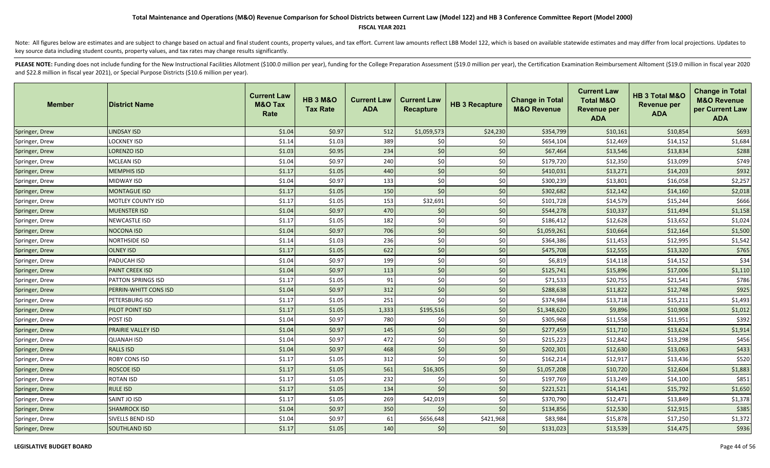### **FISCAL YEAR 2021**

Note: All figures below are estimates and are subject to change based on actual and final student counts, property values, and tax effort. Current law amounts reflect LBB Model 122, which is based on available statewide es key source data including student counts, property values, and tax rates may change results significantly.

| <b>Member</b>  | <b>District Name</b>   | <b>Current Law</b><br><b>M&amp;O Tax</b><br>Rate | <b>HB 3 M&amp;O</b><br><b>Tax Rate</b> | <b>Current Law</b><br><b>ADA</b> | <b>Current Law</b><br><b>Recapture</b> | <b>HB 3 Recapture</b> | <b>Change in Total</b><br><b>M&amp;O Revenue</b> | <b>Current Law</b><br><b>Total M&amp;O</b><br><b>Revenue per</b><br><b>ADA</b> | HB 3 Total M&O<br><b>Revenue per</b><br><b>ADA</b> | <b>Change in Total</b><br><b>M&amp;O Revenue</b><br>per Current Law<br><b>ADA</b> |
|----------------|------------------------|--------------------------------------------------|----------------------------------------|----------------------------------|----------------------------------------|-----------------------|--------------------------------------------------|--------------------------------------------------------------------------------|----------------------------------------------------|-----------------------------------------------------------------------------------|
| Springer, Drew | <b>LINDSAY ISD</b>     | \$1.04                                           | \$0.97                                 | 512                              | \$1,059,573                            | \$24,230              | \$354,799                                        | \$10,161                                                                       | \$10,854                                           | \$693                                                                             |
| Springer, Drew | <b>LOCKNEY ISD</b>     | \$1.14                                           | \$1.03                                 | 389                              | \$0                                    | \$0                   | \$654,104                                        | \$12,469                                                                       | \$14,152                                           | \$1,684                                                                           |
| Springer, Drew | <b>LORENZO ISD</b>     | \$1.03                                           | \$0.95                                 | 234                              | \$0                                    | \$0                   | \$67,464                                         | \$13,546                                                                       | \$13,834                                           | \$288                                                                             |
| Springer, Drew | <b>MCLEAN ISD</b>      | \$1.04                                           | \$0.97                                 | 240                              | \$0                                    | \$0                   | \$179,720                                        | \$12,350                                                                       | \$13,099                                           | \$749                                                                             |
| Springer, Drew | <b>MEMPHIS ISD</b>     | \$1.17                                           | \$1.05                                 | 440                              | \$0                                    | \$0                   | \$410,031                                        | \$13,271                                                                       | \$14,203                                           | \$932                                                                             |
| Springer, Drew | MIDWAY ISD             | \$1.04                                           | \$0.97                                 | 133                              | \$0                                    | \$0                   | \$300,239                                        | \$13,801                                                                       | \$16,058                                           | \$2,257                                                                           |
| Springer, Drew | <b>MONTAGUE ISD</b>    | \$1.17                                           | \$1.05                                 | 150                              | \$0                                    | \$0                   | \$302,682                                        | \$12,142                                                                       | \$14,160                                           | \$2,018                                                                           |
| Springer, Drew | MOTLEY COUNTY ISD      | \$1.17                                           | \$1.05                                 | 153                              | \$32,691                               | \$0                   | \$101,728                                        | \$14,579                                                                       | \$15,244                                           | \$666                                                                             |
| Springer, Drew | <b>MUENSTER ISD</b>    | \$1.04                                           | \$0.97                                 | 470                              | \$0                                    | \$0                   | \$544,278                                        | \$10,337                                                                       | \$11,494                                           | \$1,158                                                                           |
| Springer, Drew | <b>NEWCASTLE ISD</b>   | \$1.17                                           | \$1.05                                 | 182                              | $$0$$                                  | \$0                   | \$186,412                                        | \$12,628                                                                       | \$13,652                                           | \$1,024                                                                           |
| Springer, Drew | <b>NOCONA ISD</b>      | \$1.04                                           | \$0.97                                 | 706                              | $$0$$                                  | \$0                   | \$1,059,261                                      | \$10,664                                                                       | \$12,164                                           | \$1,500                                                                           |
| Springer, Drew | <b>NORTHSIDE ISD</b>   | \$1.14                                           | \$1.03                                 | 236                              | $$0$$                                  | \$0                   | \$364,386                                        | \$11,453                                                                       | \$12,995                                           | \$1,542                                                                           |
| Springer, Drew | <b>OLNEY ISD</b>       | \$1.17                                           | \$1.05                                 | 622                              | \$0                                    | \$0                   | \$475,708                                        | \$12,555                                                                       | \$13,320                                           | \$765                                                                             |
| Springer, Drew | PADUCAH ISD            | \$1.04                                           | \$0.97                                 | 199                              | \$0                                    | \$0                   | \$6,819                                          | \$14,118                                                                       | \$14,152                                           | \$34                                                                              |
| Springer, Drew | <b>PAINT CREEK ISD</b> | \$1.04                                           | \$0.97                                 | 113                              | $$0$$                                  | \$0                   | \$125,741                                        | \$15,896                                                                       | \$17,006                                           | \$1,110                                                                           |
| Springer, Drew | PATTON SPRINGS ISD     | \$1.17                                           | \$1.05                                 | 91                               | \$0                                    | \$0                   | \$71,533                                         | \$20,755                                                                       | \$21,541                                           | \$786                                                                             |
| Springer, Drew | PERRIN-WHITT CONS ISD  | \$1.04                                           | \$0.97                                 | 312                              | \$0                                    | \$0                   | \$288,638                                        | \$11,822                                                                       | \$12,748                                           | \$925                                                                             |
| Springer, Drew | PETERSBURG ISD         | \$1.17                                           | \$1.05                                 | 251                              | \$0                                    | \$0                   | \$374,984                                        | \$13,718                                                                       | \$15,211                                           | \$1,493                                                                           |
| Springer, Drew | PILOT POINT ISD        | \$1.17                                           | \$1.05                                 | 1,333                            | \$195,516                              | \$0                   | \$1,348,620                                      | \$9,896                                                                        | \$10,908                                           | \$1,012                                                                           |
| Springer, Drew | POST ISD               | \$1.04                                           | \$0.97                                 | 780                              | \$0                                    | \$0                   | \$305,968                                        | \$11,558                                                                       | \$11,951                                           | \$392                                                                             |
| Springer, Drew | PRAIRIE VALLEY ISD     | \$1.04                                           | \$0.97                                 | 145                              | $$0$$                                  | \$0                   | \$277,459                                        | \$11,710                                                                       | \$13,624                                           | \$1,914                                                                           |
| Springer, Drew | <b>QUANAH ISD</b>      | \$1.04                                           | \$0.97                                 | 472                              | \$0                                    | \$0                   | \$215,223                                        | \$12,842                                                                       | \$13,298                                           | \$456                                                                             |
| Springer, Drew | <b>RALLS ISD</b>       | \$1.04                                           | \$0.97                                 | 468                              | $$0$$                                  | \$0                   | \$202,301                                        | \$12,630                                                                       | \$13,063                                           | \$433                                                                             |
| Springer, Drew | ROBY CONS ISD          | \$1.17                                           | \$1.05                                 | 312                              | \$0                                    | \$0                   | \$162,214                                        | \$12,917                                                                       | \$13,436                                           | \$520                                                                             |
| Springer, Drew | <b>ROSCOE ISD</b>      | \$1.17                                           | \$1.05                                 | 561                              | \$16,305                               | \$0                   | \$1,057,208                                      | \$10,720                                                                       | \$12,604                                           | \$1,883                                                                           |
| Springer, Drew | ROTAN ISD              | \$1.17                                           | \$1.05                                 | 232                              | \$0                                    | \$0                   | \$197,769                                        | \$13,249                                                                       | \$14,100                                           | \$851                                                                             |
| Springer, Drew | <b>RULE ISD</b>        | \$1.17                                           | \$1.05                                 | 134                              | \$0                                    | \$0                   | \$221,521                                        | \$14,141                                                                       | \$15,792                                           | \$1,650                                                                           |
| Springer, Drew | SAINT JO ISD           | \$1.17                                           | \$1.05                                 | 269                              | \$42,019                               | \$0                   | \$370,790                                        | \$12,471                                                                       | \$13,849                                           | \$1,378                                                                           |
| Springer, Drew | <b>SHAMROCK ISD</b>    | \$1.04                                           | \$0.97                                 | 350                              | \$0                                    | \$0                   | \$134,856                                        | \$12,530                                                                       | \$12,915                                           | \$385                                                                             |
| Springer, Drew | SIVELLS BEND ISD       | \$1.04                                           | \$0.97                                 | 61                               | \$656,648                              | \$421,968             | \$83,984                                         | \$15,878                                                                       | \$17,250                                           | \$1,372                                                                           |
| Springer, Drew | <b>SOUTHLAND ISD</b>   | \$1.17                                           | \$1.05                                 | 140                              | \$0                                    | \$0                   | \$131,023                                        | \$13,539                                                                       | \$14,475                                           | \$936                                                                             |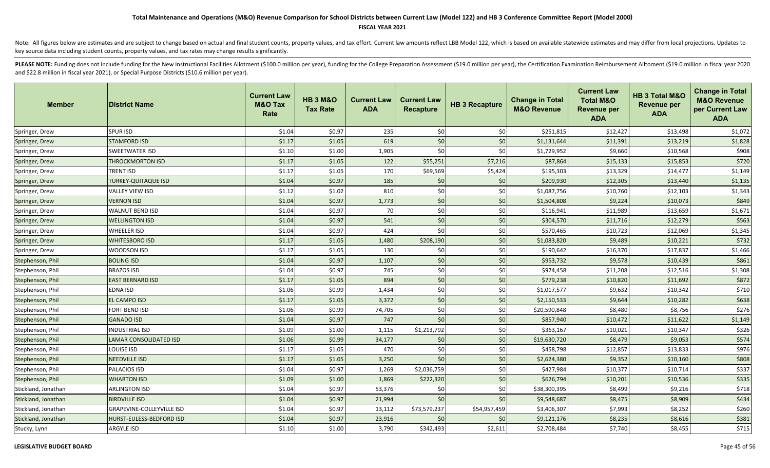### **FISCAL YEAR 2021**

Note: All figures below are estimates and are subject to change based on actual and final student counts, property values, and tax effort. Current law amounts reflect LBB Model 122, which is based on available statewide es key source data including student counts, property values, and tax rates may change results significantly.

| <b>Member</b>       | <b>District Name</b>             | <b>Current Law</b><br><b>M&amp;O Tax</b><br>Rate | <b>HB 3 M&amp;O</b><br><b>Tax Rate</b> | <b>Current Law</b><br><b>ADA</b> | <b>Current Law</b><br><b>Recapture</b> | <b>HB 3 Recapture</b> | <b>Change in Total</b><br><b>M&amp;O Revenue</b> | <b>Current Law</b><br><b>Total M&amp;O</b><br><b>Revenue per</b><br><b>ADA</b> | HB 3 Total M&O<br><b>Revenue per</b><br><b>ADA</b> | <b>Change in Total</b><br><b>M&amp;O Revenue</b><br>per Current Law<br><b>ADA</b> |
|---------------------|----------------------------------|--------------------------------------------------|----------------------------------------|----------------------------------|----------------------------------------|-----------------------|--------------------------------------------------|--------------------------------------------------------------------------------|----------------------------------------------------|-----------------------------------------------------------------------------------|
| Springer, Drew      | <b>SPUR ISD</b>                  | \$1.04                                           | \$0.97                                 | 235                              | \$0                                    | \$0                   | \$251,815                                        | \$12,427                                                                       | \$13,498                                           | \$1,072                                                                           |
| Springer, Drew      | <b>STAMFORD ISD</b>              | \$1.17                                           | \$1.05                                 | 619                              | \$0                                    | \$0                   | \$1,131,644                                      | \$11,391                                                                       | \$13,219                                           | \$1,828                                                                           |
| Springer, Drew      | SWEETWATER ISD                   | \$1.10                                           | \$1.00                                 | 1,905                            | \$0                                    | \$0                   | \$1,729,952                                      | \$9,660                                                                        | \$10,568                                           | \$908                                                                             |
| Springer, Drew      | THROCKMORTON ISD                 | \$1.17                                           | \$1.05                                 | 122                              | \$55,251                               | \$7,216               | \$87,864                                         | \$15,133                                                                       | \$15,853                                           | \$720                                                                             |
| Springer, Drew      | TRENT ISD                        | \$1.17                                           | \$1.05                                 | 170                              | \$69,569                               | \$5,424               | \$195,303                                        | \$13,329                                                                       | \$14,477                                           | \$1,149                                                                           |
| Springer, Drew      | <b>TURKEY-QUITAQUE ISD</b>       | \$1.04                                           | \$0.97                                 | 185                              | \$0                                    | \$0                   | \$209,930                                        | \$12,305                                                                       | \$13,440                                           | \$1,135                                                                           |
| Springer, Drew      | VALLEY VIEW ISD                  | \$1.12                                           | \$1.02                                 | 810                              | \$0                                    | \$0                   | \$1,087,756                                      | \$10,760                                                                       | \$12,103                                           | \$1,343                                                                           |
| Springer, Drew      | <b>VERNON ISD</b>                | \$1.04                                           | \$0.97                                 | 1,773                            | \$0                                    | \$0                   | \$1,504,808                                      | \$9,224                                                                        | \$10,073                                           | \$849                                                                             |
| Springer, Drew      | WALNUT BEND ISD                  | \$1.04                                           | \$0.97                                 | 70                               | \$0                                    | \$0                   | \$116,941                                        | \$11,989                                                                       | \$13,659                                           | \$1,671                                                                           |
| Springer, Drew      | <b>WELLINGTON ISD</b>            | \$1.04                                           | \$0.97                                 | 541                              | \$0                                    | \$0                   | \$304,570                                        | \$11,716                                                                       | \$12,279                                           | \$563                                                                             |
| Springer, Drew      | WHEELER ISD                      | \$1.04                                           | \$0.97                                 | 424                              | \$0                                    | \$0                   | \$570,465                                        | \$10,723                                                                       | \$12,069                                           | \$1,345                                                                           |
| Springer, Drew      | <b>WHITESBORO ISD</b>            | \$1.17                                           | \$1.05                                 | 1,480                            | \$208,190                              | \$0                   | \$1,083,820                                      | \$9,489                                                                        | \$10,221                                           | \$732                                                                             |
| Springer, Drew      | WOODSON ISD                      | \$1.17                                           | \$1.05                                 | 130                              | \$0                                    | \$0                   | \$190,642                                        | \$16,370                                                                       | \$17,837                                           | \$1,466                                                                           |
| Stephenson, Phil    | <b>BOLING ISD</b>                | \$1.04                                           | \$0.97                                 | 1,107                            | \$0                                    | \$0                   | \$953,732                                        | \$9,578                                                                        | \$10,439                                           | \$861                                                                             |
| Stephenson, Phil    | <b>BRAZOS ISD</b>                | \$1.04                                           | \$0.97                                 | 745                              | \$0                                    | \$0                   | \$974,458                                        | \$11,208                                                                       | \$12,516                                           | \$1,308                                                                           |
| Stephenson, Phil    | <b>EAST BERNARD ISD</b>          | \$1.17                                           | \$1.05                                 | 894                              | \$0                                    | \$0                   | \$779,238                                        | \$10,820                                                                       | \$11,692                                           | \$872                                                                             |
| Stephenson, Phil    | EDNA ISD                         | \$1.06                                           | \$0.99                                 | 1,434                            | \$0                                    | \$0                   | \$1,017,577                                      | \$9,632                                                                        | \$10,342                                           | \$710                                                                             |
| Stephenson, Phil    | <b>EL CAMPO ISD</b>              | \$1.17                                           | \$1.05                                 | 3,372                            | \$0                                    | \$0                   | \$2,150,533                                      | \$9,644                                                                        | \$10,282                                           | \$638                                                                             |
| Stephenson, Phil    | FORT BEND ISD                    | \$1.06                                           | \$0.99                                 | 74,705                           | \$0                                    | \$0                   | \$20,590,848                                     | \$8,480                                                                        | \$8,756                                            | \$276                                                                             |
| Stephenson, Phil    | <b>GANADO ISD</b>                | \$1.04                                           | \$0.97                                 | 747                              | $$0$$                                  | $$0$$                 | \$857,940                                        | \$10,472                                                                       | \$11,622                                           | \$1,149                                                                           |
| Stephenson, Phil    | <b>INDUSTRIAL ISD</b>            | \$1.09                                           | \$1.00                                 | 1,115                            | \$1,213,792                            | \$0                   | \$363,167                                        | \$10,021                                                                       | \$10,347                                           | \$326                                                                             |
| Stephenson, Phil    | LAMAR CONSOLIDATED ISD           | \$1.06                                           | \$0.99                                 | 34,177                           | \$0                                    | \$0                   | \$19,630,720                                     | \$8,479                                                                        | \$9,053                                            | \$574                                                                             |
| Stephenson, Phil    | LOUISE ISD                       | \$1.17                                           | \$1.05                                 | 470                              | \$0                                    | \$0                   | \$458,798                                        | \$12,857                                                                       | \$13,833                                           | \$976                                                                             |
| Stephenson, Phil    | <b>NEEDVILLE ISD</b>             | \$1.17                                           | \$1.05                                 | 3,250                            | \$0                                    | \$0                   | \$2,624,380                                      | \$9,352                                                                        | \$10,160                                           | \$808                                                                             |
| Stephenson, Phil    | <b>PALACIOS ISD</b>              | \$1.04                                           | \$0.97                                 | 1,269                            | \$2,036,759                            | \$0                   | \$427,984                                        | \$10,377                                                                       | \$10,714                                           | \$337                                                                             |
| Stephenson, Phil    | <b>WHARTON ISD</b>               | \$1.09                                           | \$1.00                                 | 1,869                            | \$222,320                              | \$0                   | \$626,794                                        | \$10,201                                                                       | \$10,536                                           | \$335                                                                             |
| Stickland, Jonathan | <b>ARLINGTON ISD</b>             | \$1.04                                           | \$0.97                                 | 53,376                           | \$0                                    | \$0                   | \$38,300,395                                     | \$8,499                                                                        | \$9,216                                            | \$718                                                                             |
| Stickland, Jonathan | <b>BIRDVILLE ISD</b>             | \$1.04                                           | \$0.97                                 | 21,994                           | \$0                                    | \$0                   | \$9,548,687                                      | \$8,475                                                                        | \$8,909                                            | \$434                                                                             |
| Stickland, Jonathan | <b>GRAPEVINE-COLLEYVILLE ISD</b> | \$1.04                                           | \$0.97                                 | 13,112                           | \$73,579,237                           | \$54,957,459          | \$3,406,307                                      | \$7,993                                                                        | \$8,252                                            | \$260                                                                             |
| Stickland, Jonathan | HURST-EULESS-BEDFORD ISD         | \$1.04                                           | \$0.97                                 | 23,916                           | \$0                                    | \$0                   | \$9,121,176                                      | \$8,235                                                                        | \$8,616                                            | \$381                                                                             |
| Stucky, Lynn        | <b>ARGYLE ISD</b>                | \$1.10                                           | \$1.00                                 | 3,790                            | \$342,493                              | \$2,611               | \$2,708,484                                      | \$7,740                                                                        | \$8,455                                            | \$715                                                                             |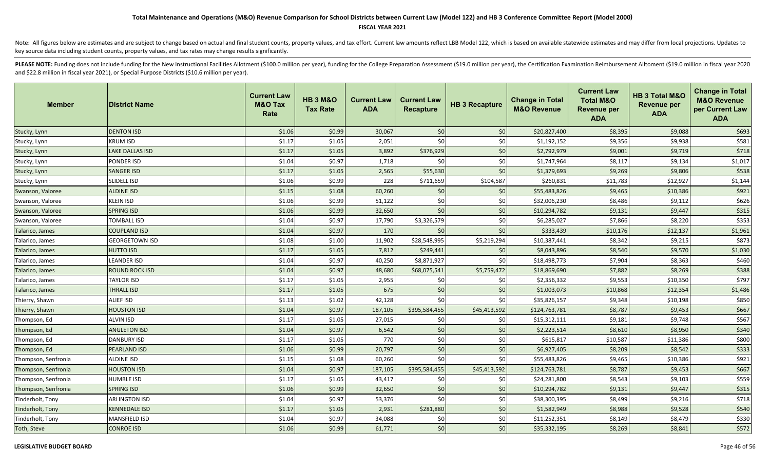### **FISCAL YEAR 2021**

Note: All figures below are estimates and are subject to change based on actual and final student counts, property values, and tax effort. Current law amounts reflect LBB Model 122, which is based on available statewide es key source data including student counts, property values, and tax rates may change results significantly.

| <b>Member</b>       | <b>District Name</b>   | <b>Current Law</b><br><b>M&amp;O Tax</b><br>Rate | <b>HB 3 M&amp;O</b><br><b>Tax Rate</b> | <b>Current Law</b><br><b>ADA</b> | <b>Current Law</b><br><b>Recapture</b> | <b>HB 3 Recapture</b> | <b>Change in Total</b><br><b>M&amp;O Revenue</b> | <b>Current Law</b><br><b>Total M&amp;O</b><br><b>Revenue per</b><br><b>ADA</b> | HB 3 Total M&O<br><b>Revenue per</b><br><b>ADA</b> | <b>Change in Total</b><br><b>M&amp;O Revenue</b><br>per Current Law<br><b>ADA</b> |
|---------------------|------------------------|--------------------------------------------------|----------------------------------------|----------------------------------|----------------------------------------|-----------------------|--------------------------------------------------|--------------------------------------------------------------------------------|----------------------------------------------------|-----------------------------------------------------------------------------------|
| Stucky, Lynn        | <b>DENTON ISD</b>      | \$1.06                                           | \$0.99                                 | 30,067                           | \$0                                    | \$0                   | \$20,827,400                                     | \$8,395                                                                        | \$9,088                                            | \$693                                                                             |
| Stucky, Lynn        | <b>KRUM ISD</b>        | \$1.17                                           | \$1.05                                 | 2,051                            | \$0                                    | \$0                   | \$1,192,152                                      | \$9,356                                                                        | \$9,938                                            | \$581                                                                             |
| Stucky, Lynn        | <b>LAKE DALLAS ISD</b> | \$1.17                                           | \$1.05                                 | 3,892                            | \$376,929                              | \$0                   | \$2,792,979                                      | \$9,001                                                                        | \$9,719                                            | \$718                                                                             |
| Stucky, Lynn        | PONDER ISD             | \$1.04                                           | \$0.97                                 | 1,718                            | \$0                                    | \$0                   | \$1,747,964                                      | \$8,117                                                                        | \$9,134                                            | \$1,017                                                                           |
| Stucky, Lynn        | <b>SANGER ISD</b>      | \$1.17                                           | \$1.05                                 | 2,565                            | \$55,630                               | \$0                   | \$1,379,693                                      | \$9,269                                                                        | \$9,806                                            | \$538                                                                             |
| Stucky, Lynn        | <b>SLIDELL ISD</b>     | \$1.06                                           | \$0.99                                 | 228                              | \$711,659                              | \$104,587             | \$260,831                                        | \$11,783                                                                       | \$12,927                                           | \$1,144                                                                           |
| Swanson, Valoree    | <b>ALDINE ISD</b>      | \$1.15                                           | \$1.08                                 | 60,260                           | \$0                                    | \$0                   | \$55,483,826                                     | \$9,465                                                                        | \$10,386                                           | \$921                                                                             |
| Swanson, Valoree    | <b>KLEIN ISD</b>       | \$1.06                                           | \$0.99                                 | 51,122                           | \$0                                    | \$0                   | \$32,006,230                                     | \$8,486                                                                        | \$9,112                                            | \$626                                                                             |
| Swanson, Valoree    | <b>SPRING ISD</b>      | \$1.06                                           | \$0.99                                 | 32,650                           | \$0                                    | \$0                   | \$10,294,782                                     | \$9,131                                                                        | \$9,447                                            | \$315                                                                             |
| Swanson, Valoree    | <b>TOMBALL ISD</b>     | \$1.04                                           | \$0.97                                 | 17,790                           | \$3,326,579                            | \$0                   | \$6,285,027                                      | \$7,866                                                                        | \$8,220                                            | \$353                                                                             |
| Talarico, James     | <b>COUPLAND ISD</b>    | \$1.04                                           | \$0.97                                 | 170                              | \$0                                    | \$0                   | \$333,439                                        | \$10,176                                                                       | \$12,137                                           | \$1,961                                                                           |
| Talarico, James     | <b>GEORGETOWN ISD</b>  | \$1.08                                           | \$1.00                                 | 11,902                           | \$28,548,995                           | \$5,219,294           | \$10,387,441                                     | \$8,342                                                                        | \$9,215                                            | \$873                                                                             |
| Talarico, James     | <b>HUTTO ISD</b>       | \$1.17                                           | \$1.05                                 | 7,812                            | \$249,441                              | \$0                   | \$8,043,896                                      | \$8,540                                                                        | \$9,570                                            | \$1,030                                                                           |
| Talarico, James     | <b>LEANDER ISD</b>     | \$1.04                                           | \$0.97                                 | 40,250                           | \$8,871,927                            | \$0                   | \$18,498,773                                     | \$7,904                                                                        | \$8,363                                            | \$460                                                                             |
| Talarico, James     | <b>ROUND ROCK ISD</b>  | \$1.04                                           | \$0.97                                 | 48,680                           | \$68,075,541                           | \$5,759,472           | \$18,869,690                                     | \$7,882                                                                        | \$8,269                                            | \$388                                                                             |
| Talarico, James     | <b>TAYLOR ISD</b>      | \$1.17                                           | \$1.05                                 | 2,955                            | \$0                                    | \$0                   | \$2,356,332                                      | \$9,553                                                                        | \$10,350                                           | \$797                                                                             |
| Talarico, James     | <b>THRALL ISD</b>      | \$1.17                                           | \$1.05                                 | 675                              | \$0                                    | \$0                   | \$1,003,073                                      | \$10,868                                                                       | \$12,354                                           | \$1,486                                                                           |
| Thierry, Shawn      | ALIEF ISD              | \$1.13                                           | \$1.02                                 | 42,128                           | \$0                                    | \$0                   | \$35,826,157                                     | \$9,348                                                                        | \$10,198                                           | \$850                                                                             |
| Thierry, Shawn      | <b>HOUSTON ISD</b>     | \$1.04                                           | \$0.97                                 | 187,105                          | \$395,584,455                          | \$45,413,592          | \$124,763,781                                    | \$8,787                                                                        | \$9,453                                            | \$667                                                                             |
| Thompson, Ed        | <b>ALVIN ISD</b>       | \$1.17                                           | \$1.05                                 | 27,015                           | \$0                                    | \$0                   | \$15,312,111                                     | \$9,181                                                                        | \$9,748                                            | \$567                                                                             |
| Thompson, Ed        | <b>ANGLETON ISD</b>    | \$1.04                                           | \$0.97                                 | 6,542                            | \$0                                    | \$0                   | \$2,223,514                                      | \$8,610                                                                        | \$8,950                                            | \$340                                                                             |
| Thompson, Ed        | <b>DANBURY ISD</b>     | \$1.17                                           | \$1.05                                 | 770                              | \$0                                    | \$0                   | \$615,817                                        | \$10,587                                                                       | \$11,386                                           | \$800                                                                             |
| Thompson, Ed        | <b>PEARLAND ISD</b>    | \$1.06                                           | \$0.99                                 | 20,797                           | \$0                                    | \$0                   | \$6,927,405                                      | \$8,209                                                                        | \$8,542                                            | \$333                                                                             |
| Thompson, Senfronia | <b>ALDINE ISD</b>      | \$1.15                                           | \$1.08                                 | 60,260                           | \$0                                    | \$0                   | \$55,483,826                                     | \$9,465                                                                        | \$10,386                                           | \$921                                                                             |
| Thompson, Senfronia | <b>HOUSTON ISD</b>     | \$1.04                                           | \$0.97                                 | 187,105                          | \$395,584,455                          | \$45,413,592          | \$124,763,781                                    | \$8,787                                                                        | \$9,453                                            | \$667                                                                             |
| Thompson, Senfronia | <b>HUMBLE ISD</b>      | \$1.17                                           | \$1.05                                 | 43,417                           | \$0                                    | \$0                   | \$24,281,800                                     | \$8,543                                                                        | \$9,103                                            | \$559                                                                             |
| Thompson, Senfronia | <b>SPRING ISD</b>      | \$1.06                                           | \$0.99                                 | 32,650                           | \$0                                    | \$0                   | \$10,294,782                                     | \$9,131                                                                        | \$9,447                                            | \$315                                                                             |
| Tinderholt, Tony    | <b>ARLINGTON ISD</b>   | \$1.04                                           | \$0.97                                 | 53,376                           | \$0                                    | \$0                   | \$38,300,395                                     | \$8,499                                                                        | \$9,216                                            | \$718                                                                             |
| Tinderholt, Tony    | <b>KENNEDALE ISD</b>   | \$1.17                                           | \$1.05                                 | 2,931                            | \$281,880                              | \$0                   | \$1,582,949                                      | \$8,988                                                                        | \$9,528                                            | \$540                                                                             |
| Tinderholt, Tony    | MANSFIELD ISD          | \$1.04                                           | \$0.97                                 | 34,088                           | \$0                                    | \$0                   | \$11,252,351                                     | \$8,149                                                                        | \$8,479                                            | \$330                                                                             |
| Toth, Steve         | <b>CONROE ISD</b>      | \$1.06                                           | \$0.99                                 | 61,771                           | \$0                                    | \$0                   | \$35,332,195                                     | \$8,269                                                                        | \$8,841                                            | \$572                                                                             |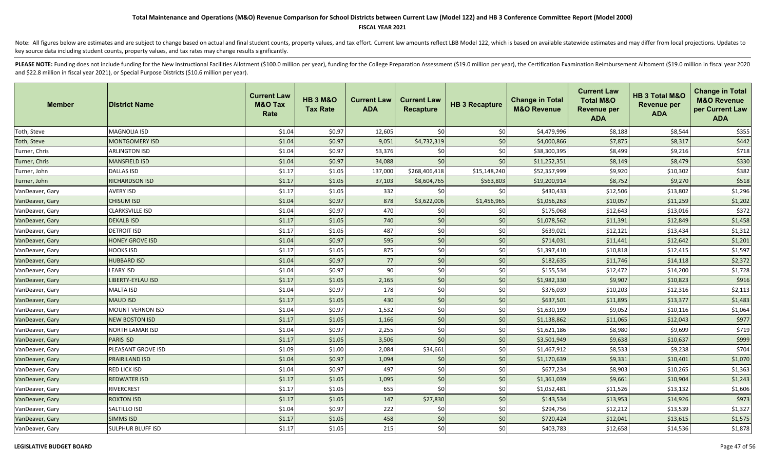### **FISCAL YEAR 2021**

Note: All figures below are estimates and are subject to change based on actual and final student counts, property values, and tax effort. Current law amounts reflect LBB Model 122, which is based on available statewide es key source data including student counts, property values, and tax rates may change results significantly.

| <b>Member</b>   | <b>District Name</b>     | <b>Current Law</b><br><b>M&amp;O Tax</b><br>Rate | <b>HB 3 M&amp;O</b><br><b>Tax Rate</b> | <b>Current Law</b><br><b>ADA</b> | <b>Current Law</b><br><b>Recapture</b> | <b>HB 3 Recapture</b> | <b>Change in Total</b><br><b>M&amp;O Revenue</b> | <b>Current Law</b><br><b>Total M&amp;O</b><br><b>Revenue per</b><br><b>ADA</b> | HB 3 Total M&O<br><b>Revenue per</b><br><b>ADA</b> | <b>Change in Total</b><br><b>M&amp;O Revenue</b><br>per Current Law<br><b>ADA</b> |
|-----------------|--------------------------|--------------------------------------------------|----------------------------------------|----------------------------------|----------------------------------------|-----------------------|--------------------------------------------------|--------------------------------------------------------------------------------|----------------------------------------------------|-----------------------------------------------------------------------------------|
| Toth, Steve     | <b>MAGNOLIA ISD</b>      | \$1.04                                           | \$0.97                                 | 12,605                           | \$0                                    | \$0                   | \$4,479,996                                      | \$8,188                                                                        | \$8,544                                            | \$355                                                                             |
| Toth, Steve     | <b>MONTGOMERY ISD</b>    | \$1.04                                           | \$0.97                                 | 9,051                            | \$4,732,319                            | \$0                   | \$4,000,866                                      | \$7,875                                                                        | \$8,317                                            | \$442                                                                             |
| Turner, Chris   | <b>ARLINGTON ISD</b>     | \$1.04                                           | \$0.97                                 | 53,376                           | \$0                                    | \$0                   | \$38,300,395                                     | \$8,499                                                                        | \$9,216                                            | \$718                                                                             |
| Turner, Chris   | <b>MANSFIELD ISD</b>     | \$1.04                                           | \$0.97                                 | 34,088                           | \$0                                    | \$0                   | \$11,252,351                                     | \$8,149                                                                        | \$8,479                                            | \$330                                                                             |
| Turner, John    | <b>DALLAS ISD</b>        | \$1.17                                           | \$1.05                                 | 137,000                          | \$268,406,418                          | \$15,148,240          | \$52,357,999                                     | \$9,920                                                                        | \$10,302                                           | \$382                                                                             |
| Turner, John    | <b>RICHARDSON ISD</b>    | \$1.17                                           | \$1.05                                 | 37,103                           | \$8,604,765                            | \$563,803             | \$19,200,914                                     | \$8,752                                                                        | \$9,270                                            | \$518                                                                             |
| VanDeaver, Gary | AVERY ISD                | \$1.17                                           | \$1.05                                 | 332                              | \$0                                    | \$0                   | \$430,433                                        | \$12,506                                                                       | \$13,802                                           | \$1,296                                                                           |
| VanDeaver, Gary | <b>CHISUM ISD</b>        | \$1.04                                           | \$0.97                                 | 878                              | \$3,622,006                            | \$1,456,965           | \$1,056,263                                      | \$10,057                                                                       | \$11,259                                           | \$1,202                                                                           |
| VanDeaver, Gary | <b>CLARKSVILLE ISD</b>   | \$1.04                                           | \$0.97                                 | 470                              | \$0                                    | \$0                   | \$175,068                                        | \$12,643                                                                       | \$13,016                                           | \$372                                                                             |
| VanDeaver, Gary | <b>DEKALB ISD</b>        | \$1.17                                           | \$1.05                                 | 740                              | \$0                                    | \$0                   | \$1,078,562                                      | \$11,391                                                                       | \$12,849                                           | \$1,458                                                                           |
| VanDeaver, Gary | <b>DETROIT ISD</b>       | \$1.17                                           | \$1.05                                 | 487                              | \$0                                    | \$0                   | \$639,021                                        | \$12,121                                                                       | \$13,434                                           | \$1,312                                                                           |
| VanDeaver, Gary | <b>HONEY GROVE ISD</b>   | \$1.04                                           | \$0.97                                 | 595                              | \$0                                    | \$0                   | \$714,031                                        | \$11,441                                                                       | \$12,642                                           | \$1,201                                                                           |
| VanDeaver, Gary | <b>HOOKS ISD</b>         | \$1.17                                           | \$1.05                                 | 875                              | \$0                                    | \$0                   | \$1,397,410                                      | \$10,818                                                                       | \$12,415                                           | \$1,597                                                                           |
| VanDeaver, Gary | <b>HUBBARD ISD</b>       | \$1.04                                           | \$0.97                                 | 77                               | \$0                                    | \$0                   | \$182,635                                        | \$11,746                                                                       | \$14,118                                           | \$2,372                                                                           |
| VanDeaver, Gary | <b>LEARY ISD</b>         | \$1.04                                           | \$0.97                                 | 90                               | $$0$$                                  | \$0                   | \$155,534                                        | \$12,472                                                                       | \$14,200                                           | \$1,728                                                                           |
| VanDeaver, Gary | LIBERTY-EYLAU ISD        | \$1.17                                           | \$1.05                                 | 2,165                            | \$0                                    | \$0                   | \$1,982,330                                      | \$9,907                                                                        | \$10,823                                           | \$916                                                                             |
| VanDeaver, Gary | MALTA ISD                | \$1.04                                           | \$0.97                                 | 178                              | $$0$$                                  | \$0                   | \$376,039                                        | \$10,203                                                                       | \$12,316                                           | \$2,113                                                                           |
| VanDeaver, Gary | <b>MAUD ISD</b>          | \$1.17                                           | \$1.05                                 | 430                              | $$0$$                                  | \$0                   | \$637,501                                        | \$11,895                                                                       | \$13,377                                           | \$1,483                                                                           |
| VanDeaver, Gary | <b>MOUNT VERNON ISD</b>  | \$1.04                                           | \$0.97                                 | 1,532                            | \$0                                    | \$0                   | \$1,630,199                                      | \$9,052                                                                        | \$10,116                                           | \$1,064                                                                           |
| VanDeaver, Gary | <b>NEW BOSTON ISD</b>    | \$1.17                                           | \$1.05                                 | 1,166                            | $$0$                                   | \$0                   | \$1,138,862                                      | \$11,065                                                                       | \$12,043                                           | \$977                                                                             |
| VanDeaver, Gary | <b>NORTH LAMAR ISD</b>   | \$1.04                                           | \$0.97                                 | 2,255                            | \$0                                    | \$0                   | \$1,621,186                                      | \$8,980                                                                        | \$9,699                                            | \$719                                                                             |
| VanDeaver, Gary | <b>PARIS ISD</b>         | \$1.17                                           | \$1.05                                 | 3,506                            | \$0                                    | \$0                   | \$3,501,949                                      | \$9,638                                                                        | \$10,637                                           | \$999                                                                             |
| VanDeaver, Gary | PLEASANT GROVE ISD       | \$1.09                                           | \$1.00                                 | 2,084                            | \$34,661                               | \$0                   | \$1,467,912                                      | \$8,533                                                                        | \$9,238                                            | \$704                                                                             |
| VanDeaver, Gary | PRAIRILAND ISD           | \$1.04                                           | \$0.97                                 | 1,094                            | \$0                                    | \$0                   | \$1,170,639                                      | \$9,331                                                                        | \$10,401                                           | \$1,070                                                                           |
| VanDeaver, Gary | <b>RED LICK ISD</b>      | \$1.04                                           | \$0.97                                 | 497                              | \$0                                    | \$0                   | \$677,234                                        | \$8,903                                                                        | \$10,265                                           | \$1,363                                                                           |
| VanDeaver, Gary | <b>REDWATER ISD</b>      | \$1.17                                           | \$1.05                                 | 1,095                            | \$0                                    | \$0                   | \$1,361,039                                      | \$9,661                                                                        | \$10,904                                           | \$1,243                                                                           |
| VanDeaver, Gary | RIVERCREST               | \$1.17                                           | \$1.05                                 | 655                              | \$0                                    | \$0                   | \$1,052,481                                      | \$11,526                                                                       | \$13,132                                           | \$1,606                                                                           |
| VanDeaver, Gary | <b>ROXTON ISD</b>        | \$1.17                                           | \$1.05                                 | 147                              | \$27,830                               | \$0                   | \$143,534                                        | \$13,953                                                                       | \$14,926                                           | \$973                                                                             |
| VanDeaver, Gary | SALTILLO ISD             | \$1.04                                           | \$0.97                                 | 222                              | \$0                                    | \$0                   | \$294,756                                        | \$12,212                                                                       | \$13,539                                           | \$1,327                                                                           |
| VanDeaver, Gary | <b>SIMMS ISD</b>         | \$1.17                                           | \$1.05                                 | 458                              | \$0                                    | \$0                   | \$720,424                                        | \$12,041                                                                       | \$13,615                                           | \$1,575                                                                           |
| VanDeaver, Gary | <b>SULPHUR BLUFF ISD</b> | \$1.17                                           | \$1.05                                 | 215                              | \$0                                    | \$0                   | \$403,783                                        | \$12,658                                                                       | \$14,536                                           | \$1,878                                                                           |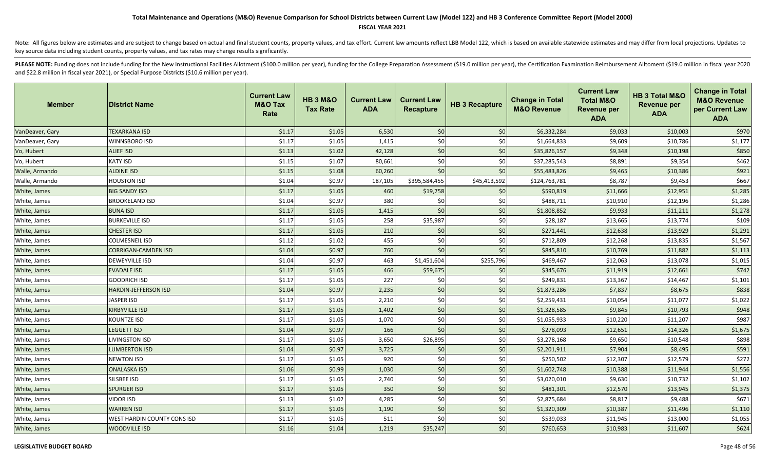### **FISCAL YEAR 2021**

Note: All figures below are estimates and are subject to change based on actual and final student counts, property values, and tax effort. Current law amounts reflect LBB Model 122, which is based on available statewide es key source data including student counts, property values, and tax rates may change results significantly.

| <b>Member</b>   | <b>District Name</b>        | <b>Current Law</b><br><b>M&amp;O Tax</b><br>Rate | <b>HB 3 M&amp;O</b><br><b>Tax Rate</b> | <b>Current Law</b><br><b>ADA</b> | <b>Current Law</b><br><b>Recapture</b> | <b>HB 3 Recapture</b> | <b>Change in Total</b><br><b>M&amp;O Revenue</b> | <b>Current Law</b><br><b>Total M&amp;O</b><br><b>Revenue per</b><br><b>ADA</b> | HB 3 Total M&O<br><b>Revenue per</b><br><b>ADA</b> | <b>Change in Total</b><br><b>M&amp;O Revenue</b><br>per Current Law<br><b>ADA</b> |
|-----------------|-----------------------------|--------------------------------------------------|----------------------------------------|----------------------------------|----------------------------------------|-----------------------|--------------------------------------------------|--------------------------------------------------------------------------------|----------------------------------------------------|-----------------------------------------------------------------------------------|
| VanDeaver, Gary | <b>TEXARKANA ISD</b>        | \$1.17                                           | \$1.05                                 | 6,530                            | \$0                                    | \$0                   | \$6,332,284                                      | \$9,033                                                                        | \$10,003                                           | \$970                                                                             |
| VanDeaver, Gary | WINNSBORO ISD               | \$1.17                                           | \$1.05                                 | 1,415                            | $$0$$                                  | \$0                   | \$1,664,833                                      | \$9,609                                                                        | \$10,786                                           | \$1,177                                                                           |
| Vo, Hubert      | <b>ALIEF ISD</b>            | \$1.13                                           | \$1.02                                 | 42,128                           | $$0$$                                  | \$0                   | \$35,826,157                                     | \$9,348                                                                        | \$10,198                                           | \$850                                                                             |
| Vo, Hubert      | <b>KATY ISD</b>             | \$1.15                                           | \$1.07                                 | 80,661                           | \$0                                    | \$0                   | \$37,285,543                                     | \$8,891                                                                        | \$9,354                                            | \$462                                                                             |
| Walle, Armando  | <b>ALDINE ISD</b>           | \$1.15                                           | \$1.08                                 | 60,260                           | \$0                                    | \$0                   | \$55,483,826                                     | \$9,465                                                                        | \$10,386                                           | \$921                                                                             |
| Walle, Armando  | <b>HOUSTON ISD</b>          | \$1.04                                           | \$0.97                                 | 187,105                          | \$395,584,455                          | \$45,413,592          | \$124,763,781                                    | \$8,787                                                                        | \$9,453                                            | \$667                                                                             |
| White, James    | <b>BIG SANDY ISD</b>        | \$1.17                                           | \$1.05                                 | 460                              | \$19,758                               | \$0                   | \$590,819                                        | \$11,666                                                                       | \$12,951                                           | \$1,285                                                                           |
| White, James    | <b>BROOKELAND ISD</b>       | \$1.04                                           | \$0.97                                 | 380                              | \$0                                    | \$0                   | \$488,711                                        | \$10,910                                                                       | \$12,196                                           | \$1,286                                                                           |
| White, James    | <b>BUNA ISD</b>             | \$1.17                                           | \$1.05                                 | 1,415                            | \$0                                    | \$0                   | \$1,808,852                                      | \$9,933                                                                        | \$11,211                                           | \$1,278                                                                           |
| White, James    | <b>BURKEVILLE ISD</b>       | \$1.17                                           | \$1.05                                 | 258                              | \$35,987                               | \$0                   | \$28,187                                         | \$13,665                                                                       | \$13,774                                           | \$109                                                                             |
| White, James    | <b>CHESTER ISD</b>          | \$1.17                                           | \$1.05                                 | 210                              | \$0                                    | \$0                   | \$271,441                                        | \$12,638                                                                       | \$13,929                                           | \$1,291                                                                           |
| White, James    | <b>COLMESNEIL ISD</b>       | \$1.12                                           | \$1.02                                 | 455                              | \$0                                    | \$0                   | \$712,809                                        | \$12,268                                                                       | \$13,835                                           | \$1,567                                                                           |
| White, James    | <b>CORRIGAN-CAMDEN ISD</b>  | \$1.04                                           | \$0.97                                 | 760                              | \$0                                    | \$0                   | \$845,810                                        | \$10,769                                                                       | \$11,882                                           | \$1,113                                                                           |
| White, James    | <b>DEWEYVILLE ISD</b>       | \$1.04                                           | \$0.97                                 | 463                              | \$1,451,604                            | \$255,796             | \$469,467                                        | \$12,063                                                                       | \$13,078                                           | \$1,015                                                                           |
| White, James    | <b>EVADALE ISD</b>          | \$1.17                                           | \$1.05                                 | 466                              | \$59,675                               | \$0                   | \$345,676                                        | \$11,919                                                                       | \$12,661                                           | \$742                                                                             |
| White, James    | GOODRICH ISD                | \$1.17                                           | \$1.05                                 | 227                              | \$0                                    | \$0                   | \$249,831                                        | \$13,367                                                                       | \$14,467                                           | \$1,101                                                                           |
| White, James    | <b>HARDIN-JEFFERSON ISD</b> | \$1.04                                           | \$0.97                                 | 2,235                            | \$0                                    | \$0                   | \$1,873,286                                      | \$7,837                                                                        | \$8,675                                            | \$838                                                                             |
| White, James    | JASPER ISD                  | \$1.17                                           | \$1.05                                 | 2,210                            | \$0                                    | \$0                   | \$2,259,431                                      | \$10,054                                                                       | \$11,077                                           | \$1,022                                                                           |
| White, James    | KIRBYVILLE ISD              | \$1.17                                           | \$1.05                                 | 1,402                            | $$0$$                                  | \$0                   | \$1,328,585                                      | \$9,845                                                                        | \$10,793                                           | \$948                                                                             |
| White, James    | KOUNTZE ISD                 | \$1.17                                           | \$1.05                                 | 1,070                            | \$0                                    | \$0                   | \$1,055,933                                      | \$10,220                                                                       | \$11,207                                           | \$987                                                                             |
| White, James    | <b>LEGGETT ISD</b>          | \$1.04                                           | \$0.97                                 | 166                              | \$0                                    | \$0                   | \$278,093                                        | \$12,651                                                                       | \$14,326                                           | \$1,675                                                                           |
| White, James    | LIVINGSTON ISD              | \$1.17                                           | \$1.05                                 | 3,650                            | \$26,895                               | \$0                   | \$3,278,168                                      | \$9,650                                                                        | \$10,548                                           | \$898                                                                             |
| White, James    | <b>LUMBERTON ISD</b>        | \$1.04                                           | \$0.97                                 | 3,725                            | $$0$$                                  | \$0                   | \$2,201,911                                      | \$7,904                                                                        | \$8,495                                            | \$591                                                                             |
| White, James    | <b>NEWTON ISD</b>           | \$1.17                                           | \$1.05                                 | 920                              | \$0                                    | \$0                   | \$250,502                                        | \$12,307                                                                       | \$12,579                                           | \$272                                                                             |
| White, James    | <b>ONALASKA ISD</b>         | \$1.06                                           | \$0.99                                 | 1,030                            | \$0                                    | \$0                   | \$1,602,748                                      | \$10,388                                                                       | \$11,944                                           | \$1,556                                                                           |
| White, James    | SILSBEE ISD                 | \$1.17                                           | \$1.05                                 | 2,740                            | \$0                                    | \$0                   | \$3,020,010                                      | \$9,630                                                                        | \$10,732                                           | \$1,102                                                                           |
| White, James    | <b>SPURGER ISD</b>          | \$1.17                                           | \$1.05                                 | 350                              | $$0$$                                  | \$0                   | \$481,301                                        | \$12,570                                                                       | \$13,945                                           | \$1,375                                                                           |
| White, James    | VIDOR ISD                   | \$1.13                                           | \$1.02                                 | 4,285                            | \$0                                    | \$0                   | \$2,875,684                                      | \$8,817                                                                        | \$9,488                                            | \$671                                                                             |
| White, James    | <b>WARREN ISD</b>           | \$1.17                                           | \$1.05                                 | 1,190                            | \$0                                    | \$0                   | \$1,320,309                                      | \$10,387                                                                       | \$11,496                                           | \$1,110                                                                           |
| White, James    | WEST HARDIN COUNTY CONS ISD | \$1.17                                           | \$1.05                                 | 511                              | \$0                                    | \$0                   | \$539,033                                        | \$11,945                                                                       | \$13,000                                           | \$1,055                                                                           |
| White, James    | <b>WOODVILLE ISD</b>        | \$1.16                                           | \$1.04                                 | 1,219                            | \$35,247                               | \$0                   | \$760,653                                        | \$10,983                                                                       | \$11,607                                           | \$624                                                                             |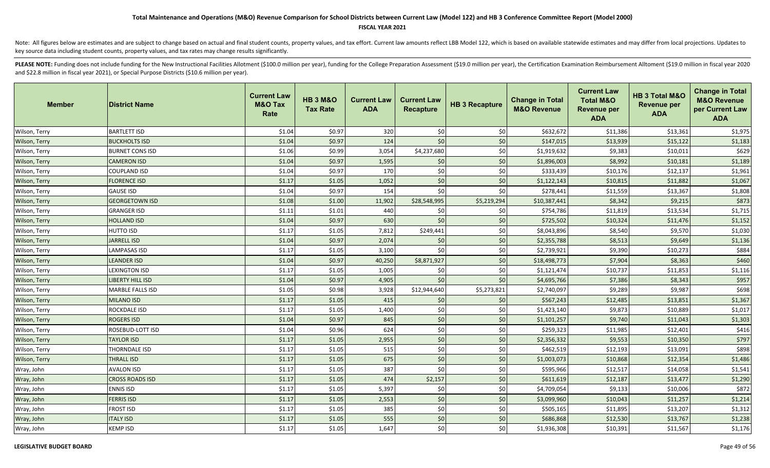### **FISCAL YEAR 2021**

Note: All figures below are estimates and are subject to change based on actual and final student counts, property values, and tax effort. Current law amounts reflect LBB Model 122, which is based on available statewide es key source data including student counts, property values, and tax rates may change results significantly.

| <b>Member</b> | ∣District Name          | <b>Current Law</b><br><b>M&amp;O Tax</b><br>Rate | <b>HB 3 M&amp;O</b><br><b>Tax Rate</b> | <b>Current Law</b><br><b>ADA</b> | <b>Current Law</b><br><b>Recapture</b> | <b>HB 3 Recapture</b> | <b>Change in Total</b><br><b>M&amp;O Revenue</b> | <b>Current Law</b><br><b>Total M&amp;O</b><br><b>Revenue per</b><br><b>ADA</b> | HB 3 Total M&O<br><b>Revenue per</b><br><b>ADA</b> | <b>Change in Total</b><br><b>M&amp;O Revenue</b><br>per Current Law<br><b>ADA</b> |
|---------------|-------------------------|--------------------------------------------------|----------------------------------------|----------------------------------|----------------------------------------|-----------------------|--------------------------------------------------|--------------------------------------------------------------------------------|----------------------------------------------------|-----------------------------------------------------------------------------------|
| Wilson, Terry | <b>BARTLETT ISD</b>     | \$1.04                                           | \$0.97                                 | 320                              | \$0                                    | \$0                   | \$632,672                                        | \$11,386                                                                       | \$13,361                                           | \$1,975                                                                           |
| Wilson, Terry | <b>BUCKHOLTS ISD</b>    | \$1.04                                           | \$0.97                                 | 124                              | \$0                                    | \$0                   | \$147,015                                        | \$13,939                                                                       | \$15,122                                           | \$1,183                                                                           |
| Wilson, Terry | <b>BURNET CONS ISD</b>  | \$1.06                                           | \$0.99                                 | 3,054                            | \$4,237,680                            | \$0                   | \$1,919,632                                      | \$9,383                                                                        | \$10,011                                           | \$629                                                                             |
| Wilson, Terry | <b>CAMERON ISD</b>      | \$1.04                                           | \$0.97                                 | 1,595                            | \$0                                    | \$0                   | \$1,896,003                                      | \$8,992                                                                        | \$10,181                                           | \$1,189                                                                           |
| Wilson, Terry | <b>COUPLAND ISD</b>     | \$1.04                                           | \$0.97                                 | 170                              | \$0                                    | \$0                   | \$333,439                                        | \$10,176                                                                       | \$12,137                                           | \$1,961                                                                           |
| Wilson, Terry | <b>FLORENCE ISD</b>     | \$1.17                                           | \$1.05                                 | 1,052                            | \$0                                    | \$0                   | \$1,122,143                                      | \$10,815                                                                       | \$11,882                                           | \$1,067                                                                           |
| Wilson, Terry | <b>GAUSE ISD</b>        | \$1.04                                           | \$0.97                                 | 154                              | \$0                                    | \$0                   | \$278,441                                        | \$11,559                                                                       | \$13,367                                           | \$1,808                                                                           |
| Wilson, Terry | <b>GEORGETOWN ISD</b>   | \$1.08                                           | \$1.00                                 | 11,902                           | \$28,548,995                           | \$5,219,294           | \$10,387,441                                     | \$8,342                                                                        | \$9,215                                            | \$873                                                                             |
| Wilson, Terry | <b>GRANGER ISD</b>      | \$1.11                                           | \$1.01                                 | 440                              | \$0                                    | \$0                   | \$754,786                                        | \$11,819                                                                       | \$13,534                                           | \$1,715                                                                           |
| Wilson, Terry | <b>HOLLAND ISD</b>      | \$1.04                                           | \$0.97                                 | 630                              | \$0                                    | \$0                   | \$725,502                                        | \$10,324                                                                       | \$11,476                                           | \$1,152                                                                           |
| Wilson, Terry | <b>HUTTO ISD</b>        | \$1.17                                           | \$1.05                                 | 7,812                            | \$249,441                              | \$0                   | \$8,043,896                                      | \$8,540                                                                        | \$9,570                                            | \$1,030                                                                           |
| Wilson, Terry | JARRELL ISD             | \$1.04                                           | \$0.97                                 | 2,074                            | \$0                                    | \$0                   | \$2,355,788                                      | \$8,513                                                                        | \$9,649                                            | \$1,136                                                                           |
| Wilson, Terry | <b>LAMPASAS ISD</b>     | \$1.17                                           | \$1.05                                 | 3,100                            | \$0                                    | \$0                   | \$2,739,921                                      | \$9,390                                                                        | \$10,273                                           | \$884                                                                             |
| Wilson, Terry | <b>LEANDER ISD</b>      | \$1.04                                           | \$0.97                                 | 40,250                           | \$8,871,927                            | \$0                   | \$18,498,773                                     | \$7,904                                                                        | \$8,363                                            | \$460                                                                             |
| Wilson, Terry | <b>LEXINGTON ISD</b>    | \$1.17                                           | \$1.05                                 | 1,005                            | \$0                                    | \$0                   | \$1,121,474                                      | \$10,737                                                                       | \$11,853                                           | \$1,116                                                                           |
| Wilson, Terry | <b>LIBERTY HILL ISD</b> | \$1.04                                           | \$0.97                                 | 4,905                            | \$0                                    | \$0                   | \$4,695,766                                      | \$7,386                                                                        | \$8,343                                            | \$957                                                                             |
| Wilson, Terry | <b>MARBLE FALLS ISD</b> | \$1.05                                           | \$0.98                                 | 3,928                            | \$12,944,640                           | \$5,273,821           | \$2,740,097                                      | \$9,289                                                                        | \$9,987                                            | \$698                                                                             |
| Wilson, Terry | <b>MILANO ISD</b>       | \$1.17                                           | \$1.05                                 | 415                              | \$0                                    | \$0                   | \$567,243                                        | \$12,485                                                                       | \$13,851                                           | \$1,367                                                                           |
| Wilson, Terry | <b>ROCKDALE ISD</b>     | \$1.17                                           | \$1.05                                 | 1,400                            | \$0                                    | \$0                   | \$1,423,140                                      | \$9,873                                                                        | \$10,889                                           | \$1,017                                                                           |
| Wilson, Terry | <b>ROGERS ISD</b>       | \$1.04                                           | \$0.97                                 | 845                              | \$0                                    | \$0                   | \$1,101,257                                      | \$9,740                                                                        | \$11,043                                           | \$1,303                                                                           |
| Wilson, Terry | ROSEBUD-LOTT ISD        | \$1.04                                           | \$0.96                                 | 624                              | \$0                                    | \$0                   | \$259,323                                        | \$11,985                                                                       | \$12,401                                           | \$416                                                                             |
| Wilson, Terry | <b>TAYLOR ISD</b>       | \$1.17                                           | \$1.05                                 | 2,955                            | \$0                                    | \$0                   | \$2,356,332                                      | \$9,553                                                                        | \$10,350                                           | \$797                                                                             |
| Wilson, Terry | <b>THORNDALE ISD</b>    | \$1.17                                           | \$1.05                                 | 515                              | \$0                                    | \$0                   | \$462,519                                        | \$12,193                                                                       | \$13,091                                           | \$898                                                                             |
| Wilson, Terry | <b>THRALL ISD</b>       | \$1.17                                           | \$1.05                                 | 675                              | \$0                                    | \$0                   | \$1,003,073                                      | \$10,868                                                                       | \$12,354                                           | \$1,486                                                                           |
| Wray, John    | <b>AVALON ISD</b>       | \$1.17                                           | \$1.05                                 | 387                              | \$0                                    | \$0                   | \$595,966                                        | \$12,517                                                                       | \$14,058                                           | \$1,541                                                                           |
| Wray, John    | <b>CROSS ROADS ISD</b>  | \$1.17                                           | \$1.05                                 | 474                              | \$2,157                                | \$0                   | \$611,619                                        | \$12,187                                                                       | \$13,477                                           | \$1,290                                                                           |
| Wray, John    | <b>ENNIS ISD</b>        | \$1.17                                           | \$1.05                                 | 5,397                            | \$0                                    | \$0                   | \$4,709,054                                      | \$9,133                                                                        | \$10,006                                           | \$872                                                                             |
| Wray, John    | <b>FERRIS ISD</b>       | \$1.17                                           | \$1.05                                 | 2,553                            | \$0                                    | \$0                   | \$3,099,960                                      | \$10,043                                                                       | \$11,257                                           | \$1,214                                                                           |
| Wray, John    | <b>FROST ISD</b>        | \$1.17                                           | \$1.05                                 | 385                              | \$0                                    | \$0                   | \$505,165                                        | \$11,895                                                                       | \$13,207                                           | \$1,312                                                                           |
| Wray, John    | <b>ITALY ISD</b>        | \$1.17                                           | \$1.05                                 | 555                              | \$0                                    | \$0                   | \$686,868                                        | \$12,530                                                                       | \$13,767                                           | \$1,238                                                                           |
| Wray, John    | <b>KEMP ISD</b>         | \$1.17                                           | \$1.05                                 | 1,647                            | \$0                                    | \$0                   | \$1,936,308                                      | \$10,391                                                                       | \$11,567                                           | \$1,176                                                                           |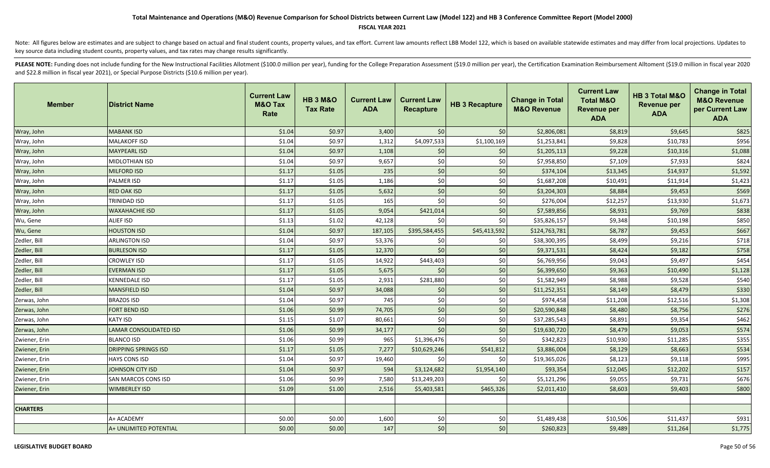### **FISCAL YEAR 2021**

Note: All figures below are estimates and are subject to change based on actual and final student counts, property values, and tax effort. Current law amounts reflect LBB Model 122, which is based on available statewide es key source data including student counts, property values, and tax rates may change results significantly.

| <b>Member</b>   | <b>District Name</b>        | <b>Current Law</b><br><b>M&amp;O Tax</b><br>Rate | <b>HB 3 M&amp;O</b><br><b>Tax Rate</b> | <b>Current Law</b><br><b>ADA</b> | <b>Current Law</b><br>Recapture | <b>HB 3 Recapture</b> | <b>Change in Total</b><br><b>M&amp;O Revenue</b> | <b>Current Law</b><br><b>Total M&amp;O</b><br><b>Revenue per</b><br><b>ADA</b> | HB 3 Total M&O<br><b>Revenue per</b><br><b>ADA</b> | <b>Change in Total</b><br><b>M&amp;O Revenue</b><br>per Current Law<br><b>ADA</b> |
|-----------------|-----------------------------|--------------------------------------------------|----------------------------------------|----------------------------------|---------------------------------|-----------------------|--------------------------------------------------|--------------------------------------------------------------------------------|----------------------------------------------------|-----------------------------------------------------------------------------------|
| Wray, John      | <b>MABANK ISD</b>           | \$1.04                                           | \$0.97                                 | 3,400                            | \$0                             | \$0                   | \$2,806,081                                      | \$8,819                                                                        | \$9,645                                            | \$825                                                                             |
| Wray, John      | <b>MALAKOFF ISD</b>         | \$1.04                                           | \$0.97                                 | 1,312                            | \$4,097,533                     | \$1,100,169           | \$1,253,841                                      | \$9,828                                                                        | \$10,783                                           | \$956                                                                             |
| Wray, John      | <b>MAYPEARL ISD</b>         | \$1.04                                           | \$0.97                                 | 1,108                            | \$0                             | \$0                   | \$1,205,113                                      | \$9,228                                                                        | \$10,316                                           | \$1,088                                                                           |
| Wray, John      | <b>MIDLOTHIAN ISD</b>       | \$1.04                                           | \$0.97                                 | 9,657                            | \$0                             | \$0                   | \$7,958,850                                      | \$7,109                                                                        | \$7,933                                            | \$824                                                                             |
| Wray, John      | <b>MILFORD ISD</b>          | \$1.17                                           | \$1.05                                 | 235                              | \$0                             | \$0                   | \$374,104                                        | \$13,345                                                                       | \$14,937                                           | \$1,592                                                                           |
| Wray, John      | <b>PALMER ISD</b>           | \$1.17                                           | \$1.05                                 | 1,186                            | \$0                             | \$0                   | \$1,687,208                                      | \$10,491                                                                       | \$11,914                                           | \$1,423                                                                           |
| Wray, John      | <b>RED OAK ISD</b>          | \$1.17                                           | \$1.05                                 | 5,632                            | \$0                             | \$0                   | \$3,204,303                                      | \$8,884                                                                        | \$9,453                                            | \$569                                                                             |
| Wray, John      | TRINIDAD ISD                | \$1.17                                           | \$1.05                                 | 165                              | \$0                             | \$0                   | \$276,004                                        | \$12,257                                                                       | \$13,930                                           | \$1,673                                                                           |
| Wray, John      | <b>WAXAHACHIE ISD</b>       | \$1.17                                           | \$1.05                                 | 9,054                            | \$421,014                       | \$0                   | \$7,589,856                                      | \$8,931                                                                        | \$9,769                                            | \$838                                                                             |
| Wu, Gene        | <b>ALIEF ISD</b>            | \$1.13                                           | \$1.02                                 | 42,128                           | \$0                             | \$0                   | \$35,826,157                                     | \$9,348                                                                        | \$10,198                                           | \$850                                                                             |
| Wu, Gene        | <b>HOUSTON ISD</b>          | \$1.04                                           | \$0.97                                 | 187,105                          | \$395,584,455                   | \$45,413,592          | \$124,763,781                                    | \$8,787                                                                        | \$9,453                                            | \$667                                                                             |
| Zedler, Bill    | <b>ARLINGTON ISD</b>        | \$1.04                                           | \$0.97                                 | 53,376                           | \$0                             | \$0                   | \$38,300,395                                     | \$8,499                                                                        | \$9,216                                            | \$718                                                                             |
| Zedler, Bill    | <b>BURLESON ISD</b>         | \$1.17                                           | \$1.05                                 | 12,370                           | \$0                             | \$0                   | \$9,371,531                                      | \$8,424                                                                        | \$9,182                                            | \$758                                                                             |
| Zedler, Bill    | <b>CROWLEY ISD</b>          | \$1.17                                           | \$1.05                                 | 14,922                           | \$443,403                       | \$0                   | \$6,769,956                                      | \$9,043                                                                        | \$9,497                                            | \$454                                                                             |
| Zedler, Bill    | <b>EVERMAN ISD</b>          | \$1.17                                           | \$1.05                                 | 5,675                            | \$0                             | $$0$$                 | \$6,399,650                                      | \$9,363                                                                        | \$10,490                                           | \$1,128                                                                           |
| Zedler, Bill    | <b>KENNEDALE ISD</b>        | \$1.17                                           | \$1.05                                 | 2,931                            | \$281,880                       | \$0                   | \$1,582,949                                      | \$8,988                                                                        | \$9,528                                            | \$540                                                                             |
| Zedler, Bill    | <b>MANSFIELD ISD</b>        | \$1.04                                           | \$0.97                                 | 34,088                           | \$0                             | \$0                   | \$11,252,351                                     | \$8,149                                                                        | \$8,479                                            | \$330                                                                             |
| Zerwas, John    | <b>BRAZOS ISD</b>           | \$1.04                                           | \$0.97                                 | 745                              | \$0                             | \$0                   | \$974,458                                        | \$11,208                                                                       | \$12,516                                           | \$1,308                                                                           |
| Zerwas, John    | <b>FORT BEND ISD</b>        | \$1.06                                           | \$0.99                                 | 74,705                           | \$0                             | \$0                   | \$20,590,848                                     | \$8,480                                                                        | \$8,756                                            | \$276                                                                             |
| Zerwas, John    | <b>KATY ISD</b>             | \$1.15                                           | \$1.07                                 | 80,661                           | \$0                             | \$0                   | \$37,285,543                                     | \$8,891                                                                        | \$9,354                                            | \$462                                                                             |
| Zerwas, John    | LAMAR CONSOLIDATED ISD      | \$1.06                                           | \$0.99                                 | 34,177                           | \$0                             | \$0                   | \$19,630,720                                     | \$8,479                                                                        | \$9,053                                            | \$574                                                                             |
| Zwiener, Erin   | <b>BLANCO ISD</b>           | \$1.06                                           | \$0.99                                 | 965                              | \$1,396,476                     | \$0                   | \$342,823                                        | \$10,930                                                                       | \$11,285                                           | \$355                                                                             |
| Zwiener, Erin   | <b>DRIPPING SPRINGS ISD</b> | \$1.17                                           | \$1.05                                 | 7,277                            | \$10,629,246                    | \$541,812             | \$3,886,004                                      | \$8,129                                                                        | \$8,663                                            | \$534                                                                             |
| Zwiener, Erin   | <b>HAYS CONS ISD</b>        | \$1.04                                           | \$0.97                                 | 19,460                           | \$0                             | \$0                   | \$19,365,026                                     | \$8,123                                                                        | \$9,118                                            | \$995                                                                             |
| Zwiener, Erin   | JOHNSON CITY ISD            | \$1.04                                           | \$0.97                                 | 594                              | \$3,124,682                     | \$1,954,140           | \$93,354                                         | \$12,045                                                                       | \$12,202                                           | \$157                                                                             |
| Zwiener, Erin   | <b>SAN MARCOS CONS ISD</b>  | \$1.06                                           | \$0.99                                 | 7,580                            | \$13,249,203                    | \$0                   | \$5,121,296                                      | \$9,055                                                                        | \$9,731                                            | \$676                                                                             |
| Zwiener, Erin   | <b>WIMBERLEY ISD</b>        | \$1.09                                           | \$1.00                                 | 2,516                            | \$5,403,581                     | \$465,326             | \$2,011,410                                      | \$8,603                                                                        | \$9,403                                            | \$800                                                                             |
|                 |                             |                                                  |                                        |                                  |                                 |                       |                                                  |                                                                                |                                                    |                                                                                   |
| <b>CHARTERS</b> |                             |                                                  |                                        |                                  |                                 |                       |                                                  |                                                                                |                                                    |                                                                                   |
|                 | A+ ACADEMY                  | \$0.00                                           | \$0.00                                 | 1,600                            | \$0                             | \$0                   | \$1,489,438                                      | \$10,506                                                                       | \$11,437                                           | \$931                                                                             |
|                 | A+ UNLIMITED POTENTIAL      | \$0.00                                           | \$0.00                                 | 147                              | \$0                             | \$0                   | \$260,823                                        | \$9,489                                                                        | \$11,264                                           | \$1,775                                                                           |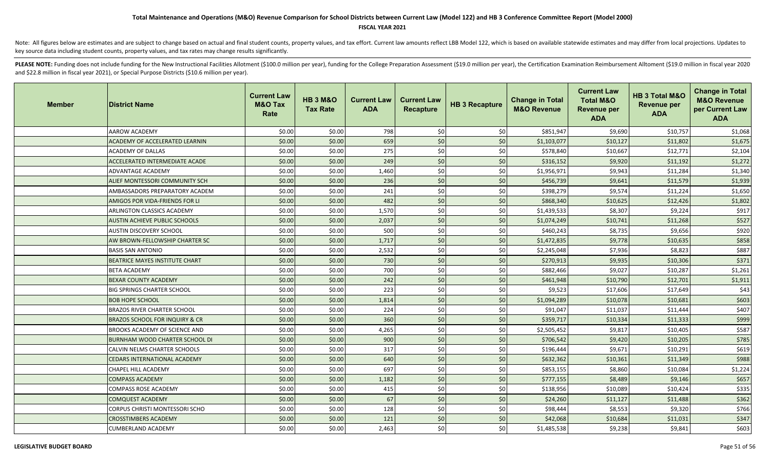### **FISCAL YEAR 2021**

Note: All figures below are estimates and are subject to change based on actual and final student counts, property values, and tax effort. Current law amounts reflect LBB Model 122, which is based on available statewide es key source data including student counts, property values, and tax rates may change results significantly.

| <b>Member</b> | <b>District Name</b>                      | <b>Current Law</b><br><b>M&amp;O Tax</b><br>Rate | <b>HB 3 M&amp;O</b><br><b>Tax Rate</b> | <b>Current Law</b><br><b>ADA</b> | <b>Current Law</b><br><b>Recapture</b> | <b>HB 3 Recapture</b> | <b>Change in Total</b><br><b>M&amp;O Revenue</b> | <b>Current Law</b><br><b>Total M&amp;O</b><br><b>Revenue per</b><br><b>ADA</b> | HB 3 Total M&O<br>Revenue per<br><b>ADA</b> | <b>Change in Total</b><br><b>M&amp;O Revenue</b><br>per Current Law<br><b>ADA</b> |
|---------------|-------------------------------------------|--------------------------------------------------|----------------------------------------|----------------------------------|----------------------------------------|-----------------------|--------------------------------------------------|--------------------------------------------------------------------------------|---------------------------------------------|-----------------------------------------------------------------------------------|
|               | AAROW ACADEMY                             | \$0.00                                           | \$0.00                                 | 798                              | \$0                                    | \$0                   | \$851,947                                        | \$9,690                                                                        | \$10,757                                    | \$1,068                                                                           |
|               | ACADEMY OF ACCELERATED LEARNIN            | \$0.00                                           | \$0.00                                 | 659                              | \$0                                    | \$0                   | \$1,103,077                                      | \$10,127                                                                       | \$11,802                                    | \$1,675                                                                           |
|               | <b>ACADEMY OF DALLAS</b>                  | \$0.00                                           | \$0.00                                 | 275                              | \$0                                    | \$0                   | \$578,840                                        | \$10,667                                                                       | \$12,771                                    | \$2,104                                                                           |
|               | ACCELERATED INTERMEDIATE ACADE            | \$0.00                                           | \$0.00                                 | 249                              | \$0                                    | \$0                   | \$316,152                                        | \$9,920                                                                        | \$11,192                                    | \$1,272                                                                           |
|               | ADVANTAGE ACADEMY                         | \$0.00                                           | \$0.00                                 | 1,460                            | \$0                                    | \$0                   | \$1,956,971                                      | \$9,943                                                                        | \$11,284                                    | \$1,340                                                                           |
|               | ALIEF MONTESSORI COMMUNITY SCH            | \$0.00                                           | \$0.00                                 | 236                              | \$0                                    | \$0                   | \$456,739                                        | \$9,641                                                                        | \$11,579                                    | \$1,939                                                                           |
|               | AMBASSADORS PREPARATORY ACADEM            | \$0.00                                           | \$0.00                                 | 241                              | \$0                                    | \$0                   | \$398,279                                        | \$9,574                                                                        | \$11,224                                    | \$1,650                                                                           |
|               | AMIGOS POR VIDA-FRIENDS FOR LI            | \$0.00                                           | \$0.00                                 | 482                              | \$0                                    | \$0                   | \$868,340                                        | \$10,625                                                                       | \$12,426                                    | \$1,802                                                                           |
|               | ARLINGTON CLASSICS ACADEMY                | \$0.00                                           | \$0.00                                 | 1,570                            | \$0                                    | \$0                   | \$1,439,533                                      | \$8,307                                                                        | \$9,224                                     | \$917                                                                             |
|               | <b>AUSTIN ACHIEVE PUBLIC SCHOOLS</b>      | \$0.00                                           | \$0.00                                 | 2,037                            | \$0                                    | \$0                   | \$1,074,249                                      | \$10,741                                                                       | \$11,268                                    | \$527                                                                             |
|               | <b>AUSTIN DISCOVERY SCHOOL</b>            | \$0.00                                           | \$0.00                                 | 500                              | \$0                                    | \$0                   | \$460,243                                        | \$8,735                                                                        | \$9,656                                     | \$920                                                                             |
|               | AW BROWN-FELLOWSHIP CHARTER SC            | \$0.00                                           | \$0.00                                 | 1,717                            | \$0                                    | \$0                   | \$1,472,835                                      | \$9,778                                                                        | \$10,635                                    | \$858                                                                             |
|               | <b>BASIS SAN ANTONIO</b>                  | \$0.00                                           | \$0.00                                 | 2,532                            | \$0                                    | \$0                   | \$2,245,048                                      | \$7,936                                                                        | \$8,823                                     | \$887                                                                             |
|               | <b>BEATRICE MAYES INSTITUTE CHART</b>     | \$0.00                                           | \$0.00                                 | 730                              | \$0                                    | \$0                   | \$270,913                                        | \$9,935                                                                        | \$10,306                                    | \$371                                                                             |
|               | <b>BETA ACADEMY</b>                       | \$0.00                                           | \$0.00                                 | 700                              | \$0                                    | \$0                   | \$882,466                                        | \$9,027                                                                        | \$10,287                                    | \$1,261                                                                           |
|               | <b>BEXAR COUNTY ACADEMY</b>               | \$0.00                                           | \$0.00                                 | 242                              | \$0                                    | \$0                   | \$461,948                                        | \$10,790                                                                       | \$12,701                                    | \$1,911                                                                           |
|               | BIG SPRINGS CHARTER SCHOOL                | \$0.00                                           | \$0.00                                 | 223                              | \$0                                    | \$0                   | \$9,523                                          | \$17,606                                                                       | \$17,649                                    | \$43                                                                              |
|               | <b>BOB HOPE SCHOOL</b>                    | \$0.00                                           | \$0.00                                 | 1,814                            | \$0                                    | \$0                   | \$1,094,289                                      | \$10,078                                                                       | \$10,681                                    | \$603                                                                             |
|               | <b>BRAZOS RIVER CHARTER SCHOOL</b>        | \$0.00                                           | \$0.00                                 | 224                              | \$0                                    | \$0                   | \$91,047                                         | \$11,037                                                                       | \$11,444                                    | \$407                                                                             |
|               | <b>BRAZOS SCHOOL FOR INQUIRY &amp; CR</b> | \$0.00                                           | \$0.00                                 | 360                              | \$0                                    | \$0                   | \$359,717                                        | \$10,334                                                                       | \$11,333                                    | \$999                                                                             |
|               | BROOKS ACADEMY OF SCIENCE AND             | \$0.00                                           | \$0.00                                 | 4,265                            | \$0                                    | \$0                   | \$2,505,452                                      | \$9,817                                                                        | \$10,405                                    | \$587                                                                             |
|               | BURNHAM WOOD CHARTER SCHOOL DI            | \$0.00                                           | \$0.00                                 | 900                              | \$0                                    | \$0                   | \$706,542                                        | \$9,420                                                                        | \$10,205                                    | \$785                                                                             |
|               | CALVIN NELMS CHARTER SCHOOLS              | \$0.00                                           | \$0.00                                 | 317                              | \$0                                    | \$0                   | \$196,444                                        | \$9,671                                                                        | \$10,291                                    | \$619                                                                             |
|               | CEDARS INTERNATIONAL ACADEMY              | \$0.00                                           | \$0.00                                 | 640                              | \$0                                    | \$0                   | \$632,362                                        | \$10,361                                                                       | \$11,349                                    | \$988                                                                             |
|               | CHAPEL HILL ACADEMY                       | \$0.00                                           | \$0.00                                 | 697                              | \$0                                    | \$0                   | \$853,155                                        | \$8,860                                                                        | \$10,084                                    | \$1,224                                                                           |
|               | <b>COMPASS ACADEMY</b>                    | \$0.00                                           | \$0.00                                 | 1,182                            | \$0                                    | \$0                   | \$777,155                                        | \$8,489                                                                        | \$9,146                                     | \$657                                                                             |
|               | COMPASS ROSE ACADEMY                      | \$0.00                                           | \$0.00                                 | 415                              | \$0                                    | \$0                   | \$138,956                                        | \$10,089                                                                       | \$10,424                                    | \$335                                                                             |
|               | <b>COMQUEST ACADEMY</b>                   | \$0.00                                           | \$0.00                                 | 67                               | \$0                                    | \$0                   | \$24,260                                         | \$11,127                                                                       | \$11,488                                    | \$362                                                                             |
|               | CORPUS CHRISTI MONTESSORI SCHO            | \$0.00                                           | \$0.00                                 | 128                              | \$0                                    | \$0                   | \$98,444                                         | \$8,553                                                                        | \$9,320                                     | \$766                                                                             |
|               | <b>CROSSTIMBERS ACADEMY</b>               | \$0.00                                           | \$0.00                                 | 121                              | \$0                                    | \$0                   | \$42,068                                         | \$10,684                                                                       | \$11,031                                    | \$347                                                                             |
|               | <b>CUMBERLAND ACADEMY</b>                 | \$0.00                                           | \$0.00                                 | 2,463                            | \$0                                    | \$0                   | \$1,485,538                                      | \$9,238                                                                        | \$9,841                                     | \$603                                                                             |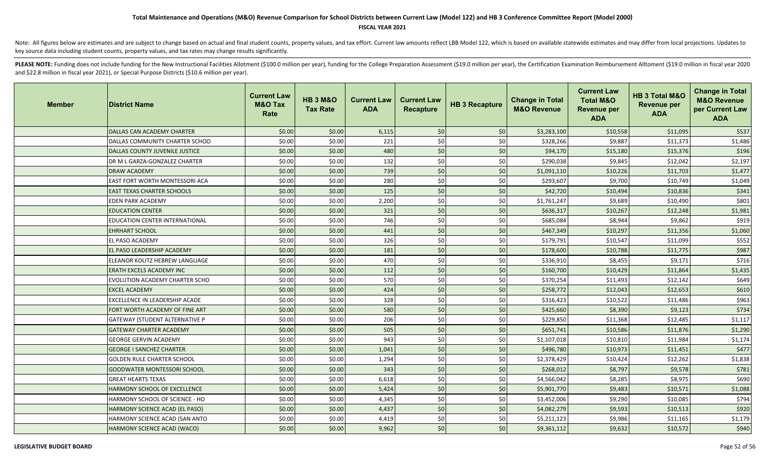### **FISCAL YEAR 2021**

Note: All figures below are estimates and are subject to change based on actual and final student counts, property values, and tax effort. Current law amounts reflect LBB Model 122, which is based on available statewide es key source data including student counts, property values, and tax rates may change results significantly.

| <b>Member</b> | <b>District Name</b>                  | <b>Current Law</b><br><b>M&amp;O Tax</b><br>Rate | <b>HB 3 M&amp;O</b><br><b>Tax Rate</b> | <b>Current Law</b><br><b>ADA</b> | <b>Current Law</b><br><b>Recapture</b> | <b>HB 3 Recapture</b> | <b>Change in Total</b><br><b>M&amp;O Revenue</b> | <b>Current Law</b><br><b>Total M&amp;O</b><br><b>Revenue per</b><br><b>ADA</b> | HB 3 Total M&O<br><b>Revenue per</b><br><b>ADA</b> | <b>Change in Total</b><br><b>M&amp;O Revenue</b><br>per Current Law<br><b>ADA</b> |
|---------------|---------------------------------------|--------------------------------------------------|----------------------------------------|----------------------------------|----------------------------------------|-----------------------|--------------------------------------------------|--------------------------------------------------------------------------------|----------------------------------------------------|-----------------------------------------------------------------------------------|
|               | DALLAS CAN ACADEMY CHARTER            | \$0.00                                           | \$0.00                                 | 6,115                            | \$0                                    | \$0                   | \$3,283,100                                      | \$10,558                                                                       | \$11,095                                           | \$537                                                                             |
|               | DALLAS COMMUNITY CHARTER SCHOO        | \$0.00                                           | \$0.00                                 | 221                              | \$0                                    | \$0                   | \$328,266                                        | \$9,887                                                                        | \$11,373                                           | \$1,486                                                                           |
|               | DALLAS COUNTY JUVENILE JUSTICE        | \$0.00                                           | \$0.00                                 | 480                              | \$0                                    | \$0                   | \$94,170                                         | \$15,180                                                                       | \$15,376                                           | \$196                                                                             |
|               | DR M L GARZA-GONZALEZ CHARTER         | \$0.00                                           | \$0.00                                 | 132                              | \$0                                    | \$0                   | \$290,038                                        | \$9,845                                                                        | \$12,042                                           | \$2,197                                                                           |
|               | <b>DRAW ACADEMY</b>                   | \$0.00                                           | \$0.00                                 | 739                              | \$0                                    | \$0                   | \$1,091,110                                      | \$10,226                                                                       | \$11,703                                           | \$1,477                                                                           |
|               | EAST FORT WORTH MONTESSORI ACA        | \$0.00                                           | \$0.00                                 | 280                              | \$0                                    | \$0                   | \$293,607                                        | \$9,700                                                                        | \$10,749                                           | \$1,049                                                                           |
|               | <b>EAST TEXAS CHARTER SCHOOLS</b>     | \$0.00                                           | \$0.00                                 | 125                              | \$0                                    | \$0                   | \$42,720                                         | \$10,494                                                                       | \$10,836                                           | \$341                                                                             |
|               | EDEN PARK ACADEMY                     | \$0.00                                           | \$0.00                                 | 2,200                            | \$0                                    | \$0                   | \$1,761,247                                      | \$9,689                                                                        | \$10,490                                           | \$801                                                                             |
|               | <b>EDUCATION CENTER</b>               | \$0.00                                           | \$0.00                                 | 321                              | \$0                                    | \$0                   | \$636,317                                        | \$10,267                                                                       | \$12,248                                           | \$1,981                                                                           |
|               | EDUCATION CENTER INTERNATIONAL        | \$0.00                                           | \$0.00                                 | 746                              | \$0                                    | \$0                   | \$685,084                                        | \$8,944                                                                        | \$9,862                                            | \$919                                                                             |
|               | <b>EHRHART SCHOOL</b>                 | \$0.00                                           | \$0.00                                 | 441                              | \$0                                    | \$0                   | \$467,349                                        | \$10,297                                                                       | \$11,356                                           | \$1,060                                                                           |
|               | EL PASO ACADEMY                       | \$0.00                                           | \$0.00                                 | 326                              | \$0                                    | \$0                   | \$179,791                                        | \$10,547                                                                       | \$11,099                                           | \$552                                                                             |
|               | EL PASO LEADERSHIP ACADEMY            | \$0.00                                           | \$0.00                                 | 181                              | \$0                                    | \$0                   | \$178,600                                        | \$10,788                                                                       | \$11,775                                           | \$987                                                                             |
|               | ELEANOR KOLITZ HEBREW LANGUAGE        | \$0.00                                           | \$0.00                                 | 470                              | \$0                                    | \$0                   | \$336,910                                        | \$8,455                                                                        | \$9,171                                            | \$716                                                                             |
|               | <b>ERATH EXCELS ACADEMY INC</b>       | \$0.00                                           | \$0.00                                 | 112                              | \$0                                    | \$0                   | \$160,700                                        | \$10,429                                                                       | \$11,864                                           | \$1,435                                                                           |
|               | EVOLUTION ACADEMY CHARTER SCHO        | \$0.00                                           | \$0.00                                 | 570                              | \$0                                    | \$0                   | \$370,254                                        | \$11,493                                                                       | \$12,142                                           | \$649                                                                             |
|               | <b>EXCEL ACADEMY</b>                  | \$0.00                                           | \$0.00                                 | 424                              | \$0                                    | \$0                   | \$258,772                                        | \$12,043                                                                       | \$12,653                                           | \$610                                                                             |
|               | <b>EXCELLENCE IN LEADERSHIP ACADE</b> | \$0.00                                           | \$0.00                                 | 328                              | \$0                                    | \$0                   | \$316,423                                        | \$10,522                                                                       | \$11,486                                           | \$963                                                                             |
|               | FORT WORTH ACADEMY OF FINE ART        | \$0.00                                           | \$0.00                                 | 580                              | \$0                                    | \$0                   | \$425,660                                        | \$8,390                                                                        | \$9,123                                            | \$734                                                                             |
|               | GATEWAY (STUDENT ALTERNATIVE P        | \$0.00                                           | \$0.00                                 | 206                              | \$0                                    | \$0                   | \$229,850                                        | \$11,368                                                                       | \$12,485                                           | \$1,117                                                                           |
|               | <b>GATEWAY CHARTER ACADEMY</b>        | \$0.00                                           | \$0.00                                 | 505                              | \$0                                    | \$0                   | \$651,741                                        | \$10,586                                                                       | \$11,876                                           | \$1,290                                                                           |
|               | <b>GEORGE GERVIN ACADEMY</b>          | \$0.00                                           | \$0.00                                 | 943                              | \$0                                    | \$0                   | \$1,107,018                                      | \$10,810                                                                       | \$11,984                                           | \$1,174                                                                           |
|               | <b>GEORGE I SANCHEZ CHARTER</b>       | \$0.00                                           | \$0.00                                 | 1,041                            | \$0                                    | \$0                   | \$496,780                                        | \$10,973                                                                       | \$11,451                                           | \$477                                                                             |
|               | <b>GOLDEN RULE CHARTER SCHOOL</b>     | \$0.00                                           | \$0.00                                 | 1,294                            | \$0                                    | \$0                   | \$2,378,429                                      | \$10,424                                                                       | \$12,262                                           | \$1,838                                                                           |
|               | <b>GOODWATER MONTESSORI SCHOOL</b>    | \$0.00                                           | \$0.00                                 | 343                              | \$0                                    | \$0                   | \$268,012                                        | \$8,797                                                                        | \$9,578                                            | \$781                                                                             |
|               | <b>GREAT HEARTS TEXAS</b>             | \$0.00                                           | \$0.00                                 | 6,618                            | \$0                                    | \$0                   | \$4,566,042                                      | \$8,285                                                                        | \$8,975                                            | \$690                                                                             |
|               | HARMONY SCHOOL OF EXCELLENCE          | \$0.00                                           | \$0.00                                 | 5,424                            | \$0                                    | \$0                   | \$5,901,770                                      | \$9,483                                                                        | \$10,571                                           | \$1,088                                                                           |
|               | HARMONY SCHOOL OF SCIENCE - HO        | \$0.00                                           | \$0.00                                 | 4,345                            | \$0                                    | \$0                   | \$3,452,006                                      | \$9,290                                                                        | \$10,085                                           | \$794                                                                             |
|               | HARMONY SCIENCE ACAD (EL PASO)        | \$0.00                                           | \$0.00                                 | 4,437                            | \$0                                    | \$0                   | \$4,082,279                                      | \$9,593                                                                        | \$10,513                                           | \$920                                                                             |
|               | HARMONY SCIENCE ACAD (SAN ANTO        | \$0.00                                           | \$0.00                                 | 4,419                            | \$0                                    | \$0                   | \$5,211,123                                      | \$9,986                                                                        | \$11,165                                           | \$1,179                                                                           |
|               | HARMONY SCIENCE ACAD (WACO)           | \$0.00                                           | \$0.00                                 | 9,962                            | \$0                                    | \$0                   | \$9,361,112                                      | \$9,632                                                                        | \$10,572                                           | \$940                                                                             |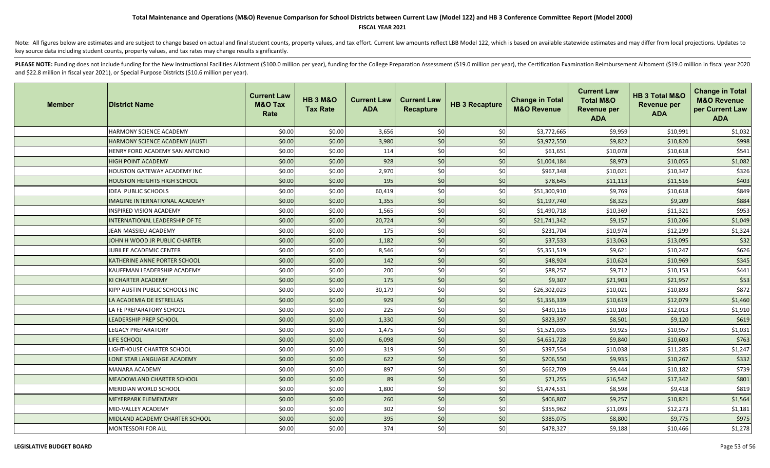### **FISCAL YEAR 2021**

Note: All figures below are estimates and are subject to change based on actual and final student counts, property values, and tax effort. Current law amounts reflect LBB Model 122, which is based on available statewide es key source data including student counts, property values, and tax rates may change results significantly.

| <b>Member</b> | <b>District Name</b>                 | <b>Current Law</b><br><b>M&amp;O Tax</b><br>Rate | <b>HB 3 M&amp;O</b><br><b>Tax Rate</b> | <b>Current Law</b><br><b>ADA</b> | <b>Current Law</b><br><b>Recapture</b> | <b>HB 3 Recapture</b> | <b>Change in Total</b><br><b>M&amp;O Revenue</b> | <b>Current Law</b><br><b>Total M&amp;O</b><br><b>Revenue per</b><br><b>ADA</b> | HB 3 Total M&O<br><b>Revenue per</b><br><b>ADA</b> | <b>Change in Total</b><br><b>M&amp;O Revenue</b><br>per Current Law<br><b>ADA</b> |
|---------------|--------------------------------------|--------------------------------------------------|----------------------------------------|----------------------------------|----------------------------------------|-----------------------|--------------------------------------------------|--------------------------------------------------------------------------------|----------------------------------------------------|-----------------------------------------------------------------------------------|
|               | HARMONY SCIENCE ACADEMY              | \$0.00                                           | \$0.00                                 | 3,656                            | \$0                                    | \$0                   | \$3,772,665                                      | \$9,959                                                                        | \$10,991                                           | \$1,032                                                                           |
|               | HARMONY SCIENCE ACADEMY (AUSTI       | \$0.00                                           | \$0.00                                 | 3,980                            | \$0                                    | \$0                   | \$3,972,550                                      | \$9,822                                                                        | \$10,820                                           | \$998                                                                             |
|               | HENRY FORD ACADEMY SAN ANTONIO       | \$0.00                                           | \$0.00                                 | 114                              | \$0                                    | \$0                   | \$61,651                                         | \$10,078                                                                       | \$10,618                                           | \$541                                                                             |
|               | <b>HIGH POINT ACADEMY</b>            | \$0.00                                           | \$0.00                                 | 928                              | \$0                                    | \$0                   | \$1,004,184                                      | \$8,973                                                                        | \$10,055                                           | \$1,082                                                                           |
|               | HOUSTON GATEWAY ACADEMY INC          | \$0.00                                           | \$0.00                                 | 2,970                            | \$0                                    | \$0                   | \$967,348                                        | \$10,021                                                                       | \$10,347                                           | \$326                                                                             |
|               | <b>HOUSTON HEIGHTS HIGH SCHOOL</b>   | \$0.00                                           | \$0.00                                 | 195                              | \$0                                    | \$0                   | \$78,645                                         | \$11,113                                                                       | \$11,516                                           | \$403                                                                             |
|               | <b>IDEA PUBLIC SCHOOLS</b>           | \$0.00                                           | \$0.00                                 | 60,419                           | \$0                                    | \$0                   | \$51,300,910                                     | \$9,769                                                                        | \$10,618                                           | \$849                                                                             |
|               | <b>IMAGINE INTERNATIONAL ACADEMY</b> | \$0.00                                           | \$0.00                                 | 1,355                            | \$0                                    | \$0                   | \$1,197,740                                      | \$8,325                                                                        | \$9,209                                            | \$884                                                                             |
|               | <b>INSPIRED VISION ACADEMY</b>       | \$0.00                                           | \$0.00                                 | 1,565                            | \$0                                    | \$0                   | \$1,490,718                                      | \$10,369                                                                       | \$11,321                                           | \$953                                                                             |
|               | INTERNATIONAL LEADERSHIP OF TE       | \$0.00                                           | \$0.00                                 | 20,724                           | \$0                                    | \$0                   | \$21,741,342                                     | \$9,157                                                                        | \$10,206                                           | \$1,049                                                                           |
|               | JEAN MASSIEU ACADEMY                 | \$0.00                                           | \$0.00                                 | 175                              | \$0                                    | \$0                   | \$231,704                                        | \$10,974                                                                       | \$12,299                                           | \$1,324                                                                           |
|               | JOHN H WOOD JR PUBLIC CHARTER        | \$0.00                                           | \$0.00                                 | 1,182                            | \$0                                    | \$0                   | \$37,533                                         | \$13,063                                                                       | \$13,095                                           | \$32                                                                              |
|               | JUBILEE ACADEMIC CENTER              | \$0.00                                           | \$0.00                                 | 8,546                            | \$0                                    | \$0                   | \$5,351,519                                      | \$9,621                                                                        | \$10,247                                           | \$626                                                                             |
|               | KATHERINE ANNE PORTER SCHOOL         | \$0.00                                           | \$0.00                                 | 142                              | \$0                                    | \$0                   | \$48,924                                         | \$10,624                                                                       | \$10,969                                           | \$345                                                                             |
|               | KAUFFMAN LEADERSHIP ACADEMY          | \$0.00                                           | \$0.00                                 | 200                              | \$0                                    | \$0                   | \$88,257                                         | \$9,712                                                                        | \$10,153                                           | \$441                                                                             |
|               | KI CHARTER ACADEMY                   | \$0.00                                           | \$0.00                                 | 175                              | \$0                                    | \$0                   | \$9,307                                          | \$21,903                                                                       | \$21,957                                           | \$53                                                                              |
|               | KIPP AUSTIN PUBLIC SCHOOLS INC       | \$0.00                                           | \$0.00                                 | 30,179                           | \$0                                    | \$0                   | \$26,302,023                                     | \$10,021                                                                       | \$10,893                                           | \$872                                                                             |
|               | LA ACADEMIA DE ESTRELLAS             | \$0.00                                           | \$0.00                                 | 929                              | \$0                                    | \$0                   | \$1,356,339                                      | \$10,619                                                                       | \$12,079                                           | \$1,460                                                                           |
|               | LA FE PREPARATORY SCHOOL             | \$0.00                                           | \$0.00                                 | 225                              | \$0                                    | \$0                   | \$430,116                                        | \$10,103                                                                       | \$12,013                                           | \$1,910                                                                           |
|               | <b>LEADERSHIP PREP SCHOOL</b>        | \$0.00                                           | \$0.00                                 | 1,330                            | \$0                                    | \$0                   | \$823,397                                        | \$8,501                                                                        | \$9,120                                            | \$619                                                                             |
|               | <b>LEGACY PREPARATORY</b>            | \$0.00                                           | \$0.00                                 | 1,475                            | \$0                                    | \$0                   | \$1,521,035                                      | \$9,925                                                                        | \$10,957                                           | \$1,031                                                                           |
|               | LIFE SCHOOL                          | \$0.00                                           | \$0.00                                 | 6,098                            | \$0                                    | \$0                   | \$4,651,728                                      | \$9,840                                                                        | \$10,603                                           | \$763                                                                             |
|               | LIGHTHOUSE CHARTER SCHOOL            | \$0.00                                           | \$0.00                                 | 319                              | \$0                                    | \$0                   | \$397,554                                        | \$10,038                                                                       | \$11,285                                           | \$1,247                                                                           |
|               | LONE STAR LANGUAGE ACADEMY           | \$0.00                                           | \$0.00                                 | 622                              | \$0                                    | \$0                   | \$206,550                                        | \$9,935                                                                        | \$10,267                                           | \$332                                                                             |
|               | MANARA ACADEMY                       | \$0.00                                           | \$0.00                                 | 897                              | \$0                                    | \$0                   | \$662,709                                        | \$9,444                                                                        | \$10,182                                           | \$739                                                                             |
|               | MEADOWLAND CHARTER SCHOOL            | \$0.00                                           | \$0.00                                 | 89                               | \$0                                    | \$0                   | \$71,255                                         | \$16,542                                                                       | \$17,342                                           | \$801                                                                             |
|               | MERIDIAN WORLD SCHOOL                | \$0.00                                           | \$0.00                                 | 1,800                            | \$0                                    | \$0                   | \$1,474,531                                      | \$8,598                                                                        | \$9,418                                            | \$819                                                                             |
|               | <b>MEYERPARK ELEMENTARY</b>          | \$0.00                                           | \$0.00                                 | 260                              | \$0                                    | \$0                   | \$406,807                                        | \$9,257                                                                        | \$10,821                                           | \$1,564                                                                           |
|               | MID-VALLEY ACADEMY                   | \$0.00                                           | \$0.00                                 | 302                              | \$0                                    | \$0                   | \$355,962                                        | \$11,093                                                                       | \$12,273                                           | \$1,181                                                                           |
|               | MIDLAND ACADEMY CHARTER SCHOOL       | \$0.00                                           | \$0.00                                 | 395                              | \$0                                    | \$0                   | \$385,075                                        | \$8,800                                                                        | \$9,775                                            | \$975                                                                             |
|               | <b>MONTESSORI FOR ALL</b>            | \$0.00                                           | \$0.00                                 | 374                              | \$0                                    | \$0                   | \$478,327                                        | \$9,188                                                                        | \$10,466                                           | \$1,278                                                                           |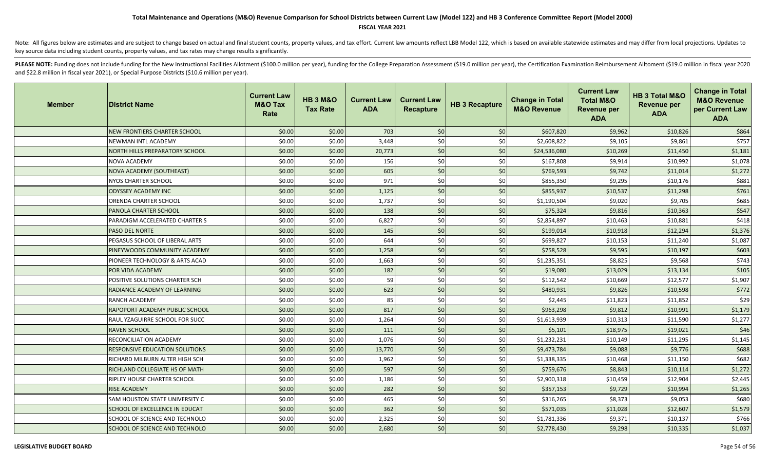### **FISCAL YEAR 2021**

Note: All figures below are estimates and are subject to change based on actual and final student counts, property values, and tax effort. Current law amounts reflect LBB Model 122, which is based on available statewide es key source data including student counts, property values, and tax rates may change results significantly.

| <b>Member</b> | <b>District Name</b>           | <b>Current Law</b><br><b>M&amp;O Tax</b><br>Rate | <b>HB 3 M&amp;O</b><br><b>Tax Rate</b> | <b>Current Law</b><br><b>ADA</b> | <b>Current Law</b><br><b>Recapture</b> | <b>HB 3 Recapture</b> | <b>Change in Total</b><br><b>M&amp;O Revenue</b> | <b>Current Law</b><br><b>Total M&amp;O</b><br><b>Revenue per</b><br><b>ADA</b> | HB 3 Total M&O<br>Revenue per<br><b>ADA</b> | <b>Change in Total</b><br><b>M&amp;O Revenue</b><br>per Current Law<br><b>ADA</b> |
|---------------|--------------------------------|--------------------------------------------------|----------------------------------------|----------------------------------|----------------------------------------|-----------------------|--------------------------------------------------|--------------------------------------------------------------------------------|---------------------------------------------|-----------------------------------------------------------------------------------|
|               | NEW FRONTIERS CHARTER SCHOOL   | \$0.00                                           | \$0.00                                 | 703                              | \$0                                    | \$0                   | \$607,820                                        | \$9,962                                                                        | \$10,826                                    | \$864                                                                             |
|               | NEWMAN INTL ACADEMY            | \$0.00                                           | \$0.00                                 | 3,448                            | \$0                                    | \$0                   | \$2,608,822                                      | \$9,105                                                                        | \$9,861                                     | \$757                                                                             |
|               | NORTH HILLS PREPARATORY SCHOOL | \$0.00                                           | \$0.00                                 | 20,773                           | \$0                                    | \$0                   | \$24,536,080                                     | \$10,269                                                                       | \$11,450                                    | \$1,181                                                                           |
|               | NOVA ACADEMY                   | \$0.00                                           | \$0.00                                 | 156                              | \$0                                    | \$0                   | \$167,808                                        | \$9,914                                                                        | \$10,992                                    | \$1,078                                                                           |
|               | NOVA ACADEMY (SOUTHEAST)       | \$0.00                                           | \$0.00                                 | 605                              | \$0                                    | \$0                   | \$769,593                                        | \$9,742                                                                        | \$11,014                                    | \$1,272                                                                           |
|               | NYOS CHARTER SCHOOL            | \$0.00                                           | \$0.00                                 | 971                              | \$0                                    | \$0                   | \$855,350                                        | \$9,295                                                                        | \$10,176                                    | \$881                                                                             |
|               | <b>ODYSSEY ACADEMY INC</b>     | \$0.00                                           | \$0.00                                 | 1,125                            | \$0                                    | \$0                   | \$855,937                                        | \$10,537                                                                       | \$11,298                                    | \$761                                                                             |
|               | ORENDA CHARTER SCHOOL          | \$0.00                                           | \$0.00                                 | 1,737                            | \$0                                    | \$0                   | \$1,190,504                                      | \$9,020                                                                        | \$9,705                                     | \$685                                                                             |
|               | PANOLA CHARTER SCHOOL          | \$0.00                                           | \$0.00                                 | 138                              | \$0                                    | \$0                   | \$75,324                                         | \$9,816                                                                        | \$10,363                                    | \$547                                                                             |
|               | PARADIGM ACCELERATED CHARTER S | \$0.00                                           | \$0.00                                 | 6,827                            | \$0                                    | \$0                   | \$2,854,897                                      | \$10,463                                                                       | \$10,881                                    | \$418                                                                             |
|               | <b>PASO DEL NORTE</b>          | \$0.00                                           | \$0.00                                 | 145                              | \$0                                    | \$0                   | \$199,014                                        | \$10,918                                                                       | \$12,294                                    | \$1,376                                                                           |
|               | PEGASUS SCHOOL OF LIBERAL ARTS | \$0.00                                           | \$0.00                                 | 644                              | \$0                                    | \$0                   | \$699,827                                        | \$10,153                                                                       | \$11,240                                    | \$1,087                                                                           |
|               | PINEYWOODS COMMUNITY ACADEMY   | \$0.00                                           | \$0.00                                 | 1,258                            | \$0                                    | \$0                   | \$758,528                                        | \$9,595                                                                        | \$10,197                                    | \$603                                                                             |
|               | PIONEER TECHNOLOGY & ARTS ACAD | \$0.00                                           | \$0.00                                 | 1,663                            | \$0                                    | \$0                   | \$1,235,351                                      | \$8,825                                                                        | \$9,568                                     | \$743                                                                             |
|               | POR VIDA ACADEMY               | \$0.00                                           | \$0.00                                 | 182                              | \$0                                    | \$0                   | \$19,080                                         | \$13,029                                                                       | \$13,134                                    | \$105                                                                             |
|               | POSITIVE SOLUTIONS CHARTER SCH | \$0.00                                           | \$0.00                                 | 59                               | \$0                                    | \$0                   | \$112,542                                        | \$10,669                                                                       | \$12,577                                    | \$1,907                                                                           |
|               | RADIANCE ACADEMY OF LEARNING   | \$0.00                                           | \$0.00                                 | 623                              | \$0                                    | \$0                   | \$480,931                                        | \$9,826                                                                        | \$10,598                                    | \$772                                                                             |
|               | RANCH ACADEMY                  | \$0.00                                           | \$0.00                                 | 85                               | \$0                                    | \$0                   | \$2,445                                          | \$11,823                                                                       | \$11,852                                    | \$29                                                                              |
|               | RAPOPORT ACADEMY PUBLIC SCHOOL | \$0.00                                           | \$0.00                                 | 817                              | \$0                                    | \$0                   | \$963,298                                        | \$9,812                                                                        | \$10,991                                    | \$1,179                                                                           |
|               | RAUL YZAGUIRRE SCHOOL FOR SUCC | \$0.00                                           | \$0.00                                 | 1,264                            | \$0                                    | \$0                   | \$1,613,939                                      | \$10,313                                                                       | \$11,590                                    | \$1,277                                                                           |
|               | <b>RAVEN SCHOOL</b>            | \$0.00                                           | \$0.00                                 | 111                              | \$0                                    | \$0                   | \$5,101                                          | \$18,975                                                                       | \$19,021                                    | \$46                                                                              |
|               | RECONCILIATION ACADEMY         | \$0.00                                           | \$0.00                                 | 1,076                            | \$0                                    | \$0                   | \$1,232,231                                      | \$10,149                                                                       | \$11,295                                    | \$1,145                                                                           |
|               | RESPONSIVE EDUCATION SOLUTIONS | \$0.00                                           | \$0.00                                 | 13,770                           | \$0                                    | \$0                   | \$9,473,784                                      | \$9,088                                                                        | \$9,776                                     | \$688                                                                             |
|               | RICHARD MILBURN ALTER HIGH SCH | \$0.00                                           | \$0.00                                 | 1,962                            | \$0                                    | \$0                   | \$1,338,335                                      | \$10,468                                                                       | \$11,150                                    | \$682                                                                             |
|               | RICHLAND COLLEGIATE HS OF MATH | \$0.00                                           | \$0.00                                 | 597                              | \$0                                    | \$0                   | \$759,676                                        | \$8,843                                                                        | \$10,114                                    | \$1,272                                                                           |
|               | RIPLEY HOUSE CHARTER SCHOOL    | \$0.00                                           | \$0.00                                 | 1,186                            | \$0                                    | \$0                   | \$2,900,318                                      | \$10,459                                                                       | \$12,904                                    | \$2,445                                                                           |
|               | <b>RISE ACADEMY</b>            | \$0.00                                           | \$0.00                                 | 282                              | \$0                                    | \$0                   | \$357,153                                        | \$9,729                                                                        | \$10,994                                    | \$1,265                                                                           |
|               | SAM HOUSTON STATE UNIVERSITY C | \$0.00                                           | \$0.00                                 | 465                              | \$0                                    | \$0                   | \$316,265                                        | \$8,373                                                                        | \$9,053                                     | \$680                                                                             |
|               | SCHOOL OF EXCELLENCE IN EDUCAT | \$0.00                                           | \$0.00                                 | 362                              | \$0                                    | \$0                   | \$571,035                                        | \$11,028                                                                       | \$12,607                                    | \$1,579                                                                           |
|               | SCHOOL OF SCIENCE AND TECHNOLO | \$0.00                                           | \$0.00                                 | 2,325                            | \$0                                    | \$0                   | \$1,781,336                                      | \$9,371                                                                        | \$10,137                                    | \$766                                                                             |
|               | SCHOOL OF SCIENCE AND TECHNOLO | \$0.00                                           | \$0.00                                 | 2,680                            | \$0                                    | \$0                   | \$2,778,430                                      | \$9,298                                                                        | \$10,335                                    | \$1,037                                                                           |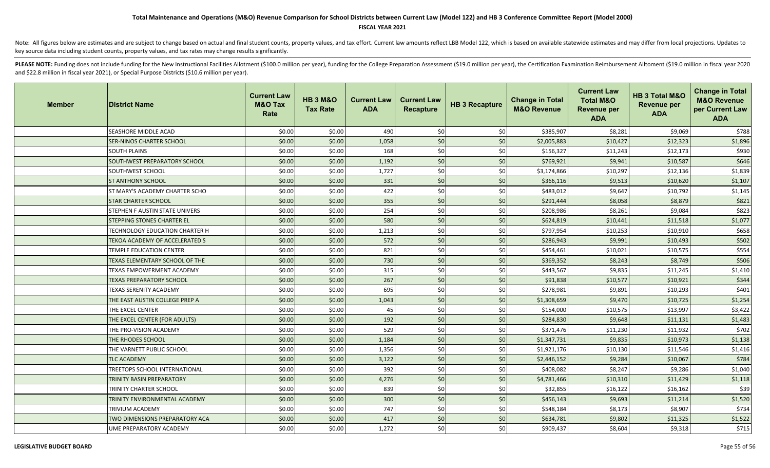### **FISCAL YEAR 2021**

Note: All figures below are estimates and are subject to change based on actual and final student counts, property values, and tax effort. Current law amounts reflect LBB Model 122, which is based on available statewide es key source data including student counts, property values, and tax rates may change results significantly.

| <b>Member</b> | <b>District Name</b>              | <b>Current Law</b><br><b>M&amp;O Tax</b><br><b>Rate</b> | <b>HB 3 M&amp;O</b><br><b>Tax Rate</b> | <b>Current Law</b><br><b>ADA</b> | <b>Current Law</b><br>Recapture | <b>HB 3 Recapture</b> | <b>Change in Total</b><br><b>M&amp;O Revenue</b> | <b>Current Law</b><br><b>Total M&amp;O</b><br><b>Revenue per</b><br><b>ADA</b> | HB 3 Total M&O<br><b>Revenue per</b><br><b>ADA</b> | <b>Change in Total</b><br><b>M&amp;O Revenue</b><br>per Current Law<br><b>ADA</b> |
|---------------|-----------------------------------|---------------------------------------------------------|----------------------------------------|----------------------------------|---------------------------------|-----------------------|--------------------------------------------------|--------------------------------------------------------------------------------|----------------------------------------------------|-----------------------------------------------------------------------------------|
|               | SEASHORE MIDDLE ACAD              | \$0.00                                                  | \$0.00                                 | 490                              | \$0                             | \$0                   | \$385,907                                        | \$8,281                                                                        | \$9,069                                            | \$788                                                                             |
|               | SER-NINOS CHARTER SCHOOL          | \$0.00                                                  | \$0.00                                 | 1,058                            | \$0                             | \$0                   | \$2,005,883                                      | \$10,427                                                                       | \$12,323                                           | \$1,896                                                                           |
|               | <b>SOUTH PLAINS</b>               | \$0.00                                                  | \$0.00                                 | 168                              | \$0                             | \$0                   | \$156,327                                        | \$11,243                                                                       | \$12,173                                           | \$930                                                                             |
|               | SOUTHWEST PREPARATORY SCHOOL      | \$0.00                                                  | \$0.00                                 | 1,192                            | \$0                             | \$0                   | \$769,921                                        | \$9,941                                                                        | \$10,587                                           | \$646                                                                             |
|               | SOUTHWEST SCHOOL                  | \$0.00                                                  | \$0.00                                 | 1,727                            | \$0                             | \$0                   | \$3,174,866                                      | \$10,297                                                                       | \$12,136                                           | \$1,839                                                                           |
|               | <b>ST ANTHONY SCHOOL</b>          | \$0.00                                                  | \$0.00                                 | 331                              | \$0                             | \$0                   | \$366,116                                        | \$9,513                                                                        | \$10,620                                           | \$1,107                                                                           |
|               | ST MARY'S ACADEMY CHARTER SCHO    | \$0.00                                                  | \$0.00                                 | 422                              | \$0                             | \$0                   | \$483,012                                        | \$9,647                                                                        | \$10,792                                           | \$1,145                                                                           |
|               | <b>STAR CHARTER SCHOOL</b>        | \$0.00                                                  | \$0.00                                 | 355                              | \$0                             | \$0                   | \$291,444                                        | \$8,058                                                                        | \$8,879                                            | \$821                                                                             |
|               | STEPHEN F AUSTIN STATE UNIVERS    | \$0.00                                                  | \$0.00                                 | 254                              | \$0                             | \$0                   | \$208,986                                        | \$8,261                                                                        | \$9,084                                            | \$823                                                                             |
|               | <b>STEPPING STONES CHARTER EL</b> | \$0.00                                                  | \$0.00                                 | 580                              | \$0                             | \$0                   | \$624,819                                        | \$10,441                                                                       | \$11,518                                           | \$1,077                                                                           |
|               | TECHNOLOGY EDUCATION CHARTER H    | \$0.00                                                  | \$0.00                                 | 1,213                            | \$0                             | \$0                   | \$797,954                                        | \$10,253                                                                       | \$10,910                                           | \$658                                                                             |
|               | TEKOA ACADEMY OF ACCELERATED S    | \$0.00                                                  | \$0.00                                 | 572                              | \$0                             | \$0                   | \$286,943                                        | \$9,991                                                                        | \$10,493                                           | \$502                                                                             |
|               | TEMPLE EDUCATION CENTER           | \$0.00                                                  | \$0.00                                 | 821                              | \$0                             | \$0                   | \$454,461                                        | \$10,021                                                                       | \$10,575                                           | \$554                                                                             |
|               | TEXAS ELEMENTARY SCHOOL OF THE    | \$0.00                                                  | \$0.00                                 | 730                              | \$0                             | \$0                   | \$369,352                                        | \$8,243                                                                        | \$8,749                                            | \$506                                                                             |
|               | TEXAS EMPOWERMENT ACADEMY         | \$0.00                                                  | \$0.00                                 | 315                              | \$0                             | \$0                   | \$443,567                                        | \$9,835                                                                        | \$11,245                                           | \$1,410                                                                           |
|               | <b>TEXAS PREPARATORY SCHOOL</b>   | \$0.00                                                  | \$0.00                                 | 267                              | \$0                             | \$0                   | \$91,838                                         | \$10,577                                                                       | \$10,921                                           | \$344                                                                             |
|               | <b>FEXAS SERENITY ACADEMY</b>     | \$0.00                                                  | \$0.00                                 | 695                              | \$0                             | \$0                   | \$278,981                                        | \$9,891                                                                        | \$10,293                                           | \$401                                                                             |
|               | THE EAST AUSTIN COLLEGE PREP A    | \$0.00                                                  | \$0.00                                 | 1,043                            | \$0                             | \$0                   | \$1,308,659                                      | \$9,470                                                                        | \$10,725                                           | \$1,254                                                                           |
|               | THE EXCEL CENTER                  | \$0.00                                                  | \$0.00                                 | 45                               | \$0                             | \$0                   | \$154,000                                        | \$10,575                                                                       | \$13,997                                           | \$3,422                                                                           |
|               | THE EXCEL CENTER (FOR ADULTS)     | \$0.00                                                  | \$0.00                                 | 192                              | \$0                             | \$0                   | \$284,830                                        | \$9,648                                                                        | \$11,131                                           | \$1,483                                                                           |
|               | THE PRO-VISION ACADEMY            | \$0.00                                                  | \$0.00                                 | 529                              | \$0                             | \$0                   | \$371,476                                        | \$11,230                                                                       | \$11,932                                           | \$702                                                                             |
|               | THE RHODES SCHOOL                 | \$0.00                                                  | \$0.00                                 | 1,184                            | \$0                             | \$0                   | \$1,347,731                                      | \$9,835                                                                        | \$10,973                                           | \$1,138                                                                           |
|               | THE VARNETT PUBLIC SCHOOL         | \$0.00                                                  | \$0.00                                 | 1,356                            | \$0                             | \$0                   | \$1,921,176                                      | \$10,130                                                                       | \$11,546                                           | \$1,416                                                                           |
|               | <b>TLC ACADEMY</b>                | \$0.00                                                  | \$0.00                                 | 3,122                            | \$0                             | \$0                   | \$2,446,152                                      | \$9,284                                                                        | \$10,067                                           | \$784                                                                             |
|               | TREETOPS SCHOOL INTERNATIONAL     | \$0.00                                                  | \$0.00                                 | 392                              | \$0                             | \$0                   | \$408,082                                        | \$8,247                                                                        | \$9,286                                            | \$1,040                                                                           |
|               | TRINITY BASIN PREPARATORY         | \$0.00                                                  | \$0.00                                 | 4,276                            | \$0                             | \$0                   | \$4,781,466                                      | \$10,310                                                                       | \$11,429                                           | \$1,118                                                                           |
|               | TRINITY CHARTER SCHOOL            | \$0.00                                                  | \$0.00                                 | 839                              | \$0                             | \$0                   | \$32,855                                         | \$16,122                                                                       | \$16,162                                           | \$39                                                                              |
|               | TRINITY ENVIRONMENTAL ACADEMY     | \$0.00                                                  | \$0.00                                 | 300                              | $$0$$                           | \$0                   | \$456,143                                        | \$9,693                                                                        | \$11,214                                           | \$1,520                                                                           |
|               | TRIVIUM ACADEMY                   | \$0.00                                                  | \$0.00                                 | 747                              | \$0                             | \$0                   | \$548,184                                        | \$8,173                                                                        | \$8,907                                            | \$734                                                                             |
|               | TWO DIMENSIONS PREPARATORY ACA    | \$0.00                                                  | \$0.00                                 | 417                              | \$0                             | \$0                   | \$634,781                                        | \$9,802                                                                        | \$11,325                                           | \$1,522                                                                           |
|               | UME PREPARATORY ACADEMY           | \$0.00                                                  | \$0.00                                 | 1,272                            | \$0                             | \$0                   | \$909,437                                        | \$8,604                                                                        | \$9,318                                            | \$715                                                                             |